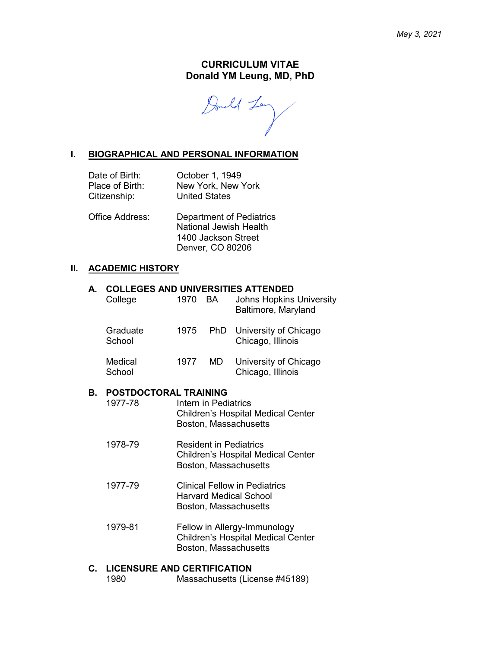#### **CURRICULUM VITAE Donald YM Leung, MD, PhD**

Donald Len

#### **I. BIOGRAPHICAL AND PERSONAL INFORMATION**

| Date of Birth:  | October 1, 1949      |
|-----------------|----------------------|
| Place of Birth: | New York, New York   |
| Citizenship:    | <b>United States</b> |

Office Address: Department of Pediatrics National Jewish Health 1400 Jackson Street

# **II. ACADEMIC HISTORY**

#### **A. COLLEGES AND UNIVERSITIES ATTENDED**

| College            | 1970 | BA  | <b>Johns Hopkins University</b><br>Baltimore, Maryland |
|--------------------|------|-----|--------------------------------------------------------|
| Graduate<br>School | 1975 |     | PhD University of Chicago<br>Chicago, Illinois         |
| Medical<br>School  | 1977 | MD. | University of Chicago<br>Chicago, Illinois             |

Denver, CO 80206

#### **B. POSTDOCTORAL TRAINING**

| 1977-78 | Intern in Pediatrics<br><b>Children's Hospital Medical Center</b><br>Boston, Massachusetts |
|---------|--------------------------------------------------------------------------------------------|
| 1978-79 | <b>Resident in Pediatrics</b>                                                              |

- Children's Hospital Medical Center Boston, Massachusetts
- 1977-79 Clinical Fellow in Pediatrics Harvard Medical School Boston, Massachusetts
- 1979-81 Fellow in Allergy-Immunology Children's Hospital Medical Center Boston, Massachusetts

#### **C. LICENSURE AND CERTIFICATION**

1980 Massachusetts (License #45189)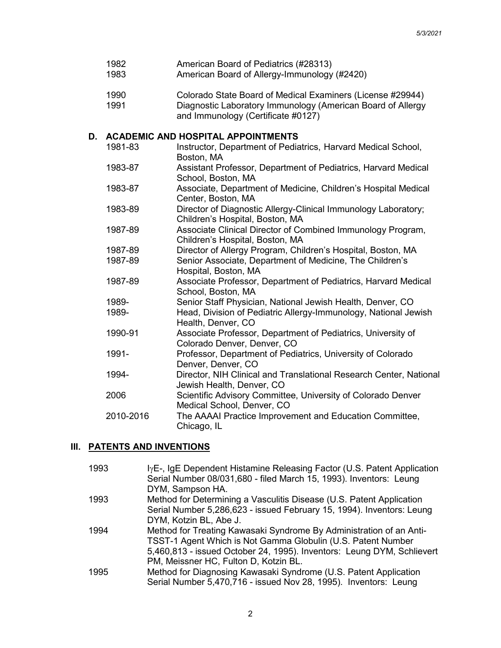|    | 1982<br>1983 | American Board of Pediatrics (#28313)<br>American Board of Allergy-Immunology (#2420)                                                                           |
|----|--------------|-----------------------------------------------------------------------------------------------------------------------------------------------------------------|
|    | 1990<br>1991 | Colorado State Board of Medical Examiners (License #29944)<br>Diagnostic Laboratory Immunology (American Board of Allergy<br>and Immunology (Certificate #0127) |
| D. |              | <b>ACADEMIC AND HOSPITAL APPOINTMENTS</b>                                                                                                                       |
|    | 1981-83      | Instructor, Department of Pediatrics, Harvard Medical School,<br>Boston, MA                                                                                     |
|    | 1983-87      | Assistant Professor, Department of Pediatrics, Harvard Medical<br>School, Boston, MA                                                                            |
|    | 1983-87      | Associate, Department of Medicine, Children's Hospital Medical<br>Center, Boston, MA                                                                            |
|    | 1983-89      | Director of Diagnostic Allergy-Clinical Immunology Laboratory;<br>Children's Hospital, Boston, MA                                                               |
|    | 1987-89      | Associate Clinical Director of Combined Immunology Program,<br>Children's Hospital, Boston, MA                                                                  |
|    | 1987-89      | Director of Allergy Program, Children's Hospital, Boston, MA                                                                                                    |
|    | 1987-89      | Senior Associate, Department of Medicine, The Children's<br>Hospital, Boston, MA                                                                                |
|    | 1987-89      | Associate Professor, Department of Pediatrics, Harvard Medical<br>School, Boston, MA                                                                            |
|    | 1989-        | Senior Staff Physician, National Jewish Health, Denver, CO                                                                                                      |
|    | 1989-        | Head, Division of Pediatric Allergy-Immunology, National Jewish<br>Health, Denver, CO                                                                           |
|    | 1990-91      | Associate Professor, Department of Pediatrics, University of<br>Colorado Denver, Denver, CO                                                                     |
|    | 1991-        | Professor, Department of Pediatrics, University of Colorado<br>Denver, Denver, CO                                                                               |
|    | 1994-        | Director, NIH Clinical and Translational Research Center, National<br>Jewish Health, Denver, CO                                                                 |
|    | 2006         | Scientific Advisory Committee, University of Colorado Denver<br>Medical School, Denver, CO                                                                      |
|    | 2010-2016    | The AAAAI Practice Improvement and Education Committee,<br>Chicago, IL                                                                                          |
|    |              |                                                                                                                                                                 |

# **III. PATENTS AND INVENTIONS**

| 1993 | lyE-, IgE Dependent Histamine Releasing Factor (U.S. Patent Application<br>Serial Number 08/031,680 - filed March 15, 1993). Inventors: Leung<br>DYM, Sampson HA.                                                                                      |
|------|--------------------------------------------------------------------------------------------------------------------------------------------------------------------------------------------------------------------------------------------------------|
| 1993 | Method for Determining a Vasculitis Disease (U.S. Patent Application<br>Serial Number 5,286,623 - issued February 15, 1994). Inventors: Leung<br>DYM, Kotzin BL, Abe J.                                                                                |
| 1994 | Method for Treating Kawasaki Syndrome By Administration of an Anti-<br>TSST-1 Agent Which is Not Gamma Globulin (U.S. Patent Number<br>5,460,813 - issued October 24, 1995). Inventors: Leung DYM, Schlievert<br>PM, Meissner HC, Fulton D, Kotzin BL. |
| 1995 | Method for Diagnosing Kawasaki Syndrome (U.S. Patent Application<br>Serial Number 5,470,716 - issued Nov 28, 1995). Inventors: Leung                                                                                                                   |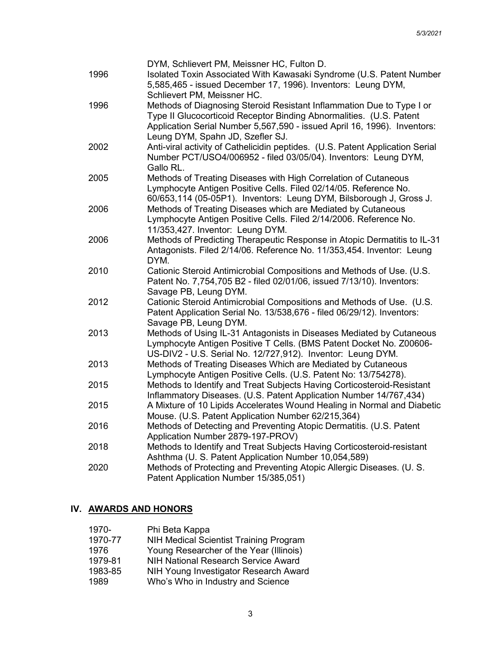|      | DYM, Schlievert PM, Meissner HC, Fulton D.                                                                                     |
|------|--------------------------------------------------------------------------------------------------------------------------------|
| 1996 | Isolated Toxin Associated With Kawasaki Syndrome (U.S. Patent Number                                                           |
|      | 5,585,465 - issued December 17, 1996). Inventors: Leung DYM,                                                                   |
|      | Schlievert PM, Meissner HC.                                                                                                    |
| 1996 | Methods of Diagnosing Steroid Resistant Inflammation Due to Type I or                                                          |
|      | Type II Glucocorticoid Receptor Binding Abnormalities. (U.S. Patent                                                            |
|      | Application Serial Number 5,567,590 - issued April 16, 1996). Inventors:                                                       |
|      | Leung DYM, Spahn JD, Szefler SJ.                                                                                               |
| 2002 | Anti-viral activity of Cathelicidin peptides. (U.S. Patent Application Serial                                                  |
|      | Number PCT/USO4/006952 - filed 03/05/04). Inventors: Leung DYM,                                                                |
|      | Gallo RL.                                                                                                                      |
| 2005 | Methods of Treating Diseases with High Correlation of Cutaneous                                                                |
|      | Lymphocyte Antigen Positive Cells. Filed 02/14/05. Reference No.                                                               |
|      | 60/653,114 (05-05P1). Inventors: Leung DYM, Bilsborough J, Gross J.                                                            |
| 2006 | Methods of Treating Diseases which are Mediated by Cutaneous                                                                   |
|      | Lymphocyte Antigen Positive Cells. Filed 2/14/2006. Reference No.                                                              |
|      | 11/353,427. Inventor: Leung DYM.                                                                                               |
| 2006 | Methods of Predicting Therapeutic Response in Atopic Dermatitis to IL-31                                                       |
|      | Antagonists. Filed 2/14/06. Reference No. 11/353,454. Inventor: Leung                                                          |
|      | DYM.                                                                                                                           |
| 2010 | Cationic Steroid Antimicrobial Compositions and Methods of Use. (U.S.                                                          |
|      | Patent No. 7,754,705 B2 - filed 02/01/06, issued 7/13/10). Inventors:                                                          |
|      | Savage PB, Leung DYM.                                                                                                          |
| 2012 | Cationic Steroid Antimicrobial Compositions and Methods of Use. (U.S.                                                          |
|      | Patent Application Serial No. 13/538,676 - filed 06/29/12). Inventors:                                                         |
|      | Savage PB, Leung DYM.                                                                                                          |
| 2013 | Methods of Using IL-31 Antagonists in Diseases Mediated by Cutaneous                                                           |
|      | Lymphocyte Antigen Positive T Cells. (BMS Patent Docket No. Z00606-                                                            |
|      | US-DIV2 - U.S. Serial No. 12/727,912). Inventor: Leung DYM.                                                                    |
| 2013 | Methods of Treating Diseases Which are Mediated by Cutaneous                                                                   |
|      | Lymphocyte Antigen Positive Cells. (U.S. Patent No: 13/754278).                                                                |
| 2015 | Methods to Identify and Treat Subjects Having Corticosteroid-Resistant                                                         |
|      | Inflammatory Diseases. (U.S. Patent Application Number 14/767,434)                                                             |
| 2015 | A Mixture of 10 Lipids Accelerates Wound Healing in Normal and Diabetic                                                        |
| 2016 | Mouse. (U.S. Patent Application Number 62/215,364)                                                                             |
|      | Methods of Detecting and Preventing Atopic Dermatitis. (U.S. Patent<br>Application Number 2879-197-PROV)                       |
| 2018 |                                                                                                                                |
|      | Methods to Identify and Treat Subjects Having Corticosteroid-resistant<br>Ashthma (U. S. Patent Application Number 10,054,589) |
| 2020 | Methods of Protecting and Preventing Atopic Allergic Diseases. (U. S.                                                          |
|      | Patent Application Number 15/385,051)                                                                                          |
|      |                                                                                                                                |

# **IV. AWARDS AND HONORS**

| 1970-   | Phi Beta Kappa                                |
|---------|-----------------------------------------------|
| 1970-77 | <b>NIH Medical Scientist Training Program</b> |
| 1976    | Young Researcher of the Year (Illinois)       |
| 1979-81 | <b>NIH National Research Service Award</b>    |
| 1983-85 | NIH Young Investigator Research Award         |
| 1989    | Who's Who in Industry and Science             |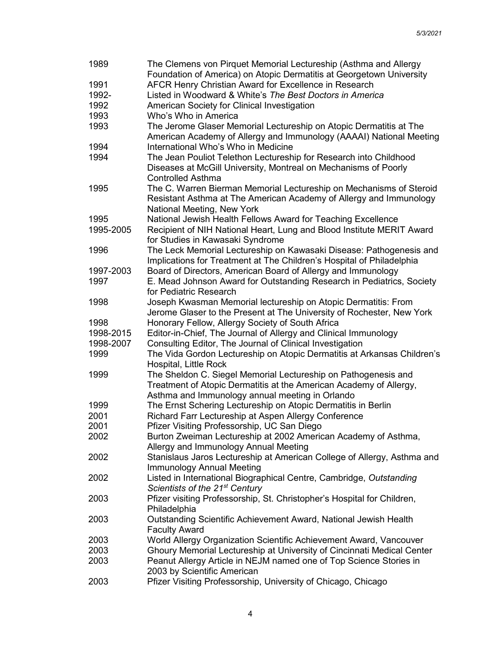| 1989      | The Clemens von Pirquet Memorial Lectureship (Asthma and Allergy        |
|-----------|-------------------------------------------------------------------------|
|           | Foundation of America) on Atopic Dermatitis at Georgetown University    |
| 1991      | AFCR Henry Christian Award for Excellence in Research                   |
| 1992-     | Listed in Woodward & White's The Best Doctors in America                |
| 1992      | American Society for Clinical Investigation                             |
| 1993      | Who's Who in America                                                    |
| 1993      | The Jerome Glaser Memorial Lectureship on Atopic Dermatitis at The      |
|           | American Academy of Allergy and Immunology (AAAAI) National Meeting     |
| 1994      | International Who's Who in Medicine                                     |
| 1994      | The Jean Pouliot Telethon Lectureship for Research into Childhood       |
|           | Diseases at McGill University, Montreal on Mechanisms of Poorly         |
|           | <b>Controlled Asthma</b>                                                |
| 1995      | The C. Warren Bierman Memorial Lectureship on Mechanisms of Steroid     |
|           | Resistant Asthma at The American Academy of Allergy and Immunology      |
|           |                                                                         |
|           | National Meeting, New York                                              |
| 1995      | National Jewish Health Fellows Award for Teaching Excellence            |
| 1995-2005 | Recipient of NIH National Heart, Lung and Blood Institute MERIT Award   |
|           | for Studies in Kawasaki Syndrome                                        |
| 1996      | The Leck Memorial Lectureship on Kawasaki Disease: Pathogenesis and     |
|           | Implications for Treatment at The Children's Hospital of Philadelphia   |
| 1997-2003 | Board of Directors, American Board of Allergy and Immunology            |
| 1997      | E. Mead Johnson Award for Outstanding Research in Pediatrics, Society   |
|           | for Pediatric Research                                                  |
| 1998      | Joseph Kwasman Memorial lectureship on Atopic Dermatitis: From          |
|           | Jerome Glaser to the Present at The University of Rochester, New York   |
| 1998      | Honorary Fellow, Allergy Society of South Africa                        |
| 1998-2015 | Editor-in-Chief, The Journal of Allergy and Clinical Immunology         |
| 1998-2007 | Consulting Editor, The Journal of Clinical Investigation                |
| 1999      | The Vida Gordon Lectureship on Atopic Dermatitis at Arkansas Children's |
|           | Hospital, Little Rock                                                   |
| 1999      | The Sheldon C. Siegel Memorial Lectureship on Pathogenesis and          |
|           | Treatment of Atopic Dermatitis at the American Academy of Allergy,      |
|           | Asthma and Immunology annual meeting in Orlando                         |
| 1999      | The Ernst Schering Lectureship on Atopic Dermatitis in Berlin           |
| 2001      | Richard Farr Lectureship at Aspen Allergy Conference                    |
| 2001      | Pfizer Visiting Professorship, UC San Diego                             |
| 2002      | Burton Zweiman Lectureship at 2002 American Academy of Asthma,          |
|           |                                                                         |
|           | Allergy and Immunology Annual Meeting                                   |
| 2002      | Stanislaus Jaros Lectureship at American College of Allergy, Asthma and |
|           | Immunology Annual Meeting                                               |
| 2002      | Listed in International Biographical Centre, Cambridge, Outstanding     |
|           | Scientists of the 21 <sup>st</sup> Century                              |
| 2003      | Pfizer visiting Professorship, St. Christopher's Hospital for Children, |
|           | Philadelphia                                                            |
| 2003      | Outstanding Scientific Achievement Award, National Jewish Health        |
|           | <b>Faculty Award</b>                                                    |
| 2003      | World Allergy Organization Scientific Achievement Award, Vancouver      |
| 2003      | Ghoury Memorial Lectureship at University of Cincinnati Medical Center  |
| 2003      | Peanut Allergy Article in NEJM named one of Top Science Stories in      |
|           | 2003 by Scientific American                                             |
| 2003      | Pfizer Visiting Professorship, University of Chicago, Chicago           |
|           |                                                                         |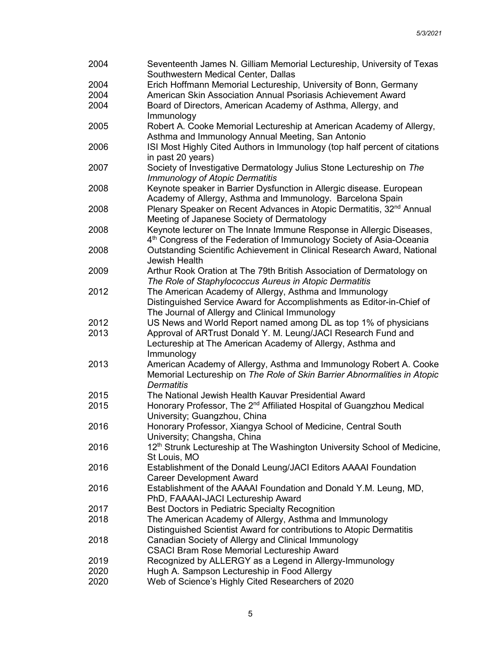| 2004 | Seventeenth James N. Gilliam Memorial Lectureship, University of Texas<br>Southwestern Medical Center, Dallas |
|------|---------------------------------------------------------------------------------------------------------------|
| 2004 | Erich Hoffmann Memorial Lectureship, University of Bonn, Germany                                              |
| 2004 | American Skin Association Annual Psoriasis Achievement Award                                                  |
| 2004 | Board of Directors, American Academy of Asthma, Allergy, and                                                  |
|      | Immunology                                                                                                    |
| 2005 | Robert A. Cooke Memorial Lectureship at American Academy of Allergy,                                          |
|      | Asthma and Immunology Annual Meeting, San Antonio                                                             |
| 2006 | ISI Most Highly Cited Authors in Immunology (top half percent of citations                                    |
|      | in past 20 years)                                                                                             |
| 2007 | Society of Investigative Dermatology Julius Stone Lectureship on The                                          |
|      |                                                                                                               |
|      | <b>Immunology of Atopic Dermatitis</b>                                                                        |
| 2008 | Keynote speaker in Barrier Dysfunction in Allergic disease. European                                          |
|      | Academy of Allergy, Asthma and Immunology. Barcelona Spain                                                    |
| 2008 | Plenary Speaker on Recent Advances in Atopic Dermatitis, 32 <sup>nd</sup> Annual                              |
|      | Meeting of Japanese Society of Dermatology                                                                    |
| 2008 | Keynote lecturer on The Innate Immune Response in Allergic Diseases,                                          |
|      | 4 <sup>th</sup> Congress of the Federation of Immunology Society of Asia-Oceania                              |
| 2008 | Outstanding Scientific Achievement in Clinical Research Award, National                                       |
|      | Jewish Health                                                                                                 |
| 2009 | Arthur Rook Oration at The 79th British Association of Dermatology on                                         |
|      | The Role of Staphylococcus Aureus in Atopic Dermatitis                                                        |
| 2012 | The American Academy of Allergy, Asthma and Immunology                                                        |
|      | Distinguished Service Award for Accomplishments as Editor-in-Chief of                                         |
|      | The Journal of Allergy and Clinical Immunology                                                                |
| 2012 | US News and World Report named among DL as top 1% of physicians                                               |
| 2013 | Approval of ARTrust Donald Y. M. Leung/JACI Research Fund and                                                 |
|      | Lectureship at The American Academy of Allergy, Asthma and                                                    |
|      | Immunology                                                                                                    |
| 2013 | American Academy of Allergy, Asthma and Immunology Robert A. Cooke                                            |
|      | Memorial Lectureship on The Role of Skin Barrier Abnormalities in Atopic                                      |
|      | <b>Dermatitis</b>                                                                                             |
| 2015 | The National Jewish Health Kauvar Presidential Award                                                          |
| 2015 | Honorary Professor, The 2 <sup>nd</sup> Affiliated Hospital of Guangzhou Medical                              |
|      | University; Guangzhou, China                                                                                  |
| 2016 | Honorary Professor, Xiangya School of Medicine, Central South                                                 |
|      | University; Changsha, China                                                                                   |
| 2016 | 12 <sup>th</sup> Strunk Lectureship at The Washington University School of Medicine,                          |
|      | St Louis, MO                                                                                                  |
| 2016 | Establishment of the Donald Leung/JACI Editors AAAAI Foundation                                               |
|      | <b>Career Development Award</b>                                                                               |
| 2016 | Establishment of the AAAAI Foundation and Donald Y.M. Leung, MD,                                              |
|      | PhD, FAAAAI-JACI Lectureship Award                                                                            |
| 2017 | Best Doctors in Pediatric Specialty Recognition                                                               |
| 2018 | The American Academy of Allergy, Asthma and Immunology                                                        |
|      | Distinguished Scientist Award for contributions to Atopic Dermatitis                                          |
| 2018 | Canadian Society of Allergy and Clinical Immunology                                                           |
|      | <b>CSACI Bram Rose Memorial Lectureship Award</b>                                                             |
| 2019 | Recognized by ALLERGY as a Legend in Allergy-Immunology                                                       |
| 2020 | Hugh A. Sampson Lectureship in Food Allergy                                                                   |
| 2020 | Web of Science's Highly Cited Researchers of 2020                                                             |
|      |                                                                                                               |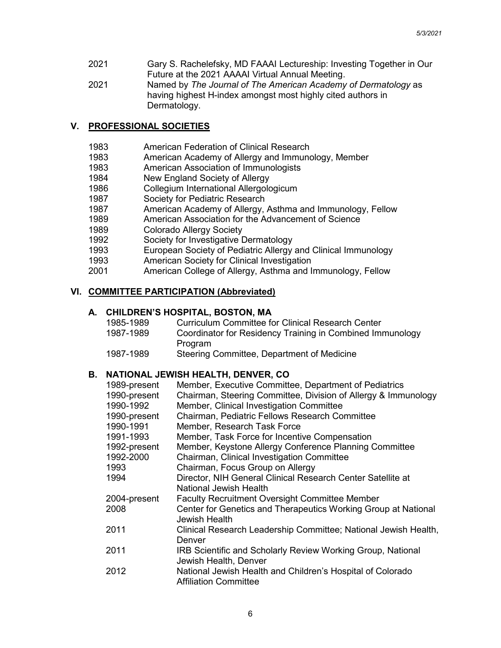- 2021 Gary S. Rachelefsky, MD FAAAI Lectureship: Investing Together in Our Future at the 2021 AAAAI Virtual Annual Meeting.
- 2021 Named by *The Journal of The American Academy of Dermatology* as having highest H-index amongst most highly cited authors in Dermatology.

## **V. PROFESSIONAL SOCIETIES**

- 1983 American Federation of Clinical Research
- 1983 American Academy of Allergy and Immunology, Member
- 1983 American Association of Immunologists
- 1984 New England Society of Allergy
- 1986 Collegium International Allergologicum
- 1987 Society for Pediatric Research
- 1987 American Academy of Allergy, Asthma and Immunology, Fellow
- 1989 American Association for the Advancement of Science<br>1989 Colorado Allergy Society
- Colorado Allergy Society
- 1992 Society for Investigative Dermatology
- 1993 European Society of Pediatric Allergy and Clinical Immunology
- 1993 American Society for Clinical Investigation
- 2001 American College of Allergy, Asthma and Immunology, Fellow

### **VI. COMMITTEE PARTICIPATION (Abbreviated)**

### **A. CHILDREN'S HOSPITAL, BOSTON, MA**

| 1985-1989 | <b>Curriculum Committee for Clinical Research Center</b>  |
|-----------|-----------------------------------------------------------|
| 1987-1989 |                                                           |
|           | Coordinator for Residency Training in Combined Immunology |
|           | Program                                                   |
| 1987-1989 | Steering Committee, Department of Medicine                |

# **B. NATIONAL JEWISH HEALTH, DENVER, CO**

|              | NATIONAL JEWISH HEALTH, DENVER, CO                                                         |
|--------------|--------------------------------------------------------------------------------------------|
| 1989-present | Member, Executive Committee, Department of Pediatrics                                      |
| 1990-present | Chairman, Steering Committee, Division of Allergy & Immunology                             |
| 1990-1992    | Member, Clinical Investigation Committee                                                   |
| 1990-present | Chairman, Pediatric Fellows Research Committee                                             |
| 1990-1991    | Member, Research Task Force                                                                |
| 1991-1993    | Member, Task Force for Incentive Compensation                                              |
| 1992-present | Member, Keystone Allergy Conference Planning Committee                                     |
| 1992-2000    | Chairman, Clinical Investigation Committee                                                 |
| 1993         | Chairman, Focus Group on Allergy                                                           |
| 1994         | Director, NIH General Clinical Research Center Satellite at                                |
|              | National Jewish Health                                                                     |
| 2004-present | <b>Faculty Recruitment Oversight Committee Member</b>                                      |
| 2008         | Center for Genetics and Therapeutics Working Group at National<br>Jewish Health            |
| 2011         | Clinical Research Leadership Committee; National Jewish Health,<br>Denver                  |
| 2011         | IRB Scientific and Scholarly Review Working Group, National<br>Jewish Health, Denver       |
| 2012         | National Jewish Health and Children's Hospital of Colorado<br><b>Affiliation Committee</b> |
|              |                                                                                            |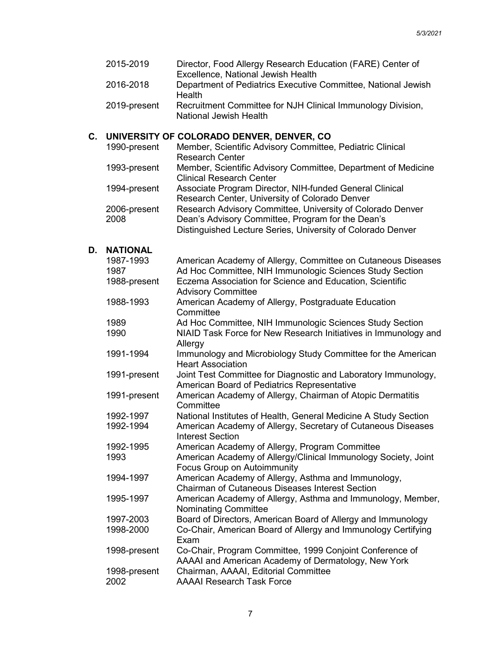|    | 2015-2019              | Director, Food Allergy Research Education (FARE) Center of<br>Excellence, National Jewish Health                                                                               |
|----|------------------------|--------------------------------------------------------------------------------------------------------------------------------------------------------------------------------|
|    | 2016-2018              | Department of Pediatrics Executive Committee, National Jewish<br>Health                                                                                                        |
|    | 2019-present           | Recruitment Committee for NJH Clinical Immunology Division,<br>National Jewish Health                                                                                          |
|    |                        | C. UNIVERSITY OF COLORADO DENVER, DENVER, CO                                                                                                                                   |
|    | 1990-present           | Member, Scientific Advisory Committee, Pediatric Clinical<br><b>Research Center</b>                                                                                            |
|    | 1993-present           | Member, Scientific Advisory Committee, Department of Medicine<br><b>Clinical Research Center</b>                                                                               |
|    | 1994-present           | Associate Program Director, NIH-funded General Clinical<br>Research Center, University of Colorado Denver                                                                      |
|    | 2006-present<br>2008   | Research Advisory Committee, University of Colorado Denver<br>Dean's Advisory Committee, Program for the Dean's<br>Distinguished Lecture Series, University of Colorado Denver |
| D. | <b>NATIONAL</b>        |                                                                                                                                                                                |
|    | 1987-1993              | American Academy of Allergy, Committee on Cutaneous Diseases                                                                                                                   |
|    | 1987                   | Ad Hoc Committee, NIH Immunologic Sciences Study Section                                                                                                                       |
|    | 1988-present           | Eczema Association for Science and Education, Scientific<br><b>Advisory Committee</b>                                                                                          |
|    | 1988-1993              | American Academy of Allergy, Postgraduate Education<br>Committee                                                                                                               |
|    | 1989                   | Ad Hoc Committee, NIH Immunologic Sciences Study Section                                                                                                                       |
|    | 1990                   | NIAID Task Force for New Research Initiatives in Immunology and<br>Allergy                                                                                                     |
|    | 1991-1994              | Immunology and Microbiology Study Committee for the American<br><b>Heart Association</b>                                                                                       |
|    | 1991-present           | Joint Test Committee for Diagnostic and Laboratory Immunology,<br>American Board of Pediatrics Representative                                                                  |
|    | 1991-present           | American Academy of Allergy, Chairman of Atopic Dermatitis<br>Committee                                                                                                        |
|    | 1992-1997<br>1992-1994 | National Institutes of Health, General Medicine A Study Section<br>American Academy of Allergy, Secretary of Cutaneous Diseases<br><b>Interest Section</b>                     |
|    | 1992-1995              | American Academy of Allergy, Program Committee                                                                                                                                 |
|    | 1993                   | American Academy of Allergy/Clinical Immunology Society, Joint<br>Focus Group on Autoimmunity                                                                                  |
|    | 1994-1997              | American Academy of Allergy, Asthma and Immunology,<br><b>Chairman of Cutaneous Diseases Interest Section</b>                                                                  |
|    | 1995-1997              | American Academy of Allergy, Asthma and Immunology, Member,<br><b>Nominating Committee</b>                                                                                     |
|    | 1997-2003              | Board of Directors, American Board of Allergy and Immunology                                                                                                                   |
|    | 1998-2000              | Co-Chair, American Board of Allergy and Immunology Certifying<br>Exam                                                                                                          |
|    | 1998-present           | Co-Chair, Program Committee, 1999 Conjoint Conference of<br>AAAAI and American Academy of Dermatology, New York                                                                |
|    | 1998-present<br>2002   | Chairman, AAAAI, Editorial Committee<br><b>AAAAI Research Task Force</b>                                                                                                       |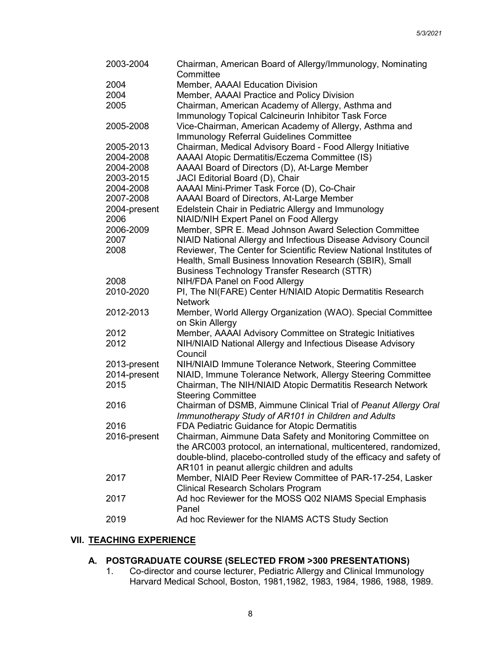| 2003-2004    | Chairman, American Board of Allergy/Immunology, Nominating<br>Committee                                                        |
|--------------|--------------------------------------------------------------------------------------------------------------------------------|
| 2004         | Member, AAAAI Education Division                                                                                               |
| 2004         | Member, AAAAI Practice and Policy Division                                                                                     |
| 2005         | Chairman, American Academy of Allergy, Asthma and                                                                              |
|              | Immunology Topical Calcineurin Inhibitor Task Force                                                                            |
| 2005-2008    | Vice-Chairman, American Academy of Allergy, Asthma and                                                                         |
|              | Immunology Referral Guidelines Committee                                                                                       |
| 2005-2013    | Chairman, Medical Advisory Board - Food Allergy Initiative                                                                     |
| 2004-2008    | AAAAI Atopic Dermatitis/Eczema Committee (IS)                                                                                  |
| 2004-2008    | AAAAI Board of Directors (D), At-Large Member                                                                                  |
| 2003-2015    | JACI Editorial Board (D), Chair                                                                                                |
| 2004-2008    | AAAAI Mini-Primer Task Force (D), Co-Chair                                                                                     |
| 2007-2008    | AAAAI Board of Directors, At-Large Member                                                                                      |
| 2004-present | Edelstein Chair in Pediatric Allergy and Immunology                                                                            |
| 2006         | <b>NIAID/NIH Expert Panel on Food Allergy</b>                                                                                  |
| 2006-2009    | Member, SPR E. Mead Johnson Award Selection Committee                                                                          |
| 2007         | NIAID National Allergy and Infectious Disease Advisory Council                                                                 |
| 2008         | Reviewer, The Center for Scientific Review National Institutes of                                                              |
|              | Health, Small Business Innovation Research (SBIR), Small                                                                       |
|              | <b>Business Technology Transfer Research (STTR)</b>                                                                            |
| 2008         | NIH/FDA Panel on Food Allergy                                                                                                  |
| 2010-2020    | PI, The NI(FARE) Center H/NIAID Atopic Dermatitis Research                                                                     |
|              | <b>Network</b>                                                                                                                 |
| 2012-2013    | Member, World Allergy Organization (WAO). Special Committee                                                                    |
|              | on Skin Allergy                                                                                                                |
| 2012         | Member, AAAAI Advisory Committee on Strategic Initiatives                                                                      |
| 2012         | NIH/NIAID National Allergy and Infectious Disease Advisory                                                                     |
|              | Council                                                                                                                        |
| 2013-present | NIH/NIAID Immune Tolerance Network, Steering Committee                                                                         |
| 2014-present | NIAID, Immune Tolerance Network, Allergy Steering Committee                                                                    |
| 2015         | Chairman, The NIH/NIAID Atopic Dermatitis Research Network                                                                     |
|              | <b>Steering Committee</b>                                                                                                      |
| 2016         | Chairman of DSMB, Aimmune Clinical Trial of Peanut Allergy Oral                                                                |
|              | Immunotherapy Study of AR101 in Children and Adults                                                                            |
| 2016         | FDA Pediatric Guidance for Atopic Dermatitis                                                                                   |
| 2016-present | Chairman, Aimmune Data Safety and Monitoring Committee on<br>the ARC003 protocol, an international, multicentered, randomized, |
|              | double-blind, placebo-controlled study of the efficacy and safety of                                                           |
|              | AR101 in peanut allergic children and adults                                                                                   |
| 2017         | Member, NIAID Peer Review Committee of PAR-17-254, Lasker                                                                      |
|              | <b>Clinical Research Scholars Program</b>                                                                                      |
| 2017         | Ad hoc Reviewer for the MOSS Q02 NIAMS Special Emphasis                                                                        |
|              | Panel                                                                                                                          |
| 2019         | Ad hoc Reviewer for the NIAMS ACTS Study Section                                                                               |
|              |                                                                                                                                |

# **VII. TEACHING EXPERIENCE**

## **A. POSTGRADUATE COURSE (SELECTED FROM >300 PRESENTATIONS)**

1. Co-director and course lecturer, Pediatric Allergy and Clinical Immunology Harvard Medical School, Boston, 1981,1982, 1983, 1984, 1986, 1988, 1989.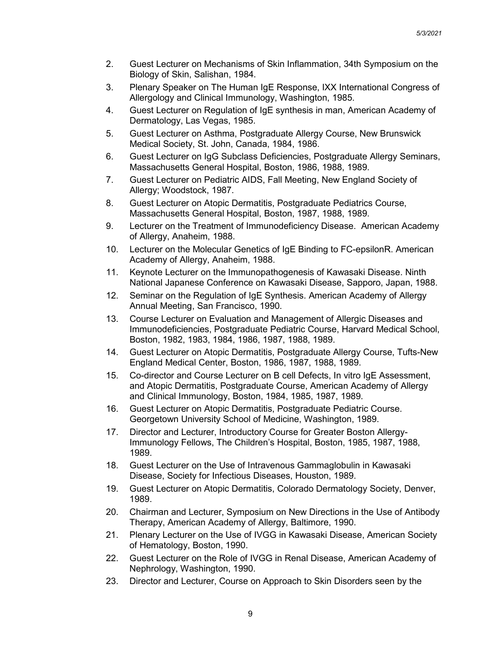- 2. Guest Lecturer on Mechanisms of Skin Inflammation, 34th Symposium on the Biology of Skin, Salishan, 1984.
- 3. Plenary Speaker on The Human IgE Response, IXX International Congress of Allergology and Clinical Immunology, Washington, 1985.
- 4. Guest Lecturer on Regulation of IgE synthesis in man, American Academy of Dermatology, Las Vegas, 1985.
- 5. Guest Lecturer on Asthma, Postgraduate Allergy Course, New Brunswick Medical Society, St. John, Canada, 1984, 1986.
- 6. Guest Lecturer on IgG Subclass Deficiencies, Postgraduate Allergy Seminars, Massachusetts General Hospital, Boston, 1986, 1988, 1989.
- 7. Guest Lecturer on Pediatric AIDS, Fall Meeting, New England Society of Allergy; Woodstock, 1987.
- 8. Guest Lecturer on Atopic Dermatitis, Postgraduate Pediatrics Course, Massachusetts General Hospital, Boston, 1987, 1988, 1989.
- 9. Lecturer on the Treatment of Immunodeficiency Disease. American Academy of Allergy, Anaheim, 1988.
- 10. Lecturer on the Molecular Genetics of IgE Binding to FC-epsilonR. American Academy of Allergy, Anaheim, 1988.
- 11. Keynote Lecturer on the Immunopathogenesis of Kawasaki Disease. Ninth National Japanese Conference on Kawasaki Disease, Sapporo, Japan, 1988.
- 12. Seminar on the Regulation of IgE Synthesis. American Academy of Allergy Annual Meeting, San Francisco, 1990.
- 13. Course Lecturer on Evaluation and Management of Allergic Diseases and Immunodeficiencies, Postgraduate Pediatric Course, Harvard Medical School, Boston, 1982, 1983, 1984, 1986, 1987, 1988, 1989.
- 14. Guest Lecturer on Atopic Dermatitis, Postgraduate Allergy Course, Tufts-New England Medical Center, Boston, 1986, 1987, 1988, 1989.
- 15. Co-director and Course Lecturer on B cell Defects, In vitro IgE Assessment, and Atopic Dermatitis, Postgraduate Course, American Academy of Allergy and Clinical Immunology, Boston, 1984, 1985, 1987, 1989.
- 16. Guest Lecturer on Atopic Dermatitis, Postgraduate Pediatric Course. Georgetown University School of Medicine, Washington, 1989.
- 17. Director and Lecturer, Introductory Course for Greater Boston Allergy-Immunology Fellows, The Children's Hospital, Boston, 1985, 1987, 1988, 1989.
- 18. Guest Lecturer on the Use of Intravenous Gammaglobulin in Kawasaki Disease, Society for Infectious Diseases, Houston, 1989.
- 19. Guest Lecturer on Atopic Dermatitis, Colorado Dermatology Society, Denver, 1989.
- 20. Chairman and Lecturer, Symposium on New Directions in the Use of Antibody Therapy, American Academy of Allergy, Baltimore, 1990.
- 21. Plenary Lecturer on the Use of IVGG in Kawasaki Disease, American Society of Hematology, Boston, 1990.
- 22. Guest Lecturer on the Role of IVGG in Renal Disease, American Academy of Nephrology, Washington, 1990.
- 23. Director and Lecturer, Course on Approach to Skin Disorders seen by the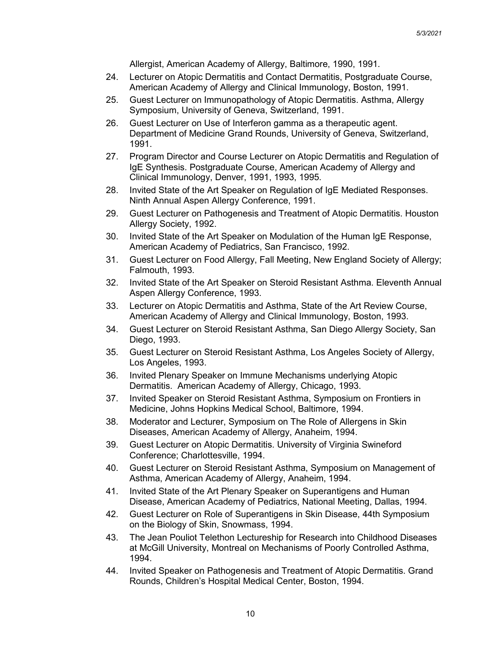Allergist, American Academy of Allergy, Baltimore, 1990, 1991.

- 24. Lecturer on Atopic Dermatitis and Contact Dermatitis, Postgraduate Course, American Academy of Allergy and Clinical Immunology, Boston, 1991.
- 25. Guest Lecturer on Immunopathology of Atopic Dermatitis. Asthma, Allergy Symposium, University of Geneva, Switzerland, 1991.
- 26. Guest Lecturer on Use of Interferon gamma as a therapeutic agent. Department of Medicine Grand Rounds, University of Geneva, Switzerland, 1991.
- 27. Program Director and Course Lecturer on Atopic Dermatitis and Regulation of IgE Synthesis. Postgraduate Course, American Academy of Allergy and Clinical Immunology, Denver, 1991, 1993, 1995.
- 28. Invited State of the Art Speaker on Regulation of IgE Mediated Responses. Ninth Annual Aspen Allergy Conference, 1991.
- 29. Guest Lecturer on Pathogenesis and Treatment of Atopic Dermatitis. Houston Allergy Society, 1992.
- 30. Invited State of the Art Speaker on Modulation of the Human IgE Response, American Academy of Pediatrics, San Francisco, 1992.
- 31. Guest Lecturer on Food Allergy, Fall Meeting, New England Society of Allergy; Falmouth, 1993.
- 32. Invited State of the Art Speaker on Steroid Resistant Asthma. Eleventh Annual Aspen Allergy Conference, 1993.
- 33. Lecturer on Atopic Dermatitis and Asthma, State of the Art Review Course, American Academy of Allergy and Clinical Immunology, Boston, 1993.
- 34. Guest Lecturer on Steroid Resistant Asthma, San Diego Allergy Society, San Diego, 1993.
- 35. Guest Lecturer on Steroid Resistant Asthma, Los Angeles Society of Allergy, Los Angeles, 1993.
- 36. Invited Plenary Speaker on Immune Mechanisms underlying Atopic Dermatitis. American Academy of Allergy, Chicago, 1993.
- 37. Invited Speaker on Steroid Resistant Asthma, Symposium on Frontiers in Medicine, Johns Hopkins Medical School, Baltimore, 1994.
- 38. Moderator and Lecturer, Symposium on The Role of Allergens in Skin Diseases, American Academy of Allergy, Anaheim, 1994.
- 39. Guest Lecturer on Atopic Dermatitis. University of Virginia Swineford Conference; Charlottesville, 1994.
- 40. Guest Lecturer on Steroid Resistant Asthma, Symposium on Management of Asthma, American Academy of Allergy, Anaheim, 1994.
- 41. Invited State of the Art Plenary Speaker on Superantigens and Human Disease, American Academy of Pediatrics, National Meeting, Dallas, 1994.
- 42. Guest Lecturer on Role of Superantigens in Skin Disease, 44th Symposium on the Biology of Skin, Snowmass, 1994.
- 43. The Jean Pouliot Telethon Lectureship for Research into Childhood Diseases at McGill University, Montreal on Mechanisms of Poorly Controlled Asthma, 1994.
- 44. Invited Speaker on Pathogenesis and Treatment of Atopic Dermatitis. Grand Rounds, Children's Hospital Medical Center, Boston, 1994.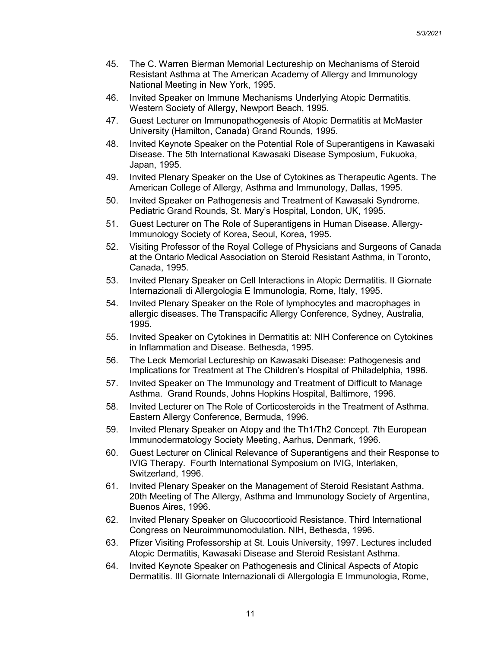- 45. The C. Warren Bierman Memorial Lectureship on Mechanisms of Steroid Resistant Asthma at The American Academy of Allergy and Immunology National Meeting in New York, 1995.
- 46. Invited Speaker on Immune Mechanisms Underlying Atopic Dermatitis. Western Society of Allergy, Newport Beach, 1995.
- 47. Guest Lecturer on Immunopathogenesis of Atopic Dermatitis at McMaster University (Hamilton, Canada) Grand Rounds, 1995.
- 48. Invited Keynote Speaker on the Potential Role of Superantigens in Kawasaki Disease. The 5th International Kawasaki Disease Symposium, Fukuoka, Japan, 1995.
- 49. Invited Plenary Speaker on the Use of Cytokines as Therapeutic Agents. The American College of Allergy, Asthma and Immunology, Dallas, 1995.
- 50. Invited Speaker on Pathogenesis and Treatment of Kawasaki Syndrome. Pediatric Grand Rounds, St. Mary's Hospital, London, UK, 1995.
- 51. Guest Lecturer on The Role of Superantigens in Human Disease. Allergy-Immunology Society of Korea, Seoul, Korea, 1995.
- 52. Visiting Professor of the Royal College of Physicians and Surgeons of Canada at the Ontario Medical Association on Steroid Resistant Asthma, in Toronto, Canada, 1995.
- 53. Invited Plenary Speaker on Cell Interactions in Atopic Dermatitis. II Giornate Internazionali di Allergologia E Immunologia, Rome, Italy, 1995.
- 54. Invited Plenary Speaker on the Role of lymphocytes and macrophages in allergic diseases. The Transpacific Allergy Conference, Sydney, Australia, 1995.
- 55. Invited Speaker on Cytokines in Dermatitis at: NIH Conference on Cytokines in Inflammation and Disease. Bethesda, 1995.
- 56. The Leck Memorial Lectureship on Kawasaki Disease: Pathogenesis and Implications for Treatment at The Children's Hospital of Philadelphia, 1996.
- 57. Invited Speaker on The Immunology and Treatment of Difficult to Manage Asthma. Grand Rounds, Johns Hopkins Hospital, Baltimore, 1996.
- 58. Invited Lecturer on The Role of Corticosteroids in the Treatment of Asthma. Eastern Allergy Conference, Bermuda, 1996.
- 59. Invited Plenary Speaker on Atopy and the Th1/Th2 Concept. 7th European Immunodermatology Society Meeting, Aarhus, Denmark, 1996.
- 60. Guest Lecturer on Clinical Relevance of Superantigens and their Response to IVIG Therapy. Fourth International Symposium on IVIG, Interlaken, Switzerland, 1996.
- 61. Invited Plenary Speaker on the Management of Steroid Resistant Asthma. 20th Meeting of The Allergy, Asthma and Immunology Society of Argentina, Buenos Aires, 1996.
- 62. Invited Plenary Speaker on Glucocorticoid Resistance. Third International Congress on Neuroimmunomodulation. NIH, Bethesda, 1996.
- 63. Pfizer Visiting Professorship at St. Louis University, 1997. Lectures included Atopic Dermatitis, Kawasaki Disease and Steroid Resistant Asthma.
- 64. Invited Keynote Speaker on Pathogenesis and Clinical Aspects of Atopic Dermatitis. III Giornate Internazionali di Allergologia E Immunologia, Rome,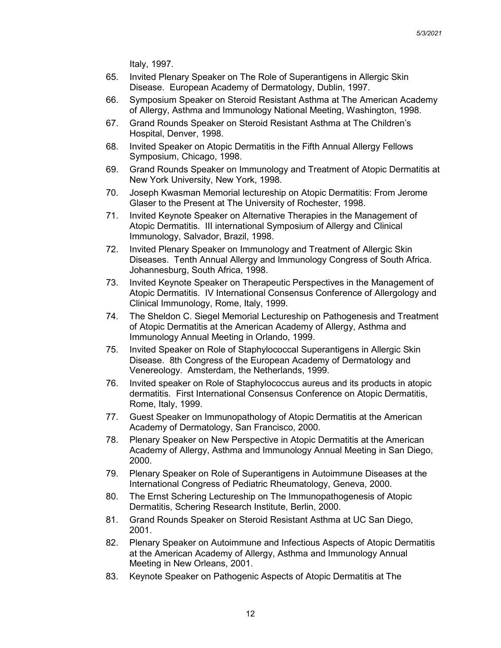Italy, 1997.

- 65. Invited Plenary Speaker on The Role of Superantigens in Allergic Skin Disease. European Academy of Dermatology, Dublin, 1997.
- 66. Symposium Speaker on Steroid Resistant Asthma at The American Academy of Allergy, Asthma and Immunology National Meeting, Washington, 1998.
- 67. Grand Rounds Speaker on Steroid Resistant Asthma at The Children's Hospital, Denver, 1998.
- 68. Invited Speaker on Atopic Dermatitis in the Fifth Annual Allergy Fellows Symposium, Chicago, 1998.
- 69. Grand Rounds Speaker on Immunology and Treatment of Atopic Dermatitis at New York University, New York, 1998.
- 70. Joseph Kwasman Memorial lectureship on Atopic Dermatitis: From Jerome Glaser to the Present at The University of Rochester, 1998.
- 71. Invited Keynote Speaker on Alternative Therapies in the Management of Atopic Dermatitis. III international Symposium of Allergy and Clinical Immunology, Salvador, Brazil, 1998.
- 72. Invited Plenary Speaker on Immunology and Treatment of Allergic Skin Diseases. Tenth Annual Allergy and Immunology Congress of South Africa. Johannesburg, South Africa, 1998.
- 73. Invited Keynote Speaker on Therapeutic Perspectives in the Management of Atopic Dermatitis. IV International Consensus Conference of Allergology and Clinical Immunology, Rome, Italy, 1999.
- 74. The Sheldon C. Siegel Memorial Lectureship on Pathogenesis and Treatment of Atopic Dermatitis at the American Academy of Allergy, Asthma and Immunology Annual Meeting in Orlando, 1999.
- 75. Invited Speaker on Role of Staphylococcal Superantigens in Allergic Skin Disease. 8th Congress of the European Academy of Dermatology and Venereology. Amsterdam, the Netherlands, 1999.
- 76. Invited speaker on Role of Staphylococcus aureus and its products in atopic dermatitis. First International Consensus Conference on Atopic Dermatitis, Rome, Italy, 1999.
- 77. Guest Speaker on Immunopathology of Atopic Dermatitis at the American Academy of Dermatology, San Francisco, 2000.
- 78. Plenary Speaker on New Perspective in Atopic Dermatitis at the American Academy of Allergy, Asthma and Immunology Annual Meeting in San Diego, 2000.
- 79. Plenary Speaker on Role of Superantigens in Autoimmune Diseases at the International Congress of Pediatric Rheumatology, Geneva, 2000.
- 80. The Ernst Schering Lectureship on The Immunopathogenesis of Atopic Dermatitis, Schering Research Institute, Berlin, 2000.
- 81. Grand Rounds Speaker on Steroid Resistant Asthma at UC San Diego, 2001.
- 82. Plenary Speaker on Autoimmune and Infectious Aspects of Atopic Dermatitis at the American Academy of Allergy, Asthma and Immunology Annual Meeting in New Orleans, 2001.
- 83. Keynote Speaker on Pathogenic Aspects of Atopic Dermatitis at The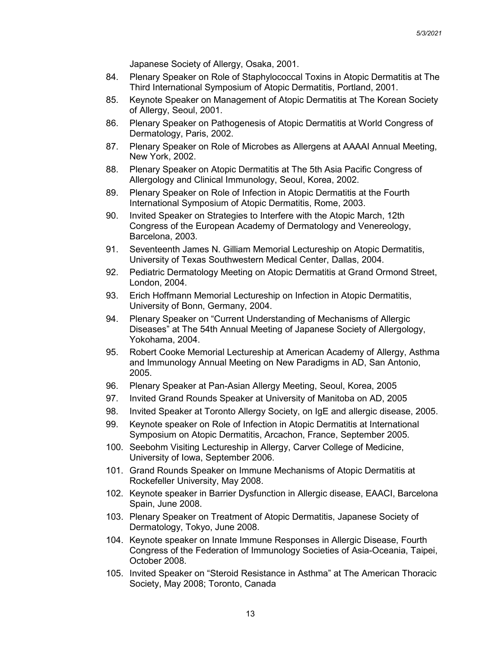Japanese Society of Allergy, Osaka, 2001.

- 84. Plenary Speaker on Role of Staphylococcal Toxins in Atopic Dermatitis at The Third International Symposium of Atopic Dermatitis, Portland, 2001.
- 85. Keynote Speaker on Management of Atopic Dermatitis at The Korean Society of Allergy, Seoul, 2001.
- 86. Plenary Speaker on Pathogenesis of Atopic Dermatitis at World Congress of Dermatology, Paris, 2002.
- 87. Plenary Speaker on Role of Microbes as Allergens at AAAAI Annual Meeting, New York, 2002.
- 88. Plenary Speaker on Atopic Dermatitis at The 5th Asia Pacific Congress of Allergology and Clinical Immunology, Seoul, Korea, 2002.
- 89. Plenary Speaker on Role of Infection in Atopic Dermatitis at the Fourth International Symposium of Atopic Dermatitis, Rome, 2003.
- 90. Invited Speaker on Strategies to Interfere with the Atopic March, 12th Congress of the European Academy of Dermatology and Venereology, Barcelona, 2003.
- 91. Seventeenth James N. Gilliam Memorial Lectureship on Atopic Dermatitis, University of Texas Southwestern Medical Center, Dallas, 2004.
- 92. Pediatric Dermatology Meeting on Atopic Dermatitis at Grand Ormond Street, London, 2004.
- 93. Erich Hoffmann Memorial Lectureship on Infection in Atopic Dermatitis, University of Bonn, Germany, 2004.
- 94. Plenary Speaker on "Current Understanding of Mechanisms of Allergic Diseases" at The 54th Annual Meeting of Japanese Society of Allergology, Yokohama, 2004.
- 95. Robert Cooke Memorial Lectureship at American Academy of Allergy, Asthma and Immunology Annual Meeting on New Paradigms in AD, San Antonio, 2005.
- 96. Plenary Speaker at Pan-Asian Allergy Meeting, Seoul, Korea, 2005
- 97. Invited Grand Rounds Speaker at University of Manitoba on AD, 2005
- 98. Invited Speaker at Toronto Allergy Society, on IgE and allergic disease, 2005.
- 99. Keynote speaker on Role of Infection in Atopic Dermatitis at International Symposium on Atopic Dermatitis, Arcachon, France, September 2005.
- 100. Seebohm Visiting Lectureship in Allergy, Carver College of Medicine, University of Iowa, September 2006.
- 101. Grand Rounds Speaker on Immune Mechanisms of Atopic Dermatitis at Rockefeller University, May 2008.
- 102. Keynote speaker in Barrier Dysfunction in Allergic disease, EAACI, Barcelona Spain, June 2008.
- 103. Plenary Speaker on Treatment of Atopic Dermatitis, Japanese Society of Dermatology, Tokyo, June 2008.
- 104. Keynote speaker on Innate Immune Responses in Allergic Disease, Fourth Congress of the Federation of Immunology Societies of Asia-Oceania, Taipei, October 2008.
- 105. Invited Speaker on "Steroid Resistance in Asthma" at The American Thoracic Society, May 2008; Toronto, Canada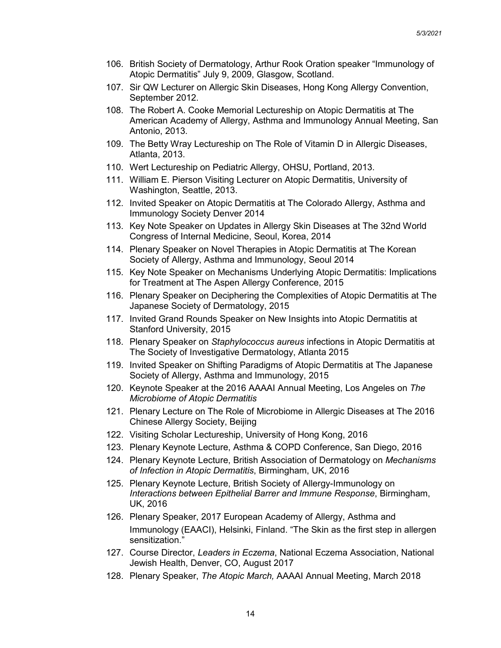- 106. British Society of Dermatology, Arthur Rook Oration speaker "Immunology of Atopic Dermatitis" July 9, 2009, Glasgow, Scotland.
- 107. Sir QW Lecturer on Allergic Skin Diseases, Hong Kong Allergy Convention, September 2012.
- 108. The Robert A. Cooke Memorial Lectureship on Atopic Dermatitis at The American Academy of Allergy, Asthma and Immunology Annual Meeting, San Antonio, 2013.
- 109. The Betty Wray Lectureship on The Role of Vitamin D in Allergic Diseases, Atlanta, 2013.
- 110. Wert Lectureship on Pediatric Allergy, OHSU, Portland, 2013.
- 111. William E. Pierson Visiting Lecturer on Atopic Dermatitis, University of Washington, Seattle, 2013.
- 112. Invited Speaker on Atopic Dermatitis at The Colorado Allergy, Asthma and Immunology Society Denver 2014
- 113. Key Note Speaker on Updates in Allergy Skin Diseases at The 32nd World Congress of Internal Medicine, Seoul, Korea, 2014
- 114. Plenary Speaker on Novel Therapies in Atopic Dermatitis at The Korean Society of Allergy, Asthma and Immunology, Seoul 2014
- 115. Key Note Speaker on Mechanisms Underlying Atopic Dermatitis: Implications for Treatment at The Aspen Allergy Conference, 2015
- 116. Plenary Speaker on Deciphering the Complexities of Atopic Dermatitis at The Japanese Society of Dermatology, 2015
- 117. Invited Grand Rounds Speaker on New Insights into Atopic Dermatitis at Stanford University, 2015
- 118. Plenary Speaker on *Staphylococcus aureus* infections in Atopic Dermatitis at The Society of Investigative Dermatology, Atlanta 2015
- 119. Invited Speaker on Shifting Paradigms of Atopic Dermatitis at The Japanese Society of Allergy, Asthma and Immunology, 2015
- 120. Keynote Speaker at the 2016 AAAAI Annual Meeting, Los Angeles on *The Microbiome of Atopic Dermatitis*
- 121. Plenary Lecture on The Role of Microbiome in Allergic Diseases at The 2016 Chinese Allergy Society, Beijing
- 122. Visiting Scholar Lectureship, University of Hong Kong, 2016
- 123. Plenary Keynote Lecture, Asthma & COPD Conference, San Diego, 2016
- 124. Plenary Keynote Lecture, British Association of Dermatology on *Mechanisms of Infection in Atopic Dermatitis*, Birmingham, UK, 2016
- 125. Plenary Keynote Lecture, British Society of Allergy-Immunology on *Interactions between Epithelial Barrer and Immune Response*, Birmingham, UK, 2016
- 126. Plenary Speaker, 2017 European Academy of Allergy, Asthma and Immunology (EAACI), Helsinki, Finland. "The Skin as the first step in allergen sensitization."
- 127. Course Director, *Leaders in Eczema*, National Eczema Association, National Jewish Health, Denver, CO, August 2017
- 128. Plenary Speaker, *The Atopic March,* AAAAI Annual Meeting, March 2018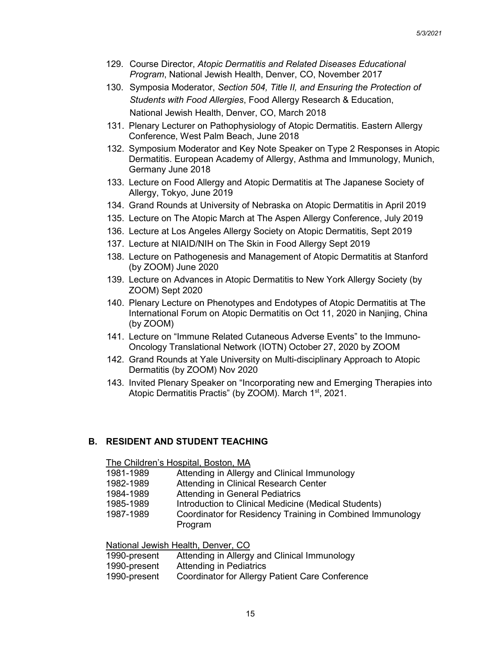- 129. Course Director, *Atopic Dermatitis and Related Diseases Educational Program*, National Jewish Health, Denver, CO, November 2017
- 130. Symposia Moderator, *Section 504, Title II, and Ensuring the Protection of Students with Food Allergies*, Food Allergy Research & Education, National Jewish Health, Denver, CO, March 2018
- 131. Plenary Lecturer on Pathophysiology of Atopic Dermatitis. Eastern Allergy Conference, West Palm Beach, June 2018
- 132. Symposium Moderator and Key Note Speaker on Type 2 Responses in Atopic Dermatitis. European Academy of Allergy, Asthma and Immunology, Munich, Germany June 2018
- 133. Lecture on Food Allergy and Atopic Dermatitis at The Japanese Society of Allergy, Tokyo, June 2019
- 134. Grand Rounds at University of Nebraska on Atopic Dermatitis in April 2019
- 135. Lecture on The Atopic March at The Aspen Allergy Conference, July 2019
- 136. Lecture at Los Angeles Allergy Society on Atopic Dermatitis, Sept 2019
- 137. Lecture at NIAID/NIH on The Skin in Food Allergy Sept 2019
- 138. Lecture on Pathogenesis and Management of Atopic Dermatitis at Stanford (by ZOOM) June 2020
- 139. Lecture on Advances in Atopic Dermatitis to New York Allergy Society (by ZOOM) Sept 2020
- 140. Plenary Lecture on Phenotypes and Endotypes of Atopic Dermatitis at The International Forum on Atopic Dermatitis on Oct 11, 2020 in Nanjing, China (by ZOOM)
- 141. Lecture on "Immune Related Cutaneous Adverse Events" to the Immuno-Oncology Translational Network (IOTN) October 27, 2020 by ZOOM
- 142. Grand Rounds at Yale University on Multi-disciplinary Approach to Atopic Dermatitis (by ZOOM) Nov 2020
- 143. Invited Plenary Speaker on "Incorporating new and Emerging Therapies into Atopic Dermatitis Practis" (by ZOOM). March 1<sup>st</sup>, 2021.

## **B. RESIDENT AND STUDENT TEACHING**

The Children's Hospital, Boston, MA

- 1981-1989 Attending in Allergy and Clinical Immunology
- 1982-1989 Attending in Clinical Research Center
- 1984-1989 Attending in General Pediatrics<br>1985-1989 Introduction to Clinical Medicine
- Introduction to Clinical Medicine (Medical Students)
- 1987-1989 Coordinator for Residency Training in Combined Immunology Program

National Jewish Health, Denver, CO

| 1990-present | Attending in Allergy and Clinical Immunology    |
|--------------|-------------------------------------------------|
| 1990-present | <b>Attending in Pediatrics</b>                  |
| 1990-present | Coordinator for Allergy Patient Care Conference |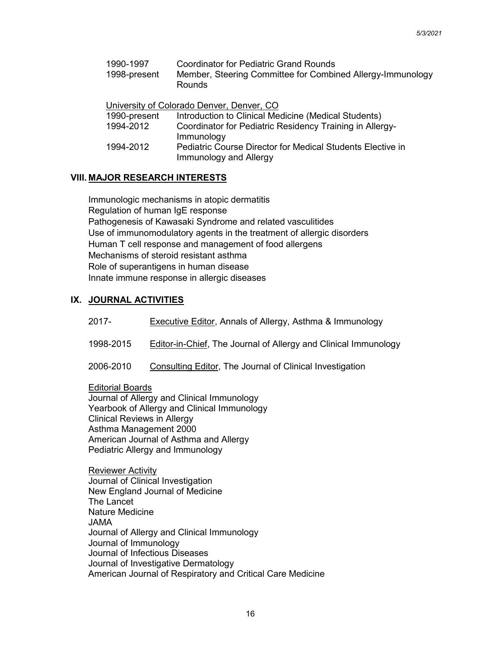| 1990-1997<br>1998-present | <b>Coordinator for Pediatric Grand Rounds</b><br>Member, Steering Committee for Combined Allergy-Immunology<br>Rounds |
|---------------------------|-----------------------------------------------------------------------------------------------------------------------|
|                           | University of Colorado Denver, Denver, CO                                                                             |
| 1990-present              | Introduction to Clinical Medicine (Medical Students)                                                                  |
| 1994-2012                 | Coordinator for Pediatric Residency Training in Allergy-<br>Immunology                                                |
| 1994-2012                 | <b>Pediatric Course Director for Medical Students Elective in</b>                                                     |

## **VIII. MAJOR RESEARCH INTERESTS**

Immunologic mechanisms in atopic dermatitis Regulation of human IgE response Pathogenesis of Kawasaki Syndrome and related vasculitides Use of immunomodulatory agents in the treatment of allergic disorders Human T cell response and management of food allergens Mechanisms of steroid resistant asthma Role of superantigens in human disease Innate immune response in allergic diseases

Immunology and Allergy

### **IX. JOURNAL ACTIVITIES**

- 2017- Executive Editor, Annals of Allergy, Asthma & Immunology
- 1998-2015 Editor-in-Chief, The Journal of Allergy and Clinical Immunology
- 2006-2010 Consulting Editor, The Journal of Clinical Investigation

Editorial Boards Journal of Allergy and Clinical Immunology Yearbook of Allergy and Clinical Immunology Clinical Reviews in Allergy Asthma Management 2000 American Journal of Asthma and Allergy Pediatric Allergy and Immunology

Reviewer Activity Journal of Clinical Investigation New England Journal of Medicine The Lancet Nature Medicine JAMA Journal of Allergy and Clinical Immunology Journal of Immunology Journal of Infectious Diseases Journal of Investigative Dermatology American Journal of Respiratory and Critical Care Medicine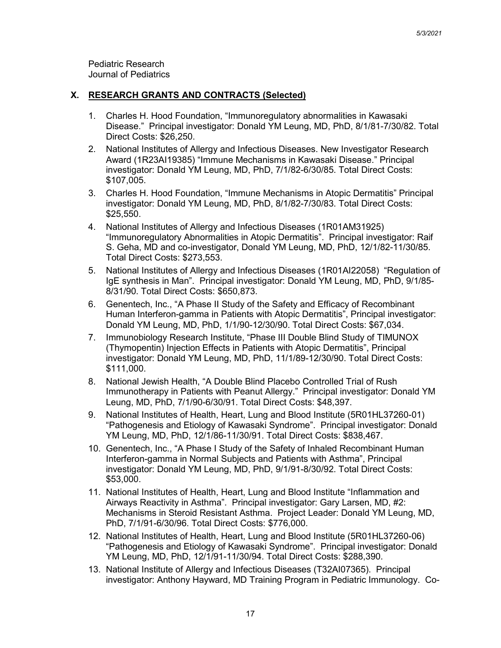Pediatric Research Journal of Pediatrics

#### **X. RESEARCH GRANTS AND CONTRACTS (Selected)**

- 1. Charles H. Hood Foundation, "Immunoregulatory abnormalities in Kawasaki Disease." Principal investigator: Donald YM Leung, MD, PhD, 8/1/81-7/30/82. Total Direct Costs: \$26,250.
- 2. National Institutes of Allergy and Infectious Diseases. New Investigator Research Award (1R23AI19385) "Immune Mechanisms in Kawasaki Disease." Principal investigator: Donald YM Leung, MD, PhD, 7/1/82-6/30/85. Total Direct Costs: \$107,005.
- 3. Charles H. Hood Foundation, "Immune Mechanisms in Atopic Dermatitis" Principal investigator: Donald YM Leung, MD, PhD, 8/1/82-7/30/83. Total Direct Costs: \$25,550.
- 4. National Institutes of Allergy and Infectious Diseases (1R01AM31925) "Immunoregulatory Abnormalities in Atopic Dermatitis". Principal investigator: Raif S. Geha, MD and co-investigator, Donald YM Leung, MD, PhD, 12/1/82-11/30/85. Total Direct Costs: \$273,553.
- 5. National Institutes of Allergy and Infectious Diseases (1R01AI22058) "Regulation of IgE synthesis in Man". Principal investigator: Donald YM Leung, MD, PhD, 9/1/85- 8/31/90. Total Direct Costs: \$650,873.
- 6. Genentech, Inc., "A Phase II Study of the Safety and Efficacy of Recombinant Human Interferon-gamma in Patients with Atopic Dermatitis", Principal investigator: Donald YM Leung, MD, PhD, 1/1/90-12/30/90. Total Direct Costs: \$67,034.
- 7. Immunobiology Research Institute, "Phase III Double Blind Study of TIMUNOX (Thymopentin) Injection Effects in Patients with Atopic Dermatitis", Principal investigator: Donald YM Leung, MD, PhD, 11/1/89-12/30/90. Total Direct Costs: \$111,000.
- 8. National Jewish Health, "A Double Blind Placebo Controlled Trial of Rush Immunotherapy in Patients with Peanut Allergy." Principal investigator: Donald YM Leung, MD, PhD, 7/1/90-6/30/91. Total Direct Costs: \$48,397.
- 9. National Institutes of Health, Heart, Lung and Blood Institute (5R01HL37260-01) "Pathogenesis and Etiology of Kawasaki Syndrome". Principal investigator: Donald YM Leung, MD, PhD, 12/1/86-11/30/91. Total Direct Costs: \$838,467.
- 10. Genentech, Inc., "A Phase I Study of the Safety of Inhaled Recombinant Human Interferon-gamma in Normal Subjects and Patients with Asthma", Principal investigator: Donald YM Leung, MD, PhD, 9/1/91-8/30/92. Total Direct Costs: \$53,000.
- 11. National Institutes of Health, Heart, Lung and Blood Institute "Inflammation and Airways Reactivity in Asthma". Principal investigator: Gary Larsen, MD, #2: Mechanisms in Steroid Resistant Asthma. Project Leader: Donald YM Leung, MD, PhD, 7/1/91-6/30/96. Total Direct Costs: \$776,000.
- 12. National Institutes of Health, Heart, Lung and Blood Institute (5R01HL37260-06) "Pathogenesis and Etiology of Kawasaki Syndrome". Principal investigator: Donald YM Leung, MD, PhD, 12/1/91-11/30/94. Total Direct Costs: \$288,390.
- 13. National Institute of Allergy and Infectious Diseases (T32AI07365). Principal investigator: Anthony Hayward, MD Training Program in Pediatric Immunology. Co-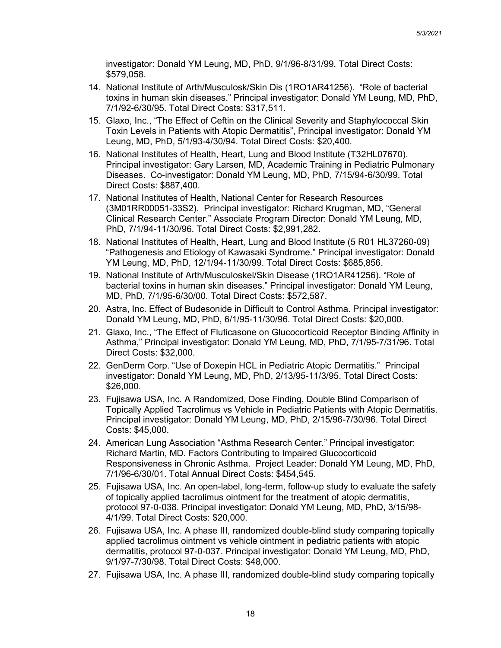investigator: Donald YM Leung, MD, PhD, 9/1/96-8/31/99. Total Direct Costs: \$579,058.

- 14. National Institute of Arth/Musculosk/Skin Dis (1RO1AR41256). "Role of bacterial toxins in human skin diseases." Principal investigator: Donald YM Leung, MD, PhD, 7/1/92-6/30/95. Total Direct Costs: \$317,511.
- 15. Glaxo, Inc., "The Effect of Ceftin on the Clinical Severity and Staphylococcal Skin Toxin Levels in Patients with Atopic Dermatitis", Principal investigator: Donald YM Leung, MD, PhD, 5/1/93-4/30/94. Total Direct Costs: \$20,400.
- 16. National Institutes of Health, Heart, Lung and Blood Institute (T32HL07670). Principal investigator: Gary Larsen, MD, Academic Training in Pediatric Pulmonary Diseases. Co-investigator: Donald YM Leung, MD, PhD, 7/15/94-6/30/99. Total Direct Costs: \$887,400.
- 17. National Institutes of Health, National Center for Research Resources (3M01RR00051-33S2). Principal investigator: Richard Krugman, MD, "General Clinical Research Center." Associate Program Director: Donald YM Leung, MD, PhD, 7/1/94-11/30/96. Total Direct Costs: \$2,991,282.
- 18. National Institutes of Health, Heart, Lung and Blood Institute (5 R01 HL37260-09) "Pathogenesis and Etiology of Kawasaki Syndrome." Principal investigator: Donald YM Leung, MD, PhD, 12/1/94-11/30/99. Total Direct Costs: \$685,856.
- 19. National Institute of Arth/Musculoskel/Skin Disease (1RO1AR41256). "Role of bacterial toxins in human skin diseases." Principal investigator: Donald YM Leung, MD, PhD, 7/1/95-6/30/00. Total Direct Costs: \$572,587.
- 20. Astra, Inc. Effect of Budesonide in Difficult to Control Asthma. Principal investigator: Donald YM Leung, MD, PhD, 6/1/95-11/30/96. Total Direct Costs: \$20,000.
- 21. Glaxo, Inc., "The Effect of Fluticasone on Glucocorticoid Receptor Binding Affinity in Asthma," Principal investigator: Donald YM Leung, MD, PhD, 7/1/95-7/31/96. Total Direct Costs: \$32,000.
- 22. GenDerm Corp. "Use of Doxepin HCL in Pediatric Atopic Dermatitis." Principal investigator: Donald YM Leung, MD, PhD, 2/13/95-11/3/95. Total Direct Costs: \$26,000.
- 23. Fujisawa USA, Inc. A Randomized, Dose Finding, Double Blind Comparison of Topically Applied Tacrolimus vs Vehicle in Pediatric Patients with Atopic Dermatitis. Principal investigator: Donald YM Leung, MD, PhD, 2/15/96-7/30/96. Total Direct Costs: \$45,000.
- 24. American Lung Association "Asthma Research Center." Principal investigator: Richard Martin, MD. Factors Contributing to Impaired Glucocorticoid Responsiveness in Chronic Asthma. Project Leader: Donald YM Leung, MD, PhD, 7/1/96-6/30/01. Total Annual Direct Costs: \$454,545.
- 25. Fujisawa USA, Inc. An open-label, long-term, follow-up study to evaluate the safety of topically applied tacrolimus ointment for the treatment of atopic dermatitis, protocol 97-0-038. Principal investigator: Donald YM Leung, MD, PhD, 3/15/98- 4/1/99. Total Direct Costs: \$20,000.
- 26. Fujisawa USA, Inc. A phase III, randomized double-blind study comparing topically applied tacrolimus ointment vs vehicle ointment in pediatric patients with atopic dermatitis, protocol 97-0-037. Principal investigator: Donald YM Leung, MD, PhD, 9/1/97-7/30/98. Total Direct Costs: \$48,000.
- 27. Fujisawa USA, Inc. A phase III, randomized double-blind study comparing topically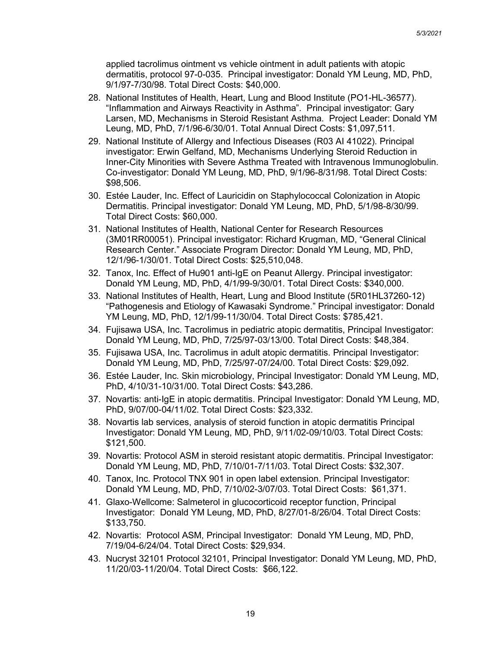applied tacrolimus ointment vs vehicle ointment in adult patients with atopic dermatitis, protocol 97-0-035. Principal investigator: Donald YM Leung, MD, PhD, 9/1/97-7/30/98. Total Direct Costs: \$40,000.

- 28. National Institutes of Health, Heart, Lung and Blood Institute (PO1-HL-36577). "Inflammation and Airways Reactivity in Asthma". Principal investigator: Gary Larsen, MD, Mechanisms in Steroid Resistant Asthma. Project Leader: Donald YM Leung, MD, PhD, 7/1/96-6/30/01. Total Annual Direct Costs: \$1,097,511.
- 29. National Institute of Allergy and Infectious Diseases (R03 AI 41022). Principal investigator: Erwin Gelfand, MD, Mechanisms Underlying Steroid Reduction in Inner-City Minorities with Severe Asthma Treated with Intravenous Immunoglobulin. Co-investigator: Donald YM Leung, MD, PhD, 9/1/96-8/31/98. Total Direct Costs: \$98,506.
- 30. Estée Lauder, Inc. Effect of Lauricidin on Staphylococcal Colonization in Atopic Dermatitis. Principal investigator: Donald YM Leung, MD, PhD, 5/1/98-8/30/99. Total Direct Costs: \$60,000.
- 31. National Institutes of Health, National Center for Research Resources (3M01RR00051). Principal investigator: Richard Krugman, MD, "General Clinical Research Center." Associate Program Director: Donald YM Leung, MD, PhD, 12/1/96-1/30/01. Total Direct Costs: \$25,510,048.
- 32. Tanox, Inc. Effect of Hu901 anti-IgE on Peanut Allergy. Principal investigator: Donald YM Leung, MD, PhD, 4/1/99-9/30/01. Total Direct Costs: \$340,000.
- 33. National Institutes of Health, Heart, Lung and Blood Institute (5R01HL37260-12) "Pathogenesis and Etiology of Kawasaki Syndrome." Principal investigator: Donald YM Leung, MD, PhD, 12/1/99-11/30/04. Total Direct Costs: \$785,421.
- 34. Fujisawa USA, Inc. Tacrolimus in pediatric atopic dermatitis, Principal Investigator: Donald YM Leung, MD, PhD, 7/25/97-03/13/00. Total Direct Costs: \$48,384.
- 35. Fujisawa USA, Inc. Tacrolimus in adult atopic dermatitis. Principal Investigator: Donald YM Leung, MD, PhD, 7/25/97-07/24/00. Total Direct Costs: \$29,092.
- 36. Estée Lauder, Inc. Skin microbiology, Principal Investigator: Donald YM Leung, MD, PhD, 4/10/31-10/31/00. Total Direct Costs: \$43,286.
- 37. Novartis: anti-IgE in atopic dermatitis. Principal Investigator: Donald YM Leung, MD, PhD, 9/07/00-04/11/02. Total Direct Costs: \$23,332.
- 38. Novartis lab services, analysis of steroid function in atopic dermatitis Principal Investigator: Donald YM Leung, MD, PhD, 9/11/02-09/10/03. Total Direct Costs: \$121,500.
- 39. Novartis: Protocol ASM in steroid resistant atopic dermatitis. Principal Investigator: Donald YM Leung, MD, PhD, 7/10/01-7/11/03. Total Direct Costs: \$32,307.
- 40. Tanox, Inc. Protocol TNX 901 in open label extension. Principal Investigator: Donald YM Leung, MD, PhD, 7/10/02-3/07/03. Total Direct Costs: \$61,371.
- 41. Glaxo-Wellcome: Salmeterol in glucocorticoid receptor function, Principal Investigator: Donald YM Leung, MD, PhD, 8/27/01-8/26/04. Total Direct Costs: \$133,750.
- 42. Novartis: Protocol ASM, Principal Investigator: Donald YM Leung, MD, PhD, 7/19/04-6/24/04. Total Direct Costs: \$29,934.
- 43. Nucryst 32101 Protocol 32101, Principal Investigator: Donald YM Leung, MD, PhD, 11/20/03-11/20/04. Total Direct Costs: \$66,122.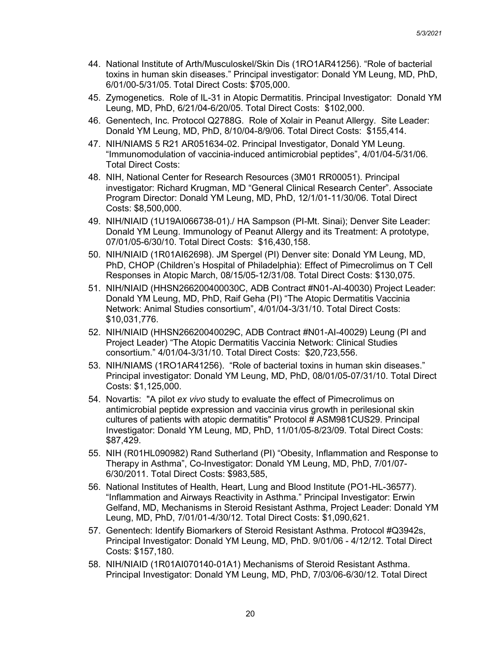- 44. National Institute of Arth/Musculoskel/Skin Dis (1RO1AR41256). "Role of bacterial toxins in human skin diseases." Principal investigator: Donald YM Leung, MD, PhD, 6/01/00-5/31/05. Total Direct Costs: \$705,000.
- 45. Zymogenetics. Role of IL-31 in Atopic Dermatitis. Principal Investigator: Donald YM Leung, MD, PhD, 6/21/04-6/20/05. Total Direct Costs: \$102,000.
- 46. Genentech, Inc. Protocol Q2788G. Role of Xolair in Peanut Allergy. Site Leader: Donald YM Leung, MD, PhD, 8/10/04-8/9/06. Total Direct Costs: \$155,414.
- 47. NIH/NIAMS 5 R21 AR051634-02. Principal Investigator, Donald YM Leung. "Immunomodulation of vaccinia-induced antimicrobial peptides", 4/01/04-5/31/06. Total Direct Costs:
- 48. NIH, National Center for Research Resources (3M01 RR00051). Principal investigator: Richard Krugman, MD "General Clinical Research Center". Associate Program Director: Donald YM Leung, MD, PhD, 12/1/01-11/30/06. Total Direct Costs: \$8,500,000.
- 49. NIH/NIAID (1U19AI066738-01)./ HA Sampson (PI-Mt. Sinai); Denver Site Leader: Donald YM Leung. Immunology of Peanut Allergy and its Treatment: A prototype, 07/01/05-6/30/10. Total Direct Costs: \$16,430,158.
- 50. NIH/NIAID (1R01AI62698). JM Spergel (PI) Denver site: Donald YM Leung, MD, PhD, CHOP (Children's Hospital of Philadelphia): Effect of Pimecrolimus on T Cell Responses in Atopic March, 08/15/05-12/31/08. Total Direct Costs: \$130,075.
- 51. NIH/NIAID (HHSN266200400030C, ADB Contract #N01-AI-40030) Project Leader: Donald YM Leung, MD, PhD, Raif Geha (PI) "The Atopic Dermatitis Vaccinia Network: Animal Studies consortium", 4/01/04-3/31/10. Total Direct Costs: \$10,031,776.
- 52. NIH/NIAID (HHSN26620040029C, ADB Contract #N01-AI-40029) Leung (PI and Project Leader) "The Atopic Dermatitis Vaccinia Network: Clinical Studies consortium." 4/01/04-3/31/10. Total Direct Costs: \$20,723,556.
- 53. NIH/NIAMS (1RO1AR41256). "Role of bacterial toxins in human skin diseases." Principal investigator: Donald YM Leung, MD, PhD, 08/01/05-07/31/10. Total Direct Costs: \$1,125,000.
- 54. Novartis: "A pilot *ex vivo* study to evaluate the effect of Pimecrolimus on antimicrobial peptide expression and vaccinia virus growth in perilesional skin cultures of patients with atopic dermatitis" Protocol # ASM981CUS29. Principal Investigator: Donald YM Leung, MD, PhD, 11/01/05-8/23/09. Total Direct Costs: \$87,429.
- 55. NIH (R01HL090982) Rand Sutherland (PI) "Obesity, Inflammation and Response to Therapy in Asthma", Co-Investigator: Donald YM Leung, MD, PhD, 7/01/07- 6/30/2011. Total Direct Costs: \$983,585,
- 56. National Institutes of Health, Heart, Lung and Blood Institute (PO1-HL-36577). "Inflammation and Airways Reactivity in Asthma." Principal Investigator: Erwin Gelfand, MD, Mechanisms in Steroid Resistant Asthma, Project Leader: Donald YM Leung, MD, PhD, 7/01/01-4/30/12. Total Direct Costs: \$1,090,621.
- 57. Genentech: Identify Biomarkers of Steroid Resistant Asthma. Protocol #Q3942s, Principal Investigator: Donald YM Leung, MD, PhD. 9/01/06 - 4/12/12. Total Direct Costs: \$157,180.
- 58. NIH/NIAID (1R01AI070140-01A1) Mechanisms of Steroid Resistant Asthma. Principal Investigator: Donald YM Leung, MD, PhD, 7/03/06-6/30/12. Total Direct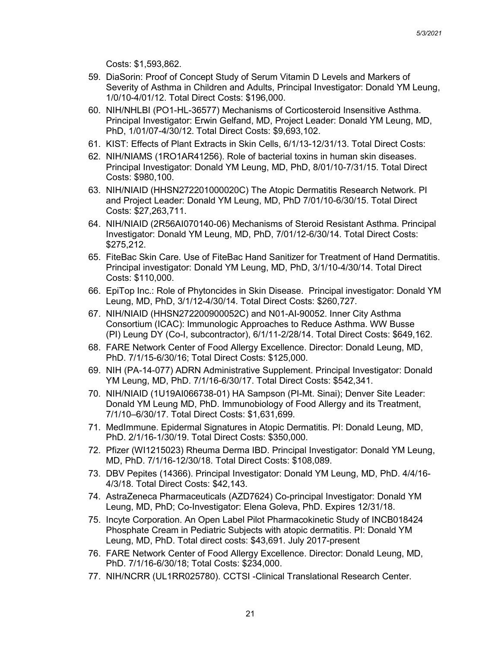Costs: \$1,593,862.

- 59. DiaSorin: Proof of Concept Study of Serum Vitamin D Levels and Markers of Severity of Asthma in Children and Adults, Principal Investigator: Donald YM Leung, 1/0/10-4/01/12. Total Direct Costs: \$196,000.
- 60. NIH/NHLBI (PO1-HL-36577) Mechanisms of Corticosteroid Insensitive Asthma. Principal Investigator: Erwin Gelfand, MD, Project Leader: Donald YM Leung, MD, PhD, 1/01/07-4/30/12. Total Direct Costs: \$9,693,102.
- 61. KIST: Effects of Plant Extracts in Skin Cells, 6/1/13-12/31/13. Total Direct Costs:
- 62. NIH/NIAMS (1RO1AR41256). Role of bacterial toxins in human skin diseases. Principal Investigator: Donald YM Leung, MD, PhD, 8/01/10-7/31/15. Total Direct Costs: \$980,100.
- 63. NIH/NIAID (HHSN272201000020C) The Atopic Dermatitis Research Network. PI and Project Leader: Donald YM Leung, MD, PhD 7/01/10-6/30/15. Total Direct Costs: \$27,263,711.
- 64. NIH/NIAID (2R56AI070140-06) Mechanisms of Steroid Resistant Asthma. Principal Investigator: Donald YM Leung, MD, PhD, 7/01/12-6/30/14. Total Direct Costs: \$275,212.
- 65. FiteBac Skin Care. Use of FiteBac Hand Sanitizer for Treatment of Hand Dermatitis. Principal investigator: Donald YM Leung, MD, PhD, 3/1/10-4/30/14. Total Direct Costs: \$110,000.
- 66. EpiTop Inc.: Role of Phytoncides in Skin Disease. Principal investigator: Donald YM Leung, MD, PhD, 3/1/12-4/30/14. Total Direct Costs: \$260,727.
- 67. NIH/NIAID (HHSN272200900052C) and N01-AI-90052. Inner City Asthma Consortium (ICAC): Immunologic Approaches to Reduce Asthma. WW Busse (PI) Leung DY (Co-I, subcontractor), 6/1/11-2/28/14. Total Direct Costs: \$649,162.
- 68. FARE Network Center of Food Allergy Excellence. Director: Donald Leung, MD, PhD. 7/1/15-6/30/16; Total Direct Costs: \$125,000.
- 69. NIH (PA-14-077) ADRN Administrative Supplement. Principal Investigator: Donald YM Leung, MD, PhD. 7/1/16-6/30/17. Total Direct Costs: \$542,341.
- 70. NIH/NIAID (1U19AI066738-01) HA Sampson (PI-Mt. Sinai); Denver Site Leader: Donald YM Leung MD, PhD. Immunobiology of Food Allergy and its Treatment, 7/1/10–6/30/17. Total Direct Costs: \$1,631,699.
- 71. MedImmune. Epidermal Signatures in Atopic Dermatitis. PI: Donald Leung, MD, PhD. 2/1/16-1/30/19. Total Direct Costs: \$350,000.
- 72. Pfizer (WI1215023) Rheuma Derma IBD. Principal Investigator: Donald YM Leung, MD, PhD. 7/1/16-12/30/18. Total Direct Costs: \$108,089.
- 73. DBV Pepites (14366). Principal Investigator: Donald YM Leung, MD, PhD. 4/4/16- 4/3/18. Total Direct Costs: \$42,143.
- 74. AstraZeneca Pharmaceuticals (AZD7624) Co-principal Investigator: Donald YM Leung, MD, PhD; Co-Investigator: Elena Goleva, PhD. Expires 12/31/18.
- 75. Incyte Corporation. An Open Label Pilot Pharmacokinetic Study of INCB018424 Phosphate Cream in Pediatric Subjects with atopic dermatitis. PI: Donald YM Leung, MD, PhD. Total direct costs: \$43,691. July 2017-present
- 76. FARE Network Center of Food Allergy Excellence. Director: Donald Leung, MD, PhD. 7/1/16-6/30/18; Total Costs: \$234,000.
- 77. NIH/NCRR (UL1RR025780). CCTSI -Clinical Translational Research Center.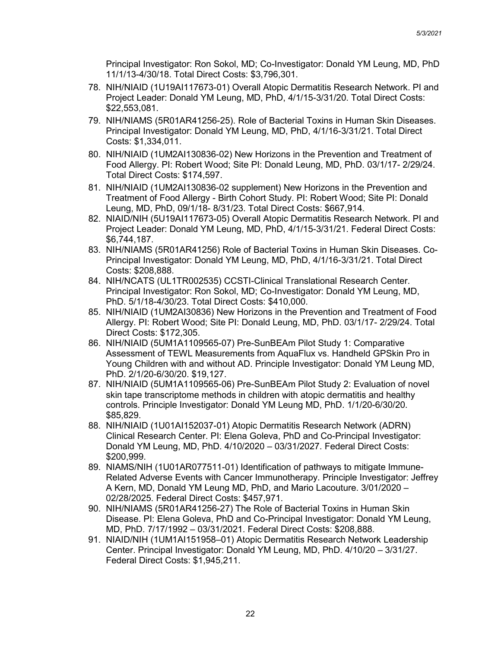Principal Investigator: Ron Sokol, MD; Co-Investigator: Donald YM Leung, MD, PhD 11/1/13-4/30/18. Total Direct Costs: \$3,796,301.

- 78. NIH/NIAID (1U19AI117673-01) Overall Atopic Dermatitis Research Network. PI and Project Leader: Donald YM Leung, MD, PhD, 4/1/15-3/31/20. Total Direct Costs: \$22,553,081.
- 79. NIH/NIAMS (5R01AR41256-25). Role of Bacterial Toxins in Human Skin Diseases. Principal Investigator: Donald YM Leung, MD, PhD, 4/1/16-3/31/21. Total Direct Costs: \$1,334,011.
- 80. NIH/NIAID (1UM2AI130836-02) New Horizons in the Prevention and Treatment of Food Allergy. PI: Robert Wood; Site PI: Donald Leung, MD, PhD. 03/1/17- 2/29/24. Total Direct Costs: \$174,597.
- 81. NIH/NIAID (1UM2AI130836-02 supplement) New Horizons in the Prevention and Treatment of Food Allergy - Birth Cohort Study. PI: Robert Wood; Site PI: Donald Leung, MD, PhD, 09/1/18- 8/31/23. Total Direct Costs: \$667,914.
- 82. NIAID/NIH (5U19AI117673-05) Overall Atopic Dermatitis Research Network. PI and Project Leader: Donald YM Leung, MD, PhD, 4/1/15-3/31/21. Federal Direct Costs: \$6,744,187.
- 83. NIH/NIAMS (5R01AR41256) Role of Bacterial Toxins in Human Skin Diseases. Co-Principal Investigator: Donald YM Leung, MD, PhD, 4/1/16-3/31/21. Total Direct Costs: \$208,888.
- 84. NIH/NCATS (UL1TR002535) CCSTI-Clinical Translational Research Center. Principal Investigator: Ron Sokol, MD; Co-Investigator: Donald YM Leung, MD, PhD. 5/1/18-4/30/23. Total Direct Costs: \$410,000.
- 85. NIH/NIAID (1UM2AI30836) New Horizons in the Prevention and Treatment of Food Allergy. PI: Robert Wood; Site PI: Donald Leung, MD, PhD. 03/1/17- 2/29/24. Total Direct Costs: \$172,305.
- 86. NIH/NIAID (5UM1A1109565-07) Pre-SunBEAm Pilot Study 1: Comparative Assessment of TEWL Measurements from AquaFlux vs. Handheld GPSkin Pro in Young Children with and without AD. Principle Investigator: Donald YM Leung MD, PhD. 2/1/20-6/30/20. \$19,127.
- 87. NIH/NIAID (5UM1A1109565-06) Pre-SunBEAm Pilot Study 2: Evaluation of novel skin tape transcriptome methods in children with atopic dermatitis and healthy controls. Principle Investigator: Donald YM Leung MD, PhD. 1/1/20-6/30/20. \$85,829.
- 88. NIH/NIAID (1U01AI152037-01) Atopic Dermatitis Research Network (ADRN) Clinical Research Center. PI: Elena Goleva, PhD and Co-Principal Investigator: Donald YM Leung, MD, PhD. 4/10/2020 – 03/31/2027. Federal Direct Costs: \$200,999.
- 89. NIAMS/NIH (1U01AR077511-01) Identification of pathways to mitigate Immune-Related Adverse Events with Cancer Immunotherapy. Principle Investigator: Jeffrey A Kern, MD, Donald YM Leung MD, PhD, and Mario Lacouture. 3/01/2020 – 02/28/2025. Federal Direct Costs: \$457,971.
- 90. NIH/NIAMS (5R01AR41256-27) The Role of Bacterial Toxins in Human Skin Disease. PI: Elena Goleva, PhD and Co-Principal Investigator: Donald YM Leung, MD, PhD. 7/17/1992 – 03/31/2021. Federal Direct Costs: \$208,888.
- 91. NIAID/NIH (1UM1AI151958–01) Atopic Dermatitis Research Network Leadership Center. Principal Investigator: Donald YM Leung, MD, PhD. 4/10/20 – 3/31/27. Federal Direct Costs: \$1,945,211.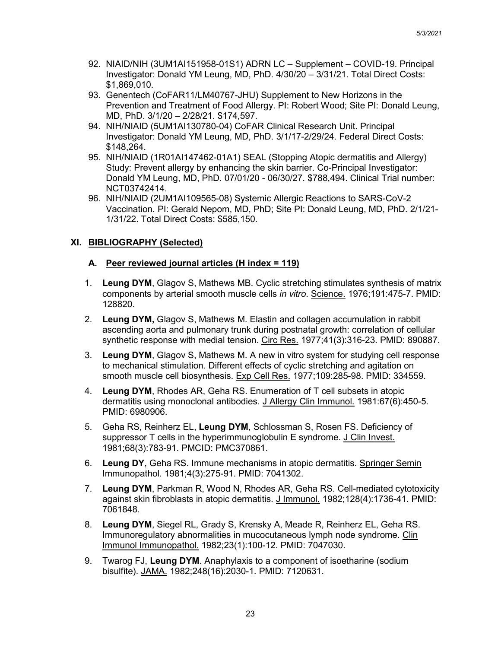- 92. NIAID/NIH (3UM1AI151958-01S1) ADRN LC Supplement COVID-19. Principal Investigator: Donald YM Leung, MD, PhD. 4/30/20 – 3/31/21. Total Direct Costs: \$1,869,010.
- 93. Genentech (CoFAR11/LM40767-JHU) Supplement to New Horizons in the Prevention and Treatment of Food Allergy. PI: Robert Wood; Site PI: Donald Leung, MD, PhD. 3/1/20 – 2/28/21. \$174,597.
- 94. NIH/NIAID (5UM1AI130780-04) CoFAR Clinical Research Unit. Principal Investigator: Donald YM Leung, MD, PhD. 3/1/17-2/29/24. Federal Direct Costs: \$148,264.
- 95. NIH/NIAID (1R01AI147462-01A1) SEAL (Stopping Atopic dermatitis and Allergy) Study: Prevent allergy by enhancing the skin barrier. Co-Principal Investigator: Donald YM Leung, MD, PhD. 07/01/20 - 06/30/27. \$788,494. Clinical Trial number: NCT03742414.
- 96. NIH/NIAID (2UM1AI109565-08) Systemic Allergic Reactions to SARS-CoV-2 Vaccination. PI: Gerald Nepom, MD, PhD; Site PI: Donald Leung, MD, PhD. 2/1/21- 1/31/22. Total Direct Costs: \$585,150.

## **XI. BIBLIOGRAPHY (Selected)**

## **A. Peer reviewed journal articles (H index = 119)**

- 1. **Leung DYM**, Glagov S, Mathews MB. Cyclic stretching stimulates synthesis of matrix components by arterial smooth muscle cells *in vitro*. Science. 1976;191:475-7. PMID: 128820.
- 2. **Leung DYM,** Glagov S, Mathews M. Elastin and collagen accumulation in rabbit ascending aorta and pulmonary trunk during postnatal growth: correlation of cellular synthetic response with medial tension. Circ Res. 1977;41(3):316-23. PMID: 890887.
- 3. **Leung DYM**, Glagov S, Mathews M. A new in vitro system for studying cell response to mechanical stimulation. Different effects of cyclic stretching and agitation on smooth muscle cell biosynthesis. Exp Cell Res. 1977;109:285-98. PMID: 334559.
- 4. **Leung DYM**, Rhodes AR, Geha RS. Enumeration of T cell subsets in atopic dermatitis using monoclonal antibodies. J Allergy Clin Immunol. 1981:67(6):450-5. PMID: 6980906.
- 5. Geha RS, Reinherz EL, **Leung DYM**, Schlossman S, Rosen FS. Deficiency of suppressor T cells in the hyperimmunoglobulin E syndrome. J Clin Invest. 1981;68(3):783-91. PMCID: PMC370861.
- 6. **Leung DY**, Geha RS. Immune mechanisms in atopic dermatitis. Springer Semin Immunopathol. 1981;4(3):275-91. PMID: 7041302.
- 7. **Leung DYM**, Parkman R, Wood N, Rhodes AR, Geha RS. Cell-mediated cytotoxicity against skin fibroblasts in atopic dermatitis. J Immunol. 1982;128(4):1736-41. PMID: 7061848.
- 8. **Leung DYM**, Siegel RL, Grady S, Krensky A, Meade R, Reinherz EL, Geha RS. Immunoregulatory abnormalities in mucocutaneous lymph node syndrome. Clin Immunol Immunopathol. 1982;23(1):100-12. PMID: 7047030.
- 9. Twarog FJ, **Leung DYM**. Anaphylaxis to a component of isoetharine (sodium bisulfite). JAMA. 1982;248(16):2030-1. PMID: 7120631.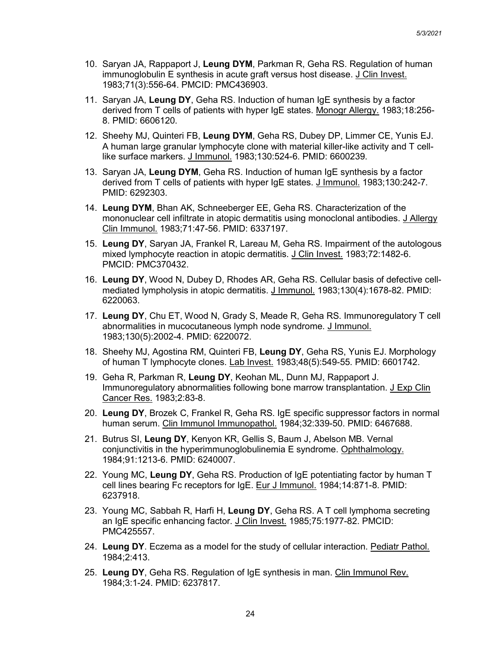- 10. Saryan JA, Rappaport J, **Leung DYM**, Parkman R, Geha RS. Regulation of human immunoglobulin E synthesis in acute graft versus host disease. J Clin Invest. 1983;71(3):556-64. PMCID: PMC436903.
- 11. Saryan JA, **Leung DY**, Geha RS. Induction of human IgE synthesis by a factor derived from T cells of patients with hyper IgE states. Monogr Allergy. 1983;18:256- 8. PMID: 6606120.
- 12. Sheehy MJ, Quinteri FB, **Leung DYM**, Geha RS, Dubey DP, Limmer CE, Yunis EJ. A human large granular lymphocyte clone with material killer-like activity and T celllike surface markers. J Immunol. 1983;130:524-6. PMID: 6600239.
- 13. Saryan JA, **Leung DYM**, Geha RS. Induction of human IgE synthesis by a factor derived from T cells of patients with hyper IgE states. J Immunol. 1983;130:242-7. PMID: 6292303.
- 14. **Leung DYM**, Bhan AK, Schneeberger EE, Geha RS. Characterization of the mononuclear cell infiltrate in atopic dermatitis using monoclonal antibodies. J Allergy Clin Immunol. 1983;71:47-56. PMID: 6337197.
- 15. **Leung DY**, Saryan JA, Frankel R, Lareau M, Geha RS. Impairment of the autologous mixed lymphocyte reaction in atopic dermatitis. J Clin Invest. 1983;72:1482-6. PMCID: PMC370432.
- 16. **Leung DY**, Wood N, Dubey D, Rhodes AR, Geha RS. Cellular basis of defective cellmediated lympholysis in atopic dermatitis. J Immunol. 1983;130(4):1678-82. PMID: 6220063.
- 17. **Leung DY**, Chu ET, Wood N, Grady S, Meade R, Geha RS. Immunoregulatory T cell abnormalities in mucocutaneous lymph node syndrome. J Immunol. 1983;130(5):2002-4. PMID: 6220072.
- 18. Sheehy MJ, Agostina RM, Quinteri FB, **Leung DY**, Geha RS, Yunis EJ. Morphology of human T lymphocyte clones. Lab Invest. 1983;48(5):549-55. PMID: 6601742.
- 19. Geha R, Parkman R, **Leung DY**, Keohan ML, Dunn MJ, Rappaport J. Immunoregulatory abnormalities following bone marrow transplantation. J Exp Clin Cancer Res. 1983;2:83-8.
- 20. **Leung DY**, Brozek C, Frankel R, Geha RS. IgE specific suppressor factors in normal human serum. Clin Immunol Immunopathol. 1984;32:339-50. PMID: 6467688.
- 21. Butrus SI, **Leung DY**, Kenyon KR, Gellis S, Baum J, Abelson MB. Vernal coniunctivitis in the hyperimmunoglobulinemia E syndrome. Ophthalmology. 1984;91:1213-6. PMID: 6240007.
- 22. Young MC, **Leung DY**, Geha RS. Production of IgE potentiating factor by human T cell lines bearing Fc receptors for IgE. Eur J Immunol. 1984;14:871-8. PMID: 6237918.
- 23. Young MC, Sabbah R, Harfi H, **Leung DY**, Geha RS. A T cell lymphoma secreting an IgE specific enhancing factor. J Clin Invest. 1985;75:1977-82. PMCID: PMC425557.
- 24. **Leung DY**. Eczema as a model for the study of cellular interaction. Pediatr Pathol. 1984;2:413.
- 25. **Leung DY**, Geha RS. Regulation of IgE synthesis in man. Clin Immunol Rev. 1984;3:1-24. PMID: 6237817.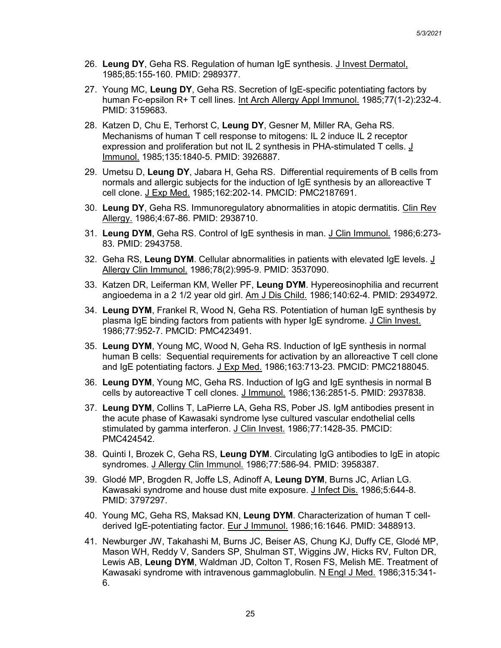- 26. **Leung DY**, Geha RS. Regulation of human IgE synthesis. J Invest Dermatol, 1985;85:155-160. PMID: 2989377.
- 27. Young MC, **Leung DY**, Geha RS. Secretion of IgE-specific potentiating factors by human Fc-epsilon R+ T cell lines. Int Arch Allergy Appl Immunol. 1985;77(1-2):232-4. PMID: 3159683.
- 28. Katzen D, Chu E, Terhorst C, **Leung DY**, Gesner M, Miller RA, Geha RS. Mechanisms of human T cell response to mitogens: IL 2 induce IL 2 receptor expression and proliferation but not IL 2 synthesis in PHA-stimulated T cells.  $\underline{J}$ Immunol. 1985;135:1840-5. PMID: 3926887.
- 29. Umetsu D, **Leung DY**, Jabara H, Geha RS. Differential requirements of B cells from normals and allergic subjects for the induction of IgE synthesis by an alloreactive T cell clone. J Exp Med. 1985;162:202-14. PMCID: PMC2187691.
- 30. **Leung DY**, Geha RS. Immunoregulatory abnormalities in atopic dermatitis. Clin Rev Allergy. 1986;4:67-86. PMID: 2938710.
- 31. **Leung DYM**, Geha RS. Control of IgE synthesis in man. J Clin Immunol. 1986;6:273- 83. PMID: 2943758.
- 32. Geha RS, **Leung DYM**. Cellular abnormalities in patients with elevated IgE levels. J Allergy Clin Immunol. 1986;78(2):995-9. PMID: 3537090.
- 33. Katzen DR, Leiferman KM, Weller PF, **Leung DYM**. Hypereosinophilia and recurrent angioedema in a 2 1/2 year old girl. Am J Dis Child. 1986;140:62-4. PMID: 2934972.
- 34. **Leung DYM**, Frankel R, Wood N, Geha RS. Potentiation of human IgE synthesis by plasma IgE binding factors from patients with hyper IgE syndrome. J Clin Invest. 1986;77:952-7. PMCID: PMC423491.
- 35. **Leung DYM**, Young MC, Wood N, Geha RS. Induction of IgE synthesis in normal human B cells: Sequential requirements for activation by an alloreactive T cell clone and IgE potentiating factors. J Exp Med. 1986;163:713-23. PMCID: PMC2188045.
- 36. **Leung DYM**, Young MC, Geha RS. Induction of IgG and IgE synthesis in normal B cells by autoreactive T cell clones. J Immunol. 1986;136:2851-5. PMID: 2937838.
- 37. **Leung DYM**, Collins T, LaPierre LA, Geha RS, Pober JS. IgM antibodies present in the acute phase of Kawasaki syndrome lyse cultured vascular endothelial cells stimulated by gamma interferon. J Clin Invest. 1986;77:1428-35. PMCID: PMC424542.
- 38. Quinti I, Brozek C, Geha RS, **Leung DYM**. Circulating IgG antibodies to IgE in atopic syndromes. J Allergy Clin Immunol. 1986;77:586-94. PMID: 3958387.
- 39. Glodé MP, Brogden R, Joffe LS, Adinoff A, **Leung DYM**, Burns JC, Arlian LG. Kawasaki syndrome and house dust mite exposure. J Infect Dis. 1986;5:644-8. PMID: 3797297.
- 40. Young MC, Geha RS, Maksad KN, **Leung DYM**. Characterization of human T cellderived IgE-potentiating factor. Eur J Immunol. 1986;16:1646. PMID: 3488913.
- 41. Newburger JW, Takahashi M, Burns JC, Beiser AS, Chung KJ, Duffy CE, Glodé MP, Mason WH, Reddy V, Sanders SP, Shulman ST, Wiggins JW, Hicks RV, Fulton DR, Lewis AB, **Leung DYM**, Waldman JD, Colton T, Rosen FS, Melish ME. Treatment of Kawasaki syndrome with intravenous gammaglobulin. N Engl J Med. 1986;315:341- 6.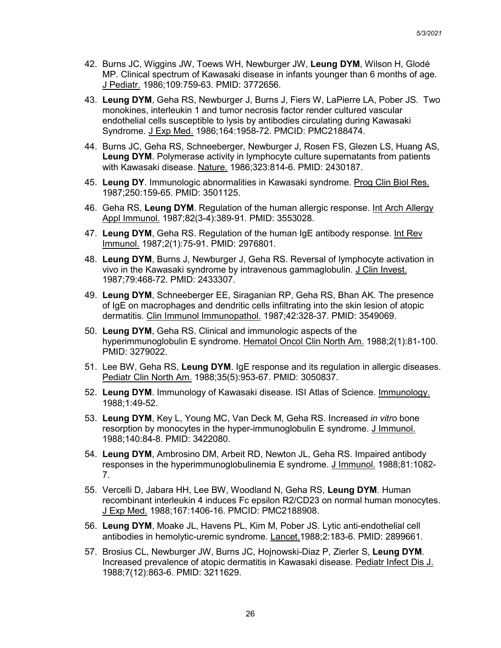- 42. Burns JC, Wiggins JW, Toews WH, Newburger JW, **Leung DYM**, Wilson H, Glodé MP. Clinical spectrum of Kawasaki disease in infants younger than 6 months of age. J Pediatr. 1986;109:759-63. PMID: 3772656.
- 43. **Leung DYM**, Geha RS, Newburger J, Burns J, Fiers W, LaPierre LA, Pober JS. Two monokines, interleukin 1 and tumor necrosis factor render cultured vascular endothelial cells susceptible to lysis by antibodies circulating during Kawasaki Syndrome. J Exp Med. 1986;164:1958-72. PMCID: PMC2188474.
- 44. Burns JC, Geha RS, Schneeberger, Newburger J, Rosen FS, Glezen LS, Huang AS, **Leung DYM**. Polymerase activity in lymphocyte culture supernatants from patients with Kawasaki disease. Nature. 1986;323:814-6. PMID: 2430187.
- 45. **Leung DY**. Immunologic abnormalities in Kawasaki syndrome. Prog Clin Biol Res. 1987;250:159-65. PMID: 3501125.
- 46. Geha RS, **Leung DYM**. Regulation of the human allergic response. Int Arch Allergy Appl Immunol. 1987;82(3-4):389-91. PMID: 3553028.
- 47. **Leung DYM**, Geha RS. Regulation of the human IgE antibody response. Int Rev Immunol. 1987;2(1):75-91. PMID: 2976801.
- 48. **Leung DYM**, Burns J, Newburger J, Geha RS. Reversal of lymphocyte activation in vivo in the Kawasaki syndrome by intravenous gammaglobulin. J Clin Invest. 1987;79:468-72. PMID: 2433307.
- 49. **Leung DYM**, Schneeberger EE, Siraganian RP, Geha RS, Bhan AK. The presence of IgE on macrophages and dendritic cells infiltrating into the skin lesion of atopic dermatitis. Clin Immunol Immunopathol. 1987;42:328-37. PMID: 3549069.
- 50. **Leung DYM**, Geha RS. Clinical and immunologic aspects of the hyperimmunoglobulin E syndrome. Hematol Oncol Clin North Am. 1988;2(1):81-100. PMID: 3279022.
- 51. Lee BW, Geha RS, **Leung DYM**. IgE response and its regulation in allergic diseases. Pediatr Clin North Am. 1988;35(5):953-67. PMID: 3050837.
- 52. **Leung DYM**. Immunology of Kawasaki disease. ISI Atlas of Science. Immunology. 1988;1:49-52.
- 53. **Leung DYM**, Key L, Young MC, Van Deck M, Geha RS. Increased *in vitro* bone resorption by monocytes in the hyper-immunoglobulin E syndrome. J Immunol. 1988;140:84-8. PMID: 3422080.
- 54. **Leung DYM**, Ambrosino DM, Arbeit RD, Newton JL, Geha RS. Impaired antibody responses in the hyperimmunoglobulinemia E syndrome. J Immunol. 1988;81:1082- 7.
- 55. Vercelli D, Jabara HH, Lee BW, Woodland N, Geha RS, **Leung DYM**. Human recombinant interleukin 4 induces Fc epsilon R2/CD23 on normal human monocytes. J Exp Med. 1988;167:1406-16. PMCID: PMC2188908.
- 56. **Leung DYM**, Moake JL, Havens PL, Kim M, Pober JS. Lytic anti-endothelial cell antibodies in hemolytic-uremic syndrome. Lancet.1988;2:183-6. PMID: 2899661.
- 57. Brosius CL, Newburger JW, Burns JC, Hojnowski-Diaz P, Zierler S, **Leung DYM**. Increased prevalence of atopic dermatitis in Kawasaki disease. Pediatr Infect Dis J. 1988;7(12):863-6. PMID: 3211629.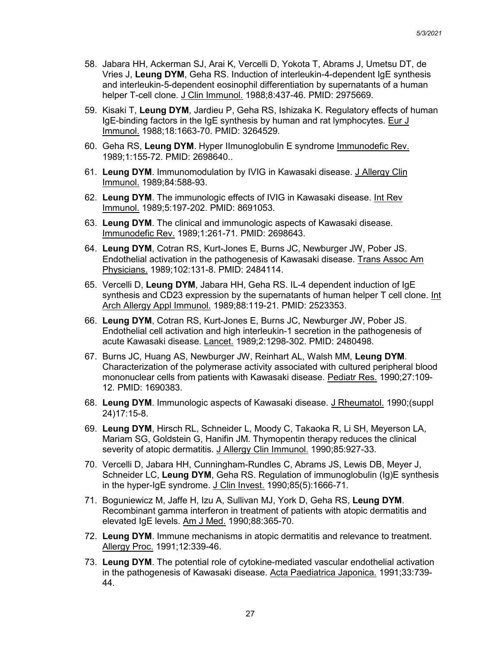- 58. Jabara HH, Ackerman SJ, Arai K, Vercelli D, Yokota T, Abrams J, Umetsu DT, de Vries J, **Leung DYM**, Geha RS. Induction of interleukin-4-dependent IgE synthesis and interleukin-5-dependent eosinophil differentiation by supernatants of a human helper T-cell clone. J Clin Immunol. 1988;8:437-46. PMID: 2975669.
- 59. Kisaki T, **Leung DYM**, Jardieu P, Geha RS, Ishizaka K. Regulatory effects of human IgE-binding factors in the IgE synthesis by human and rat lymphocytes. Eur J Immunol. 1988;18:1663-70. PMID: 3264529.
- 60. Geha RS, **Leung DYM**. Hyper IImunoglobulin E syndrome Immunodefic Rev. 1989;1:155-72. PMID: 2698640..
- 61. **Leung DYM**. Immunomodulation by IVIG in Kawasaki disease. J Allergy Clin Immunol. 1989;84:588-93.
- 62. **Leung DYM**. The immunologic effects of IVIG in Kawasaki disease. Int Rev Immunol. 1989;5:197-202. PMID: 8691053.
- 63. **Leung DYM**. The clinical and immunologic aspects of Kawasaki disease. Immunodefic Rev. 1989;1:261-71. PMID: 2698643.
- 64. **Leung DYM**, Cotran RS, Kurt-Jones E, Burns JC, Newburger JW, Pober JS. Endothelial activation in the pathogenesis of Kawasaki disease. Trans Assoc Am Physicians. 1989;102:131-8. PMID: 2484114.
- 65. Vercelli D, **Leung DYM**, Jabara HH, Geha RS. IL-4 dependent induction of IgE synthesis and CD23 expression by the supernatants of human helper T cell clone. Int Arch Allergy Appl Immunol. 1989;88:119-21. PMID: 2523353.
- 66. **Leung DYM**, Cotran RS, Kurt-Jones E, Burns JC, Newburger JW, Pober JS. Endothelial cell activation and high interleukin-1 secretion in the pathogenesis of acute Kawasaki disease. Lancet. 1989;2:1298-302. PMID: 2480498.
- 67. Burns JC, Huang AS, Newburger JW, Reinhart AL, Walsh MM, **Leung DYM**. Characterization of the polymerase activity associated with cultured peripheral blood mononuclear cells from patients with Kawasaki disease. Pediatr Res. 1990;27:109- 12. PMID: 1690383.
- 68. **Leung DYM**. Immunologic aspects of Kawasaki disease. J Rheumatol. 1990;(suppl 24)17:15-8.
- 69. **Leung DYM**, Hirsch RL, Schneider L, Moody C, Takaoka R, Li SH, Meyerson LA, Mariam SG, Goldstein G, Hanifin JM. Thymopentin therapy reduces the clinical severity of atopic dermatitis. J Allergy Clin Immunol. 1990;85:927-33.
- 70. Vercelli D, Jabara HH, Cunningham-Rundles C, Abrams JS, Lewis DB, Meyer J, Schneider LC, **Leung DYM**, Geha RS. Regulation of immunoglobulin (Ig)E synthesis in the hyper-IgE syndrome. J Clin Invest. 1990;85(5):1666-71.
- 71. Boguniewicz M, Jaffe H, Izu A, Sullivan MJ, York D, Geha RS, **Leung DYM**. Recombinant gamma interferon in treatment of patients with atopic dermatitis and elevated IgE levels. Am J Med. 1990;88:365-70.
- 72. **Leung DYM**. Immune mechanisms in atopic dermatitis and relevance to treatment. Allergy Proc. 1991;12:339-46.
- 73. **Leung DYM**. The potential role of cytokine-mediated vascular endothelial activation in the pathogenesis of Kawasaki disease. Acta Paediatrica Japonica. 1991;33:739- 44.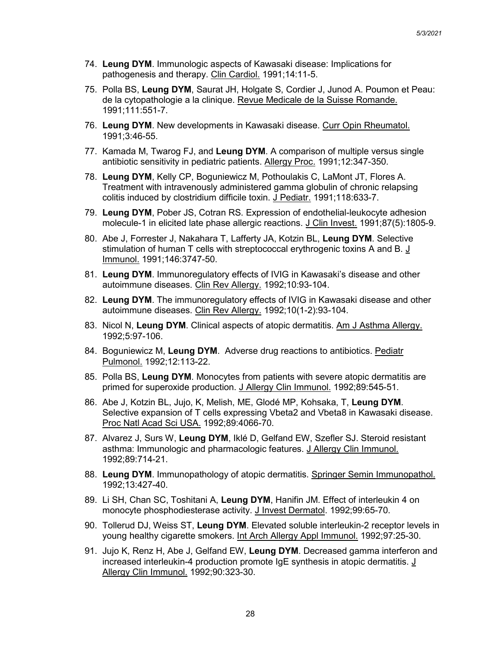- 74. **Leung DYM**. Immunologic aspects of Kawasaki disease: Implications for pathogenesis and therapy. Clin Cardiol. 1991;14:11-5.
- 75. Polla BS, **Leung DYM**, Saurat JH, Holgate S, Cordier J, Junod A. Poumon et Peau: de la cytopathologie a la clinique. Revue Medicale de la Suisse Romande. 1991;111:551-7.
- 76. **Leung DYM**. New developments in Kawasaki disease. Curr Opin Rheumatol. 1991;3:46-55.
- 77. Kamada M, Twarog FJ, and **Leung DYM**. A comparison of multiple versus single antibiotic sensitivity in pediatric patients. Allergy Proc. 1991;12:347-350.
- 78. **Leung DYM**, Kelly CP, Boguniewicz M, Pothoulakis C, LaMont JT, Flores A. Treatment with intravenously administered gamma globulin of chronic relapsing colitis induced by clostridium difficile toxin. J Pediatr. 1991;118:633-7.
- 79. **Leung DYM**, Pober JS, Cotran RS. Expression of endothelial-leukocyte adhesion molecule-1 in elicited late phase allergic reactions. J Clin Invest. 1991;87(5):1805-9.
- 80. Abe J, Forrester J, Nakahara T, Lafferty JA, Kotzin BL, **Leung DYM**. Selective stimulation of human T cells with streptococcal erythrogenic toxins A and B. J Immunol. 1991;146:3747-50.
- 81. **Leung DYM**. Immunoregulatory effects of IVIG in Kawasaki's disease and other autoimmune diseases. Clin Rev Allergy. 1992;10:93-104.
- 82. **Leung DYM**. The immunoregulatory effects of IVIG in Kawasaki disease and other autoimmune diseases. Clin Rev Allergy. 1992;10(1-2):93-104.
- 83. Nicol N, **Leung DYM**. Clinical aspects of atopic dermatitis. Am J Asthma Allergy. 1992;5:97-106.
- 84. Boguniewicz M, **Leung DYM**. Adverse drug reactions to antibiotics. Pediatr Pulmonol. 1992;12:113-22.
- 85. Polla BS, **Leung DYM**. Monocytes from patients with severe atopic dermatitis are primed for superoxide production. J Allergy Clin Immunol. 1992;89:545-51.
- 86. Abe J, Kotzin BL, Jujo, K, Melish, ME, Glodé MP, Kohsaka, T, **Leung DYM**. Selective expansion of T cells expressing Vbeta2 and Vbeta8 in Kawasaki disease. Proc Natl Acad Sci USA. 1992;89:4066-70.
- 87. Alvarez J, Surs W, **Leung DYM**, Iklé D, Gelfand EW, Szefler SJ. Steroid resistant asthma: Immunologic and pharmacologic features. J Allergy Clin Immunol. 1992;89:714-21.
- 88. **Leung DYM**. Immunopathology of atopic dermatitis. Springer Semin Immunopathol. 1992;13:427-40.
- 89. Li SH, Chan SC, Toshitani A, **Leung DYM**, Hanifin JM. Effect of interleukin 4 on monocyte phosphodiesterase activity. J Invest Dermatol. 1992;99:65-70.
- 90. Tollerud DJ, Weiss ST, **Leung DYM**. Elevated soluble interleukin-2 receptor levels in young healthy cigarette smokers. Int Arch Allergy Appl Immunol. 1992;97:25-30.
- 91. Jujo K, Renz H, Abe J, Gelfand EW, **Leung DYM**. Decreased gamma interferon and increased interleukin-4 production promote IgE synthesis in atopic dermatitis. J Allergy Clin Immunol. 1992;90:323-30.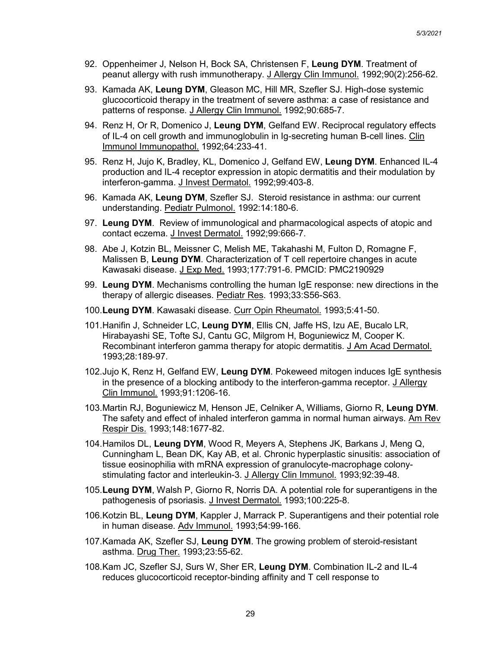- 92. Oppenheimer J, Nelson H, Bock SA, Christensen F, **Leung DYM**. Treatment of peanut allergy with rush immunotherapy. J Allergy Clin Immunol. 1992;90(2):256-62.
- 93. Kamada AK, **Leung DYM**, Gleason MC, Hill MR, Szefler SJ. High-dose systemic glucocorticoid therapy in the treatment of severe asthma: a case of resistance and patterns of response. J Allergy Clin Immunol. 1992;90:685-7.
- 94. Renz H, Or R, Domenico J, **Leung DYM**, Gelfand EW. Reciprocal regulatory effects of IL-4 on cell growth and immunoglobulin in Ig-secreting human B-cell lines. Clin Immunol Immunopathol. 1992;64:233-41.
- 95. Renz H, Jujo K, Bradley, KL, Domenico J, Gelfand EW, **Leung DYM**. Enhanced IL-4 production and IL-4 receptor expression in atopic dermatitis and their modulation by interferon-gamma. J Invest Dermatol. 1992;99:403-8.
- 96. Kamada AK, **Leung DYM**, Szefler SJ. Steroid resistance in asthma: our current understanding. Pediatr Pulmonol. 1992:14:180-6.
- 97. **Leung DYM**. Review of immunological and pharmacological aspects of atopic and contact eczema. J Invest Dermatol. 1992;99:666-7.
- 98. Abe J, Kotzin BL, Meissner C, Melish ME, Takahashi M, Fulton D, Romagne F, Malissen B, **Leung DYM**. Characterization of T cell repertoire changes in acute Kawasaki disease. J Exp Med. 1993;177:791-6. PMCID: PMC2190929
- 99. **Leung DYM**. Mechanisms controlling the human IgE response: new directions in the therapy of allergic diseases. Pediatr Res. 1993;33:S56-S63.
- 100.**Leung DYM**. Kawasaki disease. Curr Opin Rheumatol. 1993;5:41-50.
- 101.Hanifin J, Schneider LC, **Leung DYM**, Ellis CN, Jaffe HS, Izu AE, Bucalo LR, Hirabayashi SE, Tofte SJ, Cantu GC, Milgrom H, Boguniewicz M, Cooper K. Recombinant interferon gamma therapy for atopic dermatitis. J Am Acad Dermatol. 1993;28:189-97.
- 102.Jujo K, Renz H, Gelfand EW, **Leung DYM**. Pokeweed mitogen induces IgE synthesis in the presence of a blocking antibody to the interferon-gamma receptor. J Allergy Clin Immunol. 1993;91:1206-16.
- 103.Martin RJ, Boguniewicz M, Henson JE, Celniker A, Williams, Giorno R, **Leung DYM**. The safety and effect of inhaled interferon gamma in normal human airways. Am Rev Respir Dis. 1993;148:1677-82.
- 104.Hamilos DL, **Leung DYM**, Wood R, Meyers A, Stephens JK, Barkans J, Meng Q, Cunningham L, Bean DK, Kay AB, et al. Chronic hyperplastic sinusitis: association of tissue eosinophilia with mRNA expression of granulocyte-macrophage colonystimulating factor and interleukin-3. J Allergy Clin Immunol. 1993;92:39-48.
- 105.**Leung DYM**, Walsh P, Giorno R, Norris DA. A potential role for superantigens in the pathogenesis of psoriasis. J Invest Dermatol. 1993;100:225-8.
- 106.Kotzin BL, **Leung DYM**, Kappler J, Marrack P. Superantigens and their potential role in human disease. Adv Immunol. 1993;54:99-166.
- 107.Kamada AK, Szefler SJ, **Leung DYM**. The growing problem of steroid-resistant asthma. Drug Ther. 1993;23:55-62.
- 108.Kam JC, Szefler SJ, Surs W, Sher ER, **Leung DYM**. Combination IL-2 and IL-4 reduces glucocorticoid receptor-binding affinity and T cell response to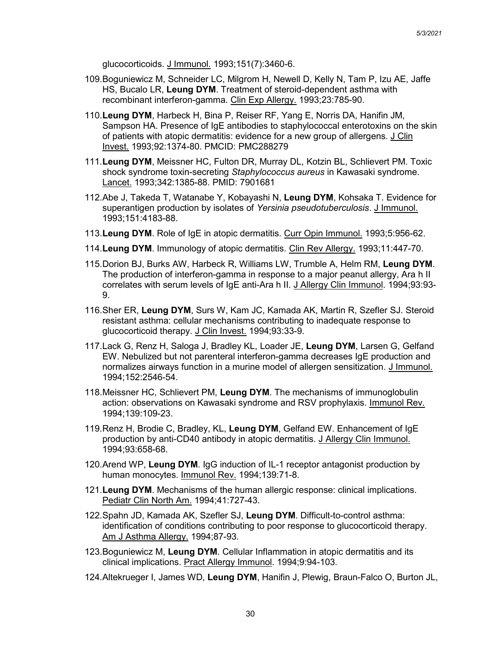glucocorticoids. J Immunol. 1993;151(7):3460-6.

- 109.Boguniewicz M, Schneider LC, Milgrom H, Newell D, Kelly N, Tam P, Izu AE, Jaffe HS, Bucalo LR, **Leung DYM**. Treatment of steroid-dependent asthma with recombinant interferon-gamma. Clin Exp Allergy. 1993;23:785-90.
- 110.**Leung DYM**, Harbeck H, Bina P, Reiser RF, Yang E, Norris DA, Hanifin JM, Sampson HA. Presence of IgE antibodies to staphylococcal enterotoxins on the skin of patients with atopic dermatitis: evidence for a new group of allergens. J Clin Invest. 1993;92:1374-80. PMCID: PMC288279
- 111.**Leung DYM**, Meissner HC, Fulton DR, Murray DL, Kotzin BL, Schlievert PM. Toxic shock syndrome toxin-secreting *Staphylococcus aureus* in Kawasaki syndrome. Lancet. 1993;342:1385-88. PMID: 7901681
- 112.Abe J, Takeda T, Watanabe Y, Kobayashi N, **Leung DYM**, Kohsaka T. Evidence for superantigen production by isolates of *Yersinia pseudotuberculosis*. J Immunol. 1993;151:4183-88.
- 113.**Leung DYM**. Role of IgE in atopic dermatitis. Curr Opin Immunol. 1993;5:956-62.
- 114.**Leung DYM**. Immunology of atopic dermatitis. Clin Rev Allergy. 1993;11:447-70.
- 115.Dorion BJ, Burks AW, Harbeck R, Williams LW, Trumble A, Helm RM, **Leung DYM**. The production of interferon-gamma in response to a major peanut allergy, Ara h II correlates with serum levels of IgE anti-Ara h II. J Allergy Clin Immunol. 1994;93:93- 9.
- 116.Sher ER, **Leung DYM**, Surs W, Kam JC, Kamada AK, Martin R, Szefler SJ. Steroid resistant asthma: cellular mechanisms contributing to inadequate response to glucocorticoid therapy. J Clin Invest. 1994;93:33-9.
- 117.Lack G, Renz H, Saloga J, Bradley KL, Loader JE, **Leung DYM**, Larsen G, Gelfand EW. Nebulized but not parenteral interferon-gamma decreases IgE production and normalizes airways function in a murine model of allergen sensitization. J Immunol. 1994;152:2546-54.
- 118.Meissner HC, Schlievert PM, **Leung DYM**. The mechanisms of immunoglobulin action: observations on Kawasaki syndrome and RSV prophylaxis. Immunol Rev. 1994;139:109-23.
- 119.Renz H, Brodie C, Bradley, KL, **Leung DYM**, Gelfand EW. Enhancement of IgE production by anti-CD40 antibody in atopic dermatitis. J Allergy Clin Immunol. 1994;93:658-68.
- 120.Arend WP, **Leung DYM**. IgG induction of IL-1 receptor antagonist production by human monocytes. Immunol Rev. 1994;139:71-8.
- 121.**Leung DYM**. Mechanisms of the human allergic response: clinical implications. Pediatr Clin North Am. 1994;41:727-43.
- 122.Spahn JD, Kamada AK, Szefler SJ, **Leung DYM**. Difficult-to-control asthma: identification of conditions contributing to poor response to glucocorticoid therapy. Am J Asthma Allergy. 1994;87-93.
- 123.Boguniewicz M, **Leung DYM**. Cellular Inflammation in atopic dermatitis and its clinical implications. Pract Allergy Immunol. 1994;9:94-103.
- 124.Altekrueger I, James WD, **Leung DYM**, Hanifin J, Plewig, Braun-Falco O, Burton JL,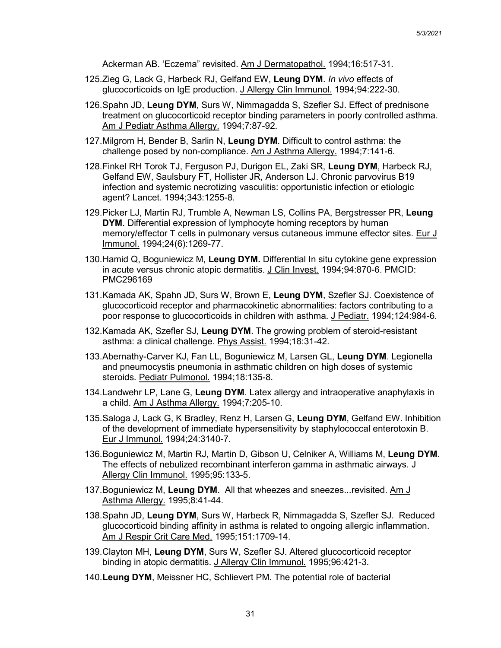Ackerman AB. 'Eczema" revisited. Am J Dermatopathol. 1994;16:517-31.

- 125.Zieg G, Lack G, Harbeck RJ, Gelfand EW, **Leung DYM**. *In vivo* effects of glucocorticoids on IgE production. J Allergy Clin Immunol. 1994;94:222-30.
- 126.Spahn JD, **Leung DYM**, Surs W, Nimmagadda S, Szefler SJ. Effect of prednisone treatment on glucocorticoid receptor binding parameters in poorly controlled asthma. Am J Pediatr Asthma Allergy. 1994;7:87-92.
- 127.Milgrom H, Bender B, Sarlin N, **Leung DYM**. Difficult to control asthma: the challenge posed by non-compliance. Am J Asthma Allergy. 1994;7:141-6.
- 128.Finkel RH Torok TJ, Ferguson PJ, Durigon EL, Zaki SR, **Leung DYM**, Harbeck RJ, Gelfand EW, Saulsbury FT, Hollister JR, Anderson LJ. Chronic parvovirus B19 infection and systemic necrotizing vasculitis: opportunistic infection or etiologic agent? Lancet. 1994;343:1255-8.
- 129.Picker LJ, Martin RJ, Trumble A, Newman LS, Collins PA, Bergstresser PR, **Leung DYM**. Differential expression of lymphocyte homing receptors by human memory/effector T cells in pulmonary versus cutaneous immune effector sites. Eur J Immunol. 1994;24(6):1269-77.
- 130.Hamid Q, Boguniewicz M, **Leung DYM.** Differential In situ cytokine gene expression in acute versus chronic atopic dermatitis. J Clin Invest. 1994;94:870-6. PMCID: PMC296169
- 131.Kamada AK, Spahn JD, Surs W, Brown E, **Leung DYM**, Szefler SJ. Coexistence of glucocorticoid receptor and pharmacokinetic abnormalities: factors contributing to a poor response to glucocorticoids in children with asthma. J Pediatr. 1994;124:984-6.
- 132.Kamada AK, Szefler SJ, **Leung DYM**. The growing problem of steroid-resistant asthma: a clinical challenge. Phys Assist. 1994;18:31-42.
- 133.Abernathy-Carver KJ, Fan LL, Boguniewicz M, Larsen GL, **Leung DYM**. Legionella and pneumocystis pneumonia in asthmatic children on high doses of systemic steroids. Pediatr Pulmonol. 1994;18:135-8.
- 134.Landwehr LP, Lane G, **Leung DYM**. Latex allergy and intraoperative anaphylaxis in a child. Am J Asthma Allergy. 1994;7:205-10.
- 135.Saloga J, Lack G, K Bradley, Renz H, Larsen G, **Leung DYM**, Gelfand EW. Inhibition of the development of immediate hypersensitivity by staphylococcal enterotoxin B. Eur J Immunol. 1994;24:3140-7.
- 136.Boguniewicz M, Martin RJ, Martin D, Gibson U, Celniker A, Williams M, **Leung DYM**. The effects of nebulized recombinant interferon gamma in asthmatic airways. J Allergy Clin Immunol. 1995;95:133-5.
- 137.Boguniewicz M, **Leung DYM**. All that wheezes and sneezes...revisited. Am J Asthma Allergy. 1995;8:41-44.
- 138.Spahn JD, **Leung DYM**, Surs W, Harbeck R, Nimmagadda S, Szefler SJ. Reduced glucocorticoid binding affinity in asthma is related to ongoing allergic inflammation. Am J Respir Crit Care Med. 1995;151:1709-14.
- 139.Clayton MH, **Leung DYM**, Surs W, Szefler SJ. Altered glucocorticoid receptor binding in atopic dermatitis. J Allergy Clin Immunol. 1995;96:421-3.
- 140.**Leung DYM**, Meissner HC, Schlievert PM. The potential role of bacterial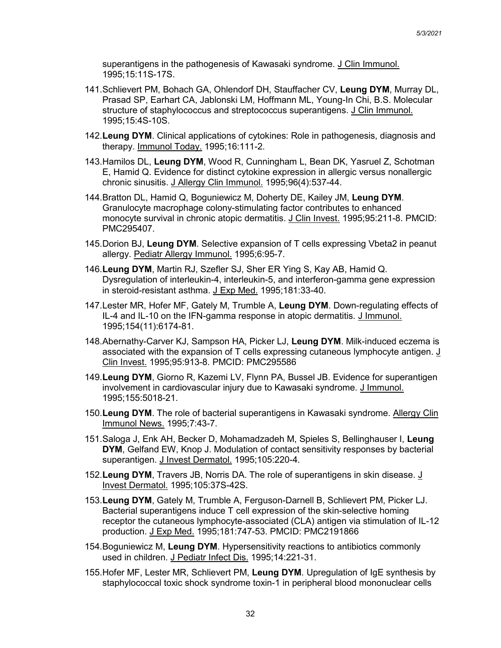superantigens in the pathogenesis of Kawasaki syndrome. J Clin Immunol. 1995;15:11S-17S.

- 141.Schlievert PM, Bohach GA, Ohlendorf DH, Stauffacher CV, **Leung DYM**, Murray DL, Prasad SP, Earhart CA, Jablonski LM, Hoffmann ML, Young-In Chi, B.S. Molecular structure of staphylococcus and streptococcus superantigens. J Clin Immunol. 1995;15:4S-10S.
- 142.**Leung DYM**. Clinical applications of cytokines: Role in pathogenesis, diagnosis and therapy. Immunol Today. 1995;16:111-2.
- 143.Hamilos DL, **Leung DYM**, Wood R, Cunningham L, Bean DK, Yasruel Z, Schotman E, Hamid Q. Evidence for distinct cytokine expression in allergic versus nonallergic chronic sinusitis. J Allergy Clin Immunol. 1995;96(4):537-44.
- 144.Bratton DL, Hamid Q, Boguniewicz M, Doherty DE, Kailey JM, **Leung DYM**. Granulocyte macrophage colony-stimulating factor contributes to enhanced monocyte survival in chronic atopic dermatitis. J Clin Invest. 1995;95:211-8. PMCID: PMC295407.
- 145.Dorion BJ, **Leung DYM**. Selective expansion of T cells expressing Vbeta2 in peanut allergy. Pediatr Allergy Immunol. 1995;6:95-7.
- 146.**Leung DYM**, Martin RJ, Szefler SJ, Sher ER Ying S, Kay AB, Hamid Q. Dysregulation of interleukin-4, interleukin-5, and interferon-gamma gene expression in steroid-resistant asthma. J Exp Med. 1995;181:33-40.
- 147.Lester MR, Hofer MF, Gately M, Trumble A, **Leung DYM**. Down-regulating effects of IL-4 and IL-10 on the IFN-gamma response in atopic dermatitis. J Immunol. 1995;154(11):6174-81.
- 148.Abernathy-Carver KJ, Sampson HA, Picker LJ, **Leung DYM**. Milk-induced eczema is associated with the expansion of T cells expressing cutaneous lymphocyte antigen. J Clin Invest. 1995;95:913-8. PMCID: PMC295586
- 149.**Leung DYM**, Giorno R, Kazemi LV, Flynn PA, Bussel JB. Evidence for superantigen involvement in cardiovascular injury due to Kawasaki syndrome. J Immunol. 1995;155:5018-21.
- 150.**Leung DYM**. The role of bacterial superantigens in Kawasaki syndrome. Allergy Clin Immunol News. 1995;7:43-7.
- 151.Saloga J, Enk AH, Becker D, Mohamadzadeh M, Spieles S, Bellinghauser I, **Leung DYM**, Gelfand EW, Knop J. Modulation of contact sensitivity responses by bacterial superantigen. J Invest Dermatol. 1995;105:220-4.
- 152.**Leung DYM**, Travers JB, Norris DA. The role of superantigens in skin disease. J Invest Dermatol. 1995;105:37S-42S.
- 153.**Leung DYM**, Gately M, Trumble A, Ferguson-Darnell B, Schlievert PM, Picker LJ. Bacterial superantigens induce T cell expression of the skin-selective homing receptor the cutaneous lymphocyte-associated (CLA) antigen via stimulation of IL-12 production. J Exp Med. 1995;181:747-53. PMCID: PMC2191866
- 154.Boguniewicz M, **Leung DYM**. Hypersensitivity reactions to antibiotics commonly used in children. J Pediatr Infect Dis. 1995;14:221-31.
- 155.Hofer MF, Lester MR, Schlievert PM, **Leung DYM**. Upregulation of IgE synthesis by staphylococcal toxic shock syndrome toxin-1 in peripheral blood mononuclear cells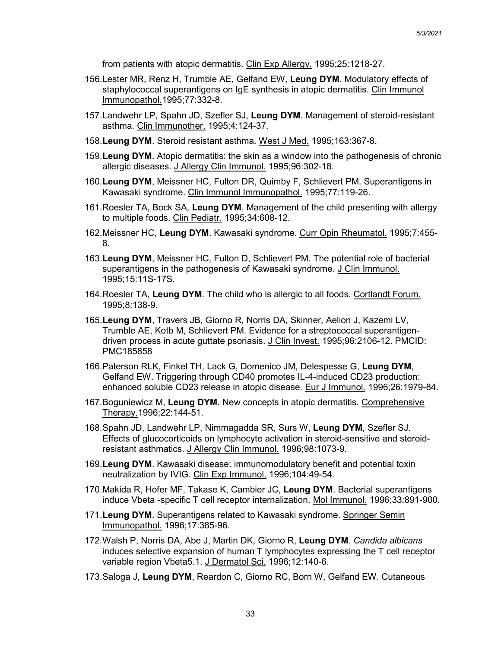from patients with atopic dermatitis. Clin Exp Allergy. 1995;25:1218-27.

- 156.Lester MR, Renz H, Trumble AE, Gelfand EW, **Leung DYM**. Modulatory effects of staphylococcal superantigens on IgE synthesis in atopic dermatitis. Clin Immunol Immunopathol.1995;77:332-8.
- 157.Landwehr LP, Spahn JD, Szefler SJ, **Leung DYM**. Management of steroid-resistant asthma. Clin Immunother. 1995;4:124-37.
- 158.**Leung DYM**. Steroid resistant asthma. West J Med. 1995;163:367-8.
- 159.**Leung DYM**. Atopic dermatitis: the skin as a window into the pathogenesis of chronic allergic diseases. J Allergy Clin Immunol. 1995;96:302-18.
- 160.**Leung DYM**, Meissner HC, Fulton DR, Quimby F, Schlievert PM. Superantigens in Kawasaki syndrome. Clin Immunol Immunopathol. 1995;77:119-26.
- 161.Roesler TA, Bock SA, **Leung DYM**. Management of the child presenting with allergy to multiple foods. Clin Pediatr. 1995;34:608-12.
- 162.Meissner HC, **Leung DYM**. Kawasaki syndrome. Curr Opin Rheumatol. 1995;7:455- 8.
- 163.**Leung DYM**, Meissner HC, Fulton D, Schlievert PM. The potential role of bacterial superantigens in the pathogenesis of Kawasaki syndrome. J Clin Immunol. 1995;15:11S-17S.
- 164.Roesler TA, **Leung DYM**. The child who is allergic to all foods. Cortlandt Forum. 1995;8:138-9.
- 165.**Leung DYM**, Travers JB, Giorno R, Norris DA, Skinner, Aelion J, Kazemi LV, Trumble AE, Kotb M, Schlievert PM. Evidence for a streptococcal superantigendriven process in acute guttate psoriasis. J Clin Invest. 1995;96:2106-12. PMCID: PMC185858
- 166.Paterson RLK, Finkel TH, Lack G, Domenico JM, Delespesse G, **Leung DYM**, Gelfand EW. Triggering through CD40 promotes IL-4-induced CD23 production: enhanced soluble CD23 release in atopic disease. Eur J Immunol. 1996;26:1979-84.
- 167.Boguniewicz M, **Leung DYM**. New concepts in atopic dermatitis. Comprehensive Therapy.1996;22:144-51.
- 168.Spahn JD, Landwehr LP, Nimmagadda SR, Surs W, **Leung DYM**, Szefler SJ. Effects of glucocorticoids on lymphocyte activation in steroid-sensitive and steroidresistant asthmatics. J Allergy Clin Immunol. 1996;98:1073-9.
- 169.**Leung DYM**. Kawasaki disease: immunomodulatory benefit and potential toxin neutralization by IVIG. Clin Exp Immunol. 1996;104:49-54.
- 170.Makida R, Hofer MF, Takase K, Cambier JC, **Leung DYM**. Bacterial superantigens induce Vbeta -specific T cell receptor internalization. Mol Immunol. 1996;33:891-900.
- 171.**Leung DYM**. Superantigens related to Kawasaki syndrome. Springer Semin Immunopathol. 1996;17:385-96.
- 172.Walsh P, Norris DA, Abe J, Martin DK, Giorno R, **Leung DYM**. *Candida albicans* induces selective expansion of human T lymphocytes expressing the T cell receptor variable region Vbeta5.1. J Dermatol Sci. 1996;12:140-6.
- 173.Saloga J, **Leung DYM**, Reardon C, Giorno RC, Born W, Gelfand EW. Cutaneous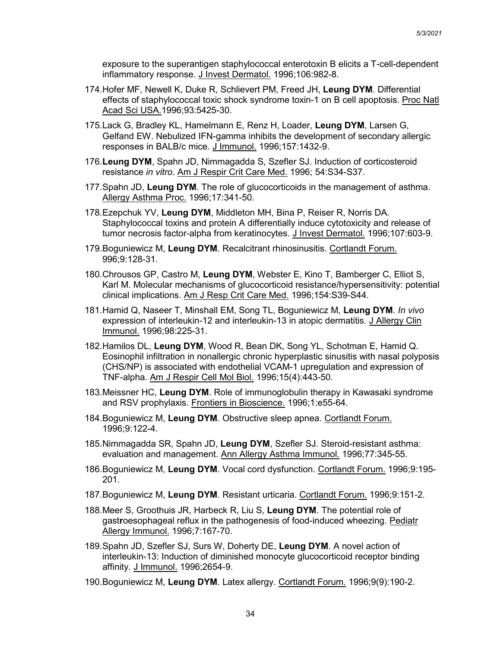exposure to the superantigen staphylococcal enterotoxin B elicits a T-cell-dependent inflammatory response. J Invest Dermatol. 1996;106:982-8.

- 174.Hofer MF, Newell K, Duke R, Schlievert PM, Freed JH, **Leung DYM**. Differential effects of staphylococcal toxic shock syndrome toxin-1 on B cell apoptosis. Proc Natl Acad Sci USA.1996;93:5425-30.
- 175.Lack G, Bradley KL, Hamelmann E, Renz H, Loader, **Leung DYM**, Larsen G, Gelfand EW. Nebulized IFN-gamma inhibits the development of secondary allergic responses in BALB/c mice. J Immunol. 1996;157:1432-9.
- 176.**Leung DYM**, Spahn JD, Nimmagadda S, Szefler SJ. Induction of corticosteroid resistance *in vitro*. Am J Respir Crit Care Med. 1996; 54:S34-S37.
- 177.Spahn JD, **Leung DYM**. The role of glucocorticoids in the management of asthma. Allergy Asthma Proc. 1996;17:341-50.
- 178.Ezepchuk YV, **Leung DYM**, Middleton MH, Bina P, Reiser R, Norris DA. Staphylococcal toxins and protein A differentially induce cytotoxicity and release of tumor necrosis factor-alpha from keratinocytes. J Invest Dermatol. 1996;107:603-9.
- 179.Boguniewicz M, **Leung DYM**. Recalcitrant rhinosinusitis. Cortlandt Forum. 996;9:128-31.
- 180.Chrousos GP, Castro M, **Leung DYM**, Webster E, Kino T, Bamberger C, Elliot S, Karl M. Molecular mechanisms of glucocorticoid resistance/hypersensitivity: potential clinical implications. Am J Resp Crit Care Med. 1996;154:S39-S44.
- 181.Hamid Q, Naseer T, Minshall EM, Song TL, Boguniewicz M, **Leung DYM**. *In vivo* expression of interleukin-12 and interleukin-13 in atopic dermatitis. J Allergy Clin Immunol. 1996;98:225-31.
- 182.Hamilos DL, **Leung DYM**, Wood R, Bean DK, Song YL, Schotman E, Hamid Q. Eosinophil infiltration in nonallergic chronic hyperplastic sinusitis with nasal polyposis (CHS/NP) is associated with endothelial VCAM-1 upregulation and expression of TNF-alpha. Am J Respir Cell Mol Biol. 1996;15(4):443-50.
- 183.Meissner HC, **Leung DYM**. Role of immunoglobulin therapy in Kawasaki syndrome and RSV prophylaxis. Frontiers in Bioscience. 1996;1:e55-64.
- 184.Boguniewicz M, **Leung DYM**. Obstructive sleep apnea. Cortlandt Forum. 1996;9:122-4.
- 185.Nimmagadda SR, Spahn JD, **Leung DYM**, Szefler SJ. Steroid-resistant asthma: evaluation and management. Ann Allergy Asthma Immunol. 1996;77:345-55.
- 186.Boguniewicz M, **Leung DYM**. Vocal cord dysfunction. Cortlandt Forum. 1996;9:195- 201.
- 187.Boguniewicz M, **Leung DYM**. Resistant urticaria. Cortlandt Forum. 1996;9:151-2.
- 188.Meer S, Groothuis JR, Harbeck R, Liu S, **Leung DYM**. The potential role of gast**r**oesophageal reflux in the pathogenesis of food-induced wheezing. Pediatr Allergy Immunol. 1996;7:167-70.
- 189.Spahn JD, Szefler SJ, Surs W, Doherty DE, **Leung DYM**. A novel action of interleukin-13: Induction of diminished monocyte glucocorticoid receptor binding affinity. J Immunol. 1996;2654-9.
- 190.Boguniewicz M, **Leung DYM**. Latex allergy. Cortlandt Forum. 1996;9(9):190-2.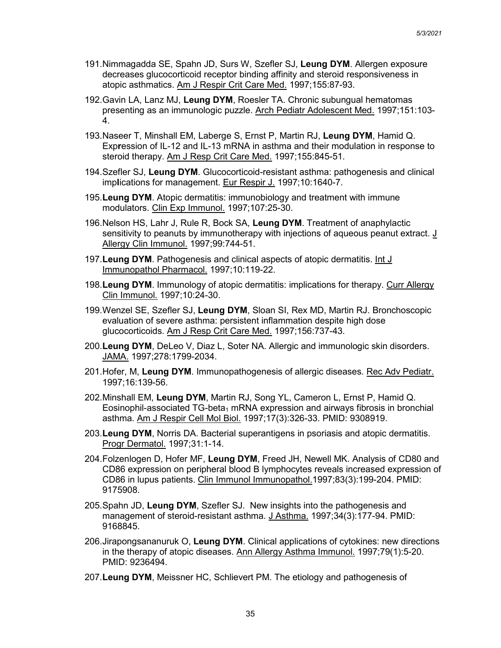- 191.Nimmagadda SE, Spahn JD, Surs W, Szefler SJ, **Leung DYM**. Allergen exposure decreases glucocorticoid receptor binding affinity and steroid responsiveness in atopic asthmatics. Am J Respir Crit Care Med. 1997;155:87-93.
- 192.Gavin LA, Lanz MJ, **Leung DYM**, Roesler TA. Chronic subungual hematomas presenting as an immunologic puzzle. Arch Pediatr Adolescent Med. 1997;151:103- 4.
- 193.Naseer T, Minshall EM, Laberge S, Ernst P, Martin RJ, **Leung DYM**, Hamid Q. Exp**r**ession of IL-12 and IL-13 mRNA in asthma and their modulation in response to steroid therapy. Am J Resp Crit Care Med. 1997;155:845-51.
- 194.Szefler SJ, **Leung DYM**. Glucocorticoid-resistant asthma: pathogenesis and clinical imp**l**ications for management. Eur Respir J. 1997;10:1640-7.
- 195.**Leung DYM**. Atopic dermatitis: immunobiology and treatment with immune modulators. Clin Exp Immunol. 1997;107:25-30.
- 196.Nelson HS, Lahr J, Rule R, Bock SA, **Leung DYM**. Treatment of anaphylactic sensitivity to peanuts by immunotherapy with injections of aqueous peanut extract.  $\underline{J}$ Allergy Clin Immunol. 1997;99:744-51.
- 197.**Leung DYM**. Pathogenesis and clinical aspects of atopic dermatitis. Int J Immunopathol Pharmacol. 1997;10:119-22.
- 198.**Leung DYM**. Immunology of atopic dermatitis: implications for therapy. Curr Allergy Clin Immunol. 1997;10:24-30.
- 199.Wenzel SE, Szefler SJ, **Leung DYM**, Sloan SI, Rex MD, Martin RJ. Bronchoscopic evaluation of severe asthma: persistent inflammation despite high dose glucocorticoids. Am J Resp Crit Care Med. 1997;156:737-43.
- 200.**Leung DYM**, DeLeo V, Diaz L, Soter NA. Allergic and immunologic skin disorders. JAMA. 1997;278:1799-2034.
- 201.Hofer, M, **Leung DYM**. Immunopathogenesis of allergic diseases. Rec Adv Pediatr. 1997;16:139-56.
- 202.Minshall EM, **Leung DYM**, Martin RJ, Song YL, Cameron L, Ernst P, Hamid Q. Eosinophil-associated  $TG$ -beta<sub>1</sub> mRNA expression and airways fibrosis in bronchial asthma. Am J Respir Cell Mol Biol. 1997;17(3):326-33. PMID: 9308919.
- 203.**Leung DYM**, Norris DA. Bacterial superantigens in psoriasis and atopic dermatitis. Progr Dermatol. 1997;31:1-14.
- 204.Folzenlogen D, Hofer MF, **Leung DYM**, Freed JH, Newell MK. Analysis of CD80 and CD86 expression on peripheral blood B lymphocytes reveals increased expression of CD86 in lupus patients. Clin Immunol Immunopathol.1997;83(3):199-204. PMID: 9175908.
- 205.Spahn JD, **Leung DYM**, Szefler SJ. New insights into the pathogenesis and management of steroid-resistant asthma. J Asthma. 1997;34(3):177-94. PMID: 9168845.
- 206.Jirapongsananuruk O, **Leung DYM**. Clinical applications of cytokines: new directions in the therapy of atopic diseases. Ann Allergy Asthma Immunol. 1997;79(1):5-20. PMID: 9236494.
- 207.**Leung DYM**, Meissner HC, Schlievert PM. The etiology and pathogenesis of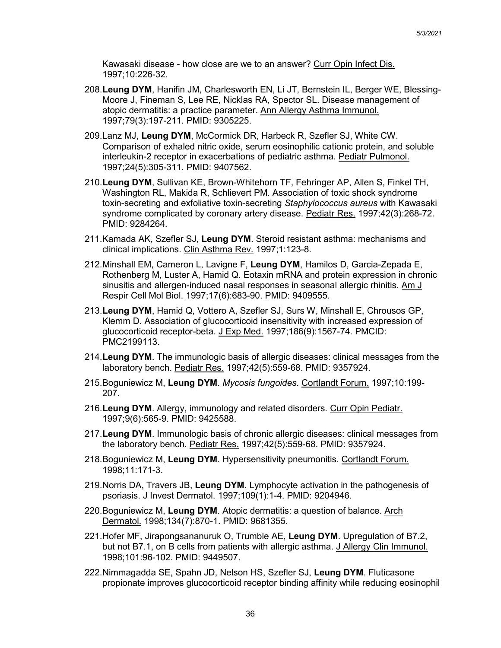Kawasaki disease - how close are we to an answer? Curr Opin Infect Dis. 1997;10:226-32.

- 208.**Leung DYM**, Hanifin JM, Charlesworth EN, Li JT, Bernstein IL, Berger WE, Blessing-Moore J, Fineman S, Lee RE, Nicklas RA, Spector SL. Disease management of atopic dermatitis: a practice parameter. Ann Allergy Asthma Immunol. 1997;79(3):197-211. PMID: 9305225.
- 209.Lanz MJ, **Leung DYM**, McCormick DR, Harbeck R, Szefler SJ, White CW. Comparison of exhaled nitric oxide, serum eosinophilic cationic protein, and soluble interleukin-2 receptor in exacerbations of pediatric asthma. Pediatr Pulmonol. 1997;24(5):305-311. PMID: 9407562.
- 210.**Leung DYM**, Sullivan KE, Brown-Whitehorn TF, Fehringer AP, Allen S, Finkel TH, Washington RL, Makida R, Schlievert PM. Association of toxic shock syndrome toxin-secreting and exfoliative toxin-secreting *Staphylococcus aureus* with Kawasaki syndrome complicated by coronary artery disease. Pediatr Res. 1997;42(3):268-72. PMID: 9284264.
- 211.Kamada AK, Szefler SJ, **Leung DYM**. Steroid resistant asthma: mechanisms and clinical implications. Clin Asthma Rev. 1997;1:123-8.
- 212.Minshall EM, Cameron L, Lavigne F, **Leung DYM**, Hamilos D, Garcia-Zepada E, Rothenberg M, Luster A, Hamid Q. Eotaxin mRNA and protein expression in chronic sinusitis and allergen-induced nasal responses in seasonal allergic rhinitis. Am J Respir Cell Mol Biol. 1997;17(6):683-90. PMID: 9409555.
- 213.**Leung DYM**, Hamid Q, Vottero A, Szefler SJ, Surs W, Minshall E, Chrousos GP, Klemm D. Association of glucocorticoid insensitivity with increased expression of glucocorticoid receptor-beta. J Exp Med. 1997;186(9):1567-74. PMCID: PMC2199113.
- 214.**Leung DYM**. The immunologic basis of allergic diseases: clinical messages from the laboratory bench. Pediatr Res. 1997;42(5):559-68. PMID: 9357924.
- 215.Boguniewicz M, **Leung DYM**. *Mycosis fungoides*. Cortlandt Forum. 1997;10:199- 207.
- 216.**Leung DYM**. Allergy, immunology and related disorders. Curr Opin Pediatr. 1997;9(6):565-9. PMID: 9425588.
- 217.**Leung DYM**. Immunologic basis of chronic allergic diseases: clinical messages from the laboratory bench. Pediatr Res. 1997;42(5):559-68. PMID: 9357924.
- 218.Boguniewicz M, **Leung DYM**. Hypersensitivity pneumonitis. Cortlandt Forum. 1998;11:171-3.
- 219.Norris DA, Travers JB, **Leung DYM**. Lymphocyte activation in the pathogenesis of psoriasis. J Invest Dermatol. 1997;109(1):1-4. PMID: 9204946.
- 220.Boguniewicz M, **Leung DYM**. Atopic dermatitis: a question of balance. Arch Dermatol. 1998;134(7):870-1. PMID: 9681355.
- 221.Hofer MF, Jirapongsananuruk O, Trumble AE, **Leung DYM**. Upregulation of B7.2, but not B7.1, on B cells from patients with allergic asthma. J Allergy Clin Immunol. 1998;101:96-102. PMID: 9449507.
- 222.Nimmagadda SE, Spahn JD, Nelson HS, Szefler SJ, **Leung DYM**. Fluticasone propionate improves glucocorticoid receptor binding affinity while reducing eosinophil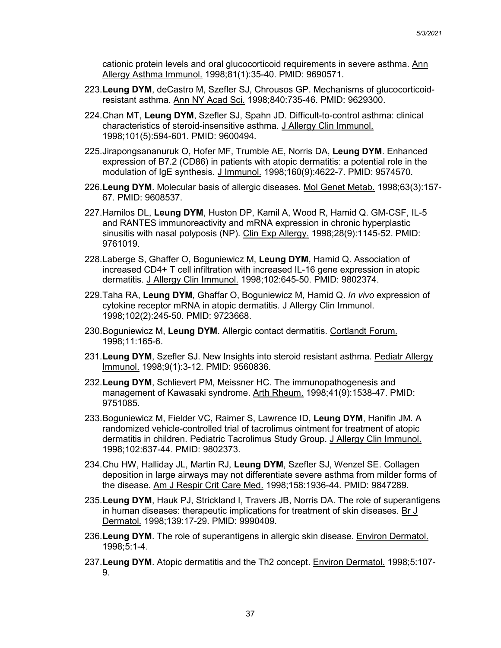cationic protein levels and oral glucocorticoid requirements in severe asthma. Ann Allergy Asthma Immunol. 1998;81(1):35-40. PMID: 9690571.

- 223.**Leung DYM**, deCastro M, Szefler SJ, Chrousos GP. Mechanisms of glucocorticoidresistant asthma. Ann NY Acad Sci. 1998;840:735-46. PMID: 9629300.
- 224.Chan MT, **Leung DYM**, Szefler SJ, Spahn JD. Difficult-to-control asthma: clinical characteristics of steroid-insensitive asthma. J Allergy Clin Immunol. 1998;101(5):594-601. PMID: 9600494.
- 225.Jirapongsananuruk O, Hofer MF, Trumble AE, Norris DA, **Leung DYM**. Enhanced expression of B7.2 (CD86) in patients with atopic dermatitis: a potential role in the modulation of IgE synthesis. J Immunol. 1998;160(9):4622-7. PMID: 9574570.
- 226.**Leung DYM**. Molecular basis of allergic diseases. Mol Genet Metab. 1998;63(3):157- 67. PMID: 9608537.
- 227.Hamilos DL, **Leung DYM**, Huston DP, Kamil A, Wood R, Hamid Q. GM-CSF, IL-5 and RANTES immunoreactivity and mRNA expression in chronic hyperplastic sinusitis with nasal polyposis (NP). Clin Exp Allergy. 1998;28(9):1145-52. PMID: 9761019.
- 228.Laberge S, Ghaffer O, Boguniewicz M, **Leung DYM**, Hamid Q. Association of increased CD4+ T cell infiltration with increased IL-16 gene expression in atopic dermatitis. J Allergy Clin Immunol. 1998;102:645-50. PMID: 9802374.
- 229.Taha RA, **Leung DYM**, Ghaffar O, Boguniewicz M, Hamid Q. *In vivo* expression of cytokine receptor mRNA in atopic dermatitis. J Allergy Clin Immunol. 1998;102(2):245-50. PMID: 9723668.
- 230.Boguniewicz M, **Leung DYM**. Allergic contact dermatitis. Cortlandt Forum. 1998;11:165-6.
- 231.**Leung DYM**, Szefler SJ. New Insights into steroid resistant asthma. Pediatr Allergy Immunol. 1998;9(1):3-12. PMID: 9560836.
- 232.**Leung DYM**, Schlievert PM, Meissner HC. The immunopathogenesis and management of Kawasaki syndrome. Arth Rheum. 1998;41(9):1538-47. PMID: 9751085.
- 233.Boguniewicz M, Fielder VC, Raimer S, Lawrence ID, **Leung DYM**, Hanifin JM. A randomized vehicle-controlled trial of tacrolimus ointment for treatment of atopic dermatitis in children. Pediatric Tacrolimus Study Group. J Allergy Clin Immunol. 1998;102:637-44. PMID: 9802373.
- 234.Chu HW, Halliday JL, Martin RJ, **Leung DYM**, Szefler SJ, Wenzel SE. Collagen deposition in large airways may not differentiate severe asthma from milder forms of the disease. Am J Respir Crit Care Med. 1998;158:1936-44. PMID: 9847289.
- 235.**Leung DYM**, Hauk PJ, Strickland I, Travers JB, Norris DA. The role of superantigens in human diseases: therapeutic implications for treatment of skin diseases. Br J Dermatol. 1998;139:17-29. PMID: 9990409.
- 236.**Leung DYM**. The role of superantigens in allergic skin disease. Environ Dermatol. 1998;5:1-4.
- 237.**Leung DYM**. Atopic dermatitis and the Th2 concept. Environ Dermatol. 1998;5:107- 9.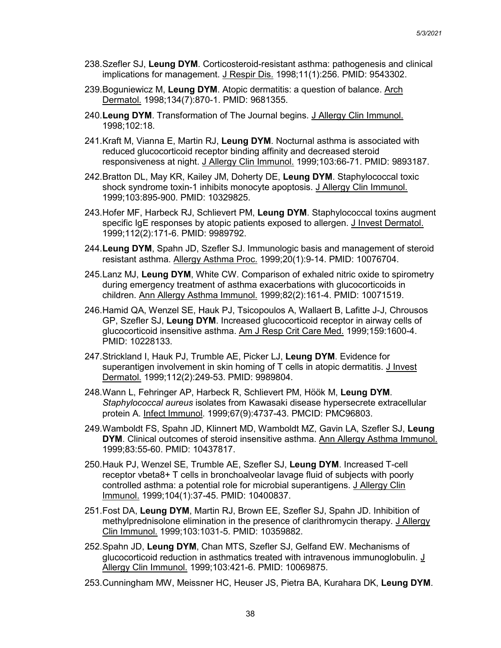- 238.Szefler SJ, **Leung DYM**. Corticosteroid-resistant asthma: pathogenesis and clinical implications for management. J Respir Dis. 1998;11(1):256. PMID: 9543302.
- 239.Boguniewicz M, **Leung DYM**. Atopic dermatitis: a question of balance. Arch Dermatol. 1998;134(7):870-1. PMID: 9681355.
- 240.**Leung DYM**. Transformation of The Journal begins. J Allergy Clin Immunol. 1998;102:18.
- 241.Kraft M, Vianna E, Martin RJ, **Leung DYM**. Nocturnal asthma is associated with reduced glucocorticoid receptor binding affinity and decreased steroid responsiveness at night. J Allergy Clin Immunol. 1999;103:66-71. PMID: 9893187.
- 242.Bratton DL, May KR, Kailey JM, Doherty DE, **Leung DYM**. Staphylococcal toxic shock syndrome toxin-1 inhibits monocyte apoptosis. J Allergy Clin Immunol. 1999;103:895-900. PMID: 10329825.
- 243.Hofer MF, Harbeck RJ, Schlievert PM, **Leung DYM**. Staphylococcal toxins augment specific IgE responses by atopic patients exposed to allergen. J Invest Dermatol. 1999;112(2):171-6. PMID: 9989792.
- 244.**Leung DYM**, Spahn JD, Szefler SJ. Immunologic basis and management of steroid resistant asthma. Allergy Asthma Proc. 1999;20(1):9-14. PMID: 10076704.
- 245.Lanz MJ, **Leung DYM**, White CW. Comparison of exhaled nitric oxide to spirometry during emergency treatment of asthma exacerbations with glucocorticoids in children. Ann Allergy Asthma Immunol. 1999;82(2):161-4. PMID: 10071519.
- 246.Hamid QA, Wenzel SE, Hauk PJ, Tsicopoulos A, Wallaert B, Lafitte J-J, Chrousos GP, Szefler SJ, **Leung DYM**. Increased glucocorticoid receptor in airway cells of glucocorticoid insensitive asthma. Am J Resp Crit Care Med. 1999;159:1600-4. PMID: 10228133.
- 247.Strickland I, Hauk PJ, Trumble AE, Picker LJ, **Leung DYM**. Evidence for superantigen involvement in skin homing of T cells in atopic dermatitis. J Invest Dermatol. 1999;112(2):249-53. PMID: 9989804.
- 248.Wann L, Fehringer AP, Harbeck R, Schlievert PM, Höök M, **Leung DYM**. *Staphylococcal aureus* isolates from Kawasaki disease hypersecrete extracellular protein A. Infect Immunol. 1999;67(9):4737-43. PMCID: PMC96803.
- 249.Wamboldt FS, Spahn JD, Klinnert MD, Wamboldt MZ, Gavin LA, Szefler SJ, **Leung DYM**. Clinical outcomes of steroid insensitive asthma. Ann Allergy Asthma Immunol. 1999;83:55-60. PMID: 10437817.
- 250.Hauk PJ, Wenzel SE, Trumble AE, Szefler SJ, **Leung DYM**. Increased T-cell receptor vbeta8+ T cells in bronchoalveolar lavage fluid of subjects with poorly controlled asthma: a potential role for microbial superantigens. J Allergy Clin Immunol. 1999;104(1):37-45. PMID: 10400837.
- 251.Fost DA, **Leung DYM**, Martin RJ, Brown EE, Szefler SJ, Spahn JD. Inhibition of methylprednisolone elimination in the presence of clarithromycin therapy. J Allergy Clin Immunol. 1999;103:1031-5. PMID: 10359882.
- 252.Spahn JD, **Leung DYM**, Chan MTS, Szefler SJ, Gelfand EW. Mechanisms of glucocorticoid reduction in asthmatics treated with intravenous immunoglobulin. J Allergy Clin Immunol. 1999;103:421-6. PMID: 10069875.
- 253.Cunningham MW, Meissner HC, Heuser JS, Pietra BA, Kurahara DK, **Leung DYM**.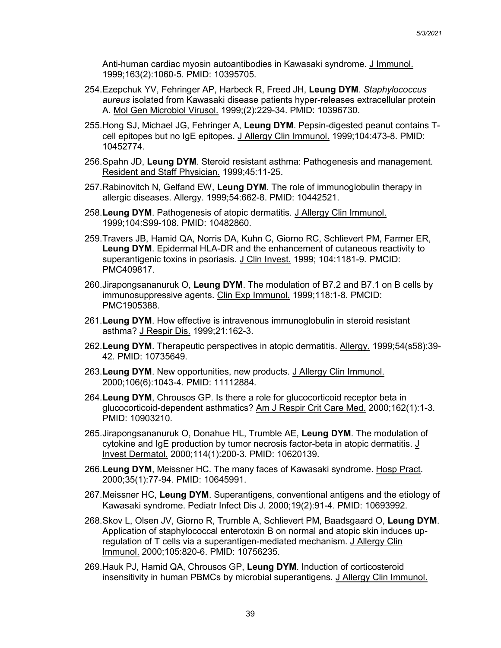Anti-human cardiac myosin autoantibodies in Kawasaki syndrome. J Immunol. 1999;163(2):1060-5. PMID: 10395705.

- 254.Ezepchuk YV, Fehringer AP, Harbeck R, Freed JH, **Leung DYM**. *Staphylococcus aureus* isolated from Kawasaki disease patients hyper-releases extracellular protein A. Mol Gen Microbiol Virusol. 1999;(2):229-34. PMID: 10396730.
- 255.Hong SJ, Michael JG, Fehringer A, **Leung DYM**. Pepsin-digested peanut contains Tcell epitopes but no IgE epitopes. J Allergy Clin Immunol. 1999;104:473-8. PMID: 10452774.
- 256.Spahn JD, **Leung DYM**. Steroid resistant asthma: Pathogenesis and management. Resident and Staff Physician. 1999;45:11-25.
- 257.Rabinovitch N, Gelfand EW, **Leung DYM**. The role of immunoglobulin therapy in allergic diseases. Allergy. 1999;54:662-8. PMID: 10442521.
- 258.**Leung DYM**. Pathogenesis of atopic dermatitis. J Allergy Clin Immunol. 1999;104:S99-108. PMID: 10482860.
- 259.Travers JB, Hamid QA, Norris DA, Kuhn C, Giorno RC, Schlievert PM, Farmer ER, **Leung DYM**. Epidermal HLA-DR and the enhancement of cutaneous reactivity to superantigenic toxins in psoriasis. J Clin Invest. 1999; 104:1181-9. PMCID: PMC409817.
- 260.Jirapongsananuruk O, **Leung DYM**. The modulation of B7.2 and B7.1 on B cells by immunosuppressive agents. Clin Exp Immunol. 1999;118:1-8. PMCID: PMC1905388.
- 261.**Leung DYM**. How effective is intravenous immunoglobulin in steroid resistant asthma? J Respir Dis. 1999;21:162-3.
- 262.**Leung DYM**. Therapeutic perspectives in atopic dermatitis. Allergy. 1999;54(s58):39- 42. PMID: 10735649.
- 263.**Leung DYM**. New opportunities, new products. J Allergy Clin Immunol. 2000;106(6):1043-4. PMID: 11112884.
- 264.**Leung DYM**, Chrousos GP. Is there a role for glucocorticoid receptor beta in glucocorticoid-dependent asthmatics? Am J Respir Crit Care Med. 2000;162(1):1-3. PMID: 10903210.
- 265.Jirapongsananuruk O, Donahue HL, Trumble AE, **Leung DYM**. The modulation of cytokine and IgE production by tumor necrosis factor-beta in atopic dermatitis. J Invest Dermatol. 2000;114(1):200-3. PMID: 10620139.
- 266.**Leung DYM**, Meissner HC. The many faces of Kawasaki syndrome. Hosp Pract. 2000;35(1):77-94. PMID: 10645991.
- 267.Meissner HC, **Leung DYM**. Superantigens, conventional antigens and the etiology of Kawasaki syndrome. Pediatr Infect Dis J. 2000;19(2):91-4. PMID: 10693992.
- 268.Skov L, Olsen JV, Giorno R, Trumble A, Schlievert PM, Baadsgaard O, **Leung DYM**. Application of staphylococcal enterotoxin B on normal and atopic skin induces upregulation of T cells via a superantigen-mediated mechanism. J Allergy Clin Immunol. 2000;105:820-6. PMID: 10756235.
- 269.Hauk PJ, Hamid QA, Chrousos GP, **Leung DYM**. Induction of corticosteroid insensitivity in human PBMCs by microbial superantigens. J Allergy Clin Immunol.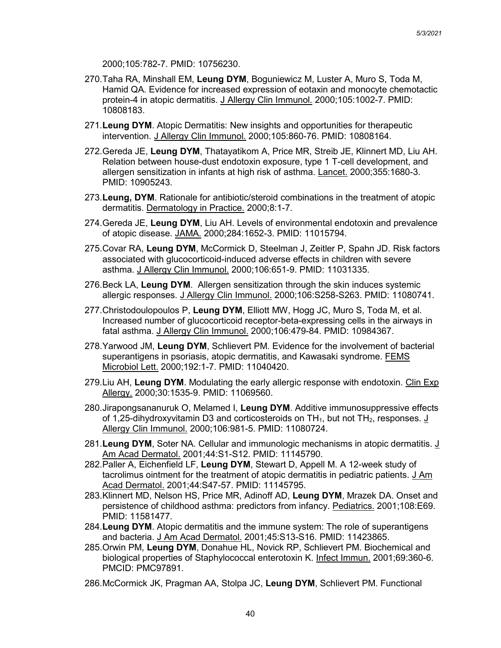2000;105:782-7. PMID: 10756230.

- 270.Taha RA, Minshall EM, **Leung DYM**, Boguniewicz M, Luster A, Muro S, Toda M, Hamid QA. Evidence for increased expression of eotaxin and monocyte chemotactic protein-4 in atopic dermatitis. J Allergy Clin Immunol. 2000;105:1002-7. PMID: 10808183.
- 271.**Leung DYM**. Atopic Dermatitis: New insights and opportunities for therapeutic intervention. J Allergy Clin Immunol. 2000;105:860-76. PMID: 10808164.
- 272.Gereda JE, **Leung DYM**, Thatayatikom A, Price MR, Streib JE, Klinnert MD, Liu AH. Relation between house-dust endotoxin exposure, type 1 T-cell development, and allergen sensitization in infants at high risk of asthma. Lancet. 2000;355:1680-3. PMID: 10905243.
- 273.**Leung, DYM**. Rationale for antibiotic/steroid combinations in the treatment of atopic dermatitis. Dermatology in Practice. 2000;8:1-7.
- 274.Gereda JE, **Leung DYM**, Liu AH. Levels of environmental endotoxin and prevalence of atopic disease. JAMA. 2000;284:1652-3. PMID: 11015794.
- 275.Covar RA, **Leung DYM**, McCormick D, Steelman J, Zeitler P, Spahn JD. Risk factors associated with glucocorticoid-induced adverse effects in children with severe asthma. J Allergy Clin Immunol. 2000;106:651-9. PMID: 11031335.
- 276.Beck LA, **Leung DYM**. Allergen sensitization through the skin induces systemic allergic responses. J Allergy Clin Immunol. 2000;106:S258-S263. PMID: 11080741.
- 277.Christodoulopoulos P, **Leung DYM**, Elliott MW, Hogg JC, Muro S, Toda M, et al. Increased number of glucocorticoid receptor-beta-expressing cells in the airways in fatal asthma. J Allergy Clin Immunol. 2000;106:479-84. PMID: 10984367.
- 278.Yarwood JM, **Leung DYM**, Schlievert PM. Evidence for the involvement of bacterial superantigens in psoriasis, atopic dermatitis, and Kawasaki syndrome. FEMS Microbiol Lett. 2000;192:1-7. PMID: 11040420.
- 279.Liu AH, **Leung DYM**. Modulating the early allergic response with endotoxin. Clin Exp Allergy. 2000;30:1535-9. PMID: 11069560.
- 280.Jirapongsananuruk O, Melamed I, **Leung DYM**. Additive immunosuppressive effects of 1,25-dihydroxyvitamin D3 and corticosteroids on  $TH_1$ , but not  $TH_2$ , responses. J Allergy Clin Immunol. 2000;106:981-5. PMID: 11080724.
- 281.**Leung DYM**, Soter NA. Cellular and immunologic mechanisms in atopic dermatitis. J Am Acad Dermatol. 2001;44:S1-S12. PMID: 11145790.
- 282.Paller A, Eichenfield LF, **Leung DYM**, Stewart D, Appell M. A 12-week study of tacrolimus ointment for the treatment of atopic dermatitis in pediatric patients. J Am Acad Dermatol. 2001;44:S47-57. PMID: 11145795.
- 283.Klinnert MD, Nelson HS, Price MR, Adinoff AD, **Leung DYM**, Mrazek DA. Onset and persistence of childhood asthma: predictors from infancy. Pediatrics. 2001;108:E69. PMID: 11581477.
- 284.**Leung DYM**. Atopic dermatitis and the immune system: The role of superantigens and bacteria. J Am Acad Dermatol. 2001;45:S13-S16. PMID: 11423865.
- 285.Orwin PM, **Leung DYM**, Donahue HL, Novick RP, Schlievert PM. Biochemical and biological properties of Staphylococcal enterotoxin K. Infect Immun. 2001;69:360-6. PMCID: PMC97891.
- 286.McCormick JK, Pragman AA, Stolpa JC, **Leung DYM**, Schlievert PM. Functional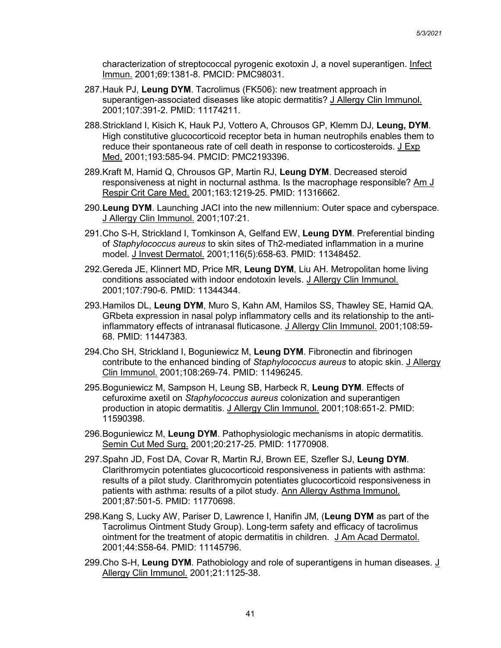characterization of streptococcal pyrogenic exotoxin J, a novel superantigen. Infect Immun. 2001;69:1381-8. PMCID: PMC98031.

- 287.Hauk PJ, **Leung DYM**. Tacrolimus (FK506): new treatment approach in superantigen-associated diseases like atopic dermatitis? J Allergy Clin Immunol. 2001;107:391-2. PMID: 11174211.
- 288.Strickland I, Kisich K, Hauk PJ, Vottero A, Chrousos GP, Klemm DJ, **Leung, DYM**. High constitutive glucocorticoid receptor beta in human neutrophils enables them to reduce their spontaneous rate of cell death in response to corticosteroids. J Exp Med. 2001;193:585-94. PMCID: PMC2193396.
- 289.Kraft M, Hamid Q, Chrousos GP, Martin RJ, **Leung DYM**. Decreased steroid responsiveness at night in nocturnal asthma. Is the macrophage responsible? Am J Respir Crit Care Med. 2001;163:1219-25. PMID: 11316662.
- 290.**Leung DYM**. Launching JACI into the new millennium: Outer space and cyberspace. J Allergy Clin Immunol. 2001;107:21.
- 291.Cho S-H, Strickland I, Tomkinson A, Gelfand EW, **Leung DYM**. Preferential binding of *Staphylococcus aureus* to skin sites of Th2-mediated inflammation in a murine model. J Invest Dermatol. 2001;116(5):658-63. PMID: 11348452.
- 292.Gereda JE, Klinnert MD, Price MR, **Leung DYM**, Liu AH. Metropolitan home living conditions associated with indoor endotoxin levels. J Allergy Clin Immunol. 2001;107:790-6. PMID: 11344344.
- 293.Hamilos DL, **Leung DYM**, Muro S, Kahn AM, Hamilos SS, Thawley SE, Hamid QA. GRbeta expression in nasal polyp inflammatory cells and its relationship to the antiinflammatory effects of intranasal fluticasone. J Allergy Clin Immunol. 2001;108:59- 68. PMID: 11447383.
- 294.Cho SH, Strickland I, Boguniewicz M, **Leung DYM**. Fibronectin and fibrinogen contribute to the enhanced binding of *Staphylococcus aureus* to atopic skin. J Allergy Clin Immunol. 2001;108:269-74. PMID: 11496245.
- 295.Boguniewicz M, Sampson H, Leung SB, Harbeck R, **Leung DYM**. Effects of cefuroxime axetil on *Staphylococcus aureus* colonization and superantigen production in atopic dermatitis. J Allergy Clin Immunol. 2001;108:651-2. PMID: 11590398.
- 296.Boguniewicz M, **Leung DYM**. Pathophysiologic mechanisms in atopic dermatitis. Semin Cut Med Surg. 2001;20:217-25. PMID: 11770908.
- 297.Spahn JD, Fost DA, Covar R, Martin RJ, Brown EE, Szefler SJ, **Leung DYM**. Clarithromycin potentiates glucocorticoid responsiveness in patients with asthma: results of a pilot study. Clarithromycin potentiates glucocorticoid responsiveness in patients with asthma: results of a pilot study. Ann Allergy Asthma Immunol. 2001;87:501-5. PMID: 11770698.
- 298.Kang S, Lucky AW, Pariser D, Lawrence I, Hanifin JM, (**Leung DYM** as part of the Tacrolimus Ointment Study Group). Long-term safety and efficacy of tacrolimus ointment for the treatment of atopic dermatitis in children. J Am Acad Dermatol. 2001;44:S58-64. PMID: 11145796.
- 299. Cho S-H, Leung DYM. Pathobiology and role of superantigens in human diseases. J Allergy Clin Immunol. 2001;21:1125-38.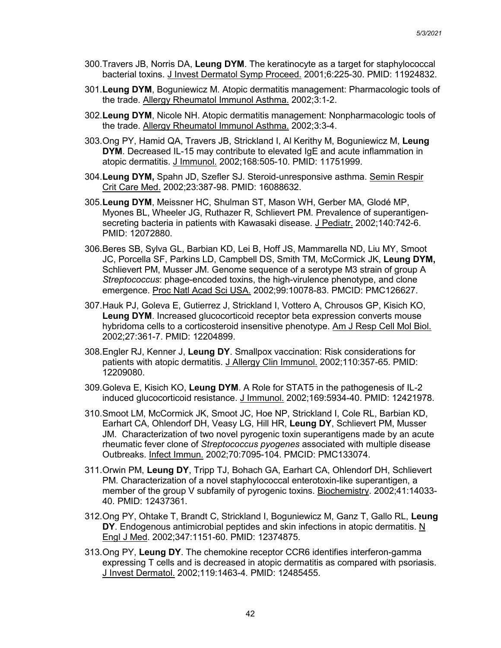- 300.Travers JB, Norris DA, **Leung DYM**. The keratinocyte as a target for staphylococcal bacterial toxins. J Invest Dermatol Symp Proceed. 2001;6:225-30. PMID: 11924832.
- 301.**Leung DYM**, Boguniewicz M. Atopic dermatitis management: Pharmacologic tools of the trade. Allergy Rheumatol Immunol Asthma. 2002;3:1-2.
- 302.**Leung DYM**, Nicole NH. Atopic dermatitis management: Nonpharmacologic tools of the trade. Allergy Rheumatol Immunol Asthma. 2002;3:3-4.
- 303.Ong PY, Hamid QA, Travers JB, Strickland I, Al Kerithy M, Boguniewicz M, **Leung DYM**. Decreased IL-15 may contribute to elevated IgE and acute inflammation in atopic dermatitis. J Immunol. 2002;168:505-10. PMID: 11751999.
- 304.**Leung DYM,** Spahn JD, Szefler SJ. Steroid-unresponsive asthma. Semin Respir Crit Care Med. 2002;23:387-98. PMID: 16088632.
- 305.**Leung DYM**, Meissner HC, Shulman ST, Mason WH, Gerber MA, Glodé MP, Myones BL, Wheeler JG, Ruthazer R, Schlievert PM. Prevalence of superantigensecreting bacteria in patients with Kawasaki disease. J Pediatr. 2002;140:742-6. PMID: 12072880.
- 306.Beres SB, Sylva GL, Barbian KD, Lei B, Hoff JS, Mammarella ND, Liu MY, Smoot JC, Porcella SF, Parkins LD, Campbell DS, Smith TM, McCormick JK, **Leung DYM,** Schlievert PM, Musser JM. Genome sequence of a serotype M3 strain of group A *Streptococcus*: phage-encoded toxins, the high-virulence phenotype, and clone emergence. Proc Natl Acad Sci USA. 2002;99:10078-83. PMCID: PMC126627.
- 307.Hauk PJ, Goleva E, Gutierrez J, Strickland I, Vottero A, Chrousos GP, Kisich KO, **Leung DYM**. Increased glucocorticoid receptor beta expression converts mouse hybridoma cells to a corticosteroid insensitive phenotype. Am J Resp Cell Mol Biol. 2002;27:361-7. PMID: 12204899.
- 308.Engler RJ, Kenner J, **Leung DY**. Smallpox vaccination: Risk considerations for patients with atopic dermatitis. J Allergy Clin Immunol. 2002;110:357-65. PMID: 12209080.
- 309.Goleva E, Kisich KO, **Leung DYM**. A Role for STAT5 in the pathogenesis of IL-2 induced glucocorticoid resistance. J Immunol. 2002;169:5934-40. PMID: 12421978.
- 310.Smoot LM, McCormick JK, Smoot JC, Hoe NP, Strickland I, Cole RL, Barbian KD, Earhart CA, Ohlendorf DH, Veasy LG, Hill HR, **Leung DY**, Schlievert PM, Musser JM. Characterization of two novel pyrogenic toxin superantigens made by an acute rheumatic fever clone of *Streptococcus pyogenes* associated with multiple disease Outbreaks. Infect Immun. 2002;70:7095-104. PMCID: PMC133074.
- 311.Orwin PM, **Leung DY**, Tripp TJ, Bohach GA, Earhart CA, Ohlendorf DH, Schlievert PM. Characterization of a novel staphylococcal enterotoxin-like superantigen, a member of the group V subfamily of pyrogenic toxins. Biochemistry. 2002;41:14033- 40. PMID: 12437361.
- 312.Ong PY, Ohtake T, Brandt C, Strickland I, Boguniewicz M, Ganz T, Gallo RL, **Leung DY**. Endogenous antimicrobial peptides and skin infections in atopic dermatitis. N Engl J Med. 2002;347:1151-60. PMID: 12374875.
- 313.Ong PY, **Leung DY**. The chemokine receptor CCR6 identifies interferon-gamma expressing T cells and is decreased in atopic dermatitis as compared with psoriasis. J Invest Dermatol. 2002;119:1463-4. PMID: 12485455.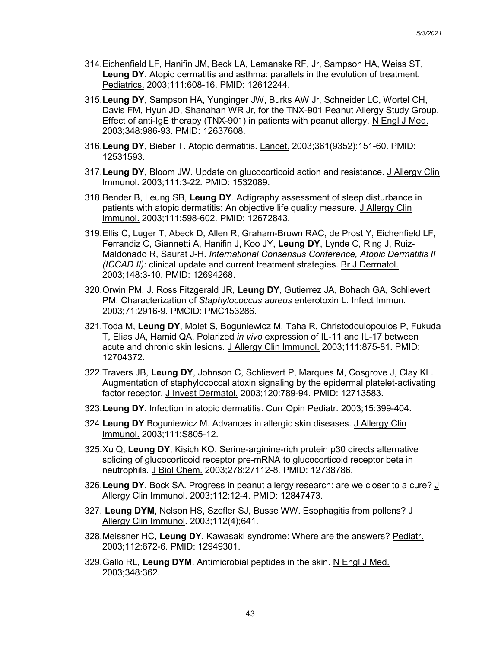- 314.Eichenfield LF, Hanifin JM, Beck LA, Lemanske RF, Jr, Sampson HA, Weiss ST, **Leung DY**. Atopic dermatitis and asthma: parallels in the evolution of treatment. Pediatrics. 2003;111:608-16. PMID: 12612244.
- 315.**Leung DY**, Sampson HA, Yunginger JW, Burks AW Jr, Schneider LC, Wortel CH, Davis FM, Hyun JD, Shanahan WR Jr, for the TNX-901 Peanut Allergy Study Group. Effect of anti-IgE therapy (TNX-901) in patients with peanut allergy. N Engl J Med. 2003;348:986-93. PMID: 12637608.
- 316.**Leung DY**, Bieber T. Atopic dermatitis. Lancet. 2003;361(9352):151-60. PMID: 12531593.
- 317.**Leung DY**, Bloom JW. Update on glucocorticoid action and resistance. J Allergy Clin Immunol. 2003;111:3-22. PMID: 1532089.
- 318.Bender B, Leung SB, **Leung DY**. Actigraphy assessment of sleep disturbance in patients with atopic dermatitis: An objective life quality measure. J Allergy Clin Immunol. 2003;111:598-602. PMID: 12672843.
- 319.Ellis C, Luger T, Abeck D, Allen R, Graham-Brown RAC, de Prost Y, Eichenfield LF, Ferrandiz C, Giannetti A, Hanifin J, Koo JY, **Leung DY**, Lynde C, Ring J, Ruiz-Maldonado R, Saurat J-H. *International Consensus Conference, Atopic Dermatitis II (ICCAD II):* clinical update and current treatment strategies. Br J Dermatol. 2003;148:3-10. PMID: 12694268.
- 320.Orwin PM, J. Ross Fitzgerald JR, **Leung DY**, Gutierrez JA, Bohach GA, Schlievert PM. Characterization of *Staphylococcus aureus* enterotoxin L. Infect Immun. 2003;71:2916-9. PMCID: PMC153286.
- 321.Toda M, **Leung DY**, Molet S, Boguniewicz M, Taha R, Christodoulopoulos P, Fukuda T, Elias JA, Hamid QA. Polarized *in vivo* expression of IL-11 and IL-17 between acute and chronic skin lesions. J Allergy Clin Immunol. 2003;111:875-81. PMID: 12704372.
- 322.Travers JB, **Leung DY**, Johnson C, Schlievert P, Marques M, Cosgrove J, Clay KL. Augmentation of staphylococcal atoxin signaling by the epidermal platelet-activating factor receptor. J Invest Dermatol. 2003;120:789-94. PMID: 12713583.
- 323.**Leung DY**. Infection in atopic dermatitis. Curr Opin Pediatr. 2003;15:399-404.
- 324.**Leung DY** Boguniewicz M. Advances in allergic skin diseases. J Allergy Clin Immunol. 2003;111:S805-12.
- 325.Xu Q, **Leung DY**, Kisich KO. Serine-arginine-rich protein p30 directs alternative splicing of glucocorticoid receptor pre-mRNA to glucocorticoid receptor beta in neutrophils. J Biol Chem. 2003;278:27112-8. PMID: 12738786.
- 326.**Leung DY**, Bock SA. Progress in peanut allergy research: are we closer to a cure? J Allergy Clin Immunol. 2003;112:12-4. PMID: 12847473.
- 327. **Leung DYM**, Nelson HS, Szefler SJ, Busse WW. Esophagitis from pollens? J Allergy Clin Immunol. 2003;112(4);641.
- 328.Meissner HC, **Leung DY**. Kawasaki syndrome: Where are the answers? Pediatr. 2003;112:672-6. PMID: 12949301.
- 329.Gallo RL, **Leung DYM**. Antimicrobial peptides in the skin. N Engl J Med. 2003;348:362.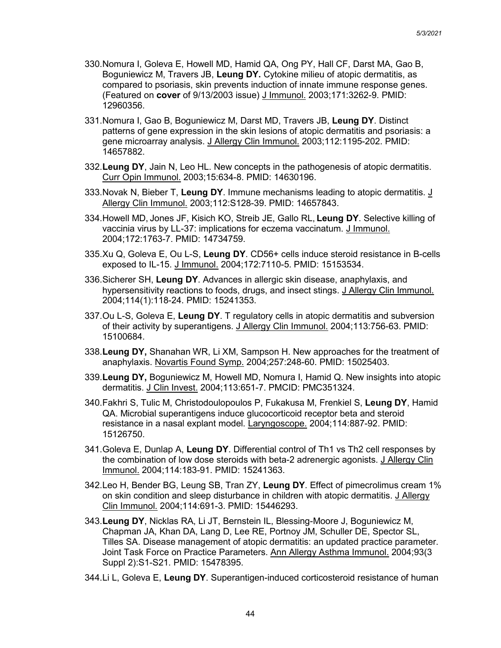- 330.Nomura I, Goleva E, Howell MD, Hamid QA, Ong PY, Hall CF, Darst MA, Gao B, Boguniewicz M, Travers JB, **Leung DY.** Cytokine milieu of atopic dermatitis, as compared to psoriasis, skin prevents induction of innate immune response genes. (Featured on **cover** of 9/13/2003 issue) J Immunol. 2003;171:3262-9. PMID: 12960356.
- 331.Nomura I, Gao B, Boguniewicz M, Darst MD, Travers JB, **Leung DY**. Distinct patterns of gene expression in the skin lesions of atopic dermatitis and psoriasis: a gene microarray analysis. J Allergy Clin Immunol. 2003;112:1195-202. PMID: 14657882.
- 332.**Leung DY**, Jain N, Leo HL. New concepts in the pathogenesis of atopic dermatitis. Curr Opin Immunol. 2003;15:634-8. PMID: 14630196.
- 333.Novak N, Bieber T, **Leung DY**. Immune mechanisms leading to atopic dermatitis. J Allergy Clin Immunol. 2003;112:S128-39. PMID: 14657843.
- 334.Howell MD, Jones JF, Kisich KO, Streib JE, Gallo RL, **Leung DY**. Selective killing of vaccinia virus by LL-37: implications for eczema vaccinatum. J Immunol. 2004;172:1763-7. PMID: 14734759.
- 335.Xu Q, Goleva E, Ou L-S, **Leung DY**. CD56+ cells induce steroid resistance in B-cells exposed to IL-15. J Immunol. 2004;172:7110-5. PMID: 15153534.
- 336.Sicherer SH, **Leung DY**. Advances in allergic skin disease, anaphylaxis, and hypersensitivity reactions to foods, drugs, and insect stings. J Allergy Clin Immunol. 2004;114(1):118-24. PMID: 15241353.
- 337.Ou L-S, Goleva E, **Leung DY**. T regulatory cells in atopic dermatitis and subversion of their activity by superantigens. J Allergy Clin Immunol. 2004;113:756-63. PMID: 15100684.
- 338.**Leung DY,** Shanahan WR, Li XM, Sampson H. New approaches for the treatment of anaphylaxis. Novartis Found Symp. 2004;257:248-60. PMID: 15025403.
- 339.**Leung DY,** Boguniewicz M, Howell MD, Nomura I, Hamid Q. New insights into atopic dermatitis. J Clin Invest. 2004;113:651-7. PMCID: PMC351324.
- 340.Fakhri S, Tulic M, Christodoulopoulos P, Fukakusa M, Frenkiel S, **Leung DY**, Hamid QA. Microbial superantigens induce glucocorticoid receptor beta and steroid resistance in a nasal explant model. Laryngoscope. 2004;114:887-92. PMID: 15126750.
- 341.Goleva E, Dunlap A, **Leung DY**. Differential control of Th1 vs Th2 cell responses by the combination of low dose steroids with beta-2 adrenergic agonists. J Allergy Clin Immunol. 2004;114:183-91. PMID: 15241363.
- 342.Leo H, Bender BG, Leung SB, Tran ZY, **Leung DY**. Effect of pimecrolimus cream 1% on skin condition and sleep disturbance in children with atopic dermatitis. J Allergy Clin Immunol. 2004;114:691-3. PMID: 15446293.
- 343.**Leung DY**, Nicklas RA, Li JT, Bernstein IL, Blessing-Moore J, Boguniewicz M, Chapman JA, Khan DA, Lang D, Lee RE, Portnoy JM, Schuller DE, Spector SL, Tilles SA. Disease management of atopic dermatitis: an updated practice parameter. Joint Task Force on Practice Parameters. Ann Allergy Asthma Immunol. 2004;93(3 Suppl 2):S1-S21. PMID: 15478395.
- 344.Li L, Goleva E, **Leung DY**. Superantigen-induced corticosteroid resistance of human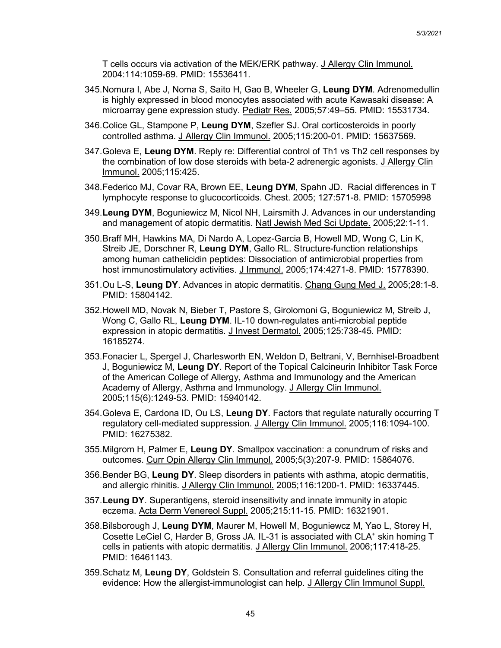T cells occurs via activation of the MEK/ERK pathway. J Allergy Clin Immunol. 2004:114:1059-69. PMID: 15536411.

- 345.Nomura I, Abe J, Noma S, Saito H, Gao B, Wheeler G, **Leung DYM**. Adrenomedullin is highly expressed in blood monocytes associated with acute Kawasaki disease: A microarray gene expression study. Pediatr Res. 2005;57:49–55. PMID: 15531734.
- 346.Colice GL, Stampone P, **Leung DYM**, Szefler SJ. Oral corticosteroids in poorly controlled asthma. J Allergy Clin Immunol. 2005;115:200-01. PMID: 15637569.
- 347.Goleva E, **Leung DYM**. Reply re: Differential control of Th1 vs Th2 cell responses by the combination of low dose steroids with beta-2 adrenergic agonists. J Allergy Clin Immunol. 2005;115:425.
- 348.Federico MJ, Covar RA, Brown EE, **Leung DYM**, Spahn JD. Racial differences in T lymphocyte response to glucocorticoids. Chest. 2005; 127:571-8. PMID: 15705998
- 349.**Leung DYM**, Boguniewicz M, Nicol NH, Lairsmith J. Advances in our understanding and management of atopic dermatitis. Natl Jewish Med Sci Update. 2005;22:1-11.
- 350.Braff MH, Hawkins MA, Di Nardo A, Lopez-Garcia B, Howell MD, Wong C, Lin K, Streib JE, Dorschner R, **Leung DYM**, Gallo RL. Structure-function relationships among human cathelicidin peptides: Dissociation of antimicrobial properties from host immunostimulatory activities. J Immunol. 2005;174:4271-8. PMID: 15778390.
- 351.Ou L-S, **Leung DY**. Advances in atopic dermatitis. Chang Gung Med J. 2005;28:1-8. PMID: 15804142.
- 352.Howell MD, Novak N, Bieber T, Pastore S, Girolomoni G, Boguniewicz M, Streib J, Wong C, Gallo RL, **Leung DYM**. IL-10 down-regulates anti-microbial peptide expression in atopic dermatitis. J Invest Dermatol. 2005;125:738-45. PMID: 16185274.
- 353.Fonacier L, Spergel J, Charlesworth EN, Weldon D, Beltrani, V, Bernhisel-Broadbent J, Boguniewicz M, **Leung DY**. Report of the Topical Calcineurin Inhibitor Task Force of the American College of Allergy, Asthma and Immunology and the American Academy of Allergy, Asthma and Immunology. J Allergy Clin Immunol. 2005;115(6):1249-53. PMID: 15940142.
- 354.Goleva E, Cardona ID, Ou LS, **Leung DY**. Factors that regulate naturally occurring T regulatory cell-mediated suppression. J Allergy Clin Immunol. 2005;116:1094-100. PMID: 16275382.
- 355.Milgrom H, Palmer E, **Leung DY**. Smallpox vaccination: a conundrum of risks and outcomes. Curr Opin Allergy Clin Immunol. 2005;5(3):207-9. PMID: 15864076.
- 356.Bender BG, **Leung DY**. Sleep disorders in patients with asthma, atopic dermatitis, and allergic rhinitis. J Allergy Clin Immunol. 2005;116:1200-1. PMID: 16337445.
- 357.**Leung DY**. Superantigens, steroid insensitivity and innate immunity in atopic eczema. Acta Derm Venereol Suppl. 2005;215:11-15. PMID: 16321901.
- 358.Bilsborough J, **Leung DYM**, Maurer M, Howell M, Boguniewcz M, Yao L, Storey H, Cosette LeCiel C, Harder B, Gross JA. IL-31 is associated with CLA<sup>+</sup> skin homing T cells in patients with atopic dermatitis. J Allergy Clin Immunol. 2006;117:418-25. PMID: 16461143.
- 359.Schatz M, **Leung DY**, Goldstein S. Consultation and referral guidelines citing the evidence: How the allergist-immunologist can help. J Allergy Clin Immunol Suppl.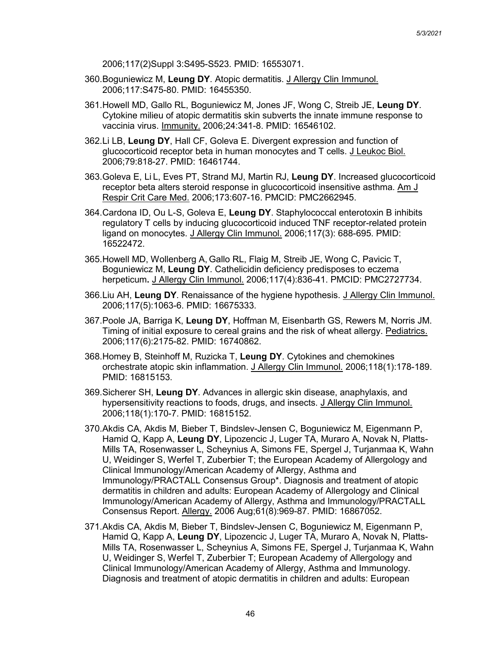2006;117(2)Suppl 3:S495-S523. PMID: 16553071.

- 360.Boguniewicz M, **Leung DY**. Atopic dermatitis. J Allergy Clin Immunol. 2006;117:S475-80. PMID: 16455350.
- 361.Howell MD, Gallo RL, Boguniewicz M, Jones JF, Wong C, Streib JE, **Leung DY**. Cytokine milieu of atopic dermatitis skin subverts the innate immune response to vaccinia virus. Immunity. 2006;24:341-8. PMID: 16546102.
- 362.Li LB, **Leung DY**, Hall CF, Goleva E. Divergent expression and function of glucocorticoid receptor beta in human monocytes and T cells. J Leukoc Biol. 2006;79:818-27. PMID: 16461744.
- 363.Goleva E, Li L, Eves PT, Strand MJ, Martin RJ, **Leung DY**. Increased glucocorticoid receptor beta alters steroid response in glucocorticoid insensitive asthma. Am J Respir Crit Care Med. 2006;173:607-16. PMCID: PMC2662945.
- 364.Cardona ID, Ou L-S, Goleva E, **Leung DY**. Staphylococcal enterotoxin B inhibits regulatory T cells by inducing glucocorticoid induced TNF receptor-related protein ligand on monocytes. J Allergy Clin Immunol. 2006;117(3): 688-695. PMID: 16522472.
- 365.Howell MD, Wollenberg A, Gallo RL, Flaig M, Streib JE, Wong C, Pavicic T, Boguniewicz M, **Leung DY**. Cathelicidin deficiency predisposes to eczema herpeticum**.** J Allergy Clin Immunol. 2006;117(4):836-41. PMCID: PMC2727734.
- 366.Liu AH, **Leung DY**. Renaissance of the hygiene hypothesis. J Allergy Clin Immunol. 2006;117(5):1063-6. PMID: 16675333.
- 367.Poole JA, Barriga K, **Leung DY**, Hoffman M, Eisenbarth GS, Rewers M, Norris JM. Timing of initial exposure to cereal grains and the risk of wheat allergy. Pediatrics. 2006;117(6):2175-82. PMID: 16740862.
- 368.Homey B, Steinhoff M, Ruzicka T, **Leung DY**. Cytokines and chemokines orchestrate atopic skin inflammation. J Allergy Clin Immunol. 2006;118(1):178-189. PMID: 16815153.
- 369.Sicherer SH, **Leung DY**. Advances in allergic skin disease, anaphylaxis, and hypersensitivity reactions to foods, drugs, and insects. J Allergy Clin Immunol. 2006;118(1):170-7. PMID: 16815152.
- 370.Akdis CA, Akdis M, Bieber T, Bindslev-Jensen C, Boguniewicz M, Eigenmann P, Hamid Q, Kapp A, **Leung DY**, Lipozencic J, Luger TA, Muraro A, Novak N, Platts-Mills TA, Rosenwasser L, Scheynius A, Simons FE, Spergel J, Turjanmaa K, Wahn U, Weidinger S, Werfel T, Zuberbier T; the European Academy of Allergology and Clinical Immunology/American Academy of Allergy, Asthma and Immunology/PRACTALL Consensus Group\*. Diagnosis and treatment of atopic dermatitis in children and adults: European Academy of Allergology and Clinical Immunology/American Academy of Allergy, Asthma and Immunology/PRACTALL Consensus Report. Allergy. 2006 Aug;61(8):969-87. PMID: 16867052.
- 371.Akdis CA, Akdis M, Bieber T, Bindslev-Jensen C, Boguniewicz M, Eigenmann P, Hamid Q, Kapp A, **Leung DY**, Lipozencic J, Luger TA, Muraro A, Novak N, Platts-Mills TA, Rosenwasser L, Scheynius A, Simons FE, Spergel J, Turjanmaa K, Wahn U, Weidinger S, Werfel T, Zuberbier T; European Academy of Allergology and Clinical Immunology/American Academy of Allergy, Asthma and Immunology. Diagnosis and treatment of atopic dermatitis in children and adults: European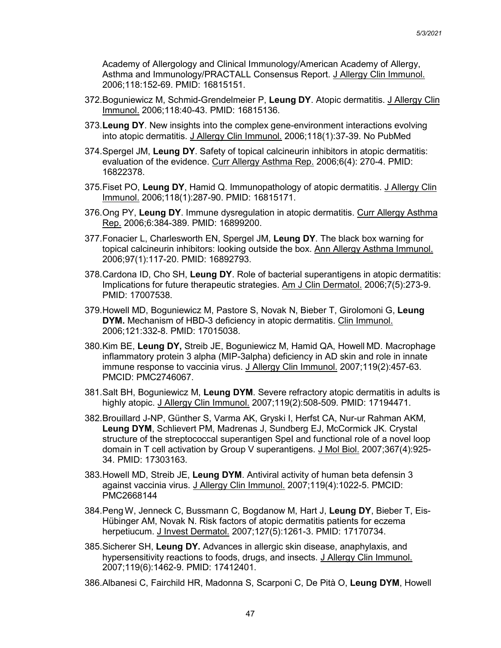Academy of Allergology and Clinical Immunology/American Academy of Allergy, Asthma and Immunology/PRACTALL Consensus Report. J Allergy Clin Immunol. 2006;118:152-69. PMID: 16815151.

- 372.Boguniewicz M, Schmid-Grendelmeier P, **Leung DY**. Atopic dermatitis. J Allergy Clin Immunol. 2006;118:40-43. PMID: 16815136.
- 373.**Leung DY**. New insights into the complex gene-environment interactions evolving into atopic dermatitis. J Allergy Clin Immunol. 2006;118(1):37-39. No PubMed
- 374.Spergel JM, **Leung DY**. Safety of topical calcineurin inhibitors in atopic dermatitis: evaluation of the evidence. Curr Allergy Asthma Rep. 2006;6(4): 270-4. PMID: 16822378.
- 375.Fiset PO, **Leung DY**, Hamid Q. Immunopathology of atopic dermatitis. J Allergy Clin Immunol. 2006;118(1):287-90. PMID: 16815171.
- 376.Ong PY, **Leung DY**. Immune dysregulation in atopic dermatitis. Curr Allergy Asthma Rep. 2006;6:384-389. PMID: 16899200.
- 377.Fonacier L, Charlesworth EN, Spergel JM, **Leung DY**. The black box warning for topical calcineurin inhibitors: looking outside the box. Ann Allergy Asthma Immunol. 2006;97(1):117-20. PMID: 16892793.
- 378.Cardona ID, Cho SH, **Leung DY**. Role of bacterial superantigens in atopic dermatitis: Implications for future therapeutic strategies. Am J Clin Dermatol. 2006;7(5):273-9. PMID: 17007538.
- 379.Howell MD, Boguniewicz M, Pastore S, Novak N, Bieber T, Girolomoni G, **Leung DYM.** Mechanism of HBD-3 deficiency in atopic dermatitis. Clin Immunol. 2006;121:332-8. PMID: 17015038.
- 380.Kim BE, **Leung DY,** Streib JE, Boguniewicz M, Hamid QA, Howell MD. Macrophage inflammatory protein 3 alpha (MIP-3alpha) deficiency in AD skin and role in innate immune response to vaccinia virus. J Allergy Clin Immunol. 2007;119(2):457-63. PMCID: PMC2746067.
- 381.Salt BH, Boguniewicz M, **Leung DYM**. Severe refractory atopic dermatitis in adults is highly atopic. J Allergy Clin Immunol. 2007;119(2):508-509. PMID: 17194471.
- 382.Brouillard J-NP, Günther S, Varma AK, Gryski I, Herfst CA, Nur-ur Rahman AKM, **Leung DYM**, Schlievert PM, Madrenas J, Sundberg EJ, McCormick JK. Crystal structure of the streptococcal superantigen SpeI and functional role of a novel loop domain in T cell activation by Group V superantigens. J Mol Biol. 2007;367(4):925- 34. PMID: 17303163.
- 383.Howell MD, Streib JE, **Leung DYM**. Antiviral activity of human beta defensin 3 against vaccinia virus. J Allergy Clin Immunol. 2007;119(4):1022-5. PMCID: PMC2668144
- 384.Peng W, Jenneck C, Bussmann C, Bogdanow M, Hart J, **Leung DY**, Bieber T, Eis-Hübinger AM, Novak N. Risk factors of atopic dermatitis patients for eczema herpetiucum. J Invest Dermatol. 2007;127(5):1261-3. PMID: 17170734.
- 385.Sicherer SH, **Leung DY.** Advances in allergic skin disease, anaphylaxis, and hypersensitivity reactions to foods, drugs, and insects. J Allergy Clin Immunol. 2007;119(6):1462-9. PMID: 17412401.
- 386.Albanesi C, Fairchild HR, Madonna S, Scarponi C, De Pità O, **Leung DYM**, Howell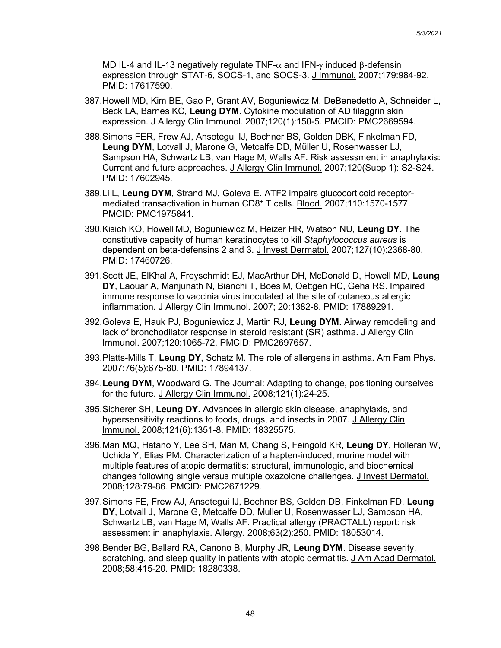MD IL-4 and IL-13 negatively regulate TNF- $\alpha$  and IFN- $\gamma$  induced β-defensin expression through STAT-6, SOCS-1, and SOCS-3. J Immunol. 2007;179:984-92. PMID: 17617590.

- 387.Howell MD, Kim BE, Gao P, Grant AV, Boguniewicz M, DeBenedetto A, Schneider L, Beck LA, Barnes KC, **Leung DYM**. Cytokine modulation of AD filaggrin skin expression. J Allergy Clin Immunol. 2007;120(1):150-5. PMCID: PMC2669594.
- 388.Simons FER, Frew AJ, Ansotegui IJ, Bochner BS, Golden DBK, Finkelman FD, **Leung DYM**, Lotvall J, Marone G, Metcalfe DD, Müller U, Rosenwasser LJ, Sampson HA, Schwartz LB, van Hage M, Walls AF. Risk assessment in anaphylaxis: Current and future approaches. J Allergy Clin Immunol. 2007;120(Supp 1): S2-S24. PMID: 17602945.
- 389.Li L, **Leung DYM**, Strand MJ, Goleva E. ATF2 impairs glucocorticoid receptormediated transactivation in human CD8+ T cells. Blood. 2007;110:1570-1577. PMCID: PMC1975841.
- 390.Kisich KO, Howell MD, Boguniewicz M, Heizer HR, Watson NU, **Leung DY**. The constitutive capacity of human keratinocytes to kill *Staphylococcus aureus* is dependent on beta-defensins 2 and 3. J Invest Dermatol. 2007;127(10):2368-80. PMID: 17460726.
- 391.Scott JE, ElKhal A, Freyschmidt EJ, MacArthur DH, McDonald D, Howell MD, **Leung DY**, Laouar A, Manjunath N, Bianchi T, Boes M, Oettgen HC, Geha RS. Impaired immune response to vaccinia virus inoculated at the site of cutaneous allergic inflammation. J Allergy Clin Immunol. 2007; 20:1382-8. PMID: 17889291.
- 392.Goleva E, Hauk PJ, Boguniewicz J, Martin RJ, **Leung DYM**. Airway remodeling and lack of bronchodilator response in steroid resistant (SR) asthma. J Allergy Clin Immunol. 2007;120:1065-72. PMCID: PMC2697657.
- 393.Platts-Mills T, **Leung DY**, Schatz M. The role of allergens in asthma. Am Fam Phys. 2007;76(5):675-80. PMID: 17894137.
- 394.**Leung DYM**, Woodward G. The Journal: Adapting to change, positioning ourselves for the future. J Allergy Clin Immunol. 2008;121(1):24-25.
- 395.Sicherer SH, **Leung DY**. Advances in allergic skin disease, anaphylaxis, and hypersensitivity reactions to foods, drugs, and insects in 2007. J Allergy Clin Immunol. 2008;121(6):1351-8. PMID: 18325575.
- 396.Man MQ, Hatano Y, Lee SH, Man M, Chang S, Feingold KR, **Leung DY**, Holleran W, Uchida Y, Elias PM. Characterization of a hapten-induced, murine model with multiple features of atopic dermatitis: structural, immunologic, and biochemical changes following single versus multiple oxazolone challenges. J Invest Dermatol. 2008;128:79-86. PMCID: PMC2671229.
- 397.Simons FE, Frew AJ, Ansotegui IJ, Bochner BS, Golden DB, Finkelman FD, **Leung DY**, Lotvall J, Marone G, Metcalfe DD, Muller U, Rosenwasser LJ, Sampson HA, Schwartz LB, van Hage M, Walls AF. Practical allergy (PRACTALL) report: risk assessment in anaphylaxis. Allergy. 2008;63(2):250. PMID: 18053014.
- 398.Bender BG, Ballard RA, Canono B, Murphy JR, **Leung DYM**. Disease severity, scratching, and sleep quality in patients with atopic dermatitis. J Am Acad Dermatol. 2008;58:415-20. PMID: 18280338.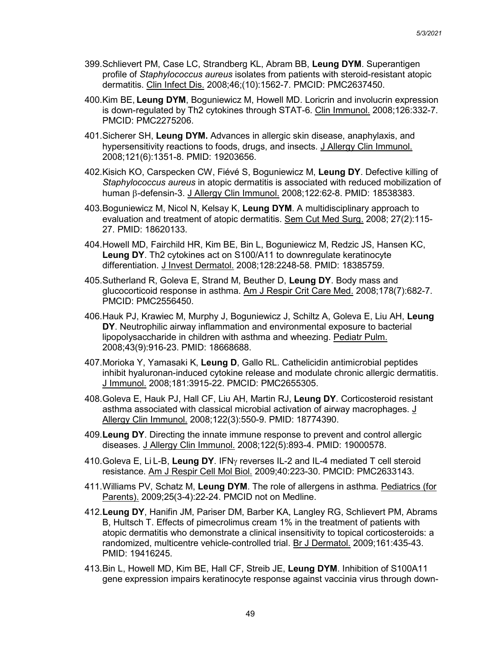- 399.Schlievert PM, Case LC, Strandberg KL, Abram BB, **Leung DYM**. Superantigen profile of *Staphylococcus aureus* isolates from patients with steroid-resistant atopic dermatitis. Clin Infect Dis. 2008;46;(10):1562-7. PMCID: PMC2637450.
- 400.Kim BE, **Leung DYM**, Boguniewicz M, Howell MD. Loricrin and involucrin expression is down-regulated by Th2 cytokines through STAT-6. Clin Immunol. 2008;126:332-7. PMCID: PMC2275206.
- 401.Sicherer SH, **Leung DYM.** Advances in allergic skin disease, anaphylaxis, and hypersensitivity reactions to foods, drugs, and insects. J Allergy Clin Immunol. 2008;121(6):1351-8. PMID: 19203656.
- 402.Kisich KO, Carspecken CW, Fiévé S, Boguniewicz M, **Leung DY**. Defective killing of *Staphylococcus aureus* in atopic dermatitis is associated with reduced mobilization of human β-defensin-3. J Allergy Clin Immunol. 2008;122:62-8. PMID: 18538383.
- 403.Boguniewicz M, Nicol N, Kelsay K, **Leung DYM**. A multidisciplinary approach to evaluation and treatment of atopic dermatitis. Sem Cut Med Surg. 2008; 27(2):115- 27. PMID: 18620133.
- 404.Howell MD, Fairchild HR, Kim BE, Bin L, Boguniewicz M, Redzic JS, Hansen KC, **Leung DY**. Th2 cytokines act on S100/A11 to downregulate keratinocyte differentiation. J Invest Dermatol. 2008;128:2248-58. PMID: 18385759.
- 405.Sutherland R, Goleva E, Strand M, Beuther D, **Leung DY**. Body mass and glucocorticoid response in asthma. Am J Respir Crit Care Med. 2008;178(7):682-7. PMCID: PMC2556450.
- 406.Hauk PJ, Krawiec M, Murphy J, Boguniewicz J, Schiltz A, Goleva E, Liu AH, **Leung DY**. Neutrophilic airway inflammation and environmental exposure to bacterial lipopolysaccharide in children with asthma and wheezing. Pediatr Pulm. 2008;43(9):916-23. PMID: 18668688.
- 407.Morioka Y, Yamasaki K, **Leung D**, Gallo RL. Cathelicidin antimicrobial peptides inhibit hyaluronan-induced cytokine release and modulate chronic allergic dermatitis. J Immunol. 2008;181:3915-22. PMCID: PMC2655305.
- 408.Goleva E, Hauk PJ, Hall CF, Liu AH, Martin RJ, **Leung DY**. Corticosteroid resistant asthma associated with classical microbial activation of airway macrophages. J Allergy Clin Immunol. 2008;122(3):550-9. PMID: 18774390.
- 409.**Leung DY**. Directing the innate immune response to prevent and control allergic diseases. J Allergy Clin Immunol. 2008;122(5):893-4. PMID: 19000578.
- 410.Goleva E, Li L-B, **Leung DY**. IFNγ reverses IL-2 and IL-4 mediated T cell steroid resistance. Am J Respir Cell Mol Biol. 2009;40:223-30. PMCID: PMC2633143.
- 411.Williams PV, Schatz M, **Leung DYM**. The role of allergens in asthma. Pediatrics (for Parents). 2009;25(3-4):22-24. PMCID not on Medline.
- 412.**Leung DY**, Hanifin JM, Pariser DM, Barber KA, Langley RG, Schlievert PM, Abrams B, Hultsch T. Effects of pimecrolimus cream 1% in the treatment of patients with atopic dermatitis who demonstrate a clinical insensitivity to topical corticosteroids: a randomized, multicentre vehicle-controlled trial. Br J Dermatol. 2009;161:435-43. PMID: 19416245.
- 413.Bin L, Howell MD, Kim BE, Hall CF, Streib JE, **Leung DYM**. Inhibition of S100A11 gene expression impairs keratinocyte response against vaccinia virus through down-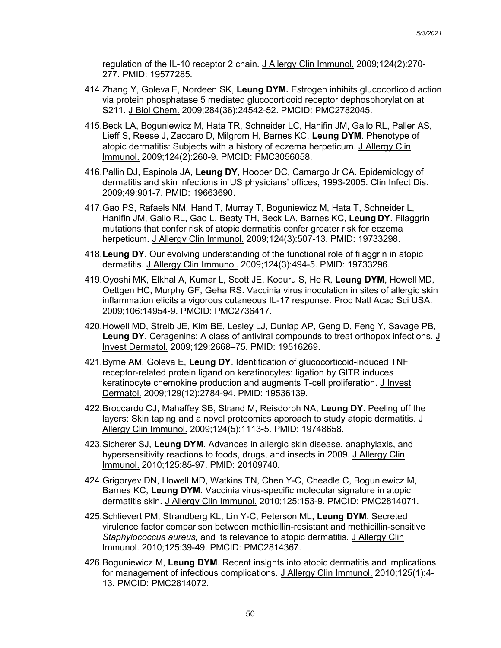regulation of the IL-10 receptor 2 chain. J Allergy Clin Immunol. 2009;124(2):270- 277. PMID: 19577285.

- 414.Zhang Y, Goleva E, Nordeen SK, **Leung DYM.** Estrogen inhibits glucocorticoid action via protein phosphatase 5 mediated glucocorticoid receptor dephosphorylation at S211. J Biol Chem. 2009;284(36):24542-52. PMCID: PMC2782045.
- 415.Beck LA, Boguniewicz M, Hata TR, Schneider LC, Hanifin JM, Gallo RL, Paller AS, Lieff S, Reese J, Zaccaro D, Milgrom H, Barnes KC, **Leung DYM**. Phenotype of atopic dermatitis: Subjects with a history of eczema herpeticum. J Allergy Clin Immunol. 2009;124(2):260-9. PMCID: PMC3056058.
- 416.Pallin DJ, Espinola JA, **Leung DY**, Hooper DC, Camargo Jr CA. Epidemiology of dermatitis and skin infections in US physicians' offices, 1993-2005. Clin Infect Dis. 2009;49:901-7. PMID: 19663690.
- 417.Gao PS, Rafaels NM, Hand T, Murray T, Boguniewicz M, Hata T, Schneider L, Hanifin JM, Gallo RL, Gao L, Beaty TH, Beck LA, Barnes KC, **Leung DY**. Filaggrin mutations that confer risk of atopic dermatitis confer greater risk for eczema herpeticum. J Allergy Clin Immunol. 2009;124(3):507-13. PMID: 19733298.
- 418.**Leung DY**. Our evolving understanding of the functional role of filaggrin in atopic dermatitis. J Allergy Clin Immunol. 2009;124(3):494-5. PMID: 19733296.
- 419.Oyoshi MK, Elkhal A, Kumar L, Scott JE, Koduru S, He R, **Leung DYM**, Howell MD, Oettgen HC, Murphy GF, Geha RS. Vaccinia virus inoculation in sites of allergic skin inflammation elicits a vigorous cutaneous IL-17 response. Proc Natl Acad Sci USA. 2009;106:14954-9. PMCID: PMC2736417.
- 420.Howell MD, Streib JE, Kim BE, Lesley LJ, Dunlap AP, Geng D, Feng Y, Savage PB, **Leung DY**. Ceragenins: A class of antiviral compounds to treat orthopox infections. J Invest Dermatol. 2009;129:2668–75. PMID: 19516269.
- 421.Byrne AM, Goleva E, **Leung DY**. Identification of glucocorticoid-induced TNF receptor-related protein ligand on keratinocytes: ligation by GITR induces keratinocyte chemokine production and augments T-cell proliferation. J Invest Dermatol. 2009;129(12):2784-94. PMID: 19536139.
- 422.Broccardo CJ, Mahaffey SB, Strand M, Reisdorph NA, **Leung DY**. Peeling off the layers: Skin taping and a novel proteomics approach to study atopic dermatitis. J Allergy Clin Immunol. 2009;124(5):1113-5. PMID: 19748658.
- 423.Sicherer SJ, **Leung DYM**. Advances in allergic skin disease, anaphylaxis, and hypersensitivity reactions to foods, drugs, and insects in 2009. J Allergy Clin Immunol. 2010;125:85-97. PMID: 20109740.
- 424.Grigoryev DN, Howell MD, Watkins TN, Chen Y-C, Cheadle C, Boguniewicz M, Barnes KC, **Leung DYM**. Vaccinia virus-specific molecular signature in atopic dermatitis skin. J Allergy Clin Immunol. 2010;125:153-9. PMCID: PMC2814071.
- 425.Schlievert PM, Strandberg KL, Lin Y-C, Peterson ML, **Leung DYM**. Secreted virulence factor comparison between methicillin-resistant and methicillin-sensitive *Staphylococcus aureus,* and its relevance to atopic dermatitis. J Allergy Clin Immunol. 2010;125:39-49. PMCID: PMC2814367.
- 426.Boguniewicz M, **Leung DYM**. Recent insights into atopic dermatitis and implications for management of infectious complications. J Allergy Clin Immunol. 2010;125(1):4- 13. PMCID: PMC2814072.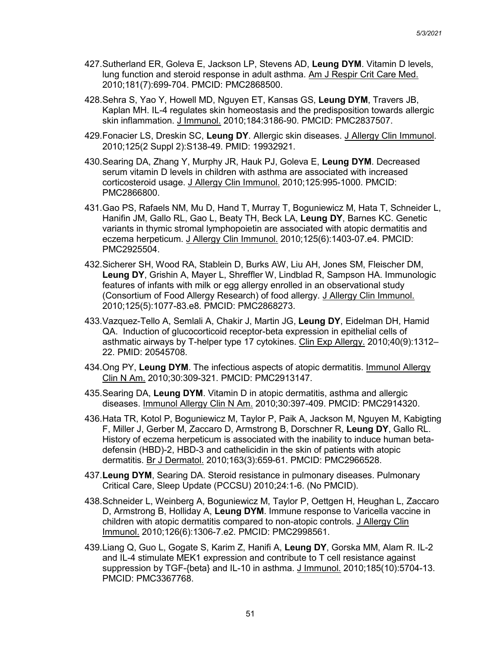- 427.Sutherland ER, Goleva E, Jackson LP, Stevens AD, **Leung DYM**. Vitamin D levels, lung function and steroid response in adult asthma. Am J Respir Crit Care Med. 2010;181(7):699-704. PMCID: PMC2868500.
- 428.Sehra S, Yao Y, Howell MD, Nguyen ET, Kansas GS, **Leung DYM**, Travers JB, Kaplan MH. IL-4 regulates skin homeostasis and the predisposition towards allergic skin inflammation. J Immunol. 2010;184:3186-90. PMCID: PMC2837507.
- 429.Fonacier LS, Dreskin SC, **Leung DY**. Allergic skin diseases. J Allergy Clin Immunol. 2010;125(2 Suppl 2):S138-49. PMID: 19932921.
- 430.Searing DA, Zhang Y, Murphy JR, Hauk PJ, Goleva E, **Leung DYM**. Decreased serum vitamin D levels in children with asthma are associated with increased corticosteroid usage. J Allergy Clin Immunol. 2010;125:995-1000. PMCID: PMC2866800.
- 431.Gao PS, Rafaels NM, Mu D, Hand T, Murray T, Boguniewicz M, Hata T, Schneider L, Hanifin JM, Gallo RL, Gao L, Beaty TH, Beck LA, **Leung DY**, Barnes KC. Genetic variants in thymic stromal lymphopoietin are associated with atopic dermatitis and eczema herpeticum. J Allergy Clin Immunol. 2010;125(6):1403-07.e4. PMCID: PMC2925504.
- 432.Sicherer SH, Wood RA, Stablein D, Burks AW, Liu AH, Jones SM, Fleischer DM, **Leung DY**, Grishin A, Mayer L, Shreffler W, Lindblad R, Sampson HA. Immunologic features of infants with milk or egg allergy enrolled in an observational study (Consortium of Food Allergy Research) of food allergy. J Allergy Clin Immunol. 2010;125(5):1077-83.e8. PMCID: PMC2868273.
- 433.Vazquez-Tello A, Semlali A, Chakir J, Martin JG, **Leung DY**, Eidelman DH, Hamid QA. Induction of glucocorticoid receptor-beta expression in epithelial cells of asthmatic airways by T-helper type 17 cytokines. Clin Exp Allergy. 2010;40(9):1312– 22. PMID: 20545708.
- 434.Ong PY, **Leung DYM**. The infectious aspects of atopic dermatitis. Immunol Allergy Clin N Am. 2010;30:309-321. PMCID: PMC2913147.
- 435.Searing DA, **Leung DYM**. Vitamin D in atopic dermatitis, asthma and allergic diseases. Immunol Allergy Clin N Am. 2010;30:397-409. PMCID: PMC2914320.
- 436.Hata TR, Kotol P, Boguniewicz M, Taylor P, Paik A, Jackson M, Nguyen M, Kabigting F, Miller J, Gerber M, Zaccaro D, Armstrong B, Dorschner R, **Leung DY**, Gallo RL. History of eczema herpeticum is associated with the inability to induce human betadefensin (HBD)-2, HBD-3 and cathelicidin in the skin of patients with atopic dermatitis. Br J Dermatol. 2010;163(3):659-61. PMCID: PMC2966528.
- 437.**Leung DYM**, Searing DA. Steroid resistance in pulmonary diseases. Pulmonary Critical Care, Sleep Update (PCCSU) 2010;24:1-6. (No PMCID).
- 438.Schneider L, Weinberg A, Boguniewicz M, Taylor P, Oettgen H, Heughan L, Zaccaro D, Armstrong B, Holliday A, **Leung DYM**. Immune response to Varicella vaccine in children with atopic dermatitis compared to non-atopic controls. J Allergy Clin Immunol. 2010;126(6):1306-7.e2. PMCID: PMC2998561.
- 439.Liang Q, Guo L, Gogate S, Karim Z, Hanifi A, **Leung DY**, Gorska MM, Alam R. IL-2 and IL-4 stimulate MEK1 expression and contribute to T cell resistance against suppression by TGF-{beta} and IL-10 in asthma. J Immunol. 2010;185(10):5704-13. PMCID: PMC3367768.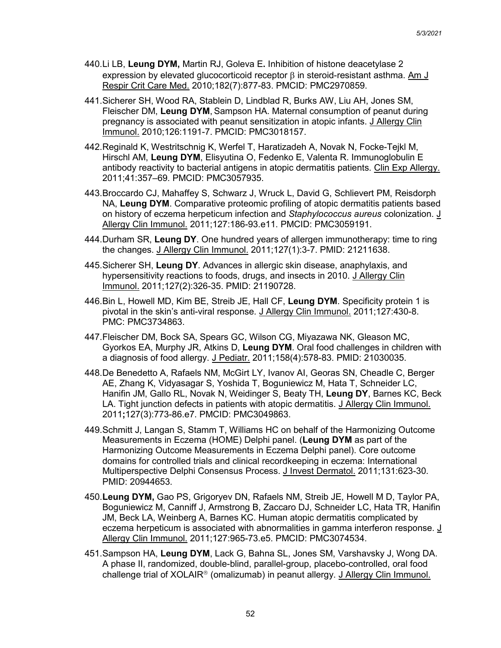- 440.Li LB, **Leung DYM,** Martin RJ, Goleva E**.** Inhibition of histone deacetylase 2 expression by elevated glucocorticoid receptor  $\beta$  in steroid-resistant asthma. Am J Respir Crit Care Med. 2010;182(7):877-83. PMCID: PMC2970859.
- 441.Sicherer SH, Wood RA, Stablein D, Lindblad R, Burks AW, Liu AH, Jones SM, Fleischer DM, **Leung DYM**, Sampson HA. Maternal consumption of peanut during pregnancy is associated with peanut sensitization in atopic infants. J Allergy Clin Immunol. 2010;126:1191-7. PMCID: PMC3018157.
- 442.Reginald K, Westritschnig K, Werfel T, Haratizadeh A, Novak N, Focke-Tejkl M, Hirschl AM, **Leung DYM**, Elisyutina O, Fedenko E, Valenta R. Immunoglobulin E antibody reactivity to bacterial antigens in atopic dermatitis patients. Clin Exp Allergy. 2011;41:357–69. PMCID: PMC3057935.
- 443.Broccardo CJ, Mahaffey S, Schwarz J, Wruck L, David G, Schlievert PM, Reisdorph NA, **Leung DYM**. Comparative proteomic profiling of atopic dermatitis patients based on history of eczema herpeticum infection and *Staphylococcus aureus* colonization. J Allergy Clin Immunol. 2011;127:186-93.e11. PMCID: PMC3059191.
- 444.Durham SR, **Leung DY**. One hundred years of allergen immunotherapy: time to ring the changes. J Allergy Clin Immunol. 2011;127(1):3-7. PMID: 21211638.
- 445.Sicherer SH, **Leung DY**. Advances in allergic skin disease, anaphylaxis, and hypersensitivity reactions to foods, drugs, and insects in 2010. J Allergy Clin Immunol. 2011;127(2):326-35. PMID: 21190728.
- 446.Bin L, Howell MD, Kim BE, Streib JE, Hall CF, **Leung DYM**. Specificity protein 1 is pivotal in the skin's anti-viral response. J Allergy Clin Immunol. 2011;127:430-8. PMC: PMC3734863.
- 447.Fleischer DM, Bock SA, Spears GC, Wilson CG, Miyazawa NK, Gleason MC, Gyorkos EA, Murphy JR, Atkins D, **Leung DYM**. Oral food challenges in children with a diagnosis of food allergy. J Pediatr. 2011;158(4):578-83. PMID: 21030035.
- 448.De Benedetto A, Rafaels NM, McGirt LY, Ivanov AI, Georas SN, Cheadle C, Berger AE, Zhang K, Vidyasagar S, Yoshida T, Boguniewicz M, Hata T, Schneider LC, Hanifin JM, Gallo RL, Novak N, Weidinger S, Beaty TH, **Leung DY**, Barnes KC, Beck LA. Tight junction defects in patients with atopic dermatitis. J Allergy Clin Immunol. 2011**;**127(3):773-86.e7. PMCID: PMC3049863.
- 449.Schmitt J, Langan S, Stamm T, Williams HC on behalf of the Harmonizing Outcome Measurements in Eczema (HOME) Delphi panel. (**Leung DYM** as part of the Harmonizing Outcome Measurements in Eczema Delphi panel). Core outcome domains for controlled trials and clinical recordkeeping in eczema: International Multiperspective Delphi Consensus Process. J Invest Dermatol. 2011;131:623-30. PMID: 20944653.
- 450.**Leung DYM,** Gao PS, Grigoryev DN, Rafaels NM, Streib JE, Howell M D, Taylor PA, Boguniewicz M, Canniff J, Armstrong B, Zaccaro DJ, Schneider LC, Hata TR, Hanifin JM, Beck LA, Weinberg A, Barnes KC. Human atopic dermatitis complicated by eczema herpeticum is associated with abnormalities in gamma interferon response. J Allergy Clin Immunol. 2011;127:965-73.e5. PMCID: PMC3074534.
- 451.Sampson HA, **Leung DYM**, Lack G, Bahna SL, Jones SM, Varshavsky J, Wong DA. A phase II, randomized, double-blind, parallel-group, placebo-controlled, oral food challenge trial of  $XOLAIR<sup>®</sup>$  (omalizumab) in peanut allergy. J Allergy Clin Immunol.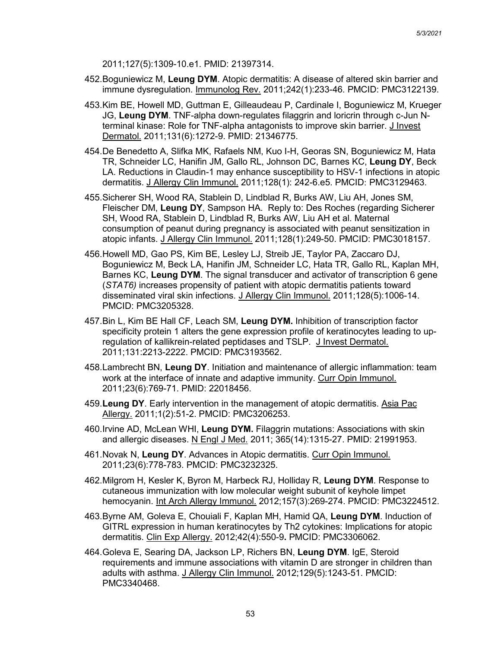2011;127(5):1309-10.e1. PMID: 21397314.

- 452.Boguniewicz M, **Leung DYM**. Atopic dermatitis: A disease of altered skin barrier and immune dysregulation. Immunolog Rev. 2011;242(1):233-46. PMCID: PMC3122139.
- 453.Kim BE, Howell MD, Guttman E, Gilleaudeau P, Cardinale I, Boguniewicz M, Krueger JG, **Leung DYM**. TNF-alpha down-regulates filaggrin and loricrin through c-Jun Nterminal kinase: Role for TNF-alpha antagonists to improve skin barrier. J Invest Dermatol. 2011;131(6):1272-9. PMID: 21346775.
- 454.De Benedetto A, Slifka MK, Rafaels NM, Kuo I-H, Georas SN, Boguniewicz M, Hata TR, Schneider LC, Hanifin JM, Gallo RL, Johnson DC, Barnes KC, **Leung DY**, Beck LA. Reductions in Claudin-1 may enhance susceptibility to HSV-1 infections in atopic dermatitis. J Allergy Clin Immunol. 2011;128(1): 242-6.e5. PMCID: PMC3129463.
- 455.Sicherer SH, Wood RA, Stablein D, Lindblad R, Burks AW, Liu AH, Jones SM, Fleischer DM, **Leung DY**, Sampson HA. Reply to: Des Roches (regarding Sicherer SH, Wood RA, Stablein D, Lindblad R, Burks AW, Liu AH et al. Maternal consumption of peanut during pregnancy is associated with peanut sensitization in atopic infants. J Allergy Clin Immunol. 2011;128(1):249-50. PMCID: PMC3018157.
- 456.Howell MD, Gao PS, Kim BE, Lesley LJ, Streib JE, Taylor PA, Zaccaro DJ, Boguniewicz M, Beck LA, Hanifin JM, Schneider LC, Hata TR, Gallo RL, Kaplan MH, Barnes KC, **Leung DYM**. The signal transducer and activator of transcription 6 gene (*STAT6)* increases propensity of patient with atopic dermatitis patients toward disseminated viral skin infections. J Allergy Clin Immunol. 2011;128(5):1006-14. PMCID: PMC3205328.
- 457.Bin L, Kim BE Hall CF, Leach SM, **Leung DYM.** Inhibition of transcription factor specificity protein 1 alters the gene expression profile of keratinocytes leading to upregulation of kallikrein-related peptidases and TSLP. J Invest Dermatol. 2011;131:2213-2222. PMCID: PMC3193562.
- 458.Lambrecht BN, **Leung DY**. Initiation and maintenance of allergic inflammation: team work at the interface of innate and adaptive immunity. Curr Opin Immunol. 2011;23(6):769-71. PMID: 22018456.
- 459.**Leung DY**. Early intervention in the management of atopic dermatitis. Asia Pac Allergy. 2011;1(2):51-2. PMCID: PMC3206253.
- 460.Irvine AD, McLean WHI, **Leung DYM.** Filaggrin mutations: Associations with skin and allergic diseases. N Engl J Med. 2011; 365(14):1315-27. PMID: 21991953.
- 461.Novak N, **Leung DY**. Advances in Atopic dermatitis. Curr Opin Immunol. 2011;23(6):778-783. PMCID: PMC3232325.
- 462.Milgrom H, Kesler K, Byron M, Harbeck RJ, Holliday R, **Leung DYM**. Response to cutaneous immunization with low molecular weight subunit of keyhole limpet hemocyanin. Int Arch Allergy Immunol. 2012;157(3):269-274. PMCID: PMC3224512.
- 463.Byrne AM, Goleva E, Chouiali F, Kaplan MH, Hamid QA, **Leung DYM**. Induction of GITRL expression in human keratinocytes by Th2 cytokines: Implications for atopic dermatitis. Clin Exp Allergy. 2012;42(4):550-9**.** PMCID: PMC3306062.
- 464.Goleva E, Searing DA, Jackson LP, Richers BN, **Leung DYM**. IgE, Steroid requirements and immune associations with vitamin D are stronger in children than adults with asthma. J Allergy Clin Immunol. 2012;129(5):1243-51. PMCID: PMC3340468.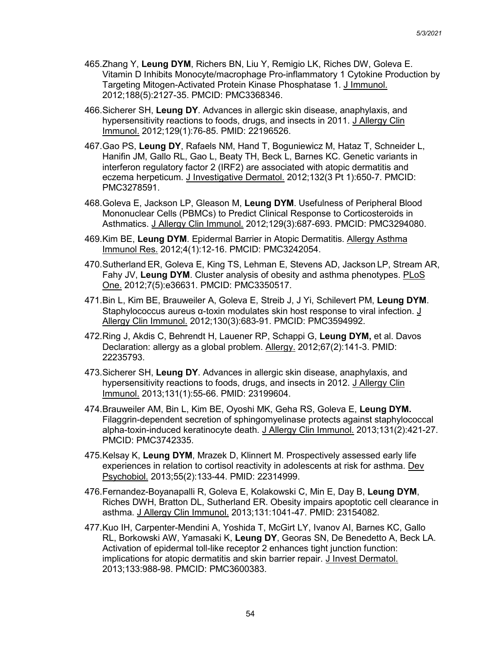- 465.Zhang Y, **Leung DYM**, Richers BN, Liu Y, Remigio LK, Riches DW, Goleva E. Vitamin D Inhibits Monocyte/macrophage Pro-inflammatory 1 Cytokine Production by Targeting Mitogen-Activated Protein Kinase Phosphatase 1. J Immunol. 2012;188(5):2127-35. PMCID: PMC3368346.
- 466.Sicherer SH, **Leung DY**. Advances in allergic skin disease, anaphylaxis, and hypersensitivity reactions to foods, drugs, and insects in 2011. J Allergy Clin Immunol. 2012;129(1):76-85. PMID: 22196526.
- 467.Gao PS, **Leung DY**, Rafaels NM, Hand T, Boguniewicz M, Hataz T, Schneider L, Hanifin JM, Gallo RL, Gao L, Beaty TH, Beck L, Barnes KC. Genetic variants in interferon regulatory factor 2 (IRF2) are associated with atopic dermatitis and eczema herpeticum. J Investigative Dermatol. 2012;132(3 Pt 1):650-7. PMCID: PMC3278591.
- 468.Goleva E, Jackson LP, Gleason M, **Leung DYM**. Usefulness of Peripheral Blood Mononuclear Cells (PBMCs) to Predict Clinical Response to Corticosteroids in Asthmatics. J Allergy Clin Immunol. 2012;129(3):687-693. PMCID: PMC3294080.
- 469.Kim BE, **Leung DYM**. Epidermal Barrier in Atopic Dermatitis. Allergy Asthma Immunol Res. 2012;4(1):12-16. PMCID: PMC3242054.
- 470.Sutherland ER, Goleva E, King TS, Lehman E, Stevens AD, Jackson LP, Stream AR, Fahy JV, **Leung DYM**. Cluster analysis of obesity and asthma phenotypes. PLoS One. 2012;7(5):e36631. PMCID: PMC3350517.
- 471.Bin L, Kim BE, Brauweiler A, Goleva E, Streib J, J Yi, Schilevert PM, **Leung DYM**. Staphylococcus aureus α-toxin modulates skin host response to viral infection. J Allergy Clin Immunol. 2012;130(3):683-91. PMCID: PMC3594992.
- 472.Ring J, Akdis C, Behrendt H, Lauener RP, Schappi G, **Leung DYM,** et al. Davos Declaration: allergy as a global problem. Allergy. 2012;67(2):141-3. PMID: 22235793.
- 473.Sicherer SH, **Leung DY**. Advances in allergic skin disease, anaphylaxis, and hypersensitivity reactions to foods, drugs, and insects in 2012. J Allergy Clin Immunol. 2013;131(1):55-66. PMID: 23199604.
- 474.Brauweiler AM, Bin L, Kim BE, Oyoshi MK, Geha RS, Goleva E, **Leung DYM.**  Filaggrin-dependent secretion of sphingomyelinase protects against staphylococcal alpha-toxin-induced keratinocyte death. J Allergy Clin Immunol. 2013;131(2):421-27. PMCID: PMC3742335.
- 475.Kelsay K, **Leung DYM**, Mrazek D, Klinnert M. Prospectively assessed early life experiences in relation to cortisol reactivity in adolescents at risk for asthma. Dev Psychobiol. 2013;55(2):133-44. PMID: 22314999.
- 476.Fernandez-Boyanapalli R, Goleva E, Kolakowski C, Min E, Day B, **Leung DYM**, Riches DWH, Bratton DL, Sutherland ER. Obesity impairs apoptotic cell clearance in asthma. J Allergy Clin Immunol. 2013;131:1041-47. PMID: 23154082.
- 477.Kuo IH, Carpenter-Mendini A, Yoshida T, McGirt LY, Ivanov AI, Barnes KC, Gallo RL, Borkowski AW, Yamasaki K, **Leung DY**, Georas SN, De Benedetto A, Beck LA. Activation of epidermal toll-like receptor 2 enhances tight junction function: implications for atopic dermatitis and skin barrier repair. J Invest Dermatol. 2013;133:988-98. PMCID: PMC3600383.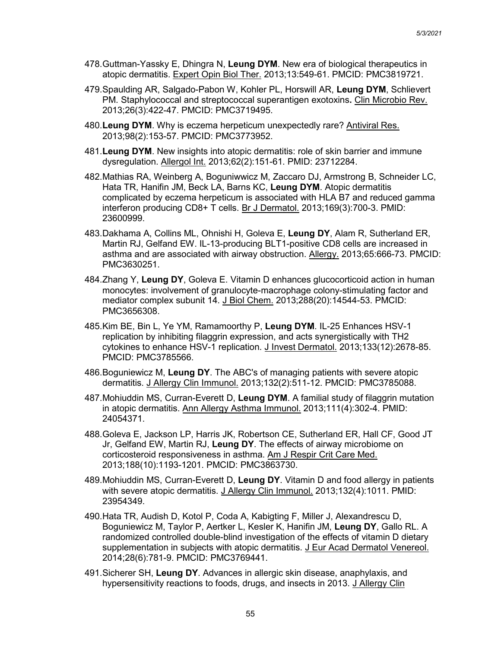- 478.Guttman-Yassky E, Dhingra N, **Leung DYM**. New era of biological therapeutics in atopic dermatitis. Expert Opin Biol Ther. 2013;13:549-61. PMCID: PMC3819721.
- 479.Spaulding AR, Salgado-Pabon W, Kohler PL, Horswill AR, **Leung DYM**, Schlievert PM. Staphylococcal and streptococcal superantigen exotoxins**.** Clin Microbio Rev. 2013;26(3):422-47. PMCID: PMC3719495.
- 480.**Leung DYM**. Why is eczema herpeticum unexpectedly rare? Antiviral Res. 2013;98(2):153-57. PMCID: PMC3773952.
- 481.**Leung DYM**. New insights into atopic dermatitis: role of skin barrier and immune dysregulation. Allergol Int. 2013;62(2):151-61. PMID: 23712284.
- 482.Mathias RA, Weinberg A, Boguniwwicz M, Zaccaro DJ, Armstrong B, Schneider LC, Hata TR, Hanifin JM, Beck LA, Barns KC, **Leung DYM**. Atopic dermatitis complicated by eczema herpeticum is associated with HLA B7 and reduced gamma interferon producing CD8+ T cells. Br J Dermatol. 2013;169(3):700-3. PMID: 23600999.
- 483.Dakhama A, Collins ML, Ohnishi H, Goleva E, **Leung DY**, Alam R, Sutherland ER, Martin RJ, Gelfand EW. IL-13-producing BLT1-positive CD8 cells are increased in asthma and are associated with airway obstruction. Allergy. 2013;65:666-73. PMCID: PMC3630251.
- 484.Zhang Y, **Leung DY**, Goleva E. Vitamin D enhances glucocorticoid action in human monocytes: involvement of granulocyte-macrophage colony-stimulating factor and mediator complex subunit 14. J Biol Chem. 2013;288(20):14544-53. PMCID: PMC3656308.
- 485.Kim BE, Bin L, Ye YM, Ramamoorthy P, **Leung DYM**. IL-25 Enhances HSV-1 replication by inhibiting filaggrin expression, and acts synergistically with TH2 cytokines to enhance HSV-1 replication. J Invest Dermatol. 2013;133(12):2678-85. PMCID: PMC3785566.
- 486.Boguniewicz M, **Leung DY**. The ABC's of managing patients with severe atopic dermatitis. J Allergy Clin Immunol. 2013;132(2):511-12. PMCID: PMC3785088.
- 487.Mohiuddin MS, Curran-Everett D, **Leung DYM**. A familial study of filaggrin mutation in atopic dermatitis. Ann Allergy Asthma Immunol. 2013;111(4):302-4. PMID: 24054371.
- 488.Goleva E, Jackson LP, Harris JK, Robertson CE, Sutherland ER, Hall CF, Good JT Jr, Gelfand EW, Martin RJ, **Leung DY**. The effects of airway microbiome on corticosteroid responsiveness in asthma. Am J Respir Crit Care Med. 2013;188(10):1193-1201. PMCID: PMC3863730.
- 489.Mohiuddin MS, Curran-Everett D, **Leung DY**. Vitamin D and food allergy in patients with severe atopic dermatitis. J Allergy Clin Immunol. 2013;132(4):1011. PMID: 23954349.
- 490.Hata TR, Audish D, Kotol P, Coda A, Kabigting F, Miller J, Alexandrescu D, Boguniewicz M, Taylor P, Aertker L, Kesler K, Hanifin JM, **Leung DY**, Gallo RL. A randomized controlled double-blind investigation of the effects of vitamin D dietary supplementation in subjects with atopic dermatitis. J Eur Acad Dermatol Venereol. 2014;28(6):781-9. PMCID: PMC3769441.
- 491.Sicherer SH, **Leung DY**. Advances in allergic skin disease, anaphylaxis, and hypersensitivity reactions to foods, drugs, and insects in 2013. J Allergy Clin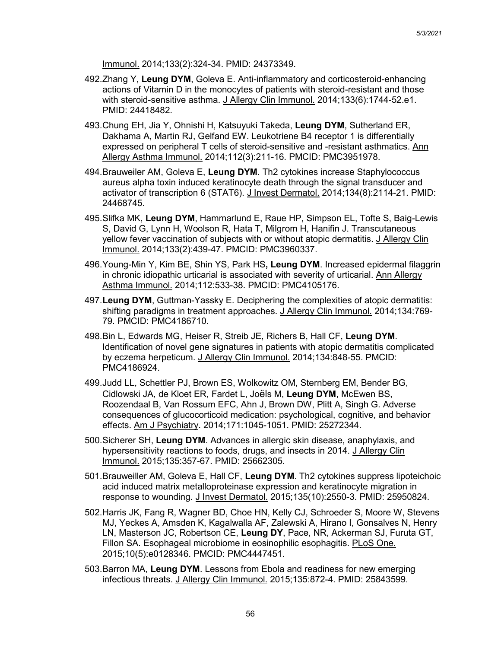Immunol. 2014;133(2):324-34. PMID: 24373349.

- 492.Zhang Y, **Leung DYM**, Goleva E. Anti-inflammatory and corticosteroid-enhancing actions of Vitamin D in the monocytes of patients with steroid-resistant and those with steroid-sensitive asthma. J Allergy Clin Immunol. 2014;133(6):1744-52.e1. PMID: 24418482.
- 493.Chung EH, Jia Y, Ohnishi H, Katsuyuki Takeda, **Leung DYM**, Sutherland ER, Dakhama A, Martin RJ, Gelfand EW. Leukotriene B4 receptor 1 is differentially expressed on peripheral T cells of steroid-sensitive and -resistant asthmatics. Ann Allergy Asthma Immunol. 2014;112(3):211-16. PMCID: PMC3951978.
- 494.Brauweiler AM, Goleva E, **Leung DYM**. Th2 cytokines increase Staphylococcus aureus alpha toxin induced keratinocyte death through the signal transducer and activator of transcription 6 (STAT6). J Invest Dermatol. 2014;134(8):2114-21. PMID: 24468745.
- 495.Slifka MK, **Leung DYM**, Hammarlund E, Raue HP, Simpson EL, Tofte S, Baig-Lewis S, David G, Lynn H, Woolson R, Hata T, Milgrom H, Hanifin J. Transcutaneous yellow fever vaccination of subjects with or without atopic dermatitis. J Allergy Clin Immunol. 2014;133(2):439-47. PMCID: PMC3960337.
- 496.Young-Min Y, Kim BE, Shin YS, Park HS**, Leung DYM**. Increased epidermal filaggrin in chronic idiopathic urticarial is associated with severity of urticarial. Ann Allergy Asthma Immunol. 2014;112:533-38. PMCID: PMC4105176.
- 497.**Leung DYM**, Guttman-Yassky E. Deciphering the complexities of atopic dermatitis: shifting paradigms in treatment approaches. J Allergy Clin Immunol. 2014;134:769- 79. PMCID: PMC4186710.
- 498.Bin L, Edwards MG, Heiser R, Streib JE, Richers B, Hall CF, **Leung DYM**. Identification of novel gene signatures in patients with atopic dermatitis complicated by eczema herpeticum. J Allergy Clin Immunol. 2014;134:848-55. PMCID: PMC4186924.
- 499.Judd LL, Schettler PJ, Brown ES, Wolkowitz OM, Sternberg EM, Bender BG, Cidlowski JA, de Kloet ER, Fardet L, Joëls M, **Leung DYM**, McEwen BS, Roozendaal B, Van Rossum EFC, Ahn J, Brown DW, Plitt A, Singh G. Adverse consequences of glucocorticoid medication: psychological, cognitive, and behavior effects. Am J Psychiatry. 2014;171:1045-1051. PMID: 25272344.
- 500.Sicherer SH, **Leung DYM**. Advances in allergic skin disease, anaphylaxis, and hypersensitivity reactions to foods, drugs, and insects in 2014. J Allergy Clin Immunol. 2015;135:357-67. PMID: 25662305.
- 501.Brauweiller AM, Goleva E, Hall CF, **Leung DYM**. Th2 cytokines suppress lipoteichoic acid induced matrix metalloproteinase expression and keratinocyte migration in response to wounding. J Invest Dermatol. 2015;135(10):2550-3. PMID: 25950824.
- 502.Harris JK, Fang R, Wagner BD, Choe HN, Kelly CJ, Schroeder S, Moore W, Stevens MJ, Yeckes A, Amsden K, Kagalwalla AF, Zalewski A, Hirano I, Gonsalves N, Henry LN, Masterson JC, Robertson CE, **Leung DY**, Pace, NR, Ackerman SJ, Furuta GT, Fillon SA. Esophageal microbiome in eosinophilic esophagitis. PLoS One. 2015;10(5):e0128346. PMCID: PMC4447451.
- 503.Barron MA, **Leung DYM**. Lessons from Ebola and readiness for new emerging infectious threats. J Allergy Clin Immunol. 2015;135:872-4. PMID: 25843599.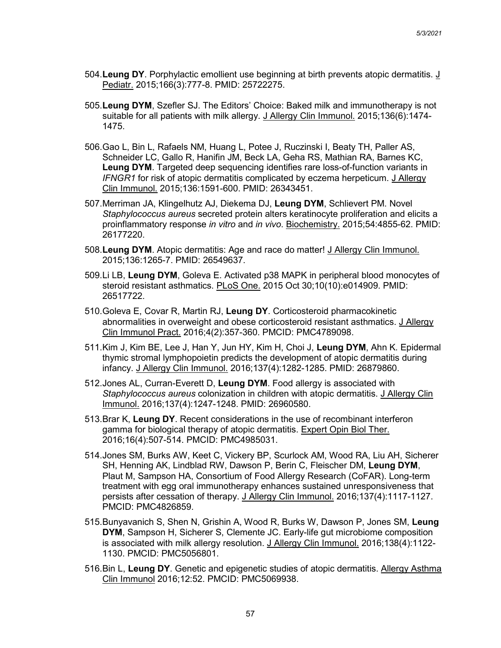- 504.**Leung DY**. Porphylactic emollient use beginning at birth prevents atopic dermatitis. J Pediatr. 2015;166(3):777-8. PMID: 25722275.
- 505.**Leung DYM**, Szefler SJ. The Editors' Choice: Baked milk and immunotherapy is not suitable for all patients with milk allergy. J Allergy Clin Immunol. 2015;136(6):1474- 1475.
- 506.Gao L, Bin L, Rafaels NM, Huang L, Potee J, Ruczinski I, Beaty TH, Paller AS, Schneider LC, Gallo R, Hanifin JM, Beck LA, Geha RS, Mathian RA, Barnes KC, **Leung DYM**. Targeted deep sequencing identifies rare loss-of-function variants in *IFNGR1* for risk of atopic dermatitis complicated by eczema herpeticum. J Allergy Clin Immunol. 2015;136:1591-600. PMID: 26343451.
- 507.Merriman JA, Klingelhutz AJ, Diekema DJ, **Leung DYM**, Schlievert PM. Novel *Staphylococcus aureus* secreted protein alters keratinocyte proliferation and elicits a proinflammatory response *in vitro* and *in vivo*. Biochemistry. 2015;54:4855-62. PMID: 26177220.
- 508.**Leung DYM**. Atopic dermatitis: Age and race do matter! J Allergy Clin Immunol. 2015;136:1265-7. PMID: 26549637.
- 509.Li LB, **Leung DYM**, Goleva E. Activated p38 MAPK in peripheral blood monocytes of steroid resistant asthmatics. PLoS One. 2015 Oct 30;10(10):e014909. PMID: 26517722.
- 510.Goleva E, Covar R, Martin RJ, **Leung DY**. Corticosteroid pharmacokinetic abnormalities in overweight and obese corticosteroid resistant asthmatics. J Allergy Clin Immunol Pract. 2016;4(2):357-360. PMCID: PMC4789098.
- 511.Kim J, Kim BE, Lee J, Han Y, Jun HY, Kim H, Choi J, **Leung DYM**, Ahn K. Epidermal thymic stromal lymphopoietin predicts the development of atopic dermatitis during infancy. J Allergy Clin Immunol. 2016;137(4):1282-1285. PMID: 26879860.
- 512.Jones AL, Curran-Everett D, **Leung DYM**. Food allergy is associated with *Staphylococcus aureus* colonization in children with atopic dermatitis. J Allergy Clin Immunol. 2016;137(4):1247-1248. PMID: 26960580.
- 513.Brar K, **Leung DY**. Recent considerations in the use of recombinant interferon gamma for biological therapy of atopic dermatitis. Expert Opin Biol Ther. 2016;16(4):507-514. PMCID: PMC4985031.
- 514.Jones SM, Burks AW, Keet C, Vickery BP, Scurlock AM, Wood RA, Liu AH, Sicherer SH, Henning AK, Lindblad RW, Dawson P, Berin C, Fleischer DM, **Leung DYM**, Plaut M, Sampson HA, Consortium of Food Allergy Research (CoFAR). Long-term treatment with egg oral immunotherapy enhances sustained unresponsiveness that persists after cessation of therapy. J Allergy Clin Immunol. 2016;137(4):1117-1127. PMCID: PMC4826859.
- 515.Bunyavanich S, Shen N, Grishin A, Wood R, Burks W, Dawson P, Jones SM, **Leung DYM**, Sampson H, Sicherer S, Clemente JC. Early-life gut microbiome composition is associated with milk allergy resolution. J Allergy Clin Immunol. 2016;138(4):1122- 1130. PMCID: PMC5056801.
- 516.Bin L, **Leung DY**. Genetic and epigenetic studies of atopic dermatitis. Allergy Asthma Clin Immunol 2016;12:52. PMCID: PMC5069938.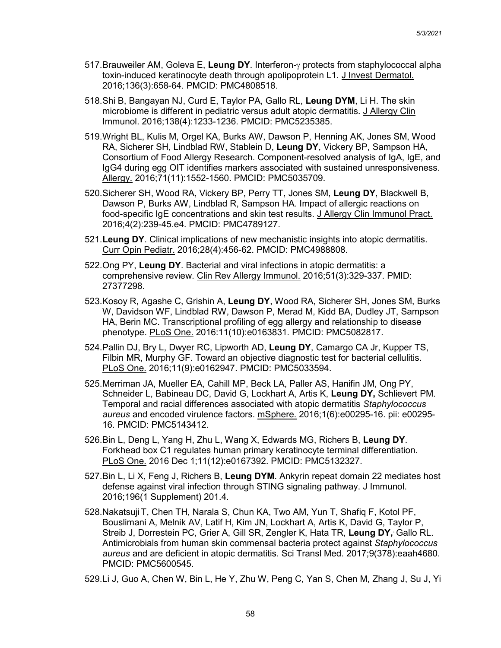- 517.Brauweiler AM, Goleva E, **Leung DY**. Interferon-γ protects from staphylococcal alpha toxin-induced keratinocyte death through apolipoprotein L1. J Invest Dermatol. 2016;136(3):658-64. PMCID: PMC4808518.
- 518.Shi B, Bangayan NJ, Curd E, Taylor PA, Gallo RL, **Leung DYM**, Li H. The skin microbiome is different in pediatric versus adult atopic dermatitis. J Allergy Clin Immunol. 2016;138(4):1233-1236. PMCID: PMC5235385.
- 519.Wright BL, Kulis M, Orgel KA, Burks AW, Dawson P, Henning AK, Jones SM, Wood RA, Sicherer SH, Lindblad RW, Stablein D, **Leung DY**, Vickery BP, Sampson HA, Consortium of Food Allergy Research. Component-resolved analysis of IgA, IgE, and IgG4 during egg OIT identifies markers associated with sustained unresponsiveness. Allergy. 2016;71(11):1552-1560. PMCID: PMC5035709.
- 520.Sicherer SH, Wood RA, Vickery BP, Perry TT, Jones SM, **Leung DY**, Blackwell B, Dawson P, Burks AW, Lindblad R, Sampson HA. Impact of allergic reactions on food-specific IgE concentrations and skin test results. J Allergy Clin Immunol Pract. 2016;4(2):239-45.e4. PMCID: PMC4789127.
- 521.**Leung DY**. Clinical implications of new mechanistic insights into atopic dermatitis. Curr Opin Pediatr. 2016;28(4):456-62. PMCID: PMC4988808.
- 522.Ong PY, **Leung DY**. Bacterial and viral infections in atopic dermatitis: a comprehensive review. Clin Rev Allergy Immunol. 2016;51(3):329-337. PMID: 27377298.
- 523.Kosoy R, Agashe C, Grishin A, **Leung DY**, Wood RA, Sicherer SH, Jones SM, Burks W, Davidson WF, Lindblad RW, Dawson P, Merad M, Kidd BA, Dudley JT, Sampson HA, Berin MC. Transcriptional profiling of egg allergy and relationship to disease phenotype. PLoS One. 2016:11(10):e0163831. PMCID: PMC5082817.
- 524.Pallin DJ, Bry L, Dwyer RC, Lipworth AD, **Leung DY**, Camargo CA Jr, Kupper TS, Filbin MR, Murphy GF. Toward an objective diagnostic test for bacterial cellulitis. PLoS One. 2016;11(9):e0162947. PMCID: PMC5033594.
- 525.Merriman JA, Mueller EA, Cahill MP, Beck LA, Paller AS, Hanifin JM, Ong PY, Schneider L, Babineau DC, David G, Lockhart A, Artis K, **Leung DY,** Schlievert PM. Temporal and racial differences associated with atopic dermatitis *Staphylococcus aureus* and encoded virulence factors. mSphere. 2016;1(6):e00295-16. pii: e00295- 16. PMCID: PMC5143412.
- 526.Bin L, Deng L, Yang H, Zhu L, Wang X, Edwards MG, Richers B, **Leung DY**. Forkhead box C1 regulates human primary keratinocyte terminal differentiation. PLoS One. 2016 Dec 1;11(12):e0167392. PMCID: PMC5132327.
- 527.Bin L, Li X, Feng J, Richers B, **Leung DYM**. Ankyrin repeat domain 22 mediates host defense against viral infection through STING signaling pathway. J Immunol. 2016;196(1 Supplement) 201.4.
- 528.Nakatsuji T, Chen TH, Narala S, Chun KA, Two AM, Yun T, Shafiq F, Kotol PF, Bouslimani A, Melnik AV, Latif H, Kim JN, Lockhart A, Artis K, David G, Taylor P, Streib J, Dorrestein PC, Grier A, Gill SR, Zengler K, Hata TR, **Leung DY,**, Gallo RL. Antimicrobials from human skin commensal bacteria protect against *Staphylococcus aureus* and are deficient in atopic dermatitis*.* Sci Transl Med. 2017;9(378):eaah4680. PMCID: PMC5600545.

529.Li J, Guo A, Chen W, Bin L, He Y, Zhu W, Peng C, Yan S, Chen M, Zhang J, Su J, Yi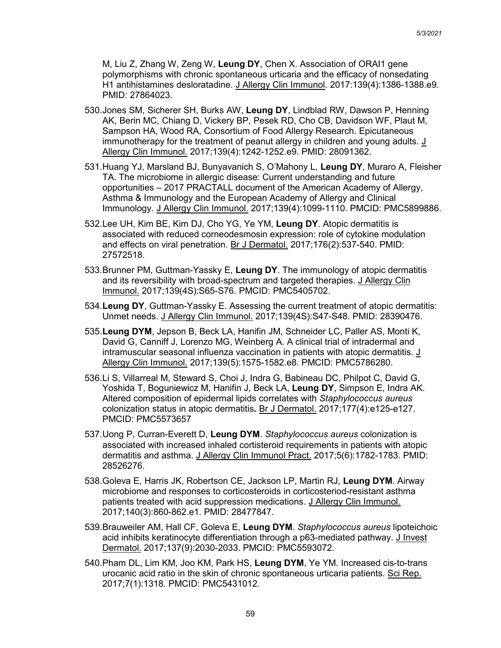M, Liu Z, Zhang W, Zeng W, **Leung DY**, Chen X. Association of ORAI1 gene polymorphisms with chronic spontaneous urticaria and the efficacy of nonsedating H1 antihistamines desloratadine. J Allergy Clin Immunol. 2017:139(4):1386-1388.e9. PMID: 27864023.

- 530.Jones SM, Sicherer SH, Burks AW, **Leung DY**, Lindblad RW, Dawson P, Henning AK, Berin MC, Chiang D, Vickery BP, Pesek RD, Cho CB, Davidson WF, Plaut M, Sampson HA, Wood RA, Consortium of Food Allergy Research. Epicutaneous immunotherapy for the treatment of peanut allergy in children and young adults. J Allergy Clin Immunol. 2017;139(4):1242-1252.e9. PMID: 28091362.
- 531.Huang YJ, Marsland BJ, Bunyavanich S, O'Mahony L, **Leung DY**, Muraro A, Fleisher TA. The microbiome in allergic disease: Current understanding and future opportunities – 2017 PRACTALL document of the American Academy of Allergy, Asthma & Immunology and the European Academy of Allergy and Clinical Immunology. J Allergy Clin Immunol. 2017;139(4):1099-1110. PMCID: PMC5899886.
- 532.Lee UH, Kim BE, Kim DJ, Cho YG, Ye YM, **Leung DY**. Atopic dermatitis is associated with reduced corneodesmosin expression: role of cytokine modulation and effects on viral penetration. Br J Dermatol. 2017;176(2):537-540. PMID: 27572518.
- 533.Brunner PM, Guttman-Yassky E, **Leung DY**. The immunology of atopic dermatitis and its reversibility with broad-spectrum and targeted therapies. J Allergy Clin Immunol. 2017;139(4S):S65-S76. PMCID: PMC5405702.
- 534.**Leung DY**, Guttman-Yassky E. Assessing the current treatment of atopic dermatitis: Unmet needs. J Allergy Clin Immunol. 2017;139(4S):S47-S48. PMID: 28390476.
- 535.**Leung DYM**, Jepson B, Beck LA, Hanifin JM, Schneider LC, Paller AS, Monti K, David G, Canniff J, Lorenzo MG, Weinberg A. A clinical trial of intradermal and intramuscular seasonal influenza vaccination in patients with atopic dermatitis. J Allergy Clin Immunol. 2017;139(5):1575-1582.e8. PMCID: PMC5786280.
- 536.Li S, Villarreal M, Steward S, Choi J, Indra G, Babineau DC, Philpot C, David G, Yoshida T, Boguniewicz M, Hanifin J, Beck LA, **Leung DY**, Simpson E, Indra AK. Altered composition of epidermal lipids correlates with *Staphylococcus aureus* colonization status in atopic dermatitis**.** Br J Dermatol. 2017;177(4):e125-e127. PMCID: PMC5573657
- 537.Uong P, Curran-Everett D, **Leung DYM**. *Staphylococcus aureus* colonization is associated with increased inhaled cortisteroid requirements in patients with atopic dermatitis and asthma. J Allergy Clin Immunol Pract. 2017;5(6):1782-1783. PMID: 28526276.
- 538.Goleva E, Harris JK, Robertson CE, Jackson LP, Martin RJ, **Leung DYM**. Airway microbiome and responses to corticosteroids in corticosteriod-resistant asthma patients treated with acid suppression medications. J Allergy Clin Immunol. 2017;140(3):860-862.e1. PMID: 28477847.
- 539.Brauweiler AM, Hall CF, Goleva E, **Leung DYM**. *Staphylococcus aureus* lipoteichoic acid inhibits keratinocyte differentiation through a p63-mediated pathway. J Invest Dermatol. 2017;137(9):2030-2033. PMCID: PMC5593072.
- 540.Pham DL, Lim KM, Joo KM, Park HS, **Leung DYM**, Ye YM. Increased cis-to-trans urocanic acid ratio in the skin of chronic spontaneous urticaria patients. Sci Rep. 2017;7(1):1318. PMCID: PMC5431012.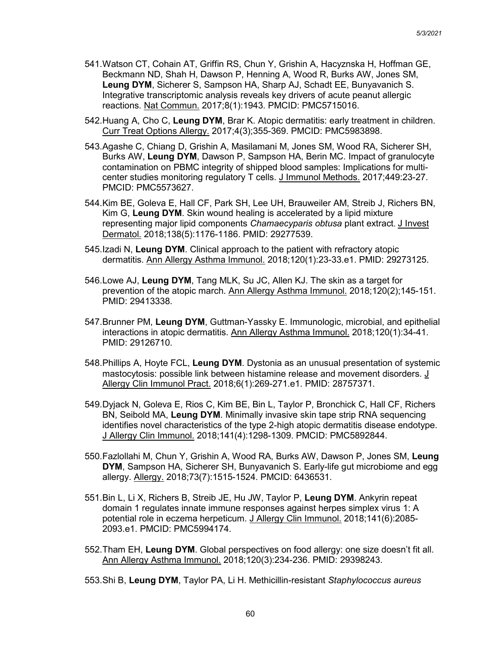- 541.Watson CT, Cohain AT, Griffin RS, Chun Y, Grishin A, Hacyznska H, Hoffman GE, Beckmann ND, Shah H, Dawson P, Henning A, Wood R, Burks AW, Jones SM, **Leung DYM**, Sicherer S, Sampson HA, Sharp AJ, Schadt EE, Bunyavanich S. Integrative transcriptomic analysis reveals key drivers of acute peanut allergic reactions. Nat Commun. 2017;8(1):1943. PMCID: PMC5715016.
- 542.Huang A, Cho C, **Leung DYM**, Brar K. Atopic dermatitis: early treatment in children. Curr Treat Options Allergy. 2017;4(3);355-369. PMCID: PMC5983898.
- 543.Agashe C, Chiang D, Grishin A, Masilamani M, Jones SM, Wood RA, Sicherer SH, Burks AW, **Leung DYM**, Dawson P, Sampson HA, Berin MC. Impact of granulocyte contamination on PBMC integrity of shipped blood samples: Implications for multicenter studies monitoring regulatory T cells. J Immunol Methods. 2017;449:23-27. PMCID: PMC5573627.
- 544.Kim BE, Goleva E, Hall CF, Park SH, Lee UH, Brauweiler AM, Streib J, Richers BN, Kim G, **Leung DYM**. Skin wound healing is accelerated by a lipid mixture representing major lipid components *Chamaecyparis obtusa* plant extract. J Invest Dermatol. 2018;138(5):1176-1186. PMID: 29277539.
- 545.Izadi N, **Leung DYM**. Clinical approach to the patient with refractory atopic dermatitis. Ann Allergy Asthma Immunol. 2018;120(1):23-33.e1. PMID: 29273125.
- 546.Lowe AJ, **Leung DYM**, Tang MLK, Su JC, Allen KJ. The skin as a target for prevention of the atopic march. Ann Allergy Asthma Immunol. 2018;120(2);145-151. PMID: 29413338.
- 547.Brunner PM, **Leung DYM**, Guttman-Yassky E. Immunologic, microbial, and epithelial interactions in atopic dermatitis. Ann Allergy Asthma Immunol. 2018;120(1):34-41. PMID: 29126710.
- 548.Phillips A, Hoyte FCL, **Leung DYM**. Dystonia as an unusual presentation of systemic mastocytosis: possible link between histamine release and movement disorders. J Allergy Clin Immunol Pract. 2018;6(1):269-271.e1. PMID: 28757371.
- 549.Dyjack N, Goleva E, Rios C, Kim BE, Bin L, Taylor P, Bronchick C, Hall CF, Richers BN, Seibold MA, **Leung DYM**. Minimally invasive skin tape strip RNA sequencing identifies novel characteristics of the type 2-high atopic dermatitis disease endotype. J Allergy Clin Immunol. 2018;141(4):1298-1309. PMCID: PMC5892844.
- 550.Fazlollahi M, Chun Y, Grishin A, Wood RA, Burks AW, Dawson P, Jones SM, **Leung DYM**, Sampson HA, Sicherer SH, Bunyavanich S. Early-life gut microbiome and egg allergy. Allergy. 2018;73(7):1515-1524. PMCID: 6436531.
- 551.Bin L, Li X, Richers B, Streib JE, Hu JW, Taylor P, **Leung DYM**. Ankyrin repeat domain 1 regulates innate immune responses against herpes simplex virus 1: A potential role in eczema herpeticum. J Allergy Clin Immunol. 2018;141(6):2085- 2093.e1. PMCID: PMC5994174.
- 552.Tham EH, **Leung DYM**. Global perspectives on food allergy: one size doesn't fit all. Ann Allergy Asthma Immunol. 2018;120(3):234-236. PMID: 29398243.
- 553.Shi B, **Leung DYM**, Taylor PA, Li H. Methicillin-resistant *Staphylococcus aureus*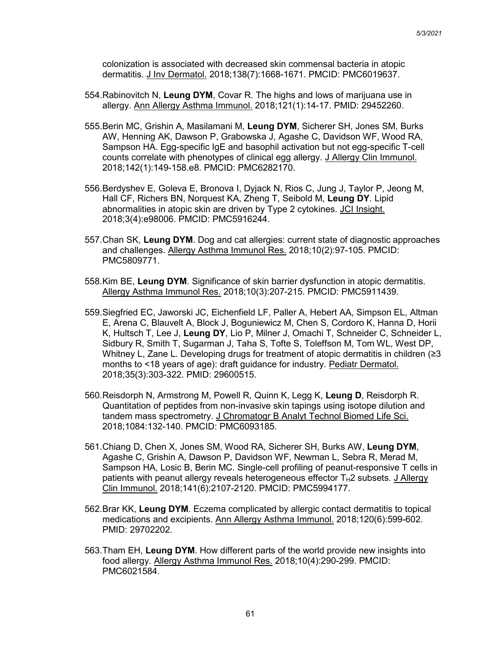colonization is associated with decreased skin commensal bacteria in atopic dermatitis. J Inv Dermatol. 2018;138(7):1668-1671. PMCID: PMC6019637.

- 554.Rabinovitch N, **Leung DYM**, Covar R. The highs and lows of marijuana use in allergy. Ann Allergy Asthma Immunol. 2018;121(1):14-17. PMID: 29452260.
- 555.Berin MC, Grishin A, Masilamani M, **Leung DYM**, Sicherer SH, Jones SM, Burks AW, Henning AK, Dawson P, Grabowska J, Agashe C, Davidson WF, Wood RA, Sampson HA. Egg-specific IgE and basophil activation but not egg-specific T-cell counts correlate with phenotypes of clinical egg allergy. J Allergy Clin Immunol. 2018;142(1):149-158.e8. PMCID: PMC6282170.
- 556.Berdyshev E, Goleva E, Bronova I, Dyjack N, Rios C, Jung J, Taylor P, Jeong M, Hall CF, Richers BN, Norquest KA, Zheng T, Seibold M, **Leung DY**. Lipid abnormalities in atopic skin are driven by Type 2 cytokines. JCI Insight. 2018;3(4):e98006. PMCID: PMC5916244.
- 557.Chan SK, **Leung DYM**. Dog and cat allergies: current state of diagnostic approaches and challenges. Allergy Asthma Immunol Res. 2018;10(2):97-105. PMCID: PMC5809771.
- 558.Kim BE, **Leung DYM**. Significance of skin barrier dysfunction in atopic dermatitis. Allergy Asthma Immunol Res. 2018;10(3):207-215. PMCID: PMC5911439.
- 559.Siegfried EC, Jaworski JC, Eichenfield LF, Paller A, Hebert AA, Simpson EL, Altman E, Arena C, Blauvelt A, Block J, Boguniewicz M, Chen S, Cordoro K, Hanna D, Horii K, Hultsch T, Lee J, **Leung DY**, Lio P, Milner J, Omachi T, Schneider C, Schneider L, Sidbury R, Smith T, Sugarman J, Taha S, Tofte S, Toleffson M, Tom WL, West DP, Whitney L, Zane L. Developing drugs for treatment of atopic dermatitis in children (≥3 months to <18 years of age): draft guidance for industry. Pediatr Dermatol. 2018;35(3):303-322. PMID: 29600515.
- 560.Reisdorph N, Armstrong M, Powell R, Quinn K, Legg K, **Leung D**, Reisdorph R. Quantitation of peptides from non-invasive skin tapings using isotope dilution and tandem mass spectrometry. J Chromatogr B Analyt Technol Biomed Life Sci. 2018;1084:132-140. PMCID: PMC6093185.
- 561.Chiang D, Chen X, Jones SM, Wood RA, Sicherer SH, Burks AW, **Leung DYM**, Agashe C, Grishin A, Dawson P, Davidson WF, Newman L, Sebra R, Merad M, Sampson HA, Losic B, Berin MC. Single-cell profiling of peanut-responsive T cells in patients with peanut allergy reveals heterogeneous effector  $T_H2$  subsets. J Allergy Clin Immunol. 2018;141(6):2107-2120. PMCID: PMC5994177.
- 562.Brar KK, **Leung DYM**. Eczema complicated by allergic contact dermatitis to topical medications and excipients. Ann Allergy Asthma Immunol. 2018;120(6):599-602. PMID: 29702202.
- 563.Tham EH, **Leung DYM**. How different parts of the world provide new insights into food allergy. Allergy Asthma Immunol Res. 2018;10(4):290-299. PMCID: PMC6021584.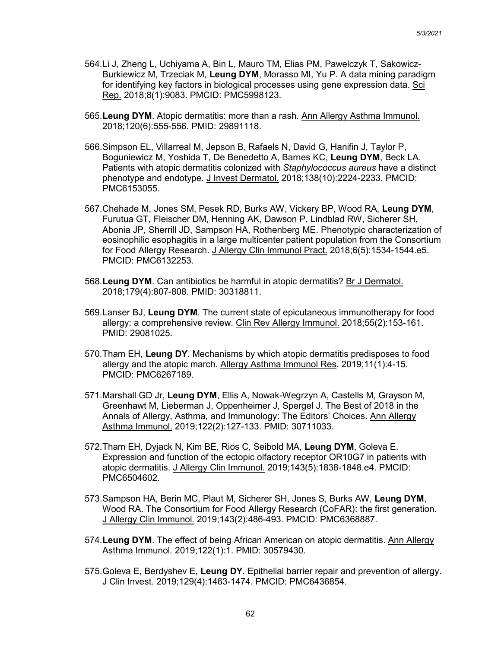- 564.Li J, Zheng L, Uchiyama A, Bin L, Mauro TM, Elias PM, Pawelczyk T, Sakowicz-Burkiewicz M, Trzeciak M, **Leung DYM**, Morasso MI, Yu P. A data mining paradigm for identifying key factors in biological processes using gene expression data. Sci Rep. 2018;8(1):9083. PMCID: PMC5998123.
- 565.**Leung DYM**. Atopic dermatitis: more than a rash. Ann Allergy Asthma Immunol. 2018;120(6):555-556. PMID: 29891118.
- 566.Simpson EL, Villarreal M, Jepson B, Rafaels N, David G, Hanifin J, Taylor P, Boguniewicz M, Yoshida T, De Benedetto A, Barnes KC, **Leung DYM**, Beck LA. Patients with atopic dermatitis colonized with *Staphylococcus aureus* have a distinct phenotype and endotype. J Invest Dermatol. 2018;138(10):2224-2233. PMCID: PMC6153055.
- 567.Chehade M, Jones SM, Pesek RD, Burks AW, Vickery BP, Wood RA, **Leung DYM**, Furutua GT, Fleischer DM, Henning AK, Dawson P, Lindblad RW, Sicherer SH, Abonia JP, Sherrill JD, Sampson HA, Rothenberg ME. Phenotypic characterization of eosinophilic esophagitis in a large multicenter patient population from the Consortium for Food Allergy Research. J Allergy Clin Immunol Pract. 2018;6(5):1534-1544.e5. PMCID: PMC6132253.
- 568.**Leung DYM**. Can antibiotics be harmful in atopic dermatitis? Br J Dermatol. 2018;179(4):807-808. PMID: 30318811.
- 569.Lanser BJ, **Leung DYM**. The current state of epicutaneous immunotherapy for food allergy: a comprehensive review. Clin Rev Allergy Immunol. 2018;55(2):153-161. PMID: 29081025.
- 570.Tham EH, **Leung DY**. Mechanisms by which atopic dermatitis predisposes to food allergy and the atopic march. Allergy Asthma Immunol Res. 2019;11(1):4-15. PMCID: PMC6267189.
- 571.Marshall GD Jr, **Leung DYM**, Ellis A, Nowak-Wegrzyn A, Castells M, Grayson M, Greenhawt M, Lieberman J, Oppenheimer J, Spergel J. The Best of 2018 in the Annals of Allergy, Asthma, and Immunology: The Editors' Choices. Ann Allergy Asthma Immunol. 2019;122(2):127-133. PMID: 30711033.
- 572.Tham EH, Dyjack N, Kim BE, Rios C, Seibold MA, **Leung DYM**, Goleva E. Expression and function of the ectopic olfactory receptor OR10G7 in patients with atopic dermatitis. J Allergy Clin Immunol. 2019;143(5):1838-1848.e4. PMCID: PMC6504602.
- 573.Sampson HA, Berin MC, Plaut M, Sicherer SH, Jones S, Burks AW, **Leung DYM**, Wood RA. The Consortium for Food Allergy Research (CoFAR): the first generation. J Allergy Clin Immunol. 2019;143(2):486-493. PMCID: PMC6368887.
- 574.**Leung DYM**. The effect of being African American on atopic dermatitis. Ann Allergy Asthma Immunol. 2019;122(1):1. PMID: 30579430.
- 575.Goleva E, Berdyshev E, **Leung DY**. Epithelial barrier repair and prevention of allergy. J Clin Invest. 2019;129(4):1463-1474. PMCID: PMC6436854.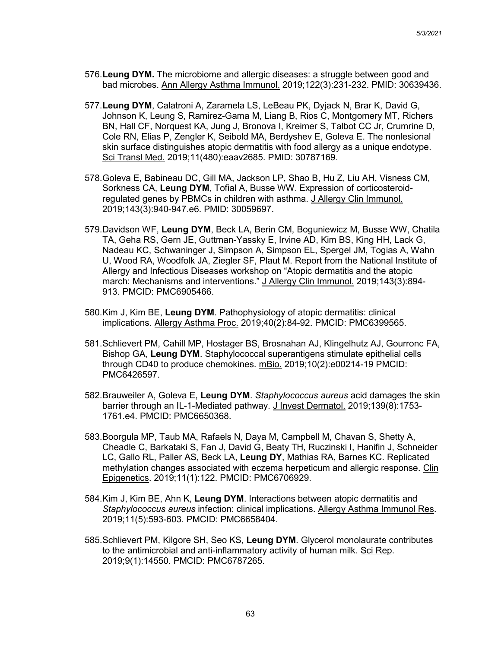- 576.**Leung DYM.** The microbiome and allergic diseases: a struggle between good and bad microbes. Ann Allergy Asthma Immunol. 2019;122(3):231-232. PMID: 30639436.
- 577.**Leung DYM**, Calatroni A, Zaramela LS, LeBeau PK, Dyjack N, Brar K, David G, Johnson K, Leung S, Ramirez-Gama M, Liang B, Rios C, Montgomery MT, Richers BN, Hall CF, Norquest KA, Jung J, Bronova I, Kreimer S, Talbot CC Jr, Crumrine D, Cole RN, Elias P, Zengler K, Seibold MA, Berdyshev E, Goleva E. The nonlesional skin surface distinguishes atopic dermatitis with food allergy as a unique endotype. Sci Transl Med. 2019;11(480):eaav2685. PMID: 30787169.
- 578.Goleva E, Babineau DC, Gill MA, Jackson LP, Shao B, Hu Z, Liu AH, Visness CM, Sorkness CA, **Leung DYM**, Tofial A, Busse WW. Expression of corticosteroidregulated genes by PBMCs in children with asthma. J Allergy Clin Immunol. 2019;143(3):940-947.e6. PMID: 30059697.
- 579.Davidson WF, **Leung DYM**, Beck LA, Berin CM, Boguniewicz M, Busse WW, Chatila TA, Geha RS, Gern JE, Guttman-Yassky E, Irvine AD, Kim BS, King HH, Lack G, Nadeau KC, Schwaninger J, Simpson A, Simpson EL, Spergel JM, Togias A, Wahn U, Wood RA, Woodfolk JA, Ziegler SF, Plaut M. Report from the National Institute of Allergy and Infectious Diseases workshop on "Atopic dermatitis and the atopic march: Mechanisms and interventions." J Allergy Clin Immunol. 2019;143(3):894-913. PMCID: PMC6905466.
- 580.Kim J, Kim BE, **Leung DYM**. Pathophysiology of atopic dermatitis: clinical implications. Allergy Asthma Proc. 2019;40(2):84-92. PMCID: PMC6399565.
- 581.Schlievert PM, Cahill MP, Hostager BS, Brosnahan AJ, Klingelhutz AJ, Gourronc FA, Bishop GA, **Leung DYM**. Staphylococcal superantigens stimulate epithelial cells through CD40 to produce chemokines. mBio. 2019;10(2):e00214-19 PMCID: PMC6426597.
- 582.Brauweiler A, Goleva E, **Leung DYM**. *Staphylococcus aureus* acid damages the skin barrier through an IL-1-Mediated pathway. J Invest Dermatol. 2019;139(8):1753- 1761.e4. PMCID: PMC6650368.
- 583.Boorgula MP, Taub MA, Rafaels N, Daya M, Campbell M, Chavan S, Shetty A, Cheadle C, Barkataki S, Fan J, David G, Beaty TH, Ruczinski I, Hanifin J, Schneider LC, Gallo RL, Paller AS, Beck LA, **Leung DY**, Mathias RA, Barnes KC. Replicated methylation changes associated with eczema herpeticum and allergic response. Clin Epigenetics. 2019;11(1):122. PMCID: PMC6706929.
- 584.Kim J, Kim BE, Ahn K, **Leung DYM**. Interactions between atopic dermatitis and *Staphylococcus aureus* infection: clinical implications. Allergy Asthma Immunol Res. 2019;11(5):593-603. PMCID: PMC6658404.
- 585.Schlievert PM, Kilgore SH, Seo KS, **Leung DYM**. Glycerol monolaurate contributes to the antimicrobial and anti-inflammatory activity of human milk. Sci Rep. 2019;9(1):14550. PMCID: PMC6787265.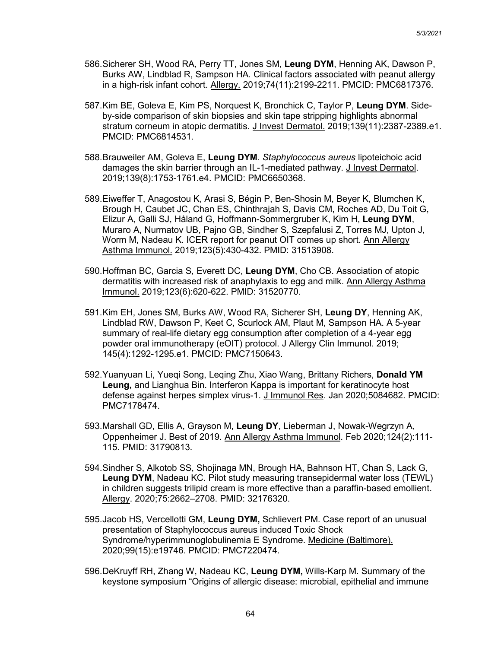- 586.Sicherer SH, Wood RA, Perry TT, Jones SM, **Leung DYM**, Henning AK, Dawson P, Burks AW, Lindblad R, Sampson HA. Clinical factors associated with peanut allergy in a high-risk infant cohort. Allergy. 2019;74(11):2199-2211. PMCID: PMC6817376.
- 587.Kim BE, Goleva E, Kim PS, Norquest K, Bronchick C, Taylor P, **Leung DYM**. Sideby-side comparison of skin biopsies and skin tape stripping highlights abnormal stratum corneum in atopic dermatitis. J Invest Dermatol. 2019;139(11):2387-2389.e1. PMCID: PMC6814531.
- 588.Brauweiler AM, Goleva E, **Leung DYM**. *Staphylococcus aureus* lipoteichoic acid damages the skin barrier through an IL-1-mediated pathway. J Invest Dermatol. 2019;139(8):1753-1761.e4. PMCID: PMC6650368.
- 589.Eiweffer T, Anagostou K, Arasi S, Bégin P, Ben-Shosin M, Beyer K, Blumchen K, Brough H, Caubet JC, Chan ES, Chinthrajah S, Davis CM, Roches AD, Du Toit G, Elizur A, Galli SJ, Håland G, Hoffmann-Sommergruber K, Kim H, **Leung DYM**, Muraro A, Nurmatov UB, Pajno GB, Sindher S, Szepfalusi Z, Torres MJ, Upton J, Worm M, Nadeau K. ICER report for peanut OIT comes up short. Ann Allergy Asthma Immunol. 2019;123(5):430-432. PMID: 31513908.
- 590.Hoffman BC, Garcia S, Everett DC, **Leung DYM**, Cho CB. Association of atopic dermatitis with increased risk of anaphylaxis to egg and milk. Ann Allergy Asthma Immunol. 2019;123(6):620-622. PMID: 31520770.
- 591.Kim EH, Jones SM, Burks AW, Wood RA, Sicherer SH, **Leung DY**, Henning AK, Lindblad RW, Dawson P, Keet C, Scurlock AM, Plaut M, Sampson HA. A 5-year summary of real-life dietary egg consumption after completion of a 4-year egg powder oral immunotherapy (eOIT) protocol. J Allergy Clin Immunol. 2019; 145(4):1292-1295.e1. PMCID: PMC7150643.
- 592.Yuanyuan Li, Yueqi Song, Leqing Zhu, Xiao Wang, Brittany Richers, **Donald YM Leung,** and Lianghua Bin. Interferon Kappa is important for keratinocyte host defense against herpes simplex virus-1. J Immunol Res. Jan 2020;5084682. PMCID: PMC7178474.
- 593.Marshall GD, Ellis A, Grayson M, **Leung DY**, Lieberman J, Nowak-Wegrzyn A, Oppenheimer J. Best of 2019. Ann Allergy Asthma Immunol. Feb 2020;124(2):111- 115. PMID: 31790813.
- 594.Sindher S, Alkotob SS, Shojinaga MN, Brough HA, Bahnson HT, Chan S, Lack G, **Leung DYM**, Nadeau KC. Pilot study measuring transepidermal water loss (TEWL) in children suggests trilipid cream is more effective than a paraffin-based emollient. Allergy. 2020;75:2662–2708. PMID: 32176320.
- 595.Jacob HS, Vercellotti GM, **Leung DYM,** Schlievert PM. Case report of an unusual presentation of Staphylococcus aureus induced Toxic Shock Syndrome/hyperimmunoglobulinemia E Syndrome. Medicine (Baltimore). 2020;99(15):e19746. PMCID: PMC7220474.
- 596.DeKruyff RH, Zhang W, Nadeau KC, **Leung DYM,** Wills-Karp M. Summary of the keystone symposium "Origins of allergic disease: microbial, epithelial and immune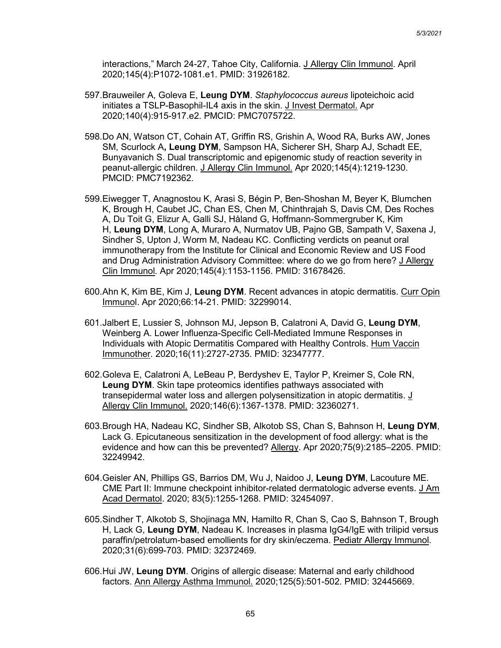interactions," March 24-27, Tahoe City, California. J Allergy Clin Immunol. April 2020;145(4):P1072-1081.e1. PMID: 31926182.

- 597.Brauweiler A, Goleva E, **Leung DYM**. *Staphylococcus aureus* lipoteichoic acid initiates a TSLP-Basophil-IL4 axis in the skin. J Invest Dermatol. Apr 2020;140(4):915-917.e2. PMCID: PMC7075722.
- 598.Do AN, Watson CT, Cohain AT, Griffin RS, Grishin A, Wood RA, Burks AW, Jones SM, Scurlock A**, Leung DYM**, Sampson HA, Sicherer SH, Sharp AJ, Schadt EE, Bunyavanich S. Dual transcriptomic and epigenomic study of reaction severity in peanut-allergic children. J Allergy Clin Immunol. Apr 2020;145(4):1219-1230. PMCID: PMC7192362.
- 599.Eiwegger T, Anagnostou K, Arasi S, Bégin P, Ben-Shoshan M, Beyer K, Blumchen K, Brough H, Caubet JC, Chan ES, Chen M, Chinthrajah S, Davis CM, Des Roches A, Du Toit G, Elizur A, Galli SJ, Håland G, Hoffmann-Sommergruber K, Kim H, **Leung DYM**, Long A, Muraro A, Nurmatov UB, Pajno GB, Sampath V, Saxena J, Sindher S, Upton J, Worm M, Nadeau KC. Conflicting verdicts on peanut oral immunotherapy from the Institute for Clinical and Economic Review and US Food and Drug Administration Advisory Committee: where do we go from here? J Allergy Clin Immunol. Apr 2020;145(4):1153-1156. PMID: 31678426.
- 600.Ahn K, Kim BE, Kim J, **Leung DYM**. Recent advances in atopic dermatitis. Curr Opin Immunol. Apr 2020;66:14-21. PMID: 32299014.
- 601.Jalbert E, Lussier S, Johnson MJ, Jepson B, Calatroni A, David G, **Leung DYM**, Weinberg A. Lower Influenza-Specific Cell-Mediated Immune Responses in Individuals with Atopic Dermatitis Compared with Healthy Controls. Hum Vaccin Immunother. 2020;16(11):2727-2735. PMID: 32347777.
- 602.Goleva E, Calatroni A, LeBeau P, Berdyshev E, Taylor P, Kreimer S, Cole RN, **Leung DYM**. Skin tape proteomics identifies pathways associated with transepidermal water loss and allergen polysensitization in atopic dermatitis. J Allergy Clin Immunol. 2020;146(6):1367-1378. PMID: 32360271.
- 603.Brough HA, Nadeau KC, Sindher SB, Alkotob SS, Chan S, Bahnson H, **Leung DYM**, Lack G. Epicutaneous sensitization in the development of food allergy: what is the evidence and how can this be prevented? Allergy. Apr 2020;75(9):2185–2205. PMID: 32249942.
- 604.Geisler AN, Phillips GS, Barrios DM, Wu J, Naidoo J, **Leung DYM**, Lacouture ME. CME Part II: Immune checkpoint inhibitor-related dermatologic adverse events. J Am Acad Dermatol. 2020; 83(5):1255-1268. PMID: 32454097.
- 605.Sindher T, Alkotob S, Shojinaga MN, Hamilto R, Chan S, Cao S, Bahnson T, Brough H, Lack G, **Leung DYM**, Nadeau K. Increases in plasma IgG4/IgE with trilipid versus paraffin/petrolatum-based emollients for dry skin/eczema. Pediatr Allergy Immunol. 2020;31(6):699-703. PMID: 32372469.
- 606.Hui JW, **Leung DYM**. Origins of allergic disease: Maternal and early childhood factors. Ann Allergy Asthma Immunol. 2020;125(5):501-502. PMID: 32445669.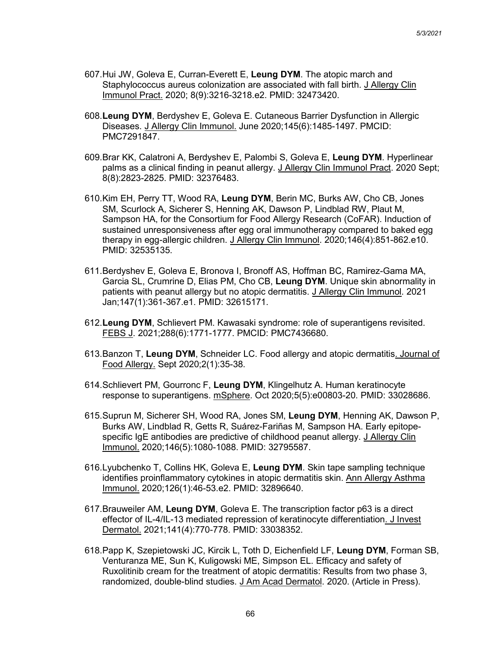- 607.Hui JW, Goleva E, Curran-Everett E, **Leung DYM**. The atopic march and Staphylococcus aureus colonization are associated with fall birth. J Allergy Clin Immunol Pract. 2020; 8(9):3216-3218.e2. PMID: 32473420.
- 608.**Leung DYM**, Berdyshev E, Goleva E. Cutaneous Barrier Dysfunction in Allergic Diseases. J Allergy Clin Immunol. June 2020;145(6):1485-1497. PMCID: PMC7291847.
- 609.Brar KK, Calatroni A, Berdyshev E, Palombi S, Goleva E, **Leung DYM**. Hyperlinear palms as a clinical finding in peanut allergy. J Allergy Clin Immunol Pract. 2020 Sept; 8(8):2823-2825. PMID: 32376483.
- 610.Kim EH, Perry TT, Wood RA, **Leung DYM**, Berin MC, Burks AW, Cho CB, Jones SM, Scurlock A, Sicherer S, Henning AK, Dawson P, Lindblad RW, Plaut M, Sampson HA, for the Consortium for Food Allergy Research (CoFAR). Induction of sustained unresponsiveness after egg oral immunotherapy compared to baked egg therapy in egg-allergic children. J Allergy Clin Immunol. 2020;146(4):851-862.e10. PMID: 32535135.
- 611.Berdyshev E, Goleva E, Bronova I, Bronoff AS, Hoffman BC, Ramirez-Gama MA, Garcia SL, Crumrine D, Elias PM, Cho CB, **Leung DYM**. Unique skin abnormality in patients with peanut allergy but no atopic dermatitis. J Allergy Clin Immunol. 2021 Jan;147(1):361-367.e1. PMID: 32615171.
- 612.**Leung DYM**, Schlievert PM. Kawasaki syndrome: role of superantigens revisited. FEBS J. 2021;288(6):1771-1777. PMCID: PMC7436680.
- 613.Banzon T, **Leung DYM**, Schneider LC. Food allergy and atopic dermatitis. Journal of Food Allergy. Sept 2020;2(1):35-38.
- 614.Schlievert PM, Gourronc F, **Leung DYM**, Klingelhutz A. Human keratinocyte response to superantigens. mSphere. Oct 2020;5(5):e00803-20. PMID: 33028686.
- 615.Suprun M, Sicherer SH, Wood RA, Jones SM, **Leung DYM**, Henning AK, Dawson P, Burks AW, Lindblad R, Getts R, Suárez-Fariñas M, Sampson HA. Early epitopespecific IgE antibodies are predictive of childhood peanut allergy. J Allergy Clin Immunol. 2020;146(5):1080-1088. PMID: 32795587.
- 616.Lyubchenko T, Collins HK, Goleva E, **Leung DYM**. Skin tape sampling technique identifies proinflammatory cytokines in atopic dermatitis skin. Ann Allergy Asthma Immunol. 2020;126(1):46-53.e2. PMID: 32896640.
- 617.Brauweiler AM, **Leung DYM**, Goleva E. The transcription factor p63 is a direct effector of IL-4/IL-13 mediated repression of keratinocyte differentiation. J Invest Dermatol. 2021;141(4):770-778. PMID: 33038352.
- 618.Papp K, Szepietowski JC, Kircik L, Toth D, Eichenfield LF, **Leung DYM**, Forman SB, Venturanza ME, Sun K, Kuligowski ME, Simpson EL. Efficacy and safety of Ruxolitinib cream for the treatment of atopic dermatitis: Results from two phase 3, randomized, double-blind studies. J Am Acad Dermatol. 2020. (Article in Press).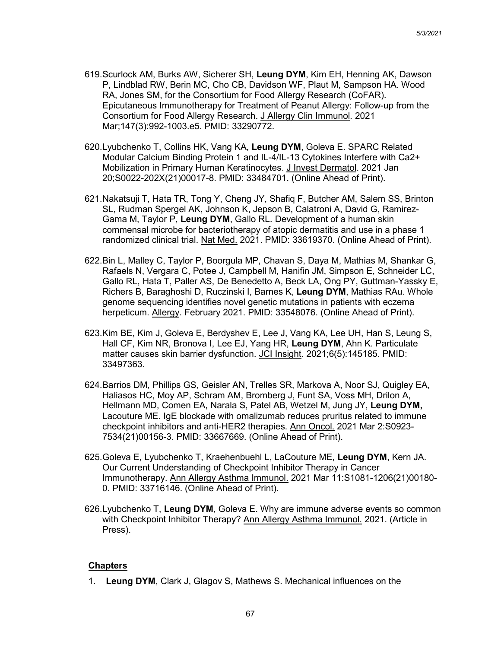- 619.Scurlock AM, Burks AW, Sicherer SH, **Leung DYM**, Kim EH, Henning AK, Dawson P, Lindblad RW, Berin MC, Cho CB, Davidson WF, Plaut M, Sampson HA. Wood RA, Jones SM, for the Consortium for Food Allergy Research (CoFAR). Epicutaneous Immunotherapy for Treatment of Peanut Allergy: Follow-up from the Consortium for Food Allergy Research. J Allergy Clin Immunol. 2021 Mar;147(3):992-1003.e5. PMID: 33290772.
- 620.Lyubchenko T, Collins HK, Vang KA, **Leung DYM**, Goleva E. SPARC Related Modular Calcium Binding Protein 1 and IL-4/IL-13 Cytokines Interfere with Ca2+ Mobilization in Primary Human Keratinocytes. J Invest Dermatol. 2021 Jan 20;S0022-202X(21)00017-8. PMID: 33484701. (Online Ahead of Print).
- 621.Nakatsuji T, Hata TR, Tong Y, Cheng JY, Shafiq F, Butcher AM, Salem SS, Brinton SL, Rudman Spergel AK, Johnson K, Jepson B, Calatroni A, David G, Ramirez-Gama M, Taylor P, **Leung DYM**, Gallo RL. Development of a human skin commensal microbe for bacteriotherapy of atopic dermatitis and use in a phase 1 randomized clinical trial. Nat Med. 2021. PMID: 33619370. (Online Ahead of Print).
- 622.Bin L, Malley C, Taylor P, Boorgula MP, Chavan S, Daya M, Mathias M, Shankar G, Rafaels N, Vergara C, Potee J, Campbell M, Hanifin JM, Simpson E, Schneider LC, Gallo RL, Hata T, Paller AS, De Benedetto A, Beck LA, Ong PY, Guttman-Yassky E, Richers B, Baraghoshi D, Ruczinski I, Barnes K, **Leung DYM**, Mathias RAu. Whole genome sequencing identifies novel genetic mutations in patients with eczema herpeticum. Allergy. February 2021. PMID: 33548076. (Online Ahead of Print).
- 623.Kim BE, Kim J, Goleva E, Berdyshev E, Lee J, Vang KA, Lee UH, Han S, Leung S, Hall CF, Kim NR, Bronova I, Lee EJ, Yang HR, **Leung DYM**, Ahn K. Particulate matter causes skin barrier dysfunction. JCI Insight. 2021;6(5):145185. PMID: 33497363.
- 624.Barrios DM, Phillips GS, Geisler AN, Trelles SR, Markova A, Noor SJ, Quigley EA, Haliasos HC, Moy AP, Schram AM, Bromberg J, Funt SA, Voss MH, Drilon A, Hellmann MD, Comen EA, Narala S, Patel AB, Wetzel M, Jung JY, **Leung DYM,** Lacouture ME. IgE blockade with omalizumab reduces pruritus related to immune checkpoint inhibitors and anti-HER2 therapies. Ann Oncol. 2021 Mar 2:S0923- 7534(21)00156-3. PMID: 33667669. (Online Ahead of Print).
- 625.Goleva E, Lyubchenko T, Kraehenbuehl L, LaCouture ME, **Leung DYM**, Kern JA. Our Current Understanding of Checkpoint Inhibitor Therapy in Cancer Immunotherapy. Ann Allergy Asthma Immunol. 2021 Mar 11:S1081-1206(21)00180- 0. PMID: 33716146. (Online Ahead of Print).
- 626.Lyubchenko T, **Leung DYM**, Goleva E. Why are immune adverse events so common with Checkpoint Inhibitor Therapy? Ann Allergy Asthma Immunol. 2021. (Article in Press).

## **Chapters**

1. **Leung DYM**, Clark J, Glagov S, Mathews S. Mechanical influences on the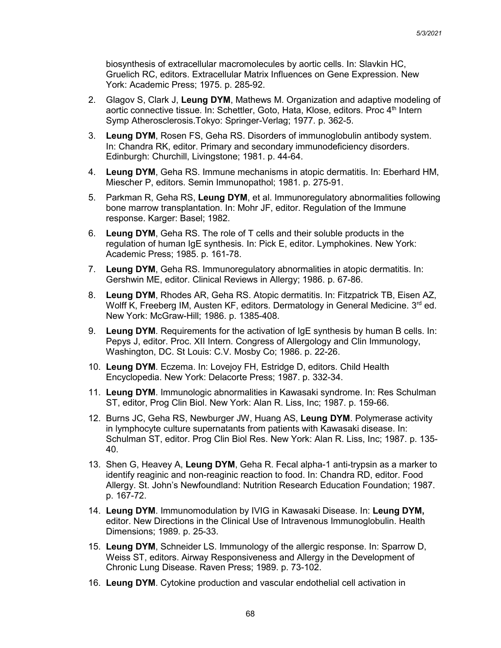biosynthesis of extracellular macromolecules by aortic cells. In: Slavkin HC, Gruelich RC, editors. Extracellular Matrix Influences on Gene Expression. New York: Academic Press; 1975. p. 285-92.

- 2. Glagov S, Clark J, **Leung DYM**, Mathews M. Organization and adaptive modeling of aortic connective tissue. In: Schettler, Goto, Hata, Klose, editors. Proc 4<sup>th</sup> Intern Symp Atherosclerosis.Tokyo: Springer-Verlag; 1977. p. 362-5.
- 3. **Leung DYM**, Rosen FS, Geha RS. Disorders of immunoglobulin antibody system. In: Chandra RK, editor. Primary and secondary immunodeficiency disorders. Edinburgh: Churchill, Livingstone; 1981. p. 44-64.
- 4. **Leung DYM**, Geha RS. Immune mechanisms in atopic dermatitis. In: Eberhard HM, Miescher P, editors. Semin Immunopathol; 1981. p. 275-91.
- 5. Parkman R, Geha RS, **Leung DYM**, et al. Immunoregulatory abnormalities following bone marrow transplantation. In: Mohr JF, editor. Regulation of the Immune response. Karger: Basel; 1982.
- 6. **Leung DYM**, Geha RS. The role of T cells and their soluble products in the regulation of human IgE synthesis. In: Pick E, editor. Lymphokines. New York: Academic Press; 1985. p. 161-78.
- 7. **Leung DYM**, Geha RS. Immunoregulatory abnormalities in atopic dermatitis. In: Gershwin ME, editor. Clinical Reviews in Allergy; 1986. p. 67-86.
- 8. **Leung DYM**, Rhodes AR, Geha RS. Atopic dermatitis. In: Fitzpatrick TB, Eisen AZ, Wolff K, Freeberg IM, Austen KF, editors. Dermatology in General Medicine.  $3<sup>rd</sup>$  ed. New York: McGraw-Hill; 1986. p. 1385-408.
- 9. **Leung DYM**. Requirements for the activation of IgE synthesis by human B cells. In: Pepys J, editor. Proc. XII Intern. Congress of Allergology and Clin Immunology, Washington, DC. St Louis: C.V. Mosby Co; 1986. p. 22-26.
- 10. **Leung DYM**. Eczema. In: Lovejoy FH, Estridge D, editors. Child Health Encyclopedia. New York: Delacorte Press; 1987. p. 332-34.
- 11. **Leung DYM**. Immunologic abnormalities in Kawasaki syndrome. In: Res Schulman ST, editor, Prog Clin Biol. New York: Alan R. Liss, Inc; 1987. p. 159-66.
- 12. Burns JC, Geha RS, Newburger JW, Huang AS, **Leung DYM**. Polymerase activity in lymphocyte culture supernatants from patients with Kawasaki disease. In: Schulman ST, editor. Prog Clin Biol Res. New York: Alan R. Liss, Inc; 1987. p. 135- 40.
- 13. Shen G, Heavey A, **Leung DYM**, Geha R. Fecal alpha-1 anti-trypsin as a marker to identify reaginic and non-reaginic reaction to food. In: Chandra RD, editor. Food Allergy. St. John's Newfoundland: Nutrition Research Education Foundation; 1987. p. 167-72.
- 14. **Leung DYM**. Immunomodulation by IVIG in Kawasaki Disease. In: **Leung DYM,**  editor. New Directions in the Clinical Use of Intravenous Immunoglobulin. Health Dimensions; 1989. p. 25-33.
- 15. **Leung DYM**, Schneider LS. Immunology of the allergic response. In: Sparrow D, Weiss ST, editors. Airway Responsiveness and Allergy in the Development of Chronic Lung Disease. Raven Press; 1989. p. 73-102.
- 16. **Leung DYM**. Cytokine production and vascular endothelial cell activation in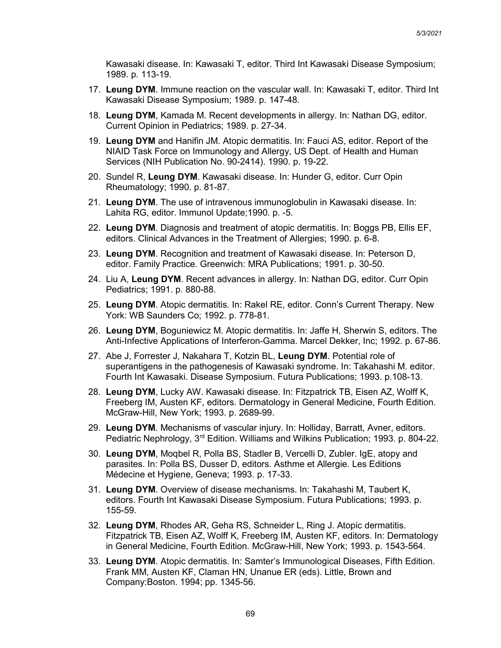Kawasaki disease. In: Kawasaki T, editor. Third Int Kawasaki Disease Symposium; 1989. p. 113-19.

- 17. **Leung DYM**. Immune reaction on the vascular wall. In: Kawasaki T, editor. Third Int Kawasaki Disease Symposium; 1989. p. 147-48.
- 18. **Leung DYM**, Kamada M. Recent developments in allergy. In: Nathan DG, editor. Current Opinion in Pediatrics; 1989. p. 27-34.
- 19. **Leung DYM** and Hanifin JM. Atopic dermatitis. In: Fauci AS, editor. Report of the NIAID Task Force on Immunology and Allergy, US Dept. of Health and Human Services (NIH Publication No. 90-2414). 1990. p. 19-22.
- 20. Sundel R, **Leung DYM**. Kawasaki disease. In: Hunder G, editor. Curr Opin Rheumatology; 1990. p. 81-87.
- 21. **Leung DYM**. The use of intravenous immunoglobulin in Kawasaki disease. In: Lahita RG, editor. Immunol Update;1990. p. -5.
- 22. **Leung DYM**. Diagnosis and treatment of atopic dermatitis. In: Boggs PB, Ellis EF, editors. Clinical Advances in the Treatment of Allergies; 1990. p. 6-8.
- 23. **Leung DYM**. Recognition and treatment of Kawasaki disease. In: Peterson D, editor. Family Practice. Greenwich: MRA Publications; 1991. p. 30-50.
- 24. Liu A, **Leung DYM**. Recent advances in allergy. In: Nathan DG, editor. Curr Opin Pediatrics; 1991. p. 880-88.
- 25. **Leung DYM**. Atopic dermatitis. In: Rakel RE, editor. Conn's Current Therapy. New York: WB Saunders Co; 1992. p. 778-81.
- 26. **Leung DYM**, Boguniewicz M. Atopic dermatitis. In: Jaffe H, Sherwin S, editors. The Anti-Infective Applications of Interferon-Gamma. Marcel Dekker, Inc; 1992. p. 67-86.
- 27. Abe J, Forrester J, Nakahara T, Kotzin BL, **Leung DYM**. Potential role of superantigens in the pathogenesis of Kawasaki syndrome. In: Takahashi M. editor. Fourth Int Kawasaki. Disease Symposium. Futura Publications; 1993. p.108-13.
- 28. **Leung DYM**, Lucky AW. Kawasaki disease. In: Fitzpatrick TB, Eisen AZ, Wolff K, Freeberg IM, Austen KF, editors. Dermatology in General Medicine, Fourth Edition. McGraw-Hill, New York; 1993. p. 2689-99.
- 29. **Leung DYM**. Mechanisms of vascular injury. In: Holliday, Barratt, Avner, editors. Pediatric Nephrology, 3<sup>rd</sup> Edition. Williams and Wilkins Publication; 1993. p. 804-22.
- 30. **Leung DYM**, Moqbel R, Polla BS, Stadler B, Vercelli D, Zubler. IgE, atopy and parasites. In: Polla BS, Dusser D, editors. Asthme et Allergie. Les Editions Médecine et Hygiene, Geneva; 1993. p. 17-33.
- 31. **Leung DYM**. Overview of disease mechanisms. In: Takahashi M, Taubert K, editors. Fourth Int Kawasaki Disease Symposium. Futura Publications; 1993. p. 155-59.
- 32. **Leung DYM**, Rhodes AR, Geha RS, Schneider L, Ring J. Atopic dermatitis. Fitzpatrick TB, Eisen AZ, Wolff K, Freeberg IM, Austen KF, editors. In: Dermatology in General Medicine, Fourth Edition. McGraw-Hill, New York; 1993. p. 1543-564.
- 33. **Leung DYM**. Atopic dermatitis. In: Samter's Immunological Diseases, Fifth Edition. Frank MM, Austen KF, Claman HN, Unanue ER (eds). Little, Brown and Company:Boston. 1994; pp. 1345-56.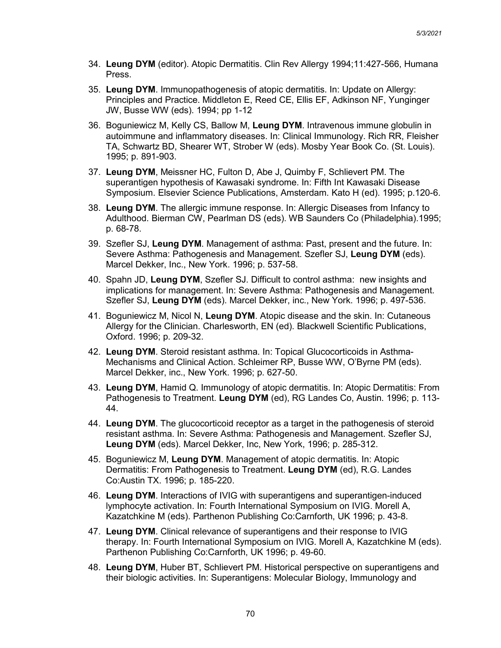- 34. **Leung DYM** (editor). Atopic Dermatitis. Clin Rev Allergy 1994;11:427-566, Humana Press.
- 35. **Leung DYM**. Immunopathogenesis of atopic dermatitis. In: Update on Allergy: Principles and Practice. Middleton E, Reed CE, Ellis EF, Adkinson NF, Yunginger JW, Busse WW (eds). 1994; pp 1-12
- 36. Boguniewicz M, Kelly CS, Ballow M, **Leung DYM**. Intravenous immune globulin in autoimmune and inflammatory diseases. In: Clinical Immunology. Rich RR, Fleisher TA, Schwartz BD, Shearer WT, Strober W (eds). Mosby Year Book Co. (St. Louis). 1995; p. 891-903.
- 37. **Leung DYM**, Meissner HC, Fulton D, Abe J, Quimby F, Schlievert PM. The superantigen hypothesis of Kawasaki syndrome. In: Fifth Int Kawasaki Disease Symposium. Elsevier Science Publications, Amsterdam. Kato H (ed). 1995; p.120-6.
- 38. **Leung DYM**. The allergic immune response. In: Allergic Diseases from Infancy to Adulthood. Bierman CW, Pearlman DS (eds). WB Saunders Co (Philadelphia).1995; p. 68-78.
- 39. Szefler SJ, **Leung DYM**. Management of asthma: Past, present and the future. In: Severe Asthma: Pathogenesis and Management. Szefler SJ, **Leung DYM** (eds). Marcel Dekker, Inc., New York. 1996; p. 537-58.
- 40. Spahn JD, **Leung DYM**, Szefler SJ. Difficult to control asthma: new insights and implications for management. In: Severe Asthma: Pathogenesis and Management. Szefler SJ, **Leung DYM** (eds). Marcel Dekker, inc., New York. 1996; p. 497-536.
- 41. Boguniewicz M, Nicol N, **Leung DYM**. Atopic disease and the skin. In: Cutaneous Allergy for the Clinician. Charlesworth, EN (ed). Blackwell Scientific Publications, Oxford. 1996; p. 209-32.
- 42. **Leung DYM**. Steroid resistant asthma. In: Topical Glucocorticoids in Asthma-Mechanisms and Clinical Action. Schleimer RP, Busse WW, O'Byrne PM (eds). Marcel Dekker, inc., New York. 1996; p. 627-50.
- 43. **Leung DYM**, Hamid Q. Immunology of atopic dermatitis. In: Atopic Dermatitis: From Pathogenesis to Treatment. **Leung DYM** (ed), RG Landes Co, Austin. 1996; p. 113- 44.
- 44. **Leung DYM**. The glucocorticoid receptor as a target in the pathogenesis of steroid resistant asthma. In: Severe Asthma: Pathogenesis and Management. Szefler SJ, **Leung DYM** (eds). Marcel Dekker, Inc, New York, 1996; p. 285-312.
- 45. Boguniewicz M, **Leung DYM**. Management of atopic dermatitis. In: Atopic Dermatitis: From Pathogenesis to Treatment. **Leung DYM** (ed), R.G. Landes Co:Austin TX. 1996; p. 185-220.
- 46. **Leung DYM**. Interactions of IVIG with superantigens and superantigen-induced lymphocyte activation. In: Fourth International Symposium on IVIG. Morell A, Kazatchkine M (eds). Parthenon Publishing Co:Carnforth, UK 1996; p. 43-8.
- 47. **Leung DYM**. Clinical relevance of superantigens and their response to IVIG therapy. In: Fourth International Symposium on IVIG. Morell A, Kazatchkine M (eds). Parthenon Publishing Co:Carnforth, UK 1996; p. 49-60.
- 48. **Leung DYM**, Huber BT, Schlievert PM. Historical perspective on superantigens and their biologic activities. In: Superantigens: Molecular Biology, Immunology and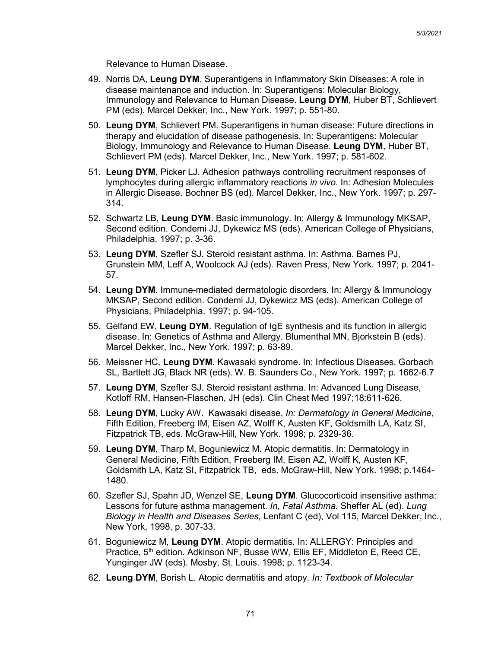Relevance to Human Disease.

- 49. Norris DA, **Leung DYM**. Superantigens in Inflammatory Skin Diseases: A role in disease maintenance and induction. In: Superantigens: Molecular Biology, Immunology and Relevance to Human Disease. **Leung DYM**, Huber BT, Schlievert PM (eds). Marcel Dekker, Inc., New York. 1997; p. 551-80.
- 50. **Leung DYM**, Schlievert PM. Superantigens in human disease: Future directions in therapy and elucidation of disease pathogenesis. In: Superantigens: Molecular Biology, Immunology and Relevance to Human Disease. **Leung DYM**, Huber BT, Schlievert PM (eds). Marcel Dekker, Inc., New York. 1997; p. 581-602.
- 51. **Leung DYM**, Picker LJ. Adhesion pathways controlling recruitment responses of lymphocytes during allergic inflammatory reactions *in vivo*. In: Adhesion Molecules in Allergic Disease. Bochner BS (ed). Marcel Dekker, Inc., New York. 1997; p. 297- 314.
- 52. Schwartz LB, **Leung DYM**. Basic immunology. In: Allergy & Immunology MKSAP, Second edition. Condemi JJ, Dykewicz MS (eds). American College of Physicians, Philadelphia. 1997; p. 3-36.
- 53. **Leung DYM**, Szefler SJ. Steroid resistant asthma. In: Asthma. Barnes PJ, Grunstein MM, Leff A, Woolcock AJ (eds). Raven Press, New York. 1997; p. 2041- 57.
- 54. **Leung DYM**. Immune-mediated dermatologic disorders. In: Allergy & Immunology MKSAP, Second edition. Condemi JJ, Dykewicz MS (eds). American College of Physicians, Philadelphia. 1997; p. 94-105.
- 55. Gelfand EW, **Leung DYM**. Regulation of IgE synthesis and its function in allergic disease. In: Genetics of Asthma and Allergy. Blumenthal MN, Bjorkstein B (eds). Marcel Dekker, Inc., New York. 1997; p. 63-89.
- 56. Meissner HC, **Leung DYM**. Kawasaki syndrome. In: Infectious Diseases. Gorbach SL, Bartlett JG, Black NR (eds). W. B. Saunders Co., New York. 1997; p. 1662-6.7
- 57. **Leung DYM**, Szefler SJ. Steroid resistant asthma. In: Advanced Lung Disease, Kotloff RM, Hansen-Flaschen, JH (eds). Clin Chest Med 1997;18:611-626.
- 58. **Leung DYM**, Lucky AW. Kawasaki disease. *In: Dermatology in General Medicine*, Fifth Edition, Freeberg IM, Eisen AZ, Wolff K, Austen KF, Goldsmith LA, Katz SI, Fitzpatrick TB, eds. McGraw-Hill, New York. 1998; p. 2329-36.
- 59. **Leung DYM**, Tharp M, Boguniewicz M. Atopic dermatitis. In: Dermatology in General Medicine, Fifth Edition, Freeberg IM, Eisen AZ, Wolff K, Austen KF, Goldsmith LA, Katz SI, Fitzpatrick TB, eds. McGraw-Hill, New York. 1998; p.1464- 1480.
- 60. Szefler SJ, Spahn JD, Wenzel SE, **Leung DYM**. Glucocorticoid insensitive asthma: Lessons for future asthma management. *In, Fatal Asthma.* Sheffer AL (ed). *Lung Biology in Health and Diseases Series*, Lenfant C (ed), Vol 115, Marcel Dekker, Inc., New York, 1998, p. 307-33.
- 61. Boguniewicz M, **Leung DYM**. Atopic dermatitis. In: ALLERGY: Principles and Practice, 5<sup>th</sup> edition. Adkinson NF, Busse WW, Ellis EF, Middleton E, Reed CE, Yunginger JW (eds). Mosby, St. Louis. 1998; p. 1123-34.
- 62. **Leung DYM**, Borish L. Atopic dermatitis and atopy. *In: Textbook of Molecular*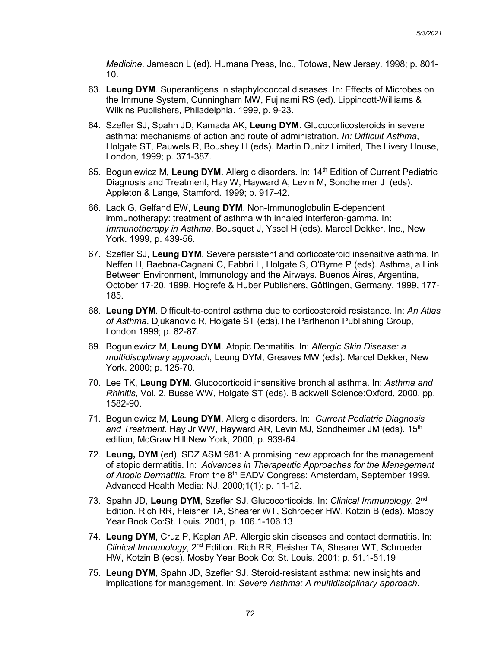*Medicine*. Jameson L (ed). Humana Press, Inc., Totowa, New Jersey. 1998; p. 801- 10.

- 63. **Leung DYM**. Superantigens in staphylococcal diseases. In: Effects of Microbes on the Immune System, Cunningham MW, Fujinami RS (ed). Lippincott-Williams & Wilkins Publishers, Philadelphia. 1999, p. 9-23.
- 64. Szefler SJ, Spahn JD, Kamada AK, **Leung DYM**. Glucocorticosteroids in severe asthma: mechanisms of action and route of administration. *In: Difficult Asthma*, Holgate ST, Pauwels R, Boushey H (eds). Martin Dunitz Limited, The Livery House, London, 1999; p. 371-387.
- 65. Boguniewicz M, **Leung DYM**. Allergic disorders. In: 14th Edition of Current Pediatric Diagnosis and Treatment, Hay W, Hayward A, Levin M, Sondheimer J (eds). Appleton & Lange, Stamford. 1999; p. 917-42.
- 66. Lack G, Gelfand EW, **Leung DYM**. Non-Immunoglobulin E-dependent immunotherapy: treatment of asthma with inhaled interferon-gamma. In: *Immunotherapy in Asthma*. Bousquet J, Yssel H (eds). Marcel Dekker, Inc., New York. 1999, p. 439-56.
- 67. Szefler SJ, **Leung DYM**. Severe persistent and corticosteroid insensitive asthma. In Neffen H, Baebna-Cagnani C, Fabbri L, Holgate S, O'Byrne P (eds). Asthma, a Link Between Environment, Immunology and the Airways. Buenos Aires, Argentina, October 17-20, 1999. Hogrefe & Huber Publishers, Göttingen, Germany, 1999, 177- 185.
- 68. **Leung DYM**. Difficult-to-control asthma due to corticosteroid resistance. In: *An Atlas of Asthma*. Djukanovic R, Holgate ST (eds),The Parthenon Publishing Group, London 1999; p. 82-87.
- 69. Boguniewicz M, **Leung DYM**. Atopic Dermatitis. In: *Allergic Skin Disease: a multidisciplinary approach*, Leung DYM, Greaves MW (eds). Marcel Dekker, New York. 2000; p. 125-70.
- 70. Lee TK, **Leung DYM**. Glucocorticoid insensitive bronchial asthma. In: *Asthma and Rhinitis*, Vol. 2. Busse WW, Holgate ST (eds). Blackwell Science:Oxford, 2000, pp. 1582-90.
- 71. Boguniewicz M, **Leung DYM**. Allergic disorders. In: *Current Pediatric Diagnosis*  and Treatment. Hay Jr WW, Hayward AR, Levin MJ, Sondheimer JM (eds), 15<sup>th</sup> edition, McGraw Hill:New York, 2000, p. 939-64.
- 72. **Leung, DYM** (ed). SDZ ASM 981: A promising new approach for the management of atopic dermatitis. In: *Advances in Therapeutic Approaches for the Management*  of Atopic Dermatitis. From the 8<sup>th</sup> EADV Congress: Amsterdam, September 1999. Advanced Health Media: NJ. 2000;1(1): p. 11-12.
- 73. Spahn JD, **Leung DYM**, Szefler SJ. Glucocorticoids. In: *Clinical Immunology*, 2nd Edition. Rich RR, Fleisher TA, Shearer WT, Schroeder HW, Kotzin B (eds). Mosby Year Book Co:St. Louis. 2001, p. 106.1-106.13
- 74. **Leung DYM**, Cruz P, Kaplan AP. Allergic skin diseases and contact dermatitis. In: *Clinical Immunology*, 2nd Edition. Rich RR, Fleisher TA, Shearer WT, Schroeder HW, Kotzin B (eds). Mosby Year Book Co: St. Louis. 2001; p. 51.1-51.19
- 75. **Leung DYM**, Spahn JD, Szefler SJ. Steroid-resistant asthma: new insights and implications for management. In: *Severe Asthma: A multidisciplinary approach.*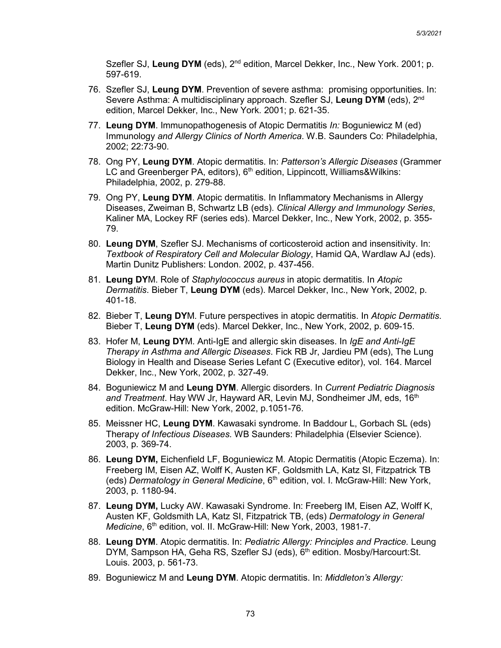Szefler SJ, Leung DYM (eds), 2<sup>nd</sup> edition, Marcel Dekker, Inc., New York. 2001; p. 597-619.

- 76. Szefler SJ, **Leung DYM**. Prevention of severe asthma: promising opportunities. In: Severe Asthma: A multidisciplinary approach. Szefler SJ, **Leung DYM** (eds), 2nd edition, Marcel Dekker, Inc., New York. 2001; p. 621-35.
- 77. **Leung DYM**. Immunopathogenesis of Atopic Dermatitis *In:* Boguniewicz M (ed) Immunology *and Allergy Clinics of North America*. W.B. Saunders Co: Philadelphia, 2002; 22:73-90.
- 78. Ong PY, **Leung DYM**. Atopic dermatitis. In: *Patterson's Allergic Diseases* (Grammer LC and Greenberger PA, editors), 6<sup>th</sup> edition, Lippincott, Williams&Wilkins: Philadelphia, 2002, p. 279-88.
- 79. Ong PY, **Leung DYM**. Atopic dermatitis. In Inflammatory Mechanisms in Allergy Diseases, Zweiman B, Schwartz LB (eds). *Clinical Allergy and Immunology Series*, Kaliner MA, Lockey RF (series eds). Marcel Dekker, Inc., New York, 2002, p. 355- 79.
- 80. **Leung DYM**, Szefler SJ. Mechanisms of corticosteroid action and insensitivity. In: *Textbook of Respiratory Cell and Molecular Biology*, Hamid QA, Wardlaw AJ (eds). Martin Dunitz Publishers: London. 2002, p. 437-456.
- 81. **Leung DY**M. Role of *Staphylococcus aureus* in atopic dermatitis. In *Atopic Dermatitis*. Bieber T, **Leung DYM** (eds). Marcel Dekker, Inc., New York, 2002, p. 401-18.
- 82. Bieber T, **Leung DY**M. Future perspectives in atopic dermatitis. In *Atopic Dermatitis*. Bieber T, **Leung DYM** (eds). Marcel Dekker, Inc., New York, 2002, p. 609-15.
- 83. Hofer M, **Leung DY**M. Anti-IgE and allergic skin diseases. In *IgE and Anti-IgE Therapy in Asthma and Allergic Diseases*. Fick RB Jr, Jardieu PM (eds), The Lung Biology in Health and Disease Series Lefant C (Executive editor), vol. 164. Marcel Dekker, Inc., New York, 2002, p. 327-49.
- 84. Boguniewicz M and **Leung DYM**. Allergic disorders. In *Current Pediatric Diagnosis*  and Treatment. Hay WW Jr, Hayward AR, Levin MJ, Sondheimer JM, eds, 16<sup>th</sup> edition. McGraw-Hill: New York, 2002, p.1051-76.
- 85. Meissner HC, **Leung DYM**. Kawasaki syndrome. In Baddour L, Gorbach SL (eds) Therapy *of Infectious Diseases.* WB Saunders: Philadelphia (Elsevier Science). 2003, p. 369-74.
- 86. **Leung DYM,** Eichenfield LF, Boguniewicz M. Atopic Dermatitis (Atopic Eczema). In: Freeberg IM, Eisen AZ, Wolff K, Austen KF, Goldsmith LA, Katz SI, Fitzpatrick TB (eds) *Dermatology in General Medicine*, 6<sup>th</sup> edition, vol. I. McGraw-Hill: New York, 2003, p. 1180-94.
- 87. **Leung DYM,** Lucky AW. Kawasaki Syndrome. In: Freeberg IM, Eisen AZ, Wolff K, Austen KF, Goldsmith LA, Katz SI, Fitzpatrick TB, (eds) *Dermatology in General Medicine*, 6<sup>th</sup> edition, vol. II. McGraw-Hill: New York, 2003, 1981-7.
- 88. **Leung DYM**. Atopic dermatitis. In: *Pediatric Allergy: Principles and Practice.* Leung DYM, Sampson HA, Geha RS, Szefler SJ (eds), 6<sup>th</sup> edition. Mosby/Harcourt: St. Louis. 2003, p. 561-73.
- 89. Boguniewicz M and **Leung DYM**. Atopic dermatitis. In: *Middleton's Allergy:*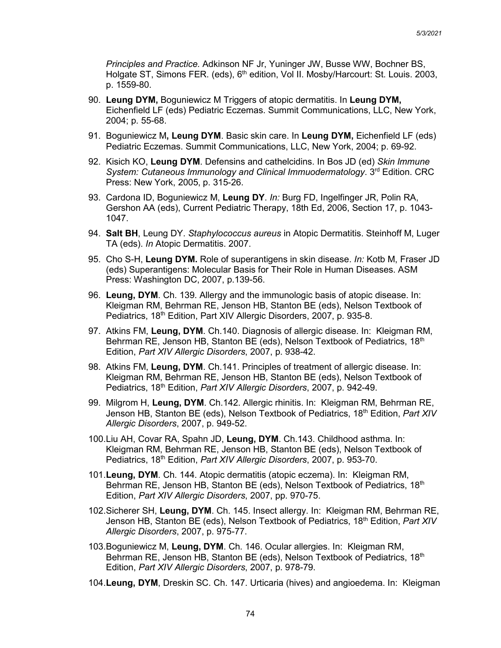*Principles and Practice.* Adkinson NF Jr, Yuninger JW, Busse WW, Bochner BS, Holgate ST, Simons FER. (eds), 6<sup>th</sup> edition, Vol II. Mosby/Harcourt: St. Louis. 2003, p. 1559-80.

- 90. **Leung DYM,** Boguniewicz M Triggers of atopic dermatitis. In **Leung DYM,** Eichenfield LF (eds) Pediatric Eczemas. Summit Communications, LLC, New York, 2004; p. 55-68.
- 91. Boguniewicz M**, Leung DYM**. Basic skin care. In **Leung DYM,** Eichenfield LF (eds) Pediatric Eczemas. Summit Communications, LLC, New York, 2004; p. 69-92.
- 92. Kisich KO, **Leung DYM**. Defensins and cathelcidins. In Bos JD (ed) *Skin Immune System: Cutaneous Immunology and Clinical Immuodermatology.* 3<sup>rd</sup> Edition. CRC Press: New York, 2005, p. 315-26.
- 93. Cardona ID, Boguniewicz M, **Leung DY**. *In:* Burg FD, Ingelfinger JR, Polin RA, Gershon AA (eds), Current Pediatric Therapy, 18th Ed, 2006, Section 17, p. 1043- 1047.
- 94. **Salt BH**, Leung DY. *Staphylococcus aureus* in Atopic Dermatitis. Steinhoff M, Luger TA (eds). *In* Atopic Dermatitis. 2007.
- 95. Cho S-H, **Leung DYM.** Role of superantigens in skin disease. *In:* Kotb M, Fraser JD (eds) Superantigens: Molecular Basis for Their Role in Human Diseases. ASM Press: Washington DC, 2007, p.139-56.
- 96. **Leung, DYM**. Ch. 139. Allergy and the immunologic basis of atopic disease. In: Kleigman RM, Behrman RE, Jenson HB, Stanton BE (eds), Nelson Textbook of Pediatrics, 18<sup>th</sup> Edition, Part XIV Allergic Disorders, 2007, p. 935-8.
- 97. Atkins FM, **Leung, DYM**. Ch.140. Diagnosis of allergic disease. In: Kleigman RM, Behrman RE, Jenson HB, Stanton BE (eds), Nelson Textbook of Pediatrics, 18<sup>th</sup> Edition, *Part XIV Allergic Disorders*, 2007, p. 938-42.
- 98. Atkins FM, **Leung, DYM**. Ch.141. Principles of treatment of allergic disease. In: Kleigman RM, Behrman RE, Jenson HB, Stanton BE (eds), Nelson Textbook of Pediatrics, 18<sup>th</sup> Edition, *Part XIV Allergic Disorders*, 2007, p. 942-49.
- 99. Milgrom H, **Leung, DYM**. Ch.142. Allergic rhinitis. In: Kleigman RM, Behrman RE, Jenson HB, Stanton BE (eds), Nelson Textbook of Pediatrics, 18<sup>th</sup> Edition, *Part XIV Allergic Disorders*, 2007, p. 949-52.
- 100.Liu AH, Covar RA, Spahn JD, **Leung, DYM**. Ch.143. Childhood asthma. In: Kleigman RM, Behrman RE, Jenson HB, Stanton BE (eds), Nelson Textbook of Pediatrics, 18th Edition, *Part XIV Allergic Disorders*, 2007, p. 953-70.
- 101.**Leung, DYM**. Ch. 144. Atopic dermatitis (atopic eczema). In: Kleigman RM, Behrman RE, Jenson HB, Stanton BE (eds), Nelson Textbook of Pediatrics, 18<sup>th</sup> Edition, *Part XIV Allergic Disorders*, 2007, pp. 970-75.
- 102.Sicherer SH, **Leung, DYM**. Ch. 145. Insect allergy. In: Kleigman RM, Behrman RE, Jenson HB, Stanton BE (eds), Nelson Textbook of Pediatrics, 18th Edition, *Part XIV Allergic Disorders*, 2007, p. 975-77.
- 103.Boguniewicz M, **Leung, DYM**. Ch. 146. Ocular allergies. In: Kleigman RM, Behrman RE, Jenson HB, Stanton BE (eds), Nelson Textbook of Pediatrics, 18th Edition, *Part XIV Allergic Disorders*, 2007, p. 978-79.
- 104.**Leung, DYM**, Dreskin SC. Ch. 147. Urticaria (hives) and angioedema. In: Kleigman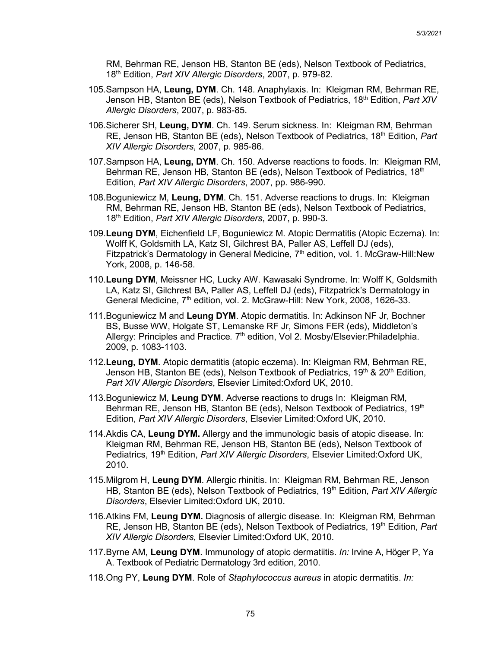RM, Behrman RE, Jenson HB, Stanton BE (eds), Nelson Textbook of Pediatrics, 18th Edition, *Part XIV Allergic Disorders*, 2007, p. 979-82.

- 105.Sampson HA, **Leung, DYM**. Ch. 148. Anaphylaxis. In: Kleigman RM, Behrman RE, Jenson HB, Stanton BE (eds), Nelson Textbook of Pediatrics, 18<sup>th</sup> Edition, *Part XIV Allergic Disorders*, 2007, p. 983-85.
- 106.Sicherer SH, **Leung, DYM**. Ch. 149. Serum sickness. In: Kleigman RM, Behrman RE, Jenson HB, Stanton BE (eds), Nelson Textbook of Pediatrics, 18th Edition, *Part XIV Allergic Disorders*, 2007, p. 985-86.
- 107.Sampson HA, **Leung, DYM**. Ch. 150. Adverse reactions to foods. In: Kleigman RM, Behrman RE, Jenson HB, Stanton BE (eds), Nelson Textbook of Pediatrics, 18<sup>th</sup> Edition, *Part XIV Allergic Disorders*, 2007, pp. 986-990.
- 108.Boguniewicz M, **Leung, DYM**. Ch. 151. Adverse reactions to drugs. In: Kleigman RM, Behrman RE, Jenson HB, Stanton BE (eds), Nelson Textbook of Pediatrics, 18th Edition, *Part XIV Allergic Disorders*, 2007, p. 990-3.
- 109.**Leung DYM**, Eichenfield LF, Boguniewicz M. Atopic Dermatitis (Atopic Eczema). In: Wolff K, Goldsmith LA, Katz SI, Gilchrest BA, Paller AS, Leffell DJ (eds), Fitzpatrick's Dermatology in General Medicine,  $7<sup>th</sup>$  edition, vol. 1. McGraw-Hill:New York, 2008, p. 146-58.
- 110.**Leung DYM**, Meissner HC, Lucky AW. Kawasaki Syndrome. In: Wolff K, Goldsmith LA, Katz SI, Gilchrest BA, Paller AS, Leffell DJ (eds), Fitzpatrick's Dermatology in General Medicine, 7<sup>th</sup> edition, vol. 2. McGraw-Hill: New York, 2008, 1626-33.
- 111.Boguniewicz M and **Leung DYM**. Atopic dermatitis. In: Adkinson NF Jr, Bochner BS, Busse WW, Holgate ST, Lemanske RF Jr, Simons FER (eds), Middleton's Allergy: Principles and Practice. 7<sup>th</sup> edition, Vol 2. Mosby/Elsevier:Philadelphia. 2009, p. 1083-1103.
- 112.**Leung, DYM**. Atopic dermatitis (atopic eczema). In: Kleigman RM, Behrman RE, Jenson HB, Stanton BE (eds), Nelson Textbook of Pediatrics,  $19<sup>th</sup>$  &  $20<sup>th</sup>$  Edition, *Part XIV Allergic Disorders*, Elsevier Limited:Oxford UK, 2010.
- 113.Boguniewicz M, **Leung DYM**. Adverse reactions to drugs In: Kleigman RM, Behrman RE, Jenson HB, Stanton BE (eds), Nelson Textbook of Pediatrics, 19th Edition, *Part XIV Allergic Disorders*, Elsevier Limited:Oxford UK, 2010.
- 114.Akdis CA, **Leung DYM.** Allergy and the immunologic basis of atopic disease. In: Kleigman RM, Behrman RE, Jenson HB, Stanton BE (eds), Nelson Textbook of Pediatrics, 19th Edition, *Part XIV Allergic Disorders*, Elsevier Limited:Oxford UK, 2010.
- 115.Milgrom H, **Leung DYM**. Allergic rhinitis. In: Kleigman RM, Behrman RE, Jenson HB, Stanton BE (eds), Nelson Textbook of Pediatrics, 19<sup>th</sup> Edition, *Part XIV Allergic Disorders*, Elsevier Limited:Oxford UK, 2010.
- 116.Atkins FM, **Leung DYM.** Diagnosis of allergic disease. In: Kleigman RM, Behrman RE, Jenson HB, Stanton BE (eds), Nelson Textbook of Pediatrics, 19th Edition, *Part XIV Allergic Disorders*, Elsevier Limited:Oxford UK, 2010.
- 117.Byrne AM, **Leung DYM**. Immunology of atopic dermatiitis. *In:* Irvine A, Höger P, Ya A. Textbook of Pediatric Dermatology 3rd edition, 2010.
- 118.Ong PY, **Leung DYM**. Role of *Staphylococcus aureus* in atopic dermatitis. *In:*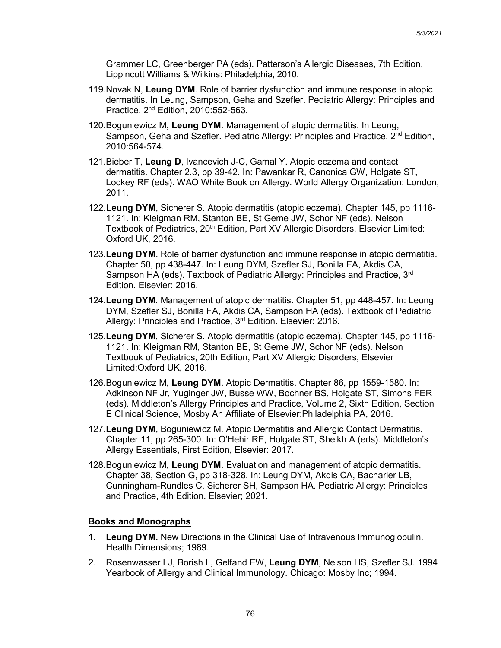Grammer LC, Greenberger PA (eds). Patterson's Allergic Diseases, 7th Edition, Lippincott Williams & Wilkins: Philadelphia, 2010.

- 119.Novak N, **Leung DYM**. Role of barrier dysfunction and immune response in atopic dermatitis. In Leung, Sampson, Geha and Szefler. Pediatric Allergy: Principles and Practice, 2nd Edition, 2010:552-563.
- 120.Boguniewicz M, **Leung DYM**. Management of atopic dermatitis. In Leung, Sampson, Geha and Szefler. Pediatric Allergy: Principles and Practice, 2<sup>nd</sup> Edition, 2010:564-574.
- 121.Bieber T, **Leung D**, Ivancevich J-C, Gamal Y. Atopic eczema and contact dermatitis. Chapter 2.3, pp 39-42. In: Pawankar R, Canonica GW, Holgate ST, Lockey RF (eds). WAO White Book on Allergy. World Allergy Organization: London, 2011.
- 122.**Leung DYM**, Sicherer S. Atopic dermatitis (atopic eczema). Chapter 145, pp 1116- 1121. In: Kleigman RM, Stanton BE, St Geme JW, Schor NF (eds). Nelson Textbook of Pediatrics, 20<sup>th</sup> Edition, Part XV Allergic Disorders. Elsevier Limited: Oxford UK, 2016.
- 123.**Leung DYM**. Role of barrier dysfunction and immune response in atopic dermatitis. Chapter 50, pp 438-447. In: Leung DYM, Szefler SJ, Bonilla FA, Akdis CA, Sampson HA (eds). Textbook of Pediatric Allergy: Principles and Practice, 3rd Edition. Elsevier: 2016.
- 124.**Leung DYM**. Management of atopic dermatitis. Chapter 51, pp 448-457. In: Leung DYM, Szefler SJ, Bonilla FA, Akdis CA, Sampson HA (eds). Textbook of Pediatric Allergy: Principles and Practice, 3rd Edition. Elsevier: 2016.
- 125.**Leung DYM**, Sicherer S. Atopic dermatitis (atopic eczema). Chapter 145, pp 1116- 1121. In: Kleigman RM, Stanton BE, St Geme JW, Schor NF (eds). Nelson Textbook of Pediatrics, 20th Edition, Part XV Allergic Disorders, Elsevier Limited:Oxford UK, 2016.
- 126.Boguniewicz M, **Leung DYM**. Atopic Dermatitis. Chapter 86, pp 1559-1580. In: Adkinson NF Jr, Yuginger JW, Busse WW, Bochner BS, Holgate ST, Simons FER (eds). Middleton's Allergy Principles and Practice, Volume 2, Sixth Edition, Section E Clinical Science, Mosby An Affiliate of Elsevier:Philadelphia PA, 2016.
- 127.**Leung DYM**, Boguniewicz M. Atopic Dermatitis and Allergic Contact Dermatitis. Chapter 11, pp 265-300. In: O'Hehir RE, Holgate ST, Sheikh A (eds). Middleton's Allergy Essentials, First Edition, Elsevier: 2017.
- 128.Boguniewicz M, **Leung DYM**. Evaluation and management of atopic dermatitis. Chapter 38, Section G, pp 318-328. In: Leung DYM, Akdis CA, Bacharier LB, Cunningham-Rundles C, Sicherer SH, Sampson HA. Pediatric Allergy: Principles and Practice, 4th Edition. Elsevier; 2021.

## **Books and Monographs**

- 1. **Leung DYM.** New Directions in the Clinical Use of Intravenous Immunoglobulin. Health Dimensions; 1989.
- 2. Rosenwasser LJ, Borish L, Gelfand EW, **Leung DYM**, Nelson HS, Szefler SJ. 1994 Yearbook of Allergy and Clinical Immunology. Chicago: Mosby Inc; 1994.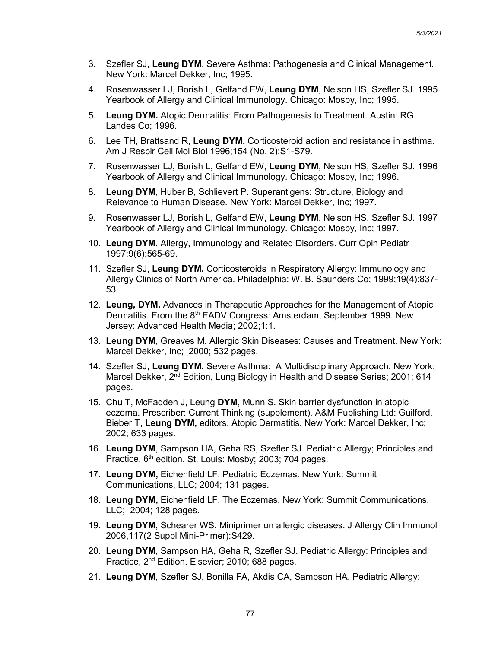- 3. Szefler SJ, **Leung DYM**. Severe Asthma: Pathogenesis and Clinical Management. New York: Marcel Dekker, Inc; 1995.
- 4. Rosenwasser LJ, Borish L, Gelfand EW, **Leung DYM**, Nelson HS, Szefler SJ. 1995 Yearbook of Allergy and Clinical Immunology. Chicago: Mosby, Inc; 1995.
- 5. **Leung DYM.** Atopic Dermatitis: From Pathogenesis to Treatment. Austin: RG Landes Co; 1996.
- 6. Lee TH, Brattsand R, **Leung DYM.** Corticosteroid action and resistance in asthma. Am J Respir Cell Mol Biol 1996;154 (No. 2):S1-S79.
- 7. Rosenwasser LJ, Borish L, Gelfand EW, **Leung DYM**, Nelson HS, Szefler SJ. 1996 Yearbook of Allergy and Clinical Immunology. Chicago: Mosby, Inc; 1996.
- 8. **Leung DYM**, Huber B, Schlievert P. Superantigens: Structure, Biology and Relevance to Human Disease. New York: Marcel Dekker, Inc; 1997.
- 9. Rosenwasser LJ, Borish L, Gelfand EW, **Leung DYM**, Nelson HS, Szefler SJ. 1997 Yearbook of Allergy and Clinical Immunology. Chicago: Mosby, Inc; 1997.
- 10. **Leung DYM**. Allergy, Immunology and Related Disorders. Curr Opin Pediatr 1997;9(6):565-69.
- 11. Szefler SJ, **Leung DYM.** Corticosteroids in Respiratory Allergy: Immunology and Allergy Clinics of North America. Philadelphia: W. B. Saunders Co; 1999;19(4):837- 53.
- 12. **Leung, DYM.** Advances in Therapeutic Approaches for the Management of Atopic Dermatitis. From the 8<sup>th</sup> EADV Congress: Amsterdam, September 1999. New Jersey: Advanced Health Media; 2002;1:1.
- 13. **Leung DYM**, Greaves M. Allergic Skin Diseases: Causes and Treatment. New York: Marcel Dekker, Inc; 2000; 532 pages.
- 14. Szefler SJ, **Leung DYM.** Severe Asthma: A Multidisciplinary Approach. New York: Marcel Dekker, 2nd Edition, Lung Biology in Health and Disease Series; 2001; 614 pages.
- 15. Chu T, McFadden J, Leung **DYM**, Munn S. Skin barrier dysfunction in atopic eczema. Prescriber: Current Thinking (supplement). A&M Publishing Ltd: Guilford, Bieber T, **Leung DYM,** editors. Atopic Dermatitis. New York: Marcel Dekker, Inc; 2002; 633 pages.
- 16. **Leung DYM**, Sampson HA, Geha RS, Szefler SJ. Pediatric Allergy; Principles and Practice, 6<sup>th</sup> edition. St. Louis: Mosby; 2003; 704 pages.
- 17. **Leung DYM,** Eichenfield LF. Pediatric Eczemas. New York: Summit Communications, LLC; 2004; 131 pages.
- 18. **Leung DYM,** Eichenfield LF. The Eczemas. New York: Summit Communications, LLC; 2004; 128 pages.
- 19. **Leung DYM**, Schearer WS. Miniprimer on allergic diseases. J Allergy Clin Immunol 2006,117(2 Suppl Mini-Primer):S429.
- 20. **Leung DYM**, Sampson HA, Geha R, Szefler SJ. Pediatric Allergy: Principles and Practice, 2nd Edition. Elsevier; 2010; 688 pages.
- 21. **Leung DYM**, Szefler SJ, Bonilla FA, Akdis CA, Sampson HA. Pediatric Allergy: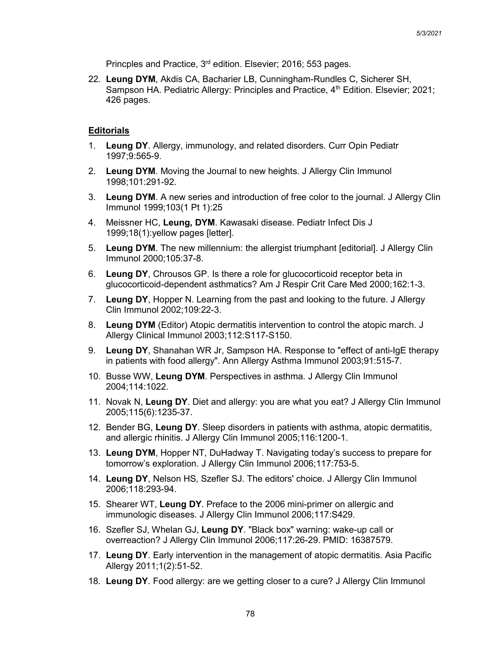Princples and Practice, 3rd edition. Elsevier; 2016; 553 pages.

22. **Leung DYM**, Akdis CA, Bacharier LB, Cunningham-Rundles C, Sicherer SH, Sampson HA. Pediatric Allergy: Principles and Practice, 4<sup>th</sup> Edition. Elsevier; 2021; 426 pages.

#### **Editorials**

- 1. **Leung DY**. Allergy, immunology, and related disorders. Curr Opin Pediatr 1997;9:565-9.
- 2. **Leung DYM**. Moving the Journal to new heights. J Allergy Clin Immunol 1998;101:291-92.
- 3. **Leung DYM**. A new series and introduction of free color to the journal. J Allergy Clin Immunol 1999;103(1 Pt 1):25
- 4. Meissner HC, **Leung, DYM**. Kawasaki disease. Pediatr Infect Dis J 1999;18(1):yellow pages [letter].
- 5. **Leung DYM**. The new millennium: the allergist triumphant [editorial]. J Allergy Clin Immunol 2000;105:37-8.
- 6. **Leung DY**, Chrousos GP. Is there a role for glucocorticoid receptor beta in glucocorticoid-dependent asthmatics? Am J Respir Crit Care Med 2000;162:1-3.
- 7. **Leung DY**, Hopper N. Learning from the past and looking to the future. J Allergy Clin Immunol 2002;109:22-3.
- 8. **Leung DYM** (Editor) Atopic dermatitis intervention to control the atopic march. J Allergy Clinical Immunol 2003;112:S117-S150.
- 9. **Leung DY**, Shanahan WR Jr, Sampson HA. Response to "effect of anti-IgE therapy in patients with food allergy". Ann Allergy Asthma Immunol 2003;91:515-7.
- 10. Busse WW, **Leung DYM**. Perspectives in asthma. J Allergy Clin Immunol 2004;114:1022.
- 11. Novak N, **Leung DY**. Diet and allergy: you are what you eat? J Allergy Clin Immunol 2005;115(6):1235-37.
- 12. Bender BG, **Leung DY**. Sleep disorders in patients with asthma, atopic dermatitis, and allergic rhinitis. J Allergy Clin Immunol 2005;116:1200-1.
- 13. **Leung DYM**, Hopper NT, DuHadway T. Navigating today's success to prepare for tomorrow's exploration. J Allergy Clin Immunol 2006;117:753-5.
- 14. **Leung DY**, Nelson HS, Szefler SJ. The editors' choice. J Allergy Clin Immunol 2006;118:293-94.
- 15. Shearer WT, **Leung DY**. Preface to the 2006 mini-primer on allergic and immunologic diseases. J Allergy Clin Immunol 2006;117:S429.
- 16. Szefler SJ, Whelan GJ, **Leung DY**. "Black box" warning: wake-up call or overreaction? J Allergy Clin Immunol 2006;117:26-29. PMID: 16387579.
- 17. **Leung DY**. Early intervention in the management of atopic dermatitis. Asia Pacific Allergy 2011;1(2):51-52.
- 18. **Leung DY**. Food allergy: are we getting closer to a cure? J Allergy Clin Immunol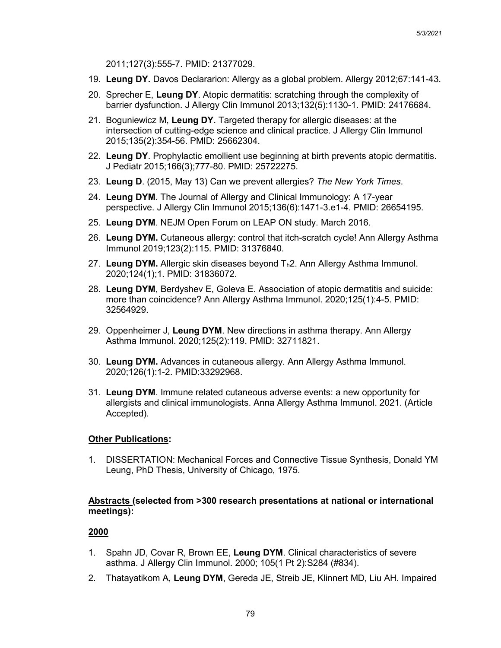2011;127(3):555-7. PMID: 21377029.

- 19. **Leung DY.** Davos Declararion: Allergy as a global problem. Allergy 2012;67:141-43.
- 20. Sprecher E, **Leung DY**. Atopic dermatitis: scratching through the complexity of barrier dysfunction. J Allergy Clin Immunol 2013;132(5):1130-1. PMID: 24176684.
- 21. Boguniewicz M, **Leung DY**. Targeted therapy for allergic diseases: at the intersection of cutting-edge science and clinical practice. J Allergy Clin Immunol 2015;135(2):354-56. PMID: 25662304.
- 22. **Leung DY**. Prophylactic emollient use beginning at birth prevents atopic dermatitis. J Pediatr 2015;166(3);777-80. PMID: 25722275.
- 23. **Leung D**. (2015, May 13) Can we prevent allergies? *The New York Times*.
- 24. **Leung DYM**. The Journal of Allergy and Clinical Immunology: A 17-year perspective. J Allergy Clin Immunol 2015;136(6):1471-3.e1-4. PMID: 26654195.
- 25. **Leung DYM**. NEJM Open Forum on LEAP ON study. March 2016.
- 26. **Leung DYM.** Cutaneous allergy: control that itch-scratch cycle! Ann Allergy Asthma Immunol 2019;123(2):115. PMID: 31376840.
- 27. Leung DYM. Allergic skin diseases beyond T<sub>h</sub>2. Ann Allergy Asthma Immunol. 2020;124(1);1. PMID: 31836072.
- 28. **Leung DYM**, Berdyshev E, Goleva E. Association of atopic dermatitis and suicide: more than coincidence? Ann Allergy Asthma Immunol. 2020;125(1):4-5. PMID: 32564929.
- 29. Oppenheimer J, **Leung DYM**. New directions in asthma therapy. Ann Allergy Asthma Immunol. 2020;125(2):119. PMID: 32711821.
- 30. **Leung DYM.** Advances in cutaneous allergy. Ann Allergy Asthma Immunol. 2020;126(1):1-2. PMID:33292968.
- 31. **Leung DYM**. Immune related cutaneous adverse events: a new opportunity for allergists and clinical immunologists. Anna Allergy Asthma Immunol. 2021. (Article Accepted).

#### **Other Publications:**

1. DISSERTATION: Mechanical Forces and Connective Tissue Synthesis, Donald YM Leung, PhD Thesis, University of Chicago, 1975.

#### **Abstracts (selected from >300 research presentations at national or international meetings):**

- 1. Spahn JD, Covar R, Brown EE, **Leung DYM**. Clinical characteristics of severe asthma. J Allergy Clin Immunol. 2000; 105(1 Pt 2):S284 (#834).
- 2. Thatayatikom A, **Leung DYM**, Gereda JE, Streib JE, Klinnert MD, Liu AH. Impaired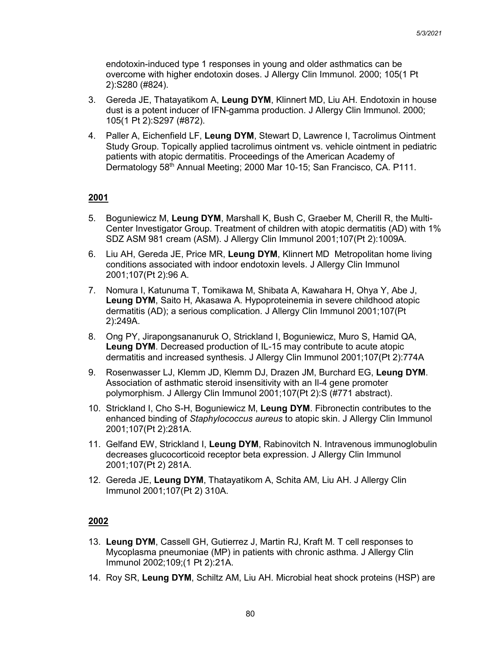endotoxin-induced type 1 responses in young and older asthmatics can be overcome with higher endotoxin doses. J Allergy Clin Immunol. 2000; 105(1 Pt 2):S280 (#824).

- 3. Gereda JE, Thatayatikom A, **Leung DYM**, Klinnert MD, Liu AH. Endotoxin in house dust is a potent inducer of IFN-gamma production. J Allergy Clin Immunol. 2000; 105(1 Pt 2):S297 (#872).
- 4. Paller A, Eichenfield LF, **Leung DYM**, Stewart D, Lawrence I, Tacrolimus Ointment Study Group. Topically applied tacrolimus ointment vs. vehicle ointment in pediatric patients with atopic dermatitis. Proceedings of the American Academy of Dermatology 58th Annual Meeting; 2000 Mar 10-15; San Francisco, CA. P111.

## **2001**

- 5. Boguniewicz M, **Leung DYM**, Marshall K, Bush C, Graeber M, Cherill R, the Multi-Center Investigator Group. Treatment of children with atopic dermatitis (AD) with 1% SDZ ASM 981 cream (ASM). J Allergy Clin Immunol 2001;107(Pt 2):1009A.
- 6. Liu AH, Gereda JE, Price MR, **Leung DYM**, Klinnert MD Metropolitan home living conditions associated with indoor endotoxin levels. J Allergy Clin Immunol 2001;107(Pt 2):96 A.
- 7. Nomura I, Katunuma T, Tomikawa M, Shibata A, Kawahara H, Ohya Y, Abe J, **Leung DYM**, Saito H, Akasawa A. Hypoproteinemia in severe childhood atopic dermatitis (AD); a serious complication. J Allergy Clin Immunol 2001;107(Pt 2):249A.
- 8. Ong PY, Jirapongsananuruk O, Strickland I, Boguniewicz, Muro S, Hamid QA, **Leung DYM**. Decreased production of IL-15 may contribute to acute atopic dermatitis and increased synthesis. J Allergy Clin Immunol 2001;107(Pt 2):774A
- 9. Rosenwasser LJ, Klemm JD, Klemm DJ, Drazen JM, Burchard EG, **Leung DYM**. Association of asthmatic steroid insensitivity with an Il-4 gene promoter polymorphism. J Allergy Clin Immunol 2001;107(Pt 2):S (#771 abstract).
- 10. Strickland I, Cho S-H, Boguniewicz M, **Leung DYM**. Fibronectin contributes to the enhanced binding of *Staphylococcus aureus* to atopic skin. J Allergy Clin Immunol 2001;107(Pt 2):281A.
- 11. Gelfand EW, Strickland I, **Leung DYM**, Rabinovitch N. Intravenous immunoglobulin decreases glucocorticoid receptor beta expression. J Allergy Clin Immunol 2001;107(Pt 2) 281A.
- 12. Gereda JE, **Leung DYM**, Thatayatikom A, Schita AM, Liu AH. J Allergy Clin Immunol 2001;107(Pt 2) 310A.

- 13. **Leung DYM**, Cassell GH, Gutierrez J, Martin RJ, Kraft M. T cell responses to Mycoplasma pneumoniae (MP) in patients with chronic asthma. J Allergy Clin Immunol 2002;109;(1 Pt 2):21A.
- 14. Roy SR, **Leung DYM**, Schiltz AM, Liu AH. Microbial heat shock proteins (HSP) are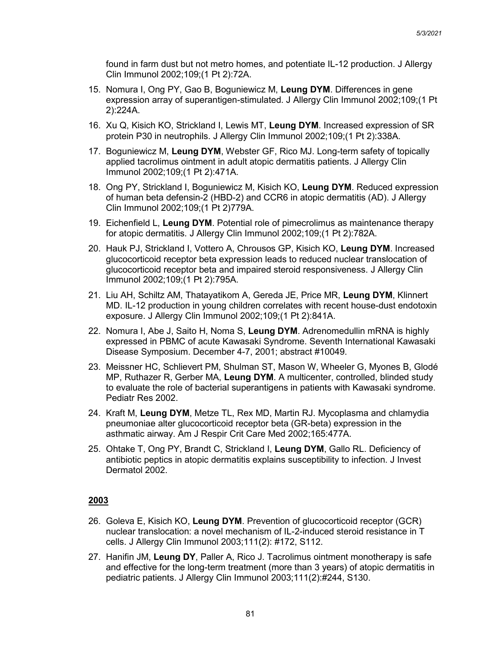found in farm dust but not metro homes, and potentiate IL-12 production. J Allergy Clin Immunol 2002;109;(1 Pt 2):72A.

- 15. Nomura I, Ong PY, Gao B, Boguniewicz M, **Leung DYM**. Differences in gene expression array of superantigen-stimulated. J Allergy Clin Immunol 2002;109;(1 Pt 2):224A.
- 16. Xu Q, Kisich KO, Strickland I, Lewis MT, **Leung DYM**. Increased expression of SR protein P30 in neutrophils. J Allergy Clin Immunol 2002;109;(1 Pt 2):338A.
- 17. Boguniewicz M, **Leung DYM**, Webster GF, Rico MJ. Long-term safety of topically applied tacrolimus ointment in adult atopic dermatitis patients. J Allergy Clin Immunol 2002;109;(1 Pt 2):471A.
- 18. Ong PY, Strickland I, Boguniewicz M, Kisich KO, **Leung DYM**. Reduced expression of human beta defensin-2 (HBD-2) and CCR6 in atopic dermatitis (AD). J Allergy Clin Immunol 2002;109;(1 Pt 2)779A.
- 19. Eichenfield L, **Leung DYM**. Potential role of pimecrolimus as maintenance therapy for atopic dermatitis. J Allergy Clin Immunol 2002;109;(1 Pt 2):782A.
- 20. Hauk PJ, Strickland I, Vottero A, Chrousos GP, Kisich KO, **Leung DYM**. Increased glucocorticoid receptor beta expression leads to reduced nuclear translocation of glucocorticoid receptor beta and impaired steroid responsiveness. J Allergy Clin Immunol 2002;109;(1 Pt 2):795A.
- 21. Liu AH, Schiltz AM, Thatayatikom A, Gereda JE, Price MR, **Leung DYM**, Klinnert MD. IL-12 production in young children correlates with recent house-dust endotoxin exposure. J Allergy Clin Immunol 2002;109;(1 Pt 2):841A.
- 22. Nomura I, Abe J, Saito H, Noma S, **Leung DYM**. Adrenomedullin mRNA is highly expressed in PBMC of acute Kawasaki Syndrome. Seventh International Kawasaki Disease Symposium. December 4-7, 2001; abstract #10049.
- 23. Meissner HC, Schlievert PM, Shulman ST, Mason W, Wheeler G, Myones B, Glodé MP, Ruthazer R, Gerber MA, **Leung DYM**. A multicenter, controlled, blinded study to evaluate the role of bacterial superantigens in patients with Kawasaki syndrome. Pediatr Res 2002.
- 24. Kraft M, **Leung DYM**, Metze TL, Rex MD, Martin RJ. Mycoplasma and chlamydia pneumoniae alter glucocorticoid receptor beta (GR-beta) expression in the asthmatic airway. Am J Respir Crit Care Med 2002;165:477A.
- 25. Ohtake T, Ong PY, Brandt C, Strickland I, **Leung DYM**, Gallo RL. Deficiency of antibiotic peptics in atopic dermatitis explains susceptibility to infection. J Invest Dermatol 2002.

- 26. Goleva E, Kisich KO, **Leung DYM**. Prevention of glucocorticoid receptor (GCR) nuclear translocation: a novel mechanism of IL-2-induced steroid resistance in T cells. J Allergy Clin Immunol 2003;111(2): #172, S112.
- 27. Hanifin JM, **Leung DY**, Paller A, Rico J. Tacrolimus ointment monotherapy is safe and effective for the long-term treatment (more than 3 years) of atopic dermatitis in pediatric patients. J Allergy Clin Immunol 2003;111(2):#244, S130.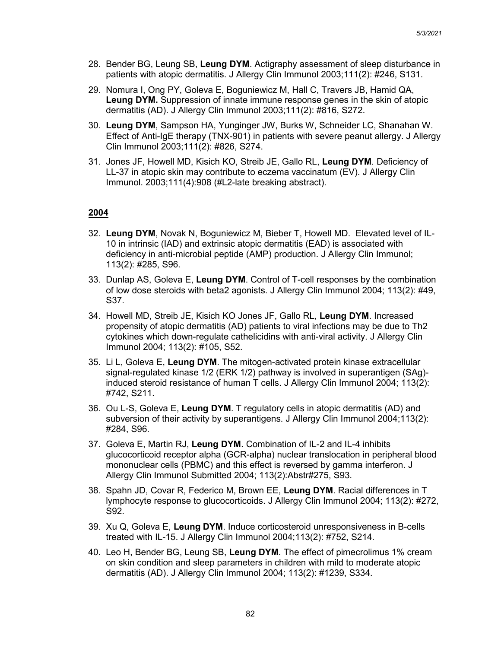- 28. Bender BG, Leung SB, **Leung DYM**. Actigraphy assessment of sleep disturbance in patients with atopic dermatitis. J Allergy Clin Immunol 2003;111(2): #246, S131.
- 29. Nomura I, Ong PY, Goleva E, Boguniewicz M, Hall C, Travers JB, Hamid QA, **Leung DYM.** Suppression of innate immune response genes in the skin of atopic dermatitis (AD). J Allergy Clin Immunol 2003;111(2): #816, S272.
- 30. **Leung DYM**, Sampson HA, Yunginger JW, Burks W, Schneider LC, Shanahan W. Effect of Anti-IgE therapy (TNX-901) in patients with severe peanut allergy. J Allergy Clin Immunol 2003;111(2): #826, S274.
- 31. Jones JF, Howell MD, Kisich KO, Streib JE, Gallo RL, **Leung DYM**. Deficiency of LL-37 in atopic skin may contribute to eczema vaccinatum (EV). J Allergy Clin Immunol. 2003;111(4):908 (#L2-late breaking abstract).

- 32. **Leung DYM**, Novak N, Boguniewicz M, Bieber T, Howell MD. Elevated level of IL-10 in intrinsic (IAD) and extrinsic atopic dermatitis (EAD) is associated with deficiency in anti-microbial peptide (AMP) production. J Allergy Clin Immunol; 113(2): #285, S96.
- 33. Dunlap AS, Goleva E, **Leung DYM**. Control of T-cell responses by the combination of low dose steroids with beta2 agonists. J Allergy Clin Immunol 2004; 113(2): #49, S37.
- 34. Howell MD, Streib JE, Kisich KO Jones JF, Gallo RL, **Leung DYM**. Increased propensity of atopic dermatitis (AD) patients to viral infections may be due to Th2 cytokines which down-regulate cathelicidins with anti-viral activity. J Allergy Clin Immunol 2004; 113(2): #105, S52.
- 35. Li L, Goleva E, **Leung DYM**. The mitogen-activated protein kinase extracellular signal-regulated kinase 1/2 (ERK 1/2) pathway is involved in superantigen (SAg) induced steroid resistance of human T cells. J Allergy Clin Immunol 2004; 113(2): #742, S211.
- 36. Ou L-S, Goleva E, **Leung DYM**. T regulatory cells in atopic dermatitis (AD) and subversion of their activity by superantigens. J Allergy Clin Immunol 2004;113(2): #284, S96.
- 37. Goleva E, Martin RJ, **Leung DYM**. Combination of IL-2 and IL-4 inhibits glucocorticoid receptor alpha (GCR-alpha) nuclear translocation in peripheral blood mononuclear cells (PBMC) and this effect is reversed by gamma interferon. J Allergy Clin Immunol Submitted 2004; 113(2):Abstr#275, S93.
- 38. Spahn JD, Covar R, Federico M, Brown EE, **Leung DYM**. Racial differences in T lymphocyte response to glucocorticoids. J Allergy Clin Immunol 2004; 113(2): #272, S92.
- 39. Xu Q, Goleva E, **Leung DYM**. Induce corticosteroid unresponsiveness in B-cells treated with IL-15. J Allergy Clin Immunol 2004;113(2): #752, S214.
- 40. Leo H, Bender BG, Leung SB, **Leung DYM**. The effect of pimecrolimus 1% cream on skin condition and sleep parameters in children with mild to moderate atopic dermatitis (AD). J Allergy Clin Immunol 2004; 113(2): #1239, S334.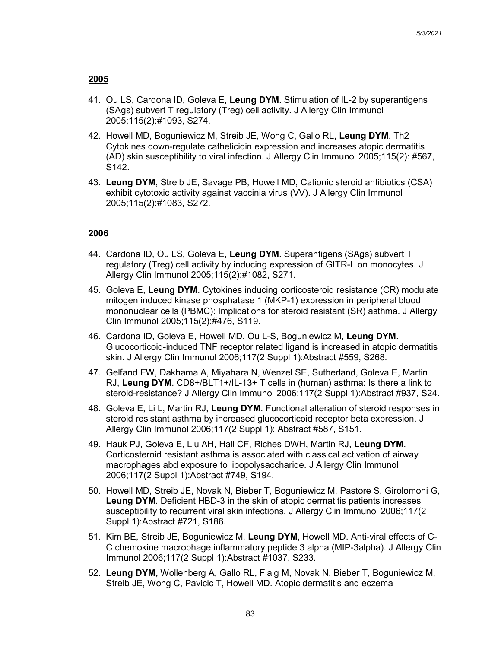- 41. Ou LS, Cardona ID, Goleva E, **Leung DYM**. Stimulation of IL-2 by superantigens (SAgs) subvert T regulatory (Treg) cell activity. J Allergy Clin Immunol 2005;115(2):#1093, S274.
- 42. Howell MD, Boguniewicz M, Streib JE, Wong C, Gallo RL, **Leung DYM**. Th2 Cytokines down-regulate cathelicidin expression and increases atopic dermatitis (AD) skin susceptibility to viral infection. J Allergy Clin Immunol 2005;115(2): #567, S142.
- 43. **Leung DYM**, Streib JE, Savage PB, Howell MD, Cationic steroid antibiotics (CSA) exhibit cytotoxic activity against vaccinia virus (VV). J Allergy Clin Immunol 2005;115(2):#1083, S272.

- 44. Cardona ID, Ou LS, Goleva E, **Leung DYM**. Superantigens (SAgs) subvert T regulatory (Treg) cell activity by inducing expression of GITR-L on monocytes. J Allergy Clin Immunol 2005;115(2):#1082, S271.
- 45. Goleva E, **Leung DYM**. Cytokines inducing corticosteroid resistance (CR) modulate mitogen induced kinase phosphatase 1 (MKP-1) expression in peripheral blood mononuclear cells (PBMC): Implications for steroid resistant (SR) asthma. J Allergy Clin Immunol 2005;115(2):#476, S119.
- 46. Cardona ID, Goleva E, Howell MD, Ou L-S, Boguniewicz M, **Leung DYM**. Glucocorticoid-induced TNF receptor related ligand is increased in atopic dermatitis skin. J Allergy Clin Immunol 2006;117(2 Suppl 1):Abstract #559, S268.
- 47. Gelfand EW, Dakhama A, Miyahara N, Wenzel SE, Sutherland, Goleva E, Martin RJ, **Leung DYM**. CD8+/BLT1+/IL-13+ T cells in (human) asthma: Is there a link to steroid-resistance? J Allergy Clin Immunol 2006;117(2 Suppl 1):Abstract #937, S24.
- 48. Goleva E, Li L, Martin RJ, **Leung DYM**. Functional alteration of steroid responses in steroid resistant asthma by increased glucocorticoid receptor beta expression. J Allergy Clin Immunol 2006;117(2 Suppl 1): Abstract #587, S151.
- 49. Hauk PJ, Goleva E, Liu AH, Hall CF, Riches DWH, Martin RJ, **Leung DYM**. Corticosteroid resistant asthma is associated with classical activation of airway macrophages abd exposure to lipopolysaccharide. J Allergy Clin Immunol 2006;117(2 Suppl 1):Abstract #749, S194.
- 50. Howell MD, Streib JE, Novak N, Bieber T, Boguniewicz M, Pastore S, Girolomoni G, **Leung DYM**. Deficient HBD-3 in the skin of atopic dermatitis patients increases susceptibility to recurrent viral skin infections. J Allergy Clin Immunol 2006;117(2 Suppl 1):Abstract #721, S186.
- 51. Kim BE, Streib JE, Boguniewicz M, **Leung DYM**, Howell MD. Anti-viral effects of C-C chemokine macrophage inflammatory peptide 3 alpha (MIP-3alpha). J Allergy Clin Immunol 2006;117(2 Suppl 1):Abstract #1037, S233.
- 52. **Leung DYM,** Wollenberg A, Gallo RL, Flaig M, Novak N, Bieber T, Boguniewicz M, Streib JE, Wong C, Pavicic T, Howell MD. Atopic dermatitis and eczema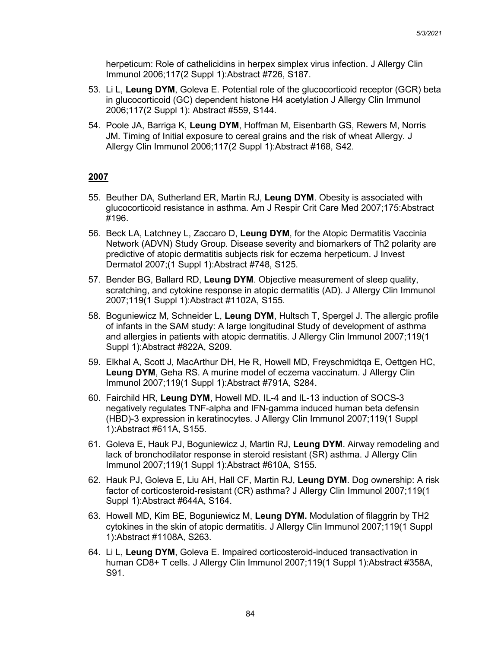herpeticum: Role of cathelicidins in herpex simplex virus infection. J Allergy Clin Immunol 2006;117(2 Suppl 1):Abstract #726, S187.

- 53. Li L, **Leung DYM**, Goleva E. Potential role of the glucocorticoid receptor (GCR) beta in glucocorticoid (GC) dependent histone H4 acetylation J Allergy Clin Immunol 2006;117(2 Suppl 1): Abstract #559, S144.
- 54. Poole JA, Barriga K, **Leung DYM**, Hoffman M, Eisenbarth GS, Rewers M, Norris JM. Timing of Initial exposure to cereal grains and the risk of wheat Allergy. J Allergy Clin Immunol 2006;117(2 Suppl 1):Abstract #168, S42.

- 55. Beuther DA, Sutherland ER, Martin RJ, **Leung DYM**. Obesity is associated with glucocorticoid resistance in asthma. Am J Respir Crit Care Med 2007;175:Abstract #196.
- 56. Beck LA, Latchney L, Zaccaro D, **Leung DYM**, for the Atopic Dermatitis Vaccinia Network (ADVN) Study Group. Disease severity and biomarkers of Th2 polarity are predictive of atopic dermatitis subjects risk for eczema herpeticum. J Invest Dermatol 2007;(1 Suppl 1):Abstract #748, S125.
- 57. Bender BG, Ballard RD, **Leung DYM**. Objective measurement of sleep quality, scratching, and cytokine response in atopic dermatitis (AD). J Allergy Clin Immunol 2007;119(1 Suppl 1):Abstract #1102A, S155.
- 58. Boguniewicz M, Schneider L, **Leung DYM**, Hultsch T, Spergel J. The allergic profile of infants in the SAM study: A large longitudinal Study of development of asthma and allergies in patients with atopic dermatitis. J Allergy Clin Immunol 2007;119(1 Suppl 1):Abstract #822A, S209.
- 59. Elkhal A, Scott J, MacArthur DH, He R, Howell MD, Freyschmidtqa E, Oettgen HC, **Leung DYM**, Geha RS. A murine model of eczema vaccinatum. J Allergy Clin Immunol 2007;119(1 Suppl 1):Abstract #791A, S284.
- 60. Fairchild HR, **Leung DYM**, Howell MD. IL-4 and IL-13 induction of SOCS-3 negatively regulates TNF-alpha and IFN-gamma induced human beta defensin (HBD)-3 expression in keratinocytes. J Allergy Clin Immunol 2007;119(1 Suppl 1):Abstract #611A, S155.
- 61. Goleva E, Hauk PJ, Boguniewicz J, Martin RJ, **Leung DYM**. Airway remodeling and lack of bronchodilator response in steroid resistant (SR) asthma. J Allergy Clin Immunol 2007;119(1 Suppl 1):Abstract #610A, S155.
- 62. Hauk PJ, Goleva E, Liu AH, Hall CF, Martin RJ, **Leung DYM**. Dog ownership: A risk factor of corticosteroid-resistant (CR) asthma? J Allergy Clin Immunol 2007;119(1 Suppl 1):Abstract #644A, S164.
- 63. Howell MD, Kim BE, Boguniewicz M, **Leung DYM.** Modulation of filaggrin by TH2 cytokines in the skin of atopic dermatitis. J Allergy Clin Immunol 2007;119(1 Suppl 1):Abstract #1108A, S263.
- 64. Li L, **Leung DYM**, Goleva E. Impaired corticosteroid-induced transactivation in human CD8+ T cells. J Allergy Clin Immunol 2007;119(1 Suppl 1):Abstract #358A, S91.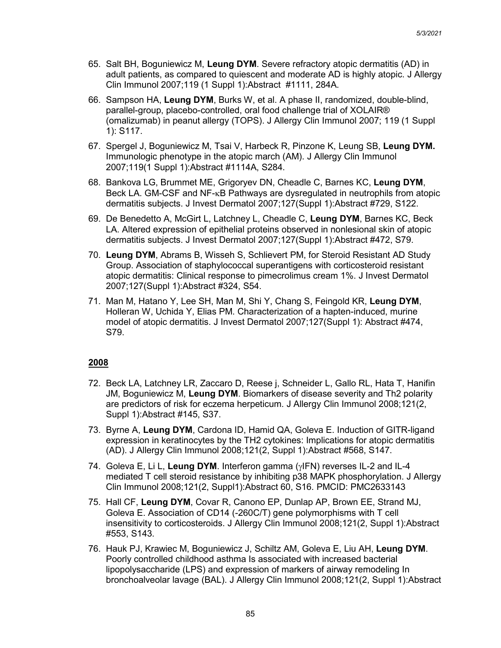- 65. Salt BH, Boguniewicz M, **Leung DYM**. Severe refractory atopic dermatitis (AD) in adult patients, as compared to quiescent and moderate AD is highly atopic. J Allergy Clin Immunol 2007;119 (1 Suppl 1):Abstract #1111, 284A.
- 66. Sampson HA, **Leung DYM**, Burks W, et al. A phase II, randomized, double-blind, parallel-group, placebo-controlled, oral food challenge trial of XOLAIR® (omalizumab) in peanut allergy (TOPS). J Allergy Clin Immunol 2007; 119 (1 Suppl 1): S117.
- 67. Spergel J, Boguniewicz M, Tsai V, Harbeck R, Pinzone K, Leung SB, **Leung DYM.**  Immunologic phenotype in the atopic march (AM). J Allergy Clin Immunol 2007;119(1 Suppl 1):Abstract #1114A, S284.
- 68. Bankova LG, Brummet ME, Grigoryev DN, Cheadle C, Barnes KC, **Leung DYM**, Beck LA. GM-CSF and NF-κB Pathways are dysregulated in neutrophils from atopic dermatitis subjects. J Invest Dermatol 2007;127(Suppl 1):Abstract #729, S122.
- 69. De Benedetto A, McGirt L, Latchney L, Cheadle C, **Leung DYM**, Barnes KC, Beck LA. Altered expression of epithelial proteins observed in nonlesional skin of atopic dermatitis subjects. J Invest Dermatol 2007;127(Suppl 1):Abstract #472, S79.
- 70. **Leung DYM**, Abrams B, Wisseh S, Schlievert PM, for Steroid Resistant AD Study Group. Association of staphylococcal superantigens with corticosteroid resistant atopic dermatitis: Clinical response to pimecrolimus cream 1%. J Invest Dermatol 2007;127(Suppl 1):Abstract #324, S54.
- 71. Man M, Hatano Y, Lee SH, Man M, Shi Y, Chang S, Feingold KR, **Leung DYM**, Holleran W, Uchida Y, Elias PM. Characterization of a hapten-induced, murine model of atopic dermatitis. J Invest Dermatol 2007;127(Suppl 1): Abstract #474, S79.

- 72. Beck LA, Latchney LR, Zaccaro D, Reese j, Schneider L, Gallo RL, Hata T, Hanifin JM, Boguniewicz M, **Leung DYM**. Biomarkers of disease severity and Th2 polarity are predictors of risk for eczema herpeticum. J Allergy Clin Immunol 2008;121(2, Suppl 1):Abstract #145, S37.
- 73. Byrne A, **Leung DYM**, Cardona ID, Hamid QA, Goleva E. Induction of GITR-ligand expression in keratinocytes by the TH2 cytokines: Implications for atopic dermatitis (AD). J Allergy Clin Immunol 2008;121(2, Suppl 1):Abstract #568, S147.
- 74. Goleva E, Li L, **Leung DYM**. Interferon gamma (γIFN) reverses IL-2 and IL-4 mediated T cell steroid resistance by inhibiting p38 MAPK phosphorylation. J Allergy Clin Immunol 2008;121(2, Suppl1):Abstract 60, S16. PMCID: PMC2633143
- 75. Hall CF, **Leung DYM**, Covar R, Canono EP, Dunlap AP, Brown EE, Strand MJ, Goleva E. Association of CD14 (-260C/T) gene polymorphisms with T cell insensitivity to corticosteroids. J Allergy Clin Immunol 2008;121(2, Suppl 1):Abstract #553, S143.
- 76. Hauk PJ, Krawiec M, Boguniewicz J, Schiltz AM, Goleva E, Liu AH, **Leung DYM**. Poorly controlled childhood asthma Is associated with increased bacterial lipopolysaccharide (LPS) and expression of markers of airway remodeling In bronchoalveolar lavage (BAL). J Allergy Clin Immunol 2008;121(2, Suppl 1):Abstract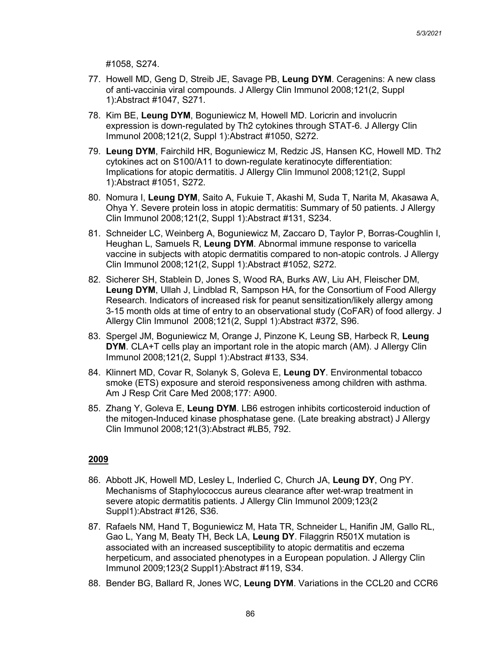#1058, S274.

- 77. Howell MD, Geng D, Streib JE, Savage PB, **Leung DYM**. Ceragenins: A new class of anti-vaccinia viral compounds. J Allergy Clin Immunol 2008;121(2, Suppl 1):Abstract #1047, S271.
- 78. Kim BE, **Leung DYM**, Boguniewicz M, Howell MD. Loricrin and involucrin expression is down-regulated by Th2 cytokines through STAT-6. J Allergy Clin Immunol 2008;121(2, Suppl 1):Abstract #1050, S272.
- 79. **Leung DYM**, Fairchild HR, Boguniewicz M, Redzic JS, Hansen KC, Howell MD. Th2 cytokines act on S100/A11 to down-regulate keratinocyte differentiation: Implications for atopic dermatitis. J Allergy Clin Immunol 2008;121(2, Suppl 1):Abstract #1051, S272.
- 80. Nomura I, **Leung DYM**, Saito A, Fukuie T, Akashi M, Suda T, Narita M, Akasawa A, Ohya Y. Severe protein loss in atopic dermatitis: Summary of 50 patients. J Allergy Clin Immunol 2008;121(2, Suppl 1):Abstract #131, S234.
- 81. Schneider LC, Weinberg A, Boguniewicz M, Zaccaro D, Taylor P, Borras-Coughlin I, Heughan L, Samuels R, **Leung DYM**. Abnormal immune response to varicella vaccine in subjects with atopic dermatitis compared to non-atopic controls. J Allergy Clin Immunol 2008;121(2, Suppl 1):Abstract #1052, S272.
- 82. Sicherer SH, Stablein D, Jones S, Wood RA, Burks AW, Liu AH, Fleischer DM, **Leung DYM**, Ullah J, Lindblad R, Sampson HA, for the Consortium of Food Allergy Research. Indicators of increased risk for peanut sensitization/likely allergy among 3-15 month olds at time of entry to an observational study (CoFAR) of food allergy. J Allergy Clin Immunol 2008;121(2, Suppl 1):Abstract #372, S96.
- 83. Spergel JM, Boguniewicz M, Orange J, Pinzone K, Leung SB, Harbeck R, **Leung DYM**. CLA+T cells play an important role in the atopic march (AM). J Allergy Clin Immunol 2008;121(2, Suppl 1):Abstract #133, S34.
- 84. Klinnert MD, Covar R, Solanyk S, Goleva E, **Leung DY**. Environmental tobacco smoke (ETS) exposure and steroid responsiveness among children with asthma. Am J Resp Crit Care Med 2008;177: A900.
- 85. Zhang Y, Goleva E, **Leung DYM**. LB6 estrogen inhibits corticosteroid induction of the mitogen-Induced kinase phosphatase gene. (Late breaking abstract) J Allergy Clin Immunol 2008;121(3):Abstract #LB5, 792.

- 86. Abbott JK, Howell MD, Lesley L, Inderlied C, Church JA, **Leung DY**, Ong PY. Mechanisms of Staphylococcus aureus clearance after wet-wrap treatment in severe atopic dermatitis patients. J Allergy Clin Immunol 2009;123(2 Suppl1):Abstract #126, S36.
- 87. Rafaels NM, Hand T, Boguniewicz M, Hata TR, Schneider L, Hanifin JM, Gallo RL, Gao L, Yang M, Beaty TH, Beck LA, **Leung DY**. Filaggrin R501X mutation is associated with an increased susceptibility to atopic dermatitis and eczema herpeticum, and associated phenotypes in a European population. J Allergy Clin Immunol 2009;123(2 Suppl1):Abstract #119, S34.
- 88. Bender BG, Ballard R, Jones WC, **Leung DYM**. Variations in the CCL20 and CCR6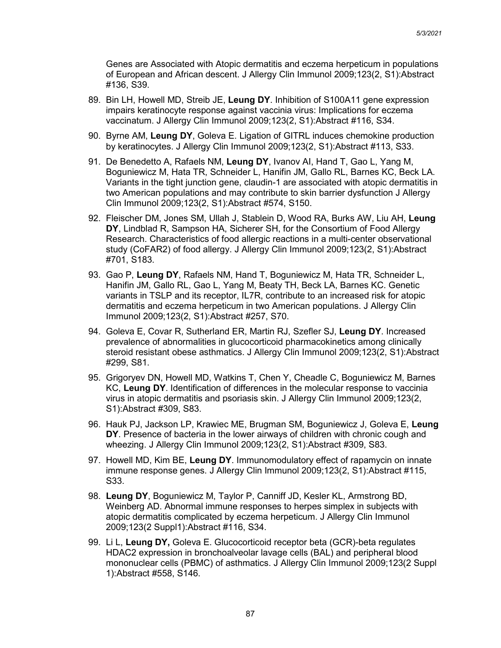Genes are Associated with Atopic dermatitis and eczema herpeticum in populations of European and African descent. J Allergy Clin Immunol 2009;123(2, S1):Abstract #136, S39.

- 89. Bin LH, Howell MD, Streib JE, **Leung DY**. Inhibition of S100A11 gene expression impairs keratinocyte response against vaccinia virus: Implications for eczema vaccinatum. J Allergy Clin Immunol 2009;123(2, S1):Abstract #116, S34.
- 90. Byrne AM, **Leung DY**, Goleva E. Ligation of GITRL induces chemokine production by keratinocytes. J Allergy Clin Immunol 2009;123(2, S1):Abstract #113, S33.
- 91. De Benedetto A, Rafaels NM, **Leung DY**, Ivanov AI, Hand T, Gao L, Yang M, Boguniewicz M, Hata TR, Schneider L, Hanifin JM, Gallo RL, Barnes KC, Beck LA. Variants in the tight junction gene, claudin-1 are associated with atopic dermatitis in two American populations and may contribute to skin barrier dysfunction J Allergy Clin Immunol 2009;123(2, S1):Abstract #574, S150.
- 92. Fleischer DM, Jones SM, Ullah J, Stablein D, Wood RA, Burks AW, Liu AH, **Leung DY**, Lindblad R, Sampson HA, Sicherer SH, for the Consortium of Food Allergy Research. Characteristics of food allergic reactions in a multi-center observational study (CoFAR2) of food allergy. J Allergy Clin Immunol 2009;123(2, S1):Abstract #701, S183.
- 93. Gao P, **Leung DY**, Rafaels NM, Hand T, Boguniewicz M, Hata TR, Schneider L, Hanifin JM, Gallo RL, Gao L, Yang M, Beaty TH, Beck LA, Barnes KC. Genetic variants in TSLP and its receptor, IL7R, contribute to an increased risk for atopic dermatitis and eczema herpeticum in two American populations. J Allergy Clin Immunol 2009;123(2, S1):Abstract #257, S70.
- 94. Goleva E, Covar R, Sutherland ER, Martin RJ, Szefler SJ, **Leung DY**. Increased prevalence of abnormalities in glucocorticoid pharmacokinetics among clinically steroid resistant obese asthmatics. J Allergy Clin Immunol 2009;123(2, S1):Abstract #299, S81.
- 95. Grigoryev DN, Howell MD, Watkins T, Chen Y, Cheadle C, Boguniewicz M, Barnes KC, **Leung DY**. Identification of differences in the molecular response to vaccinia virus in atopic dermatitis and psoriasis skin. J Allergy Clin Immunol 2009;123(2, S1):Abstract #309, S83.
- 96. Hauk PJ, Jackson LP, Krawiec ME, Brugman SM, Boguniewicz J, Goleva E, **Leung DY**. Presence of bacteria in the lower airways of children with chronic cough and wheezing. J Allergy Clin Immunol 2009;123(2, S1):Abstract #309, S83.
- 97. Howell MD, Kim BE, **Leung DY**. Immunomodulatory effect of rapamycin on innate immune response genes. J Allergy Clin Immunol 2009;123(2, S1):Abstract #115, S33.
- 98. **Leung DY**, Boguniewicz M, Taylor P, Canniff JD, Kesler KL, Armstrong BD, Weinberg AD. Abnormal immune responses to herpes simplex in subjects with atopic dermatitis complicated by eczema herpeticum. J Allergy Clin Immunol 2009;123(2 Suppl1):Abstract #116, S34.
- 99. Li L, **Leung DY,** Goleva E. Glucocorticoid receptor beta (GCR)-beta regulates HDAC2 expression in bronchoalveolar lavage cells (BAL) and peripheral blood mononuclear cells (PBMC) of asthmatics. J Allergy Clin Immunol 2009;123(2 Suppl 1):Abstract #558, S146.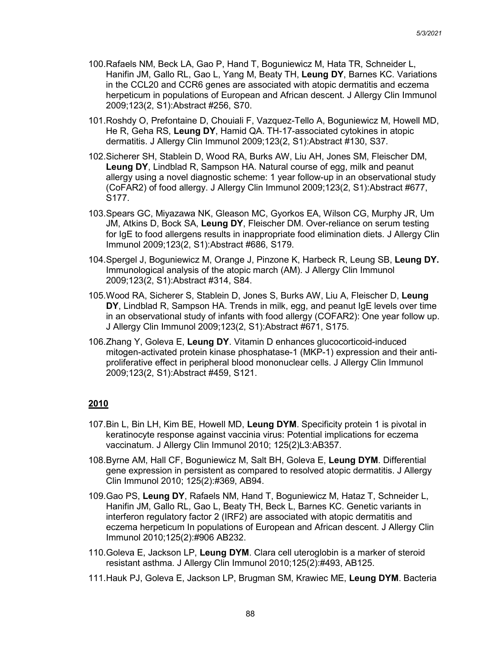- 100.Rafaels NM, Beck LA, Gao P, Hand T, Boguniewicz M, Hata TR, Schneider L, Hanifin JM, Gallo RL, Gao L, Yang M, Beaty TH, **Leung DY**, Barnes KC. Variations in the CCL20 and CCR6 genes are associated with atopic dermatitis and eczema herpeticum in populations of European and African descent. J Allergy Clin Immunol 2009;123(2, S1):Abstract #256, S70.
- 101.Roshdy O, Prefontaine D, Chouiali F, Vazquez-Tello A, Boguniewicz M, Howell MD, He R, Geha RS, **Leung DY**, Hamid QA. TH-17-associated cytokines in atopic dermatitis. J Allergy Clin Immunol 2009;123(2, S1):Abstract #130, S37.
- 102.Sicherer SH, Stablein D, Wood RA, Burks AW, Liu AH, Jones SM, Fleischer DM, **Leung DY**, Lindblad R, Sampson HA. Natural course of egg, milk and peanut allergy using a novel diagnostic scheme: 1 year follow-up in an observational study (CoFAR2) of food allergy. J Allergy Clin Immunol 2009;123(2, S1):Abstract #677, S177.
- 103.Spears GC, Miyazawa NK, Gleason MC, Gyorkos EA, Wilson CG, Murphy JR, Um JM, Atkins D, Bock SA, **Leung DY**, Fleischer DM. Over-reliance on serum testing for IgE to food allergens results in inappropriate food elimination diets. J Allergy Clin Immunol 2009;123(2, S1):Abstract #686, S179.
- 104.Spergel J, Boguniewicz M, Orange J, Pinzone K, Harbeck R, Leung SB, **Leung DY.** Immunological analysis of the atopic march (AM). J Allergy Clin Immunol 2009;123(2, S1):Abstract #314, S84.
- 105.Wood RA, Sicherer S, Stablein D, Jones S, Burks AW, Liu A, Fleischer D, **Leung DY**, Lindblad R, Sampson HA. Trends in milk, egg, and peanut IgE levels over time in an observational study of infants with food allergy (COFAR2): One year follow up. J Allergy Clin Immunol 2009;123(2, S1):Abstract #671, S175.
- 106.Zhang Y, Goleva E, **Leung DY**. Vitamin D enhances glucocorticoid-induced mitogen-activated protein kinase phosphatase-1 (MKP-1) expression and their antiproliferative effect in peripheral blood mononuclear cells. J Allergy Clin Immunol 2009;123(2, S1):Abstract #459, S121.

- 107.Bin L, Bin LH, Kim BE, Howell MD, **Leung DYM**. Specificity protein 1 is pivotal in keratinocyte response against vaccinia virus: Potential implications for eczema vaccinatum. J Allergy Clin Immunol 2010; 125(2)L3:AB357.
- 108.Byrne AM, Hall CF, Boguniewicz M, Salt BH, Goleva E, **Leung DYM**. Differential gene expression in persistent as compared to resolved atopic dermatitis. J Allergy Clin Immunol 2010; 125(2):#369, AB94.
- 109.Gao PS, **Leung DY**, Rafaels NM, Hand T, Boguniewicz M, Hataz T, Schneider L, Hanifin JM, Gallo RL, Gao L, Beaty TH, Beck L, Barnes KC. Genetic variants in interferon regulatory factor 2 (IRF2) are associated with atopic dermatitis and eczema herpeticum In populations of European and African descent. J Allergy Clin Immunol 2010;125(2):#906 AB232.
- 110.Goleva E, Jackson LP, **Leung DYM**. Clara cell uteroglobin is a marker of steroid resistant asthma. J Allergy Clin Immunol 2010;125(2):#493, AB125.
- 111.Hauk PJ, Goleva E, Jackson LP, Brugman SM, Krawiec ME, **Leung DYM**. Bacteria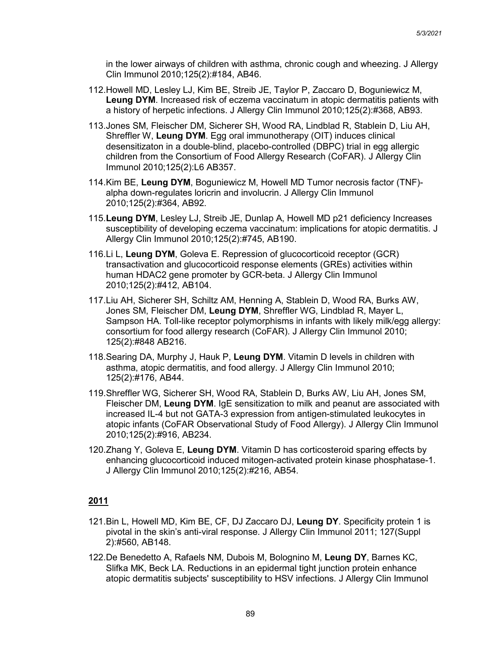in the lower airways of children with asthma, chronic cough and wheezing. J Allergy Clin Immunol 2010;125(2):#184, AB46.

- 112.Howell MD, Lesley LJ, Kim BE, Streib JE, Taylor P, Zaccaro D, Boguniewicz M, **Leung DYM**. Increased risk of eczema vaccinatum in atopic dermatitis patients with a history of herpetic infections. J Allergy Clin Immunol 2010;125(2):#368, AB93.
- 113.Jones SM, Fleischer DM, Sicherer SH, Wood RA, Lindblad R, Stablein D, Liu AH, Shreffler W, **Leung DYM**. Egg oral immunotherapy (OIT) induces clinical desensitizaton in a double-blind, placebo-controlled (DBPC) trial in egg allergic children from the Consortium of Food Allergy Research (CoFAR). J Allergy Clin Immunol 2010;125(2):L6 AB357.
- 114.Kim BE, **Leung DYM**, Boguniewicz M, Howell MD Tumor necrosis factor (TNF) alpha down-regulates loricrin and involucrin. J Allergy Clin Immunol 2010;125(2):#364, AB92.
- 115.**Leung DYM**, Lesley LJ, Streib JE, Dunlap A, Howell MD p21 deficiency Increases susceptibility of developing eczema vaccinatum: implications for atopic dermatitis. J Allergy Clin Immunol 2010;125(2):#745, AB190.
- 116.Li L, **Leung DYM**, Goleva E. Repression of glucocorticoid receptor (GCR) transactivation and glucocorticoid response elements (GREs) activities within human HDAC2 gene promoter by GCR-beta. J Allergy Clin Immunol 2010;125(2):#412, AB104.
- 117.Liu AH, Sicherer SH, Schiltz AM, Henning A, Stablein D, Wood RA, Burks AW, Jones SM, Fleischer DM, **Leung DYM**, Shreffler WG, Lindblad R, Mayer L, Sampson HA. Toll-like receptor polymorphisms in infants with likely milk/egg allergy: consortium for food allergy research (CoFAR). J Allergy Clin Immunol 2010; 125(2):#848 AB216.
- 118.Searing DA, Murphy J, Hauk P, **Leung DYM**. Vitamin D levels in children with asthma, atopic dermatitis, and food allergy. J Allergy Clin Immunol 2010; 125(2):#176, AB44.
- 119.Shreffler WG, Sicherer SH, Wood RA, Stablein D, Burks AW, Liu AH, Jones SM, Fleischer DM, **Leung DYM**. IgE sensitization to milk and peanut are associated with increased IL-4 but not GATA-3 expression from antigen-stimulated leukocytes in atopic infants (CoFAR Observational Study of Food Allergy). J Allergy Clin Immunol 2010;125(2):#916, AB234.
- 120.Zhang Y, Goleva E, **Leung DYM**. Vitamin D has corticosteroid sparing effects by enhancing glucocorticoid induced mitogen-activated protein kinase phosphatase-1. J Allergy Clin Immunol 2010;125(2):#216, AB54.

- 121.Bin L, Howell MD, Kim BE, CF, DJ Zaccaro DJ, **Leung DY**. Specificity protein 1 is pivotal in the skin's anti-viral response. J Allergy Clin Immunol 2011; 127(Suppl 2):#560, AB148.
- 122.De Benedetto A, Rafaels NM, Dubois M, Bolognino M, **Leung DY**, Barnes KC, Slifka MK, Beck LA. Reductions in an epidermal tight junction protein enhance atopic dermatitis subjects' susceptibility to HSV infections. J Allergy Clin Immunol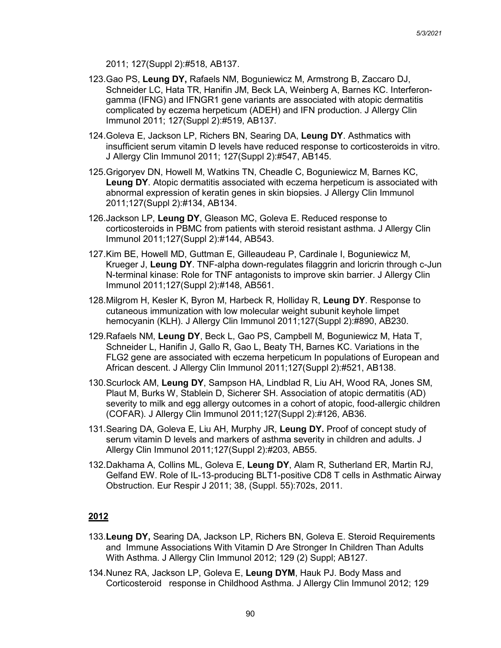2011; 127(Suppl 2):#518, AB137.

- 123.Gao PS, **Leung DY,** Rafaels NM, Boguniewicz M, Armstrong B, Zaccaro DJ, Schneider LC, Hata TR, Hanifin JM, Beck LA, Weinberg A, Barnes KC. Interferongamma (IFNG) and IFNGR1 gene variants are associated with atopic dermatitis complicated by eczema herpeticum (ADEH) and IFN production. J Allergy Clin Immunol 2011; 127(Suppl 2):#519, AB137.
- 124.Goleva E, Jackson LP, Richers BN, Searing DA, **Leung DY**. Asthmatics with insufficient serum vitamin D levels have reduced response to corticosteroids in vitro. J Allergy Clin Immunol 2011; 127(Suppl 2):#547, AB145.
- 125.Grigoryev DN, Howell M, Watkins TN, Cheadle C, Boguniewicz M, Barnes KC, **Leung DY**. Atopic dermatitis associated with eczema herpeticum is associated with abnormal expression of keratin genes in skin biopsies. J Allergy Clin Immunol 2011;127(Suppl 2):#134, AB134.
- 126.Jackson LP, **Leung DY**, Gleason MC, Goleva E. Reduced response to corticosteroids in PBMC from patients with steroid resistant asthma. J Allergy Clin Immunol 2011;127(Suppl 2):#144, AB543.
- 127.Kim BE, Howell MD, Guttman E, Gilleaudeau P, Cardinale I, Boguniewicz M, Krueger J, **Leung DY**. TNF-alpha down-regulates filaggrin and loricrin through c-Jun N-terminal kinase: Role for TNF antagonists to improve skin barrier. J Allergy Clin Immunol 2011;127(Suppl 2):#148, AB561.
- 128.Milgrom H, Kesler K, Byron M, Harbeck R, Holliday R, **Leung DY**. Response to cutaneous immunization with low molecular weight subunit keyhole limpet hemocyanin (KLH). J Allergy Clin Immunol 2011;127(Suppl 2):#890, AB230.
- 129.Rafaels NM, **Leung DY**, Beck L, Gao PS, Campbell M, Boguniewicz M, Hata T, Schneider L, Hanifin J, Gallo R, Gao L, Beaty TH, Barnes KC. Variations in the FLG2 gene are associated with eczema herpeticum In populations of European and African descent. J Allergy Clin Immunol 2011;127(Suppl 2):#521, AB138.
- 130.Scurlock AM, **Leung DY**, Sampson HA, Lindblad R, Liu AH, Wood RA, Jones SM, Plaut M, Burks W, Stablein D, Sicherer SH. Association of atopic dermatitis (AD) severity to milk and egg allergy outcomes in a cohort of atopic, food-allergic children (COFAR). J Allergy Clin Immunol 2011;127(Suppl 2):#126, AB36.
- 131.Searing DA, Goleva E, Liu AH, Murphy JR, **Leung DY.** Proof of concept study of serum vitamin D levels and markers of asthma severity in children and adults. J Allergy Clin Immunol 2011;127(Suppl 2):#203, AB55.
- 132.Dakhama A, Collins ML, Goleva E, **Leung DY**, Alam R, Sutherland ER, Martin RJ, Gelfand EW. Role of IL-13-producing BLT1-positive CD8 T cells in Asthmatic Airway Obstruction. Eur Respir J 2011; 38, (Suppl. 55):702s, 2011.

- 133.**Leung DY,** Searing DA, Jackson LP, Richers BN, Goleva E. Steroid Requirements and Immune Associations With Vitamin D Are Stronger In Children Than Adults With Asthma. J Allergy Clin Immunol 2012; 129 (2) Suppl; AB127.
- 134.Nunez RA, Jackson LP, Goleva E, **Leung DYM**, Hauk PJ. Body Mass and Corticosteroid response in Childhood Asthma. J Allergy Clin Immunol 2012; 129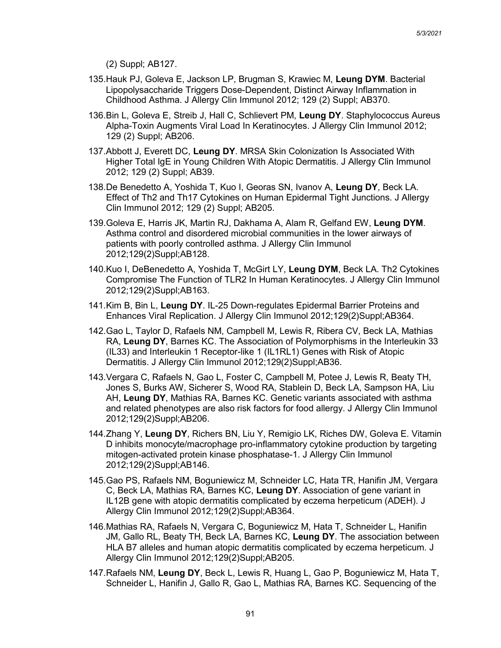(2) Suppl; AB127.

- 135.Hauk PJ, Goleva E, Jackson LP, Brugman S, Krawiec M, **Leung DYM**. Bacterial Lipopolysaccharide Triggers Dose-Dependent, Distinct Airway Inflammation in Childhood Asthma. J Allergy Clin Immunol 2012; 129 (2) Suppl; AB370.
- 136.Bin L, Goleva E, Streib J, Hall C, Schlievert PM, **Leung DY**. Staphylococcus Aureus Alpha-Toxin Augments Viral Load In Keratinocytes. J Allergy Clin Immunol 2012; 129 (2) Suppl; AB206.
- 137.Abbott J, Everett DC, **Leung DY**. MRSA Skin Colonization Is Associated With Higher Total IgE in Young Children With Atopic Dermatitis. J Allergy Clin Immunol 2012; 129 (2) Suppl; AB39.
- 138.De Benedetto A, Yoshida T, Kuo I, Georas SN, Ivanov A, **Leung DY**, Beck LA. Effect of Th2 and Th17 Cytokines on Human Epidermal Tight Junctions. J Allergy Clin Immunol 2012; 129 (2) Suppl; AB205.
- 139.Goleva E, Harris JK, Martin RJ, Dakhama A, Alam R, Gelfand EW, **Leung DYM**. Asthma control and disordered microbial communities in the lower airways of patients with poorly controlled asthma. J Allergy Clin Immunol 2012;129(2)Suppl;AB128.
- 140.Kuo I, DeBenedetto A, Yoshida T, McGirt LY, **Leung DYM**, Beck LA. Th2 Cytokines Compromise The Function of TLR2 In Human Keratinocytes. J Allergy Clin Immunol 2012;129(2)Suppl;AB163.
- 141.Kim B, Bin L, **Leung DY**. IL-25 Down-regulates Epidermal Barrier Proteins and Enhances Viral Replication. J Allergy Clin Immunol 2012;129(2)Suppl;AB364.
- 142.Gao L, Taylor D, Rafaels NM, Campbell M, Lewis R, Ribera CV, Beck LA, Mathias RA, **Leung DY**, Barnes KC. The Association of Polymorphisms in the Interleukin 33 (IL33) and Interleukin 1 Receptor-like 1 (IL1RL1) Genes with Risk of Atopic Dermatitis. J Allergy Clin Immunol 2012;129(2)Suppl;AB36.
- 143.Vergara C, Rafaels N, Gao L, Foster C, Campbell M, Potee J, Lewis R, Beaty TH, Jones S, Burks AW, Sicherer S, Wood RA, Stablein D, Beck LA, Sampson HA, Liu AH, **Leung DY**, Mathias RA, Barnes KC. Genetic variants associated with asthma and related phenotypes are also risk factors for food allergy. J Allergy Clin Immunol 2012;129(2)Suppl;AB206.
- 144.Zhang Y, **Leung DY**, Richers BN, Liu Y, Remigio LK, Riches DW, Goleva E. Vitamin D inhibits monocyte/macrophage pro-inflammatory cytokine production by targeting mitogen-activated protein kinase phosphatase-1. J Allergy Clin Immunol 2012;129(2)Suppl;AB146.
- 145.Gao PS, Rafaels NM, Boguniewicz M, Schneider LC, Hata TR, Hanifin JM, Vergara C, Beck LA, Mathias RA, Barnes KC, **Leung DY**. Association of gene variant in IL12B gene with atopic dermatitis complicated by eczema herpeticum (ADEH). J Allergy Clin Immunol 2012;129(2)Suppl;AB364.
- 146.Mathias RA, Rafaels N, Vergara C, Boguniewicz M, Hata T, Schneider L, Hanifin JM, Gallo RL, Beaty TH, Beck LA, Barnes KC, **Leung DY**. The association between HLA B7 alleles and human atopic dermatitis complicated by eczema herpeticum. J Allergy Clin Immunol 2012;129(2)Suppl;AB205.
- 147.Rafaels NM, **Leung DY**, Beck L, Lewis R, Huang L, Gao P, Boguniewicz M, Hata T, Schneider L, Hanifin J, Gallo R, Gao L, Mathias RA, Barnes KC. Sequencing of the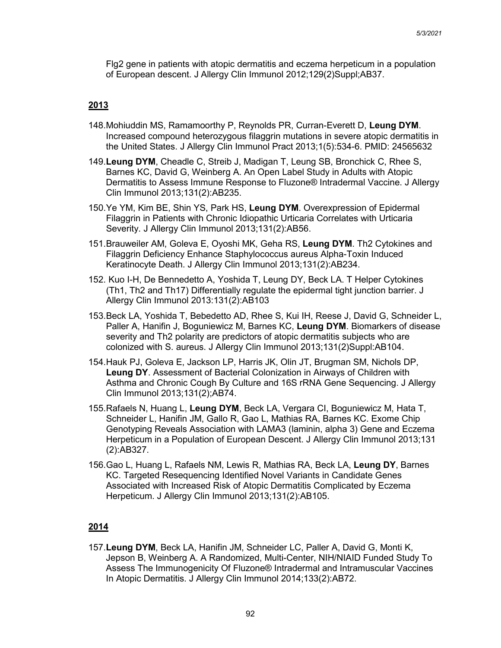Flg2 gene in patients with atopic dermatitis and eczema herpeticum in a population of European descent. J Allergy Clin Immunol 2012;129(2)Suppl;AB37.

#### **2013**

- 148.Mohiuddin MS, Ramamoorthy P, Reynolds PR, Curran-Everett D, **Leung DYM**. Increased compound heterozygous filaggrin mutations in severe atopic dermatitis in the United States. J Allergy Clin Immunol Pract 2013;1(5):534-6. PMID: 24565632
- 149.**Leung DYM**, Cheadle C, Streib J, Madigan T, Leung SB, Bronchick C, Rhee S, Barnes KC, David G, Weinberg A. An Open Label Study in Adults with Atopic Dermatitis to Assess Immune Response to Fluzone® Intradermal Vaccine. J Allergy Clin Immunol 2013;131(2):AB235.
- 150.Ye YM, Kim BE, Shin YS, Park HS, **Leung DYM**. Overexpression of Epidermal Filaggrin in Patients with Chronic Idiopathic Urticaria Correlates with Urticaria Severity. J Allergy Clin Immunol 2013;131(2):AB56.
- 151.Brauweiler AM, Goleva E, Oyoshi MK, Geha RS, **Leung DYM**. Th2 Cytokines and Filaggrin Deficiency Enhance Staphylococcus aureus Alpha-Toxin Induced Keratinocyte Death. J Allergy Clin Immunol 2013;131(2):AB234.
- 152. Kuo I-H, De Bennedetto A, Yoshida T, Leung DY, Beck LA. T Helper Cytokines (Th1, Th2 and Th17) Differentially regulate the epidermal tight junction barrier. J Allergy Clin Immunol 2013:131(2):AB103
- 153.Beck LA, Yoshida T, Bebedetto AD, Rhee S, Kui IH, Reese J, David G, Schneider L, Paller A, Hanifin J, Boguniewicz M, Barnes KC, **Leung DYM**. Biomarkers of disease severity and Th2 polarity are predictors of atopic dermatitis subjects who are colonized with S. aureus. J Allergy Clin Immunol 2013;131(2)Suppl:AB104.
- 154.Hauk PJ, Goleva E, Jackson LP, Harris JK, Olin JT, Brugman SM, Nichols DP, **Leung DY**. Assessment of Bacterial Colonization in Airways of Children with Asthma and Chronic Cough By Culture and 16S rRNA Gene Sequencing. J Allergy Clin Immunol 2013;131(2);AB74.
- 155.Rafaels N, Huang L, **Leung DYM**, Beck LA, Vergara CI, Boguniewicz M, Hata T, Schneider L, Hanifin JM, Gallo R, Gao L, Mathias RA, Barnes KC. Exome Chip Genotyping Reveals Association with LAMA3 (laminin, alpha 3) Gene and Eczema Herpeticum in a Population of European Descent. J Allergy Clin Immunol 2013;131 (2):AB327.
- 156.Gao L, Huang L, Rafaels NM, Lewis R, Mathias RA, Beck LA, **Leung DY**, Barnes KC. Targeted Resequencing Identified Novel Variants in Candidate Genes Associated with Increased Risk of Atopic Dermatitis Complicated by Eczema Herpeticum. J Allergy Clin Immunol 2013;131(2):AB105.

## **2014**

157.**Leung DYM**, Beck LA, Hanifin JM, Schneider LC, Paller A, David G, Monti K, Jepson B, Weinberg A. A Randomized, Multi-Center, NIH/NIAID Funded Study To Assess The Immunogenicity Of Fluzone® Intradermal and Intramuscular Vaccines In Atopic Dermatitis. J Allergy Clin Immunol 2014;133(2):AB72.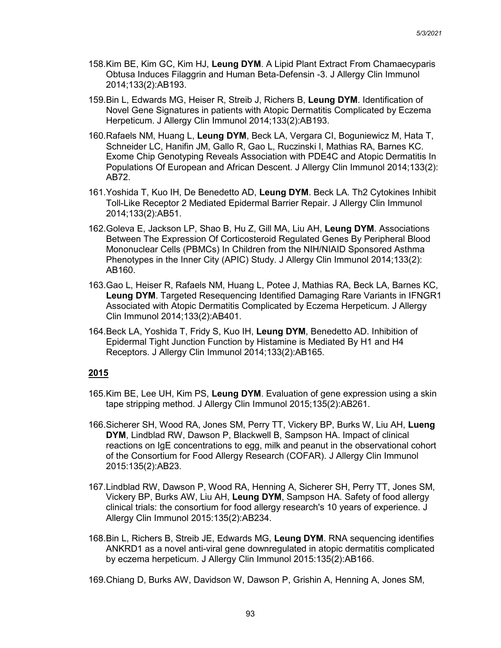- 158.Kim BE, Kim GC, Kim HJ, **Leung DYM**. A Lipid Plant Extract From Chamaecyparis Obtusa Induces Filaggrin and Human Beta-Defensin -3. J Allergy Clin Immunol 2014;133(2):AB193.
- 159.Bin L, Edwards MG, Heiser R, Streib J, Richers B, **Leung DYM**. Identification of Novel Gene Signatures in patients with Atopic Dermatitis Complicated by Eczema Herpeticum. J Allergy Clin Immunol 2014;133(2):AB193.
- 160.Rafaels NM, Huang L, **Leung DYM**, Beck LA, Vergara CI, Boguniewicz M, Hata T, Schneider LC, Hanifin JM, Gallo R, Gao L, Ruczinski I, Mathias RA, Barnes KC. Exome Chip Genotyping Reveals Association with PDE4C and Atopic Dermatitis In Populations Of European and African Descent. J Allergy Clin Immunol 2014;133(2): AB72.
- 161.Yoshida T, Kuo IH, De Benedetto AD, **Leung DYM**. Beck LA. Th2 Cytokines Inhibit Toll-Like Receptor 2 Mediated Epidermal Barrier Repair. J Allergy Clin Immunol 2014;133(2):AB51.
- 162.Goleva E, Jackson LP, Shao B, Hu Z, Gill MA, Liu AH, **Leung DYM**. Associations Between The Expression Of Corticosteroid Regulated Genes By Peripheral Blood Mononuclear Cells (PBMCs) In Children from the NIH/NIAID Sponsored Asthma Phenotypes in the Inner City (APIC) Study. J Allergy Clin Immunol 2014;133(2): AB160.
- 163.Gao L, Heiser R, Rafaels NM, Huang L, Potee J, Mathias RA, Beck LA, Barnes KC, **Leung DYM**. Targeted Resequencing Identified Damaging Rare Variants in IFNGR1 Associated with Atopic Dermatitis Complicated by Eczema Herpeticum. J Allergy Clin Immunol 2014;133(2):AB401.
- 164.Beck LA, Yoshida T, Fridy S, Kuo IH, **Leung DYM**, Benedetto AD. Inhibition of Epidermal Tight Junction Function by Histamine is Mediated By H1 and H4 Receptors. J Allergy Clin Immunol 2014;133(2):AB165.

- 165.Kim BE, Lee UH, Kim PS, **Leung DYM**. Evaluation of gene expression using a skin tape stripping method. J Allergy Clin Immunol 2015;135(2):AB261.
- 166.Sicherer SH, Wood RA, Jones SM, Perry TT, Vickery BP, Burks W, Liu AH, **Lueng DYM**, Lindblad RW, Dawson P, Blackwell B, Sampson HA. Impact of clinical reactions on IgE concentrations to egg, milk and peanut in the observational cohort of the Consortium for Food Allergy Research (COFAR). J Allergy Clin Immunol 2015:135(2):AB23.
- 167.Lindblad RW, Dawson P, Wood RA, Henning A, Sicherer SH, Perry TT, Jones SM, Vickery BP, Burks AW, Liu AH, **Leung DYM**, Sampson HA. Safety of food allergy clinical trials: the consortium for food allergy research's 10 years of experience. J Allergy Clin Immunol 2015:135(2):AB234.
- 168.Bin L, Richers B, Streib JE, Edwards MG, **Leung DYM**. RNA sequencing identifies ANKRD1 as a novel anti-viral gene downregulated in atopic dermatitis complicated by eczema herpeticum. J Allergy Clin Immunol 2015:135(2):AB166.
- 169.Chiang D, Burks AW, Davidson W, Dawson P, Grishin A, Henning A, Jones SM,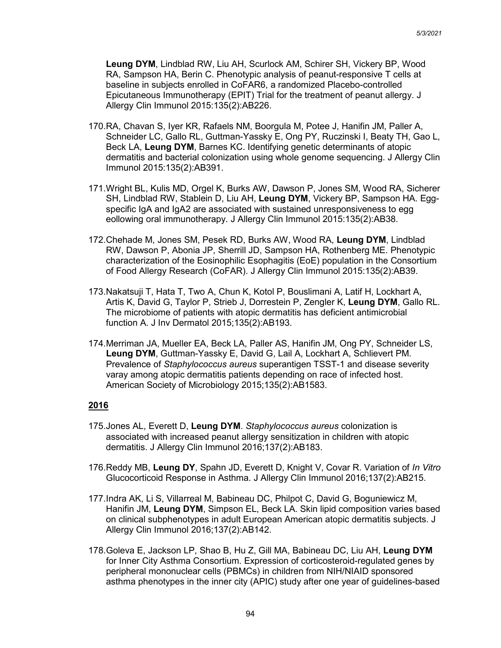**Leung DYM**, Lindblad RW, Liu AH, Scurlock AM, Schirer SH, Vickery BP, Wood RA, Sampson HA, Berin C. Phenotypic analysis of peanut-responsive T cells at baseline in subjects enrolled in CoFAR6, a randomized Placebo-controlled Epicutaneous Immunotherapy (EPIT) Trial for the treatment of peanut allergy. J Allergy Clin Immunol 2015:135(2):AB226.

- 170.RA, Chavan S, Iyer KR, Rafaels NM, Boorgula M, Potee J, Hanifin JM, Paller A, Schneider LC, Gallo RL, Guttman-Yassky E, Ong PY, Ruczinski I, Beaty TH, Gao L, Beck LA, **Leung DYM**, Barnes KC. Identifying genetic determinants of atopic dermatitis and bacterial colonization using whole genome sequencing. J Allergy Clin Immunol 2015:135(2):AB391.
- 171.Wright BL, Kulis MD, Orgel K, Burks AW, Dawson P, Jones SM, Wood RA, Sicherer SH, Lindblad RW, Stablein D, Liu AH, **Leung DYM**, Vickery BP, Sampson HA. Eggspecific IgA and IgA2 are associated with sustained unresponsiveness to egg eollowing oral immunotherapy. J Allergy Clin Immunol 2015:135(2):AB38.
- 172.Chehade M, Jones SM, Pesek RD, Burks AW, Wood RA, **Leung DYM**, Lindblad RW, Dawson P, Abonia JP, Sherrill JD, Sampson HA, Rothenberg ME. Phenotypic characterization of the Eosinophilic Esophagitis (EoE) population in the Consortium of Food Allergy Research (CoFAR). J Allergy Clin Immunol 2015:135(2):AB39.
- 173.Nakatsuji T, Hata T, Two A, Chun K, Kotol P, Bouslimani A, Latif H, Lockhart A, Artis K, David G, Taylor P, Strieb J, Dorrestein P, Zengler K, **Leung DYM**, Gallo RL. The microbiome of patients with atopic dermatitis has deficient antimicrobial function A. J Inv Dermatol 2015;135(2):AB193.
- 174.Merriman JA, Mueller EA, Beck LA, Paller AS, Hanifin JM, Ong PY, Schneider LS, **Leung DYM**, Guttman-Yassky E, David G, Lail A, Lockhart A, Schlievert PM. Prevalence of *Staphylococcus aureus* superantigen TSST-1 and disease severity varay among atopic dermatitis patients depending on race of infected host. American Society of Microbiology 2015;135(2):AB1583.

- 175.Jones AL, Everett D, **Leung DYM**. *Staphylococcus aureus* colonization is associated with increased peanut allergy sensitization in children with atopic dermatitis. J Allergy Clin Immunol 2016;137(2):AB183.
- 176.Reddy MB, **Leung DY**, Spahn JD, Everett D, Knight V, Covar R. Variation of *In Vitro* Glucocorticoid Response in Asthma. J Allergy Clin Immunol 2016;137(2):AB215.
- 177.Indra AK, Li S, Villarreal M, Babineau DC, Philpot C, David G, Boguniewicz M, Hanifin JM, **Leung DYM**, Simpson EL, Beck LA. Skin lipid composition varies based on clinical subphenotypes in adult European American atopic dermatitis subjects. J Allergy Clin Immunol 2016;137(2):AB142.
- 178.Goleva E, Jackson LP, Shao B, Hu Z, Gill MA, Babineau DC, Liu AH, **Leung DYM** for Inner City Asthma Consortium. Expression of corticosteroid-regulated genes by peripheral mononuclear cells (PBMCs) in children from NIH/NIAID sponsored asthma phenotypes in the inner city (APIC) study after one year of guidelines-based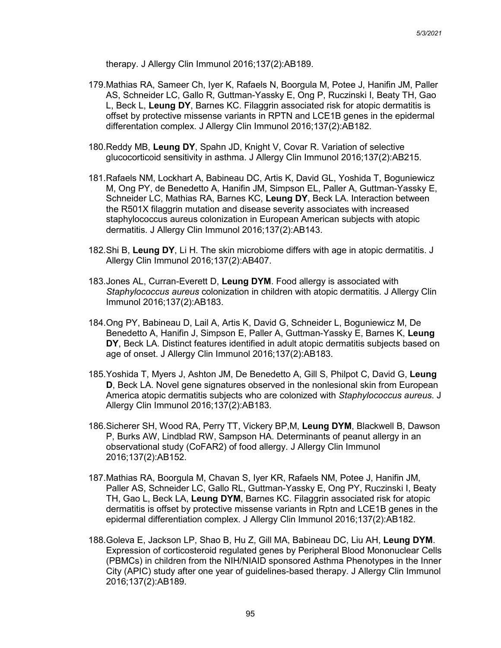therapy. J Allergy Clin Immunol 2016;137(2):AB189.

- 179.Mathias RA, Sameer Ch, Iyer K, Rafaels N, Boorgula M, Potee J, Hanifin JM, Paller AS, Schneider LC, Gallo R, Guttman-Yassky E, Ong P, Ruczinski I, Beaty TH, Gao L, Beck L, **Leung DY**, Barnes KC. Filaggrin associated risk for atopic dermatitis is offset by protective missense variants in RPTN and LCE1B genes in the epidermal differentation complex. J Allergy Clin Immunol 2016;137(2):AB182.
- 180.Reddy MB, **Leung DY**, Spahn JD, Knight V, Covar R. Variation of selective glucocorticoid sensitivity in asthma. J Allergy Clin Immunol 2016;137(2):AB215.
- 181.Rafaels NM, Lockhart A, Babineau DC, Artis K, David GL, Yoshida T, Boguniewicz M, Ong PY, de Benedetto A, Hanifin JM, Simpson EL, Paller A, Guttman-Yassky E, Schneider LC, Mathias RA, Barnes KC, **Leung DY**, Beck LA. Interaction between the R501X filaggrin mutation and disease severity associates with increased staphylococcus aureus colonization in European American subjects with atopic dermatitis. J Allergy Clin Immunol 2016;137(2):AB143.
- 182.Shi B, **Leung DY**, Li H. The skin microbiome differs with age in atopic dermatitis. J Allergy Clin Immunol 2016;137(2):AB407.
- 183.Jones AL, Curran-Everett D, **Leung DYM**. Food allergy is associated with *Staphylococcus aureus* colonization in children with atopic dermatitis. J Allergy Clin Immunol 2016;137(2):AB183.
- 184.Ong PY, Babineau D, Lail A, Artis K, David G, Schneider L, Boguniewicz M, De Benedetto A, Hanifin J, Simpson E, Paller A, Guttman-Yassky E, Barnes K, **Leung DY**, Beck LA. Distinct features identified in adult atopic dermatitis subjects based on age of onset. J Allergy Clin Immunol 2016;137(2):AB183.
- 185.Yoshida T, Myers J, Ashton JM, De Benedetto A, Gill S, Philpot C, David G, **Leung D**, Beck LA. Novel gene signatures observed in the nonlesional skin from European America atopic dermatitis subjects who are colonized with *Staphylococcus aureus*. J Allergy Clin Immunol 2016;137(2):AB183.
- 186.Sicherer SH, Wood RA, Perry TT, Vickery BP,M, **Leung DYM**, Blackwell B, Dawson P, Burks AW, Lindblad RW, Sampson HA. Determinants of peanut allergy in an observational study (CoFAR2) of food allergy. J Allergy Clin Immunol 2016;137(2):AB152.
- 187.Mathias RA, Boorgula M, Chavan S, Iyer KR, Rafaels NM, Potee J, Hanifin JM, Paller AS, Schneider LC, Gallo RL, Guttman-Yassky E, Ong PY, Ruczinski I, Beaty TH, Gao L, Beck LA, **Leung DYM**, Barnes KC. Filaggrin associated risk for atopic dermatitis is offset by protective missense variants in Rptn and LCE1B genes in the epidermal differentiation complex. J Allergy Clin Immunol 2016;137(2):AB182.
- 188.Goleva E, Jackson LP, Shao B, Hu Z, Gill MA, Babineau DC, Liu AH, **Leung DYM**. Expression of corticosteroid regulated genes by Peripheral Blood Mononuclear Cells (PBMCs) in children from the NIH/NIAID sponsored Asthma Phenotypes in the Inner City (APIC) study after one year of guidelines-based therapy. J Allergy Clin Immunol 2016;137(2):AB189.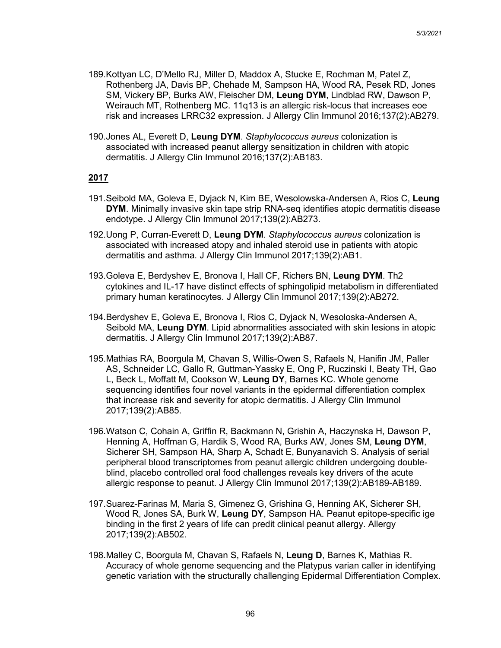- 189.Kottyan LC, D'Mello RJ, Miller D, Maddox A, Stucke E, Rochman M, Patel Z, Rothenberg JA, Davis BP, Chehade M, Sampson HA, Wood RA, Pesek RD, Jones SM, Vickery BP, Burks AW, Fleischer DM, **Leung DYM**, Lindblad RW, Dawson P, Weirauch MT, Rothenberg MC. 11q13 is an allergic risk-locus that increases eoe risk and increases LRRC32 expression. J Allergy Clin Immunol 2016;137(2):AB279.
- 190.Jones AL, Everett D, **Leung DYM**. *Staphylococcus aureus* colonization is associated with increased peanut allergy sensitization in children with atopic dermatitis. J Allergy Clin Immunol 2016;137(2):AB183.

- 191.Seibold MA, Goleva E, Dyjack N, Kim BE, Wesolowska-Andersen A, Rios C, **Leung DYM**. Minimally invasive skin tape strip RNA-seq identifies atopic dermatitis disease endotype. J Allergy Clin Immunol 2017;139(2):AB273.
- 192.Uong P, Curran-Everett D, **Leung DYM**. *Staphylococcus aureus* colonization is associated with increased atopy and inhaled steroid use in patients with atopic dermatitis and asthma. J Allergy Clin Immunol 2017;139(2):AB1.
- 193.Goleva E, Berdyshev E, Bronova I, Hall CF, Richers BN, **Leung DYM**. Th2 cytokines and IL-17 have distinct effects of sphingolipid metabolism in differentiated primary human keratinocytes. J Allergy Clin Immunol 2017;139(2):AB272.
- 194.Berdyshev E, Goleva E, Bronova I, Rios C, Dyjack N, Wesoloska-Andersen A, Seibold MA, **Leung DYM**. Lipid abnormalities associated with skin lesions in atopic dermatitis. J Allergy Clin Immunol 2017;139(2):AB87.
- 195.Mathias RA, Boorgula M, Chavan S, Willis-Owen S, Rafaels N, Hanifin JM, Paller AS, Schneider LC, Gallo R, Guttman-Yassky E, Ong P, Ruczinski I, Beaty TH, Gao L, Beck L, Moffatt M, Cookson W, **Leung DY**, Barnes KC. Whole genome sequencing identifies four novel variants in the epidermal differentiation complex that increase risk and severity for atopic dermatitis. J Allergy Clin Immunol 2017;139(2):AB85.
- 196.Watson C, Cohain A, Griffin R, Backmann N, Grishin A, Haczynska H, Dawson P, Henning A, Hoffman G, Hardik S, Wood RA, Burks AW, Jones SM, **Leung DYM**, Sicherer SH, Sampson HA, Sharp A, Schadt E, Bunyanavich S. Analysis of serial peripheral blood transcriptomes from peanut allergic children undergoing doubleblind, placebo controlled oral food challenges reveals key drivers of the acute allergic response to peanut. J Allergy Clin Immunol 2017;139(2):AB189-AB189.
- 197.Suarez-Farinas M, Maria S, Gimenez G, Grishina G, Henning AK, Sicherer SH, Wood R, Jones SA, Burk W, **Leung DY**, Sampson HA. Peanut epitope-specific ige binding in the first 2 years of life can predit clinical peanut allergy. Allergy 2017;139(2):AB502.
- 198.Malley C, Boorgula M, Chavan S, Rafaels N, **Leung D**, Barnes K, Mathias R. Accuracy of whole genome sequencing and the Platypus varian caller in identifying genetic variation with the structurally challenging Epidermal Differentiation Complex.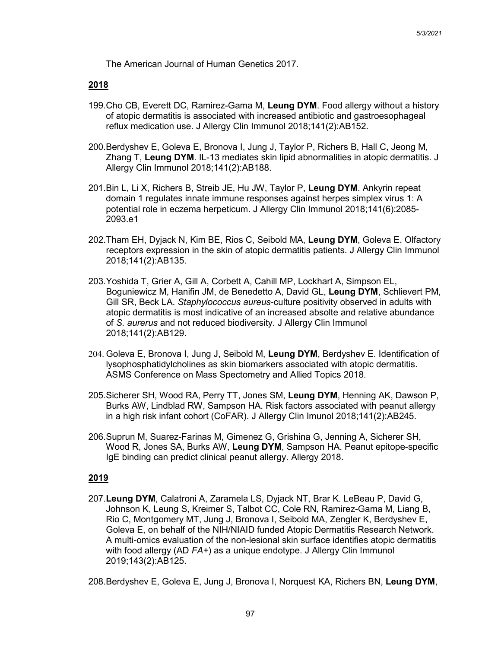The American Journal of Human Genetics 2017.

#### **2018**

- 199.Cho CB, Everett DC, Ramirez-Gama M, **Leung DYM**. Food allergy without a history of atopic dermatitis is associated with increased antibiotic and gastroesophageal reflux medication use. J Allergy Clin Immunol 2018;141(2):AB152.
- 200.Berdyshev E, Goleva E, Bronova I, Jung J, Taylor P, Richers B, Hall C, Jeong M, Zhang T, **Leung DYM**. IL-13 mediates skin lipid abnormalities in atopic dermatitis. J Allergy Clin Immunol 2018;141(2):AB188.
- 201.Bin L, Li X, Richers B, Streib JE, Hu JW, Taylor P, **Leung DYM**. Ankyrin repeat domain 1 regulates innate immune responses against herpes simplex virus 1: A potential role in eczema herpeticum. J Allergy Clin Immunol 2018;141(6):2085- 2093.e1
- 202.Tham EH, Dyjack N, Kim BE, Rios C, Seibold MA, **Leung DYM**, Goleva E. Olfactory receptors expression in the skin of atopic dermatitis patients. J Allergy Clin Immunol 2018;141(2):AB135.
- 203.Yoshida T, Grier A, Gill A, Corbett A, Cahill MP, Lockhart A, Simpson EL, Boguniewicz M, Hanifin JM, de Benedetto A, David GL, **Leung DYM**, Schlievert PM, Gill SR, Beck LA. *Staphylococcus aureus*-culture positivity observed in adults with atopic dermatitis is most indicative of an increased absolte and relative abundance of *S. aurerus* and not reduced biodiversity. J Allergy Clin Immunol 2018;141(2):AB129.
- 204. Goleva E, Bronova I, Jung J, Seibold M, **Leung DYM**, Berdyshev E. Identification of lysophosphatidylcholines as skin biomarkers associated with atopic dermatitis. ASMS Conference on Mass Spectometry and Allied Topics 2018.
- 205.Sicherer SH, Wood RA, Perry TT, Jones SM, **Leung DYM**, Henning AK, Dawson P, Burks AW, Lindblad RW, Sampson HA. Risk factors associated with peanut allergy in a high risk infant cohort (CoFAR). J Allergy Clin Imunol 2018;141(2):AB245.
- 206.Suprun M, Suarez-Farinas M, Gimenez G, Grishina G, Jenning A, Sicherer SH, Wood R, Jones SA, Burks AW, **Leung DYM**, Sampson HA. Peanut epitope-specific IgE binding can predict clinical peanut allergy. Allergy 2018.

## **2019**

207.**Leung DYM**, Calatroni A, Zaramela LS, Dyjack NT, Brar K. LeBeau P, David G, Johnson K, Leung S, Kreimer S, Talbot CC, Cole RN, Ramirez-Gama M, Liang B, Rio C, Montgomery MT, Jung J, Bronova I, Seibold MA, Zengler K, Berdyshev E, Goleva E, on behalf of the NIH/NIAID funded Atopic Dermatitis Research Network. A multi-omics evaluation of the non-lesional skin surface identifies atopic dermatitis with food allergy (AD *FA+*) as a unique endotype. J Allergy Clin Immunol 2019;143(2):AB125.

208.Berdyshev E, Goleva E, Jung J, Bronova I, Norquest KA, Richers BN, **Leung DYM**,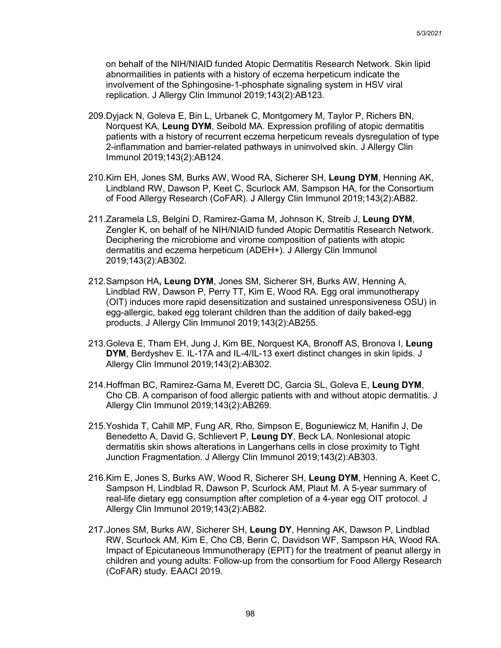on behalf of the NIH/NIAID funded Atopic Dermatitis Research Network. Skin lipid abnormailities in patients with a history of eczema herpeticum indicate the involvement of the Sphingosine-1-phosphate signaling system in HSV viral replication. J Allergy Clin Immunol 2019;143(2):AB123.

- 209.Dyjack N, Goleva E, Bin L, Urbanek C, Montgomery M, Taylor P, Richers BN, Norquest KA, **Leung DYM**, Seibold MA. Expression profiling of atopic dermatitis patients with a history of recurrent eczema herpeticum reveals dysregulation of type 2-inflammation and barrier-related pathways in uninvolved skin. J Allergy Clin Immunol 2019;143(2):AB124.
- 210.Kim EH, Jones SM, Burks AW, Wood RA, Sicherer SH, **Leung DYM**, Henning AK, Lindbland RW, Dawson P, Keet C, Scurlock AM, Sampson HA, for the Consortium of Food Allergy Research (CoFAR). J Allergy Clin Immunol 2019;143(2):AB82.
- 211.Zaramela LS, Belgini D, Ramirez-Gama M, Johnson K, Streib J, **Leung DYM**, Zengler K, on behalf of he NIH/NIAID funded Atopic Dermatitis Research Network. Deciphering the microbiome and virome composition of patients with atopic dermatitis and eczema herpeticum (ADEH+). J Allergy Clin Immunol 2019;143(2):AB302.
- 212.Sampson HA**, Leung DYM**, Jones SM, Sicherer SH, Burks AW, Henning A, Lindblad RW, Dawson P, Perry TT, Kim E, Wood RA. Egg oral immunotherapy (OIT) induces more rapid desensitization and sustained unresponsiveness OSU) in egg-allergic, baked egg tolerant children than the addition of daily baked-egg products. J Allergy Clin Immunol 2019;143(2):AB255.
- 213.Goleva E, Tham EH, Jung J, Kim BE, Norquest KA, Bronoff AS, Bronova I, **Leung DYM**, Berdyshev E. IL-17A and IL-4/IL-13 exert distinct changes in skin lipids. J Allergy Clin Immunol 2019;143(2):AB302.
- 214.Hoffman BC, Ramirez-Gama M, Everett DC, Garcia SL, Goleva E, **Leung DYM**, Cho CB. A comparison of food allergic patients with and without atopic dermatitis. J Allergy Clin Immunol 2019;143(2):AB269.
- 215.Yoshida T, Cahill MP, Fung AR, Rho, Simpson E, Boguniewicz M, Hanifin J, De Benedetto A, David G, Schlievert P, **Leung DY**, Beck LA. Nonlesional atopic dermatitis skin shows alterations in Langerhans cells in close proximity to Tight Junction Fragmentation. J Allergy Clin Immunol 2019;143(2):AB303.
- 216.Kim E, Jones S, Burks AW, Wood R, Sicherer SH, **Leung DYM**, Henning A, Keet C, Sampson H, Lindblad R, Dawson P, Scurlock AM, Plaut M. A 5-year summary of real-life dietary egg consumption after completion of a 4-year egg OIT protocol. J Allergy Clin Immunol 2019;143(2):AB82.
- 217.Jones SM, Burks AW, Sicherer SH, **Leung DY**, Henning AK, Dawson P, Lindblad RW, Scurlock AM, Kim E, Cho CB, Berin C, Davidson WF, Sampson HA, Wood RA. Impact of Epicutaneous Immunotherapy (EPIT) for the treatment of peanut allergy in children and young adults: Follow-up from the consortium for Food Allergy Research (CoFAR) study. EAACI 2019.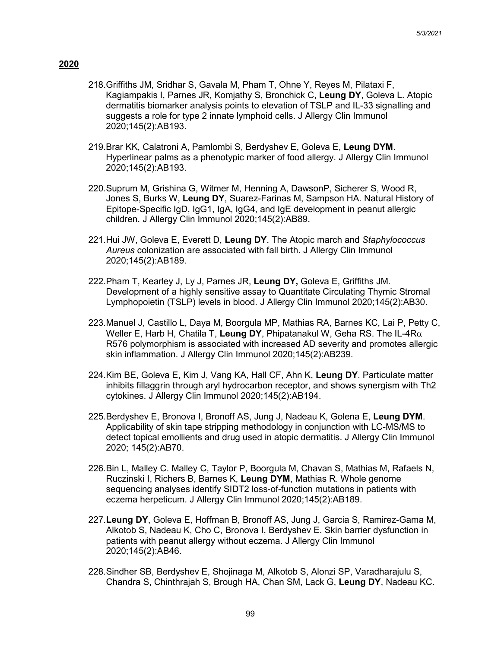- 218.Griffiths JM, Sridhar S, Gavala M, Pham T, Ohne Y, Reyes M, Pilataxi F, Kagiampakis I, Parnes JR, Komjathy S, Bronchick C, **Leung DY**, Goleva L. Atopic dermatitis biomarker analysis points to elevation of TSLP and IL-33 signalling and suggests a role for type 2 innate lymphoid cells. J Allergy Clin Immunol 2020;145(2):AB193.
- 219.Brar KK, Calatroni A, Pamlombi S, Berdyshev E, Goleva E, **Leung DYM**. Hyperlinear palms as a phenotypic marker of food allergy. J Allergy Clin Immunol 2020;145(2):AB193.
- 220.Suprum M, Grishina G, Witmer M, Henning A, DawsonP, Sicherer S, Wood R, Jones S, Burks W, **Leung DY**, Suarez-Farinas M, Sampson HA. Natural History of Epitope-Specific IgD, IgG1, IgA, IgG4, and IgE development in peanut allergic children. J Allergy Clin Immunol 2020;145(2):AB89.
- 221.Hui JW, Goleva E, Everett D, **Leung DY**. The Atopic march and *Staphylococcus Aureus* colonization are associated with fall birth. J Allergy Clin Immunol 2020;145(2):AB189.
- 222.Pham T, Kearley J, Ly J, Parnes JR, **Leung DY,** Goleva E, Griffiths JM. Development of a highly sensitive assay to Quantitate Circulating Thymic Stromal Lymphopoietin (TSLP) levels in blood. J Allergy Clin Immunol 2020;145(2):AB30.
- 223.Manuel J, Castillo L, Daya M, Boorgula MP, Mathias RA, Barnes KC, Lai P, Petty C, Weller E, Harb H, Chatila T, **Leung DY**, Phipatanakul W, Geha RS. The IL-4Rα R576 polymorphism is associated with increased AD severity and promotes allergic skin inflammation. J Allergy Clin Immunol 2020;145(2):AB239.
- 224.Kim BE, Goleva E, Kim J, Vang KA, Hall CF, Ahn K, **Leung DY**. Particulate matter inhibits fillaggrin through aryl hydrocarbon receptor, and shows synergism with Th2 cytokines. J Allergy Clin Immunol 2020;145(2):AB194.
- 225.Berdyshev E, Bronova I, Bronoff AS, Jung J, Nadeau K, Golena E, **Leung DYM**. Applicability of skin tape stripping methodology in conjunction with LC-MS/MS to detect topical emollients and drug used in atopic dermatitis. J Allergy Clin Immunol 2020; 145(2):AB70.
- 226.Bin L, Malley C. Malley C, Taylor P, Boorgula M, Chavan S, Mathias M, Rafaels N, Ruczinski I, Richers B, Barnes K, **Leung DYM**, Mathias R. Whole genome sequencing analyses identify SIDT2 loss-of-function mutations in patients with eczema herpeticum. J Allergy Clin Immunol 2020;145(2):AB189.
- 227.**Leung DY**, Goleva E, Hoffman B, Bronoff AS, Jung J, Garcia S, Ramirez-Gama M, Alkotob S, Nadeau K, Cho C, Bronova I, Berdyshev E. Skin barrier dysfunction in patients with peanut allergy without eczema. J Allergy Clin Immunol 2020;145(2):AB46.
- 228.Sindher SB, Berdyshev E, Shojinaga M, Alkotob S, Alonzi SP, Varadharajulu S, Chandra S, Chinthrajah S, Brough HA, Chan SM, Lack G, **Leung DY**, Nadeau KC.